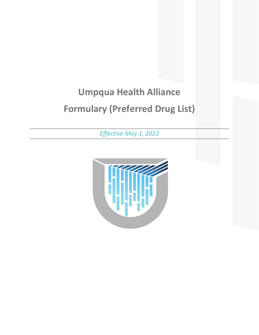# **Umpqua Health Alliance Formulary (Preferred Drug List)**

*Effective May 1, 2022*

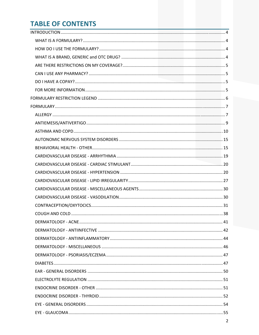# **TABLE OF CONTENTS**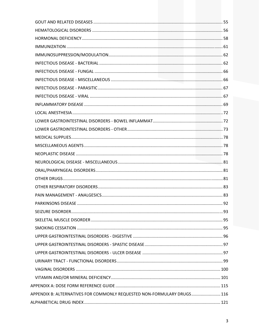| APPENDIX B: ALTERNATIVES FOR COMMONLY REQUESTED NON-FORMULARY DRUGS 116 |  |
|-------------------------------------------------------------------------|--|
|                                                                         |  |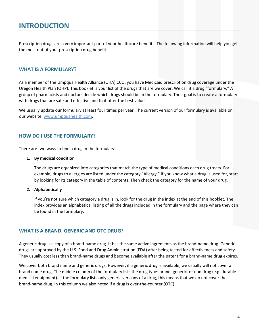# **INTRODUCTION**

Prescription drugs are a very important part of your healthcare benefits. The following information will help you get the most out of your prescription drug benefit.

# **WHAT IS A FORMULARY?**

As a member of the Umpqua Health Alliance (UHA) CCO, you have Medicaid prescription drug coverage under the Oregon Health Plan (OHP). This booklet is your list of the drugs that are we cover. We call it a drug "formulary." A group of pharmacists and doctors decide which drugs should be in the formulary. Their goal is to create a formulary with drugs that are safe and effective and that offer the best value.

We usually update our formulary at least four times per year. The current version of our formulary is available on our website: www.umpquahealth.com.

# **HOW DO I USE THE FORMULARY?**

There are two ways to find a drug in the formulary:

#### **1. By medical condition**

The drugs are organized into categories that match the type of medical conditions each drug treats. For example, drugs to allergies are listed under the category "Allergy." If you know what a drug is used for, start by looking for its category in the table of contents. Then check the category for the name of your drug.

#### **2. Alphabetically**

If you're not sure which category a drug is in, look for the drug in the index at the end of this booklet. The index provides an alphabetical listing of all the drugs included in the formulary and the page where they can be found in the formulary.

#### **WHAT IS A BRAND, GENERIC AND OTC DRUG?**

A generic drug is a copy of a brand‐name drug. It has the same active ingredients as the brand‐name drug. Generic drugs are approved by the U.S. Food and Drug Administration (FDA) after being tested for effectiveness and safety. They usually cost less than brand‐name drugs and become available after the patent for a brand‐name drug expires.

We cover both brand name and generic drugs. However, if a generic drug is available, we usually will not cover a brand name drug. The middle column of the formulary lists the drug type: brand, generic, or non drug (e.g. durable medical equipment). If the formulary lists only generic versions of a drug, this means that we do not cover the brand‐name drug. In this column we also noted if a drug is over‐the‐counter (OTC).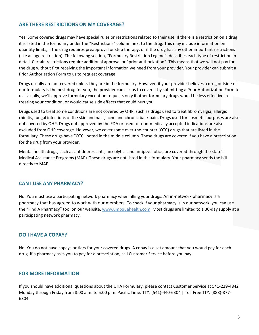# **ARE THERE RESTRICTIONS ON MY COVERAGE?**

Yes. Some covered drugs may have special rules or restrictions related to their use. If there is a restriction on a drug, it is listed in the formulary under the "Restrictions" column next to the drug. This may include information on quantity limits, if the drug requires preapproval or step therapy, or if the drug has any other important restrictions (like an age restriction). The following section, "Formulary Restriction Legend", describes each type of restriction in detail. Certain restrictions require additional approval or "prior authorization". This means that we will not pay for the drug without first receiving the important information we need from your provider. Your provider can submit a Prior Authorization Form to us to request coverage.

Drugs usually are not covered unless they are in the formulary. However, if your provider believes a drug outside of our formulary is the best drug for you, the provider can ask us to cover it by submitting a Prior Authorization Form to us. Usually, we'll approve formulary exception requests only if other formulary drugs would be less effective in treating your condition, or would cause side effects that could hurt you.

Drugs used to treat some conditions are not covered by OHP, such as drugs used to treat fibromyalgia, allergic rhinitis, fungal infections of the skin and nails, acne and chronic back pain. Drugs used for cosmetic purposes are also not covered by OHP. Drugs not approved by the FDA or used for non‐medically accepted indications are also excluded from OHP coverage. However, we cover some over‐the‐counter (OTC) drugs that are listed in the formulary. These drugs have "OTC" noted in the middle column. These drugs are covered if you have a prescription for the drug from your provider.

Mental health drugs, such as antidepressants, anxiolytics and antipsychotics, are covered through the state's Medical Assistance Programs (MAP). These drugs are not listed in this formulary. Your pharmacy sends the bill directly to MAP.

# **CAN I USE ANY PHARMACY?**

No. You must use a participating network pharmacy when filling your drugs. An in‐network pharmacy is a pharmacy that has agreed to work with our members. To check if your pharmacy is in our network, you can use the "Find A Pharmacy" tool on our website, www.umpquahealth.com. Most drugs are limited to a 30-day supply at a participating network pharmacy.

# **DO I HAVE A COPAY?**

No. You do not have copays or tiers for your covered drugs. A copay is a set amount that you would pay for each drug. If a pharmacy asks you to pay for a prescription, call Customer Service before you pay.

# **FOR MORE INFORMATION**

If you should have additional questions about the UHA Formulary, please contact Customer Service at 541‐229‐4842 Monday through Friday from 8:00 a.m. to 5:00 p.m. Pacific Time. TTY: (541)-440-6304 | Toll Free TTY: (888)-877-6304.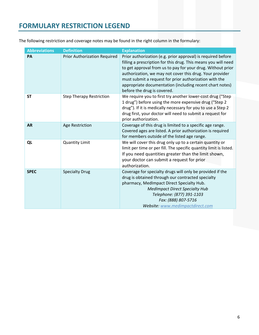# **FORMULARY RESTRICTION LEGEND**

The following restriction and coverage notes may be found in the right column in the formulary:

| <b>Abbreviations</b> | <b>Definition</b>                   | <b>Explanation</b>                                                                                                                                                                                                                                                                                                                                                                                             |
|----------------------|-------------------------------------|----------------------------------------------------------------------------------------------------------------------------------------------------------------------------------------------------------------------------------------------------------------------------------------------------------------------------------------------------------------------------------------------------------------|
| PA                   | <b>Prior Authorization Required</b> | Prior authorization (e.g. prior approval) is required before<br>filling a prescription for this drug. This means you will need<br>to get approval from us to pay for your drug. Without prior<br>authorization, we may not cover this drug. Your provider<br>must submit a request for prior authorization with the<br>appropriate documentation (including recent chart notes)<br>before the drug is covered. |
| <b>ST</b>            | <b>Step Therapy Restriction</b>     | We require you to first try another lower-cost drug ("Step<br>1 drug") before using the more expensive drug ("Step 2<br>drug"). If it is medically necessary for you to use a Step 2<br>drug first, your doctor will need to submit a request for<br>prior authorization.                                                                                                                                      |
| <b>AR</b>            | Age Restriction                     | Coverage of this drug is limited to a specific age range.<br>Covered ages are listed. A prior authorization is required<br>for members outside of the listed age range.                                                                                                                                                                                                                                        |
| QL                   | <b>Quantity Limit</b>               | We will cover this drug only up to a certain quantity or<br>limit per time or per fill. The specific quantity limit is listed.<br>If you need quantities greater than the limit shown,<br>your doctor can submit a request for prior<br>authorization.                                                                                                                                                         |
| <b>SPEC</b>          | <b>Specialty Drug</b>               | Coverage for specialty drugs will only be provided if the<br>drug is obtained through our contracted specialty<br>pharmacy, MedImpact Direct Specialty Hub.<br><b>MedImpact Direct Specialty Hub</b><br>Telephone: (877) 391-1103<br>Fax: (888) 807-5716<br>Website: www.medimpactdirect.com                                                                                                                   |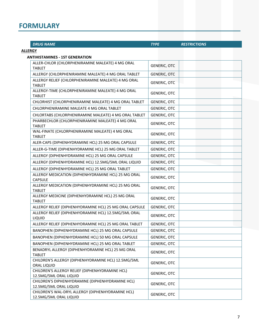# **FORMULARY**

| <b>DRUG NAME</b>                                                            | <b>TYPE</b>         | <b>RESTRICTIONS</b> |  |
|-----------------------------------------------------------------------------|---------------------|---------------------|--|
| <b>ALLERGY</b>                                                              |                     |                     |  |
| <b>ANTIHISTAMINES - 1ST GENERATION</b>                                      |                     |                     |  |
| ALLER-CHLOR (CHLORPHENIRAMINE MALEATE) 4 MG ORAL<br><b>TABLET</b>           | <b>GENERIC, OTC</b> |                     |  |
| ALLERGY (CHLORPHENIRAMINE MALEATE) 4 MG ORAL TABLET                         | <b>GENERIC, OTC</b> |                     |  |
| ALLERGY RELIEF (CHLORPHENIRAMINE MALEATE) 4 MG ORAL                         |                     |                     |  |
| <b>TABLET</b>                                                               | <b>GENERIC, OTC</b> |                     |  |
| ALLERGY-TIME (CHLORPHENIRAMINE MALEATE) 4 MG ORAL<br><b>TABLET</b>          | <b>GENERIC, OTC</b> |                     |  |
| CHLORHIST (CHLORPHENIRAMINE MALEATE) 4 MG ORAL TABLET                       | GENERIC, OTC        |                     |  |
| CHLORPHENIRAMINE MALEATE 4 MG ORAL TABLET                                   | <b>GENERIC, OTC</b> |                     |  |
| CHLORTABS (CHLORPHENIRAMINE MALEATE) 4 MG ORAL TABLET                       | <b>GENERIC, OTC</b> |                     |  |
| PHARBECHLOR (CHLORPHENIRAMINE MALEATE) 4 MG ORAL<br><b>TABLET</b>           | <b>GENERIC, OTC</b> |                     |  |
| WAL-FINATE (CHLORPHENIRAMINE MALEATE) 4 MG ORAL<br><b>TABLET</b>            | <b>GENERIC, OTC</b> |                     |  |
| ALER-CAPS (DIPHENHYDRAMINE HCL) 25 MG ORAL CAPSULE                          | <b>GENERIC, OTC</b> |                     |  |
| ALLER-G-TIME (DIPHENHYDRAMINE HCL) 25 MG ORAL TABLET                        | <b>GENERIC, OTC</b> |                     |  |
| ALLERGY (DIPHENHYDRAMINE HCL) 25 MG ORAL CAPSULE                            | <b>GENERIC, OTC</b> |                     |  |
| ALLERGY (DIPHENHYDRAMINE HCL) 12.5MG/5ML ORAL LIQUID                        | <b>GENERIC, OTC</b> |                     |  |
| ALLERGY (DIPHENHYDRAMINE HCL) 25 MG ORAL TABLET                             | <b>GENERIC, OTC</b> |                     |  |
| ALLERGY MEDICATION (DIPHENHYDRAMINE HCL) 25 MG ORAL<br><b>CAPSULE</b>       | <b>GENERIC, OTC</b> |                     |  |
| ALLERGY MEDICATION (DIPHENHYDRAMINE HCL) 25 MG ORAL<br><b>TABLET</b>        | <b>GENERIC, OTC</b> |                     |  |
| ALLERGY MEDICINE (DIPHENHYDRAMINE HCL) 25 MG ORAL<br><b>TABLET</b>          | <b>GENERIC, OTC</b> |                     |  |
| ALLERGY RELIEF (DIPHENHYDRAMINE HCL) 25 MG ORAL CAPSULE                     | <b>GENERIC, OTC</b> |                     |  |
| ALLERGY RELIEF (DIPHENHYDRAMINE HCL) 12.5MG/5ML ORAL<br>LIQUID              | <b>GENERIC, OTC</b> |                     |  |
| ALLERGY RELIEF (DIPHENHYDRAMINE HCL) 25 MG ORAL TABLET                      | <b>GENERIC, OTC</b> |                     |  |
| BANOPHEN (DIPHENHYDRAMINE HCL) 25 MG ORAL CAPSULE                           | GENERIC, OTC        |                     |  |
| BANOPHEN (DIPHENHYDRAMINE HCL) 50 MG ORAL CAPSULE                           | GENERIC, OTC        |                     |  |
| BANOPHEN (DIPHENHYDRAMINE HCL) 25 MG ORAL TABLET                            | <b>GENERIC, OTC</b> |                     |  |
| BENADRYL ALLERGY (DIPHENHYDRAMINE HCL) 25 MG ORAL<br><b>TABLET</b>          | <b>GENERIC, OTC</b> |                     |  |
| CHILDREN'S ALLERGY (DIPHENHYDRAMINE HCL) 12.5MG/5ML<br>ORAL LIQUID          | <b>GENERIC, OTC</b> |                     |  |
| CHILDREN'S ALLERGY RELIEF (DIPHENHYDRAMINE HCL)<br>12.5MG/5ML ORAL LIQUID   | <b>GENERIC, OTC</b> |                     |  |
| CHILDREN'S DIPHENHYDRAMINE (DIPHENHYDRAMINE HCL)<br>12.5MG/5ML ORAL LIQUID  | <b>GENERIC, OTC</b> |                     |  |
| CHILDREN'S WAL-DRYL ALLERGY (DIPHENHYDRAMINE HCL)<br>12.5MG/5ML ORAL LIQUID | <b>GENERIC, OTC</b> |                     |  |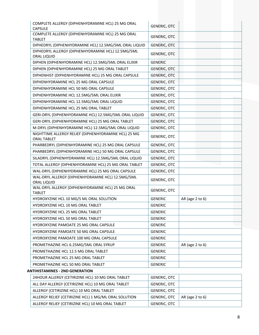| COMPLETE ALLERGY (DIPHENHYDRAMINE HCL) 25 MG ORAL<br><b>CAPSULE</b>        | <b>GENERIC, OTC</b> |                 |
|----------------------------------------------------------------------------|---------------------|-----------------|
| COMPLETE ALLERGY (DIPHENHYDRAMINE HCL) 25 MG ORAL<br><b>TABLET</b>         | <b>GENERIC, OTC</b> |                 |
| DIPHEDRYL (DIPHENHYDRAMINE HCL) 12.5MG/5ML ORAL LIQUID                     | <b>GENERIC, OTC</b> |                 |
| DIPHEDRYL ALLERGY (DIPHENHYDRAMINE HCL) 12.5MG/5ML<br>ORAL LIQUID          | <b>GENERIC, OTC</b> |                 |
| DIPHEN (DIPHENHYDRAMINE HCL) 12.5MG/5ML ORAL ELIXIR                        | <b>GENERIC</b>      |                 |
| DIPHEN (DIPHENHYDRAMINE HCL) 25 MG ORAL TABLET                             | <b>GENERIC, OTC</b> |                 |
| DIPHENHIST (DIPHENHYDRAMINE HCL) 25 MG ORAL CAPSULE                        | <b>GENERIC, OTC</b> |                 |
| DIPHENHYDRAMINE HCL 25 MG ORAL CAPSULE                                     | <b>GENERIC, OTC</b> |                 |
| DIPHENHYDRAMINE HCL 50 MG ORAL CAPSULE                                     | <b>GENERIC, OTC</b> |                 |
| DIPHENHYDRAMINE HCL 12.5MG/5ML ORAL ELIXIR                                 | <b>GENERIC, OTC</b> |                 |
| DIPHENHYDRAMINE HCL 12.5MG/5ML ORAL LIQUID                                 | GENERIC, OTC        |                 |
| DIPHENHYDRAMINE HCL 25 MG ORAL TABLET                                      | <b>GENERIC, OTC</b> |                 |
| GERI-DRYL (DIPHENHYDRAMINE HCL) 12.5MG/5ML ORAL LIQUID                     | GENERIC, OTC        |                 |
| GERI-DRYL (DIPHENHYDRAMINE HCL) 25 MG ORAL TABLET                          | <b>GENERIC, OTC</b> |                 |
| M-DRYL (DIPHENHYDRAMINE HCL) 12.5MG/5ML ORAL LIQUID                        | <b>GENERIC, OTC</b> |                 |
| NIGHTTIME ALLERGY RELIEF (DIPHENHYDRAMINE HCL) 25 MG<br><b>ORAL TABLET</b> | <b>GENERIC, OTC</b> |                 |
| PHARBEDRYL (DIPHENHYDRAMINE HCL) 25 MG ORAL CAPSULE                        | GENERIC, OTC        |                 |
| PHARBEDRYL (DIPHENHYDRAMINE HCL) 50 MG ORAL CAPSULE                        | <b>GENERIC, OTC</b> |                 |
| SILADRYL (DIPHENHYDRAMINE HCL) 12.5MG/5ML ORAL LIQUID                      | <b>GENERIC, OTC</b> |                 |
| TOTAL ALLERGY (DIPHENHYDRAMINE HCL) 25 MG ORAL TABLET                      | <b>GENERIC, OTC</b> |                 |
| WAL-DRYL (DIPHENHYDRAMINE HCL) 25 MG ORAL CAPSULE                          | <b>GENERIC, OTC</b> |                 |
| WAL-DRYL ALLERGY (DIPHENHYDRAMINE HCL) 12.5MG/5ML<br>ORAL LIQUID           | <b>GENERIC, OTC</b> |                 |
| WAL-DRYL ALLERGY (DIPHENHYDRAMINE HCL) 25 MG ORAL<br><b>TABLET</b>         | <b>GENERIC, OTC</b> |                 |
| HYDROXYZINE HCL 10 MG/5 ML ORAL SOLUTION                                   | <b>GENERIC</b>      | AR (age 2 to 6) |
| HYDROXYZINE HCL 10 MG ORAL TABLET                                          | <b>GENERIC</b>      |                 |
| HYDROXYZINE HCL 25 MG ORAL TABLET                                          | <b>GENERIC</b>      |                 |
| HYDROXYZINE HCL 50 MG ORAL TABLET                                          | <b>GENERIC</b>      |                 |
| HYDROXYZINE PAMOATE 25 MG ORAL CAPSULE                                     | <b>GENERIC</b>      |                 |
| HYDROXYZINE PAMOATE 50 MG ORAL CAPSULE                                     | <b>GENERIC</b>      |                 |
| HYDROXYZINE PAMOATE 100 MG ORAL CAPSULE                                    | <b>GENERIC</b>      |                 |
| PROMETHAZINE HCL 6.25MG/5ML ORAL SYRUP                                     | <b>GENERIC</b>      | AR (age 2 to 6) |
| PROMETHAZINE HCL 12.5 MG ORAL TABLET                                       | <b>GENERIC</b>      |                 |
| PROMETHAZINE HCL 25 MG ORAL TABLET                                         | <b>GENERIC</b>      |                 |
| PROMETHAZINE HCL 50 MG ORAL TABLET                                         | <b>GENERIC</b>      |                 |
| <b>ANTIHISTAMINES - 2ND GENERATION</b>                                     |                     |                 |

| 24HOUR ALLERGY (CETIRIZINE HCL) 10 MG ORAL TABLET     | GENERIC, OTC |                      |
|-------------------------------------------------------|--------------|----------------------|
| ALL DAY ALLERGY (CETIRIZINE HCL) 10 MG ORAL TABLET    | GENERIC, OTC |                      |
| ALLERGY (CETIRIZINE HCL) 10 MG ORAL TABLET            | GENERIC. OTC |                      |
| ALLERGY RELIEF (CETIRIZINE HCL) 1 MG/ML ORAL SOLUTION | GENERIC, OTC | AR (age $2$ to $6$ ) |
| ALLERGY RELIEF (CETIRIZINE HCL) 10 MG ORAL TABLET     | GENERIC, OTC |                      |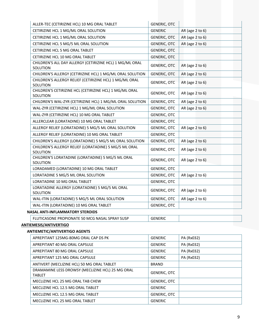| ALLER-TEC (CETIRIZINE HCL) 10 MG ORAL TABLET                               | <b>GENERIC, OTC</b> |                      |
|----------------------------------------------------------------------------|---------------------|----------------------|
| CETIRIZINE HCL 1 MG/ML ORAL SOLUTION                                       | <b>GENERIC</b>      | AR (age 2 to 6)      |
| CETIRIZINE HCL 1 MG/ML ORAL SOLUTION                                       | <b>GENERIC, OTC</b> | AR (age 2 to 6)      |
| CETIRIZINE HCL 5 MG/5 ML ORAL SOLUTION                                     | <b>GENERIC, OTC</b> | AR (age 2 to 6)      |
| CETIRIZINE HCL 5 MG ORAL TABLET                                            | GENERIC, OTC        |                      |
| CETIRIZINE HCL 10 MG ORAL TABLET                                           | <b>GENERIC, OTC</b> |                      |
| CHILDREN'S ALL DAY ALLERGY (CETIRIZINE HCL) 1 MG/ML ORAL<br>SOLUTION       | <b>GENERIC, OTC</b> | AR (age $2$ to $6$ ) |
| CHILDREN'S ALLERGY (CETIRIZINE HCL) 1 MG/ML ORAL SOLUTION                  | <b>GENERIC, OTC</b> | AR (age 2 to 6)      |
| CHILDREN'S ALLERGY RELIEF (CETIRIZINE HCL) 1 MG/ML ORAL<br>SOLUTION        | <b>GENERIC, OTC</b> | AR (age 2 to 6)      |
| CHILDREN'S CETIRIZINE HCL (CETIRIZINE HCL) 1 MG/ML ORAL<br><b>SOLUTION</b> | GENERIC, OTC        | AR (age 2 to 6)      |
| CHILDREN'S WAL-ZYR (CETIRIZINE HCL) 1 MG/ML ORAL SOLUTION                  | GENERIC, OTC        | AR (age 2 to 6)      |
| WAL-ZYR (CETIRIZINE HCL) 1 MG/ML ORAL SOLUTION                             | GENERIC, OTC        | AR (age 2 to 6)      |
| WAL-ZYR (CETIRIZINE HCL) 10 MG ORAL TABLET                                 | <b>GENERIC, OTC</b> |                      |
| ALLERCLEAR (LORATADINE) 10 MG ORAL TABLET                                  | <b>GENERIC, OTC</b> |                      |
| ALLERGY RELIEF (LORATADINE) 5 MG/5 ML ORAL SOLUTION                        | GENERIC, OTC        | AR (age 2 to 6)      |
| ALLERGY RELIEF (LORATADINE) 10 MG ORAL TABLET                              | <b>GENERIC, OTC</b> |                      |
| CHILDREN'S ALLERGY (LORATADINE) 5 MG/5 ML ORAL SOLUTION                    | <b>GENERIC, OTC</b> | AR (age 2 to 6)      |
| CHILDREN'S ALLERGY RELIEF (LORATADINE) 5 MG/5 ML ORAL<br>SOLUTION          | GENERIC, OTC        | AR (age 2 to 6)      |
| CHILDREN'S LORATADINE (LORATADINE) 5 MG/5 ML ORAL<br>SOLUTION              | <b>GENERIC, OTC</b> | AR (age 2 to 6)      |
| LORADAMED (LORATADINE) 10 MG ORAL TABLET                                   | GENERIC, OTC        |                      |
| LORATADINE 5 MG/5 ML ORAL SOLUTION                                         | <b>GENERIC, OTC</b> | AR (age 2 to 6)      |
| LORATADINE 10 MG ORAL TABLET                                               | GENERIC, OTC        |                      |
| LORATADINE ALLERGY (LORATADINE) 5 MG/5 ML ORAL<br>SOLUTION                 | <b>GENERIC, OTC</b> | AR (age 2 to 6)      |
| WAL-ITIN (LORATADINE) 5 MG/5 ML ORAL SOLUTION                              | <b>GENERIC, OTC</b> | AR (age 2 to 6)      |
| WAL-ITIN (LORATADINE) 10 MG ORAL TABLET                                    | <b>GENERIC, OTC</b> |                      |
| <b>NASAL ANTI-INFLAMMATORY STEROIDS</b>                                    |                     |                      |
| FLUTICASONE PROPIONATE 50 MCG NASAL SPRAY SUSP                             | <b>GENERIC</b>      |                      |
| ANTIEMESIS/ANTIVERTIGO                                                     |                     |                      |

# **ANTIEMETIC/ANTIVERTIGO AGENTS**

| APREPITANT 125MG-80MG ORAL CAP DS PK                              | <b>GENERIC</b>      | PA (Rx032) |
|-------------------------------------------------------------------|---------------------|------------|
| APREPITANT 40 MG ORAL CAPSULE                                     | <b>GENERIC</b>      | PA (Rx032) |
| APREPITANT 80 MG ORAL CAPSULE                                     | <b>GENERIC</b>      | PA (Rx032) |
| APREPITANT 125 MG ORAL CAPSULE                                    | <b>GENERIC</b>      | PA (Rx032) |
| ANTIVERT (MECLIZINE HCL) 50 MG ORAL TABLET                        | <b>BRAND</b>        |            |
| DRAMAMINE LESS DROWSY (MECLIZINE HCL) 25 MG ORAL<br><b>TABLET</b> | <b>GENERIC, OTC</b> |            |
| MECLIZINE HCL 25 MG ORAL TAB CHEW                                 | <b>GENERIC, OTC</b> |            |
| MECLIZINE HCL 12.5 MG ORAL TABLET                                 | <b>GENERIC</b>      |            |
| MECLIZINE HCL 12.5 MG ORAL TABLET                                 | <b>GENERIC, OTC</b> |            |
| MECLIZINE HCL 25 MG ORAL TABLET                                   | <b>GENERIC</b>      |            |
|                                                                   |                     |            |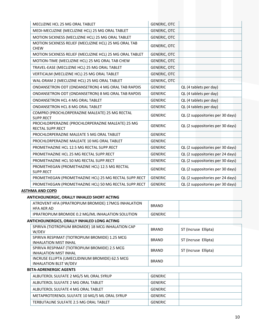| MECLIZINE HCL 25 MG ORAL TABLET                                              | <b>GENERIC, OTC</b> |                                  |
|------------------------------------------------------------------------------|---------------------|----------------------------------|
| MEDI-MECLIZINE (MECLIZINE HCL) 25 MG ORAL TABLET                             | <b>GENERIC, OTC</b> |                                  |
| MOTION SICKNESS (MECLIZINE HCL) 25 MG ORAL TABLET                            | <b>GENERIC, OTC</b> |                                  |
| MOTION SICKNESS RELIEF (MECLIZINE HCL) 25 MG ORAL TAB<br><b>CHEW</b>         | <b>GENERIC, OTC</b> |                                  |
| MOTION SICKNESS RELIEF (MECLIZINE HCL) 25 MG ORAL TABLET                     | <b>GENERIC, OTC</b> |                                  |
| MOTION-TIME (MECLIZINE HCL) 25 MG ORAL TAB CHEW                              | <b>GENERIC, OTC</b> |                                  |
| TRAVEL-EASE (MECLIZINE HCL) 25 MG ORAL TABLET                                | <b>GENERIC, OTC</b> |                                  |
| VERTICALM (MECLIZINE HCL) 25 MG ORAL TABLET                                  | <b>GENERIC, OTC</b> |                                  |
| WAL-DRAM 2 (MECLIZINE HCL) 25 MG ORAL TABLET                                 | <b>GENERIC, OTC</b> |                                  |
| ONDANSETRON ODT (ONDANSETRON) 4 MG ORAL TAB RAPDIS                           | <b>GENERIC</b>      | QL (4 tablets per day)           |
| ONDANSETRON ODT (ONDANSETRON) 8 MG ORAL TAB RAPDIS                           | <b>GENERIC</b>      | QL (4 tablets per day)           |
| ONDANSETRON HCL 4 MG ORAL TABLET                                             | <b>GENERIC</b>      | QL (4 tablets per day)           |
| ONDANSETRON HCL 8 MG ORAL TABLET                                             | <b>GENERIC</b>      | QL (4 tablets per day)           |
| COMPRO (PROCHLORPERAZINE MALEATE) 25 MG RECTAL<br>SUPP.RECT                  | <b>GENERIC</b>      | QL (2 suppositories per 30 days) |
| PROCHLORPERAZINE (PROCHLORPERAZINE MALEATE) 25 MG<br><b>RECTAL SUPP.RECT</b> | <b>GENERIC</b>      | QL (2 suppositories per 30 days) |
| PROCHLORPERAZINE MALEATE 5 MG ORAL TABLET                                    | <b>GENERIC</b>      |                                  |
| PROCHLORPERAZINE MALEATE 10 MG ORAL TABLET                                   | <b>GENERIC</b>      |                                  |
| PROMETHAZINE HCL 12.5 MG RECTAL SUPP.RECT                                    | <b>GENERIC</b>      | QL (2 suppositories per 30 days) |
| PROMETHAZINE HCL 25 MG RECTAL SUPP.RECT                                      | <b>GENERIC</b>      | QL (2 suppositories per 24 days) |
| PROMETHAZINE HCL 50 MG RECTAL SUPP.RECT                                      | <b>GENERIC</b>      | QL (2 suppositories per 30 days) |
| PROMETHEGAN (PROMETHAZINE HCL) 12.5 MG RECTAL<br>SUPP.RECT                   | <b>GENERIC</b>      | QL (2 suppositories per 30 days) |
| PROMETHEGAN (PROMETHAZINE HCL) 25 MG RECTAL SUPP.RECT                        | <b>GENERIC</b>      | QL (2 suppositories per 24 days) |
| PROMETHEGAN (PROMETHAZINE HCL) 50 MG RECTAL SUPP.RECT                        | <b>GENERIC</b>      | QL (2 suppositories per 30 days) |

#### **ASTHMA AND COPD**

#### **ANTICHOLINERGIC, ORALLY INHALED SHORT ACTING**

| ATROVENT HFA (IPRATROPIUM BROMIDE) 17MCG INHALATION<br>HFA AER AD | <b>BRAND</b>   |  |
|-------------------------------------------------------------------|----------------|--|
| IPRATROPIUM BROMIDE 0.2 MG/ML INHALATION SOLUTION                 | <b>GENERIC</b> |  |

#### **ANTICHOLINERGICS, ORALLY INHALED LONG ACTING**

ALBUTEROL SULFATE 4 MG ORAL TABLET GENERIC METAPROTERENOL SULFATE 10 MG/5 ML ORAL SYRUP GENERIC

| SPIRIVA (TIOTROPIUM BROMIDE) 18 MCG INHALATION CAP<br>W/DEV                     | <b>BRAND</b>   | ST (Incruse Ellipta) |  |  |  |
|---------------------------------------------------------------------------------|----------------|----------------------|--|--|--|
| SPIRIVA RESPIMAT (TIOTROPIUM BROMIDE) 1.25 MCG<br><b>INHALATION MIST INHAL</b>  | BRAND          | ST (Incruse Ellipta) |  |  |  |
| SPIRIVA RESPIMAT (TIOTROPIUM BROMIDE) 2.5 MCG<br><b>INHALATION MIST INHAL</b>   | <b>BRAND</b>   | ST (Incruse Ellipta) |  |  |  |
| INCRUSE ELLIPTA (UMECLIDINIUM BROMIDE) 62.5 MCG<br><b>INHALATION BLST W/DEV</b> | <b>BRAND</b>   |                      |  |  |  |
| <b>BETA-ADRENERGIC AGENTS</b>                                                   |                |                      |  |  |  |
| ALBUTEROL SULFATE 2 MG/5 ML ORAL SYRUP                                          | <b>GENERIC</b> |                      |  |  |  |
| ALBUTEROL SULFATE 2 MG ORAL TABLET                                              | <b>GENERIC</b> |                      |  |  |  |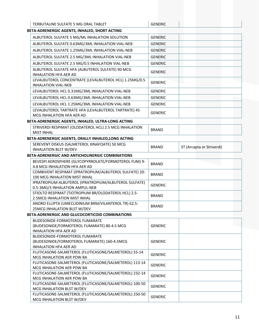| <b>GENERIC</b><br>TERBUTALINE SULFATE 5 MG ORAL TABLET<br>BETA-ADRENERGIC AGENTS, INHALED, SHORT ACTING<br>ALBUTEROL SULFATE 5 MG/ML INHALATION SOLUTION<br><b>GENERIC</b><br>ALBUTEROL SULFATE 0.63MG/3ML INHALATION VIAL-NEB<br><b>GENERIC</b><br>ALBUTEROL SULFATE 1.25MG/3ML INHALATION VIAL-NEB<br><b>GENERIC</b><br>ALBUTEROL SULFATE 2.5 MG/3ML INHALATION VIAL-NEB<br><b>GENERIC</b><br>ALBUTEROL SULFATE 2.5 MG/0.5 INHALATION VIAL-NEB<br><b>GENERIC</b><br>ALBUTEROL SULFATE HFA (ALBUTEROL SULFATE) 90 MCG<br><b>GENERIC</b><br>INHALATION HFA AER AD<br>LEVALBUTEROL CONCENTRATE (LEVALBUTEROL HCL) 1.25MG/0.5<br><b>GENERIC</b><br><b>INHALATION VIAL-NEB</b><br>LEVALBUTEROL HCL 0.31MG/3ML INHALATION VIAL-NEB<br><b>GENERIC</b><br>LEVALBUTEROL HCL 0.63MG/3ML INHALATION VIAL-NEB<br><b>GENERIC</b><br>LEVALBUTEROL HCL 1.25MG/3ML INHALATION VIAL-NEB<br><b>GENERIC</b><br>LEVALBUTEROL TARTRATE HFA (LEVALBUTEROL TARTRATE) 45<br><b>GENERIC</b><br>MCG INHALATION HFA AER AD<br>BETA-ADRENERGIC AGENTS, INHALED, ULTRA-LONG ACTING<br>STRIVERDI RESPIMAT (OLODATEROL HCL) 2.5 MCG INHALATION<br><b>BRAND</b><br><b>MIST INHAL</b><br>BETA-ADRENERGIC AGENTS, ORALLY INHALED, LONG ACTING<br>SEREVENT DISKUS (SALMETEROL XINAFOATE) 50 MCG<br>ST (Arcapta or Striverdi)<br><b>BRAND</b><br><b>INHALATION BLST W/DEV</b><br><b>BETA-ADRENERGIC AND ANTICHOLINERGIC COMBINATIONS</b><br>BEVESPI AEROSPHERE (GLYCOPYRROLATE/FORMOTEROL FUM) 9-<br><b>BRAND</b><br>4.8 MCG INHALATION HFA AER AD<br>COMBIVENT RESPIMAT (IPRATROPIUM/ALBUTEROL SULFATE) 20-<br><b>BRAND</b><br>100 MCG INHALATION MIST INHAL<br>IPRATROPIUM-ALBUTEROL (IPRATROPIUM/ALBUTEROL SULFATE)<br><b>GENERIC</b><br>0.5-3MG/3 INHALATION AMPUL-NEB<br>STIOLTO RESPIMAT (TIOTROPIUM BR/OLODATEROL HCL) 2.5-<br><b>BRAND</b><br>2.5MCG INHALATION MIST INHAL<br>ANORO ELLIPTA (UMECLIDINIUM BRM/VILANTEROL TR) 62.5-<br><b>BRAND</b><br>25MCG INHALATION BLST W/DEV<br>BETA-ADRENERGIC AND GLUCOCORTICOID COMBINATIONS<br>BUDESONIDE-FORMOTEROL FUMARATE<br>(BUDESONIDE/FORMOTEROL FUMARATE) 80-4.5 MCG<br><b>GENERIC</b><br>INHALATION HFA AER AD<br>BUDESONIDE-FORMOTEROL FUMARATE<br>(BUDESONIDE/FORMOTEROL FUMARATE) 160-4.5MCG<br><b>GENERIC</b><br>INHALATION HFA AER AD<br>FLUTICASONE-SALMETEROL (FLUTICASONE/SALMETEROL) 55-14<br><b>GENERIC</b><br>MCG INHALATION AER POW BA<br>FLUTICASONE-SALMETEROL (FLUTICASONE/SALMETEROL) 113-14<br><b>GENERIC</b><br>MCG INHALATION AER POW BA<br>FLUTICASONE-SALMETEROL (FLUTICASONE/SALMETEROL) 232-14<br><b>GENERIC</b><br>MCG INHALATION AER POW BA<br>FLUTICASONE-SALMETEROL (FLUTICASONE/SALMETEROL) 100-50<br><b>GENERIC</b><br>MCG INHALATION BLST W/DEV<br>FLUTICASONE-SALMETEROL (FLUTICASONE/SALMETEROL) 250-50<br><b>GENERIC</b><br>MCG INHALATION BLST W/DEV |  |  |
|----------------------------------------------------------------------------------------------------------------------------------------------------------------------------------------------------------------------------------------------------------------------------------------------------------------------------------------------------------------------------------------------------------------------------------------------------------------------------------------------------------------------------------------------------------------------------------------------------------------------------------------------------------------------------------------------------------------------------------------------------------------------------------------------------------------------------------------------------------------------------------------------------------------------------------------------------------------------------------------------------------------------------------------------------------------------------------------------------------------------------------------------------------------------------------------------------------------------------------------------------------------------------------------------------------------------------------------------------------------------------------------------------------------------------------------------------------------------------------------------------------------------------------------------------------------------------------------------------------------------------------------------------------------------------------------------------------------------------------------------------------------------------------------------------------------------------------------------------------------------------------------------------------------------------------------------------------------------------------------------------------------------------------------------------------------------------------------------------------------------------------------------------------------------------------------------------------------------------------------------------------------------------------------------------------------------------------------------------------------------------------------------------------------------------------------------------------------------------------------------------------------------------------------------------------------------------------------------------------------------------------------------------------------------------------------------------------------------------------------------------------------------------------------------------------------|--|--|
|                                                                                                                                                                                                                                                                                                                                                                                                                                                                                                                                                                                                                                                                                                                                                                                                                                                                                                                                                                                                                                                                                                                                                                                                                                                                                                                                                                                                                                                                                                                                                                                                                                                                                                                                                                                                                                                                                                                                                                                                                                                                                                                                                                                                                                                                                                                                                                                                                                                                                                                                                                                                                                                                                                                                                                                                                |  |  |
|                                                                                                                                                                                                                                                                                                                                                                                                                                                                                                                                                                                                                                                                                                                                                                                                                                                                                                                                                                                                                                                                                                                                                                                                                                                                                                                                                                                                                                                                                                                                                                                                                                                                                                                                                                                                                                                                                                                                                                                                                                                                                                                                                                                                                                                                                                                                                                                                                                                                                                                                                                                                                                                                                                                                                                                                                |  |  |
|                                                                                                                                                                                                                                                                                                                                                                                                                                                                                                                                                                                                                                                                                                                                                                                                                                                                                                                                                                                                                                                                                                                                                                                                                                                                                                                                                                                                                                                                                                                                                                                                                                                                                                                                                                                                                                                                                                                                                                                                                                                                                                                                                                                                                                                                                                                                                                                                                                                                                                                                                                                                                                                                                                                                                                                                                |  |  |
|                                                                                                                                                                                                                                                                                                                                                                                                                                                                                                                                                                                                                                                                                                                                                                                                                                                                                                                                                                                                                                                                                                                                                                                                                                                                                                                                                                                                                                                                                                                                                                                                                                                                                                                                                                                                                                                                                                                                                                                                                                                                                                                                                                                                                                                                                                                                                                                                                                                                                                                                                                                                                                                                                                                                                                                                                |  |  |
|                                                                                                                                                                                                                                                                                                                                                                                                                                                                                                                                                                                                                                                                                                                                                                                                                                                                                                                                                                                                                                                                                                                                                                                                                                                                                                                                                                                                                                                                                                                                                                                                                                                                                                                                                                                                                                                                                                                                                                                                                                                                                                                                                                                                                                                                                                                                                                                                                                                                                                                                                                                                                                                                                                                                                                                                                |  |  |
|                                                                                                                                                                                                                                                                                                                                                                                                                                                                                                                                                                                                                                                                                                                                                                                                                                                                                                                                                                                                                                                                                                                                                                                                                                                                                                                                                                                                                                                                                                                                                                                                                                                                                                                                                                                                                                                                                                                                                                                                                                                                                                                                                                                                                                                                                                                                                                                                                                                                                                                                                                                                                                                                                                                                                                                                                |  |  |
|                                                                                                                                                                                                                                                                                                                                                                                                                                                                                                                                                                                                                                                                                                                                                                                                                                                                                                                                                                                                                                                                                                                                                                                                                                                                                                                                                                                                                                                                                                                                                                                                                                                                                                                                                                                                                                                                                                                                                                                                                                                                                                                                                                                                                                                                                                                                                                                                                                                                                                                                                                                                                                                                                                                                                                                                                |  |  |
|                                                                                                                                                                                                                                                                                                                                                                                                                                                                                                                                                                                                                                                                                                                                                                                                                                                                                                                                                                                                                                                                                                                                                                                                                                                                                                                                                                                                                                                                                                                                                                                                                                                                                                                                                                                                                                                                                                                                                                                                                                                                                                                                                                                                                                                                                                                                                                                                                                                                                                                                                                                                                                                                                                                                                                                                                |  |  |
|                                                                                                                                                                                                                                                                                                                                                                                                                                                                                                                                                                                                                                                                                                                                                                                                                                                                                                                                                                                                                                                                                                                                                                                                                                                                                                                                                                                                                                                                                                                                                                                                                                                                                                                                                                                                                                                                                                                                                                                                                                                                                                                                                                                                                                                                                                                                                                                                                                                                                                                                                                                                                                                                                                                                                                                                                |  |  |
|                                                                                                                                                                                                                                                                                                                                                                                                                                                                                                                                                                                                                                                                                                                                                                                                                                                                                                                                                                                                                                                                                                                                                                                                                                                                                                                                                                                                                                                                                                                                                                                                                                                                                                                                                                                                                                                                                                                                                                                                                                                                                                                                                                                                                                                                                                                                                                                                                                                                                                                                                                                                                                                                                                                                                                                                                |  |  |
|                                                                                                                                                                                                                                                                                                                                                                                                                                                                                                                                                                                                                                                                                                                                                                                                                                                                                                                                                                                                                                                                                                                                                                                                                                                                                                                                                                                                                                                                                                                                                                                                                                                                                                                                                                                                                                                                                                                                                                                                                                                                                                                                                                                                                                                                                                                                                                                                                                                                                                                                                                                                                                                                                                                                                                                                                |  |  |
|                                                                                                                                                                                                                                                                                                                                                                                                                                                                                                                                                                                                                                                                                                                                                                                                                                                                                                                                                                                                                                                                                                                                                                                                                                                                                                                                                                                                                                                                                                                                                                                                                                                                                                                                                                                                                                                                                                                                                                                                                                                                                                                                                                                                                                                                                                                                                                                                                                                                                                                                                                                                                                                                                                                                                                                                                |  |  |
|                                                                                                                                                                                                                                                                                                                                                                                                                                                                                                                                                                                                                                                                                                                                                                                                                                                                                                                                                                                                                                                                                                                                                                                                                                                                                                                                                                                                                                                                                                                                                                                                                                                                                                                                                                                                                                                                                                                                                                                                                                                                                                                                                                                                                                                                                                                                                                                                                                                                                                                                                                                                                                                                                                                                                                                                                |  |  |
|                                                                                                                                                                                                                                                                                                                                                                                                                                                                                                                                                                                                                                                                                                                                                                                                                                                                                                                                                                                                                                                                                                                                                                                                                                                                                                                                                                                                                                                                                                                                                                                                                                                                                                                                                                                                                                                                                                                                                                                                                                                                                                                                                                                                                                                                                                                                                                                                                                                                                                                                                                                                                                                                                                                                                                                                                |  |  |
|                                                                                                                                                                                                                                                                                                                                                                                                                                                                                                                                                                                                                                                                                                                                                                                                                                                                                                                                                                                                                                                                                                                                                                                                                                                                                                                                                                                                                                                                                                                                                                                                                                                                                                                                                                                                                                                                                                                                                                                                                                                                                                                                                                                                                                                                                                                                                                                                                                                                                                                                                                                                                                                                                                                                                                                                                |  |  |
|                                                                                                                                                                                                                                                                                                                                                                                                                                                                                                                                                                                                                                                                                                                                                                                                                                                                                                                                                                                                                                                                                                                                                                                                                                                                                                                                                                                                                                                                                                                                                                                                                                                                                                                                                                                                                                                                                                                                                                                                                                                                                                                                                                                                                                                                                                                                                                                                                                                                                                                                                                                                                                                                                                                                                                                                                |  |  |
|                                                                                                                                                                                                                                                                                                                                                                                                                                                                                                                                                                                                                                                                                                                                                                                                                                                                                                                                                                                                                                                                                                                                                                                                                                                                                                                                                                                                                                                                                                                                                                                                                                                                                                                                                                                                                                                                                                                                                                                                                                                                                                                                                                                                                                                                                                                                                                                                                                                                                                                                                                                                                                                                                                                                                                                                                |  |  |
|                                                                                                                                                                                                                                                                                                                                                                                                                                                                                                                                                                                                                                                                                                                                                                                                                                                                                                                                                                                                                                                                                                                                                                                                                                                                                                                                                                                                                                                                                                                                                                                                                                                                                                                                                                                                                                                                                                                                                                                                                                                                                                                                                                                                                                                                                                                                                                                                                                                                                                                                                                                                                                                                                                                                                                                                                |  |  |
|                                                                                                                                                                                                                                                                                                                                                                                                                                                                                                                                                                                                                                                                                                                                                                                                                                                                                                                                                                                                                                                                                                                                                                                                                                                                                                                                                                                                                                                                                                                                                                                                                                                                                                                                                                                                                                                                                                                                                                                                                                                                                                                                                                                                                                                                                                                                                                                                                                                                                                                                                                                                                                                                                                                                                                                                                |  |  |
|                                                                                                                                                                                                                                                                                                                                                                                                                                                                                                                                                                                                                                                                                                                                                                                                                                                                                                                                                                                                                                                                                                                                                                                                                                                                                                                                                                                                                                                                                                                                                                                                                                                                                                                                                                                                                                                                                                                                                                                                                                                                                                                                                                                                                                                                                                                                                                                                                                                                                                                                                                                                                                                                                                                                                                                                                |  |  |
|                                                                                                                                                                                                                                                                                                                                                                                                                                                                                                                                                                                                                                                                                                                                                                                                                                                                                                                                                                                                                                                                                                                                                                                                                                                                                                                                                                                                                                                                                                                                                                                                                                                                                                                                                                                                                                                                                                                                                                                                                                                                                                                                                                                                                                                                                                                                                                                                                                                                                                                                                                                                                                                                                                                                                                                                                |  |  |
|                                                                                                                                                                                                                                                                                                                                                                                                                                                                                                                                                                                                                                                                                                                                                                                                                                                                                                                                                                                                                                                                                                                                                                                                                                                                                                                                                                                                                                                                                                                                                                                                                                                                                                                                                                                                                                                                                                                                                                                                                                                                                                                                                                                                                                                                                                                                                                                                                                                                                                                                                                                                                                                                                                                                                                                                                |  |  |
|                                                                                                                                                                                                                                                                                                                                                                                                                                                                                                                                                                                                                                                                                                                                                                                                                                                                                                                                                                                                                                                                                                                                                                                                                                                                                                                                                                                                                                                                                                                                                                                                                                                                                                                                                                                                                                                                                                                                                                                                                                                                                                                                                                                                                                                                                                                                                                                                                                                                                                                                                                                                                                                                                                                                                                                                                |  |  |
|                                                                                                                                                                                                                                                                                                                                                                                                                                                                                                                                                                                                                                                                                                                                                                                                                                                                                                                                                                                                                                                                                                                                                                                                                                                                                                                                                                                                                                                                                                                                                                                                                                                                                                                                                                                                                                                                                                                                                                                                                                                                                                                                                                                                                                                                                                                                                                                                                                                                                                                                                                                                                                                                                                                                                                                                                |  |  |
|                                                                                                                                                                                                                                                                                                                                                                                                                                                                                                                                                                                                                                                                                                                                                                                                                                                                                                                                                                                                                                                                                                                                                                                                                                                                                                                                                                                                                                                                                                                                                                                                                                                                                                                                                                                                                                                                                                                                                                                                                                                                                                                                                                                                                                                                                                                                                                                                                                                                                                                                                                                                                                                                                                                                                                                                                |  |  |
|                                                                                                                                                                                                                                                                                                                                                                                                                                                                                                                                                                                                                                                                                                                                                                                                                                                                                                                                                                                                                                                                                                                                                                                                                                                                                                                                                                                                                                                                                                                                                                                                                                                                                                                                                                                                                                                                                                                                                                                                                                                                                                                                                                                                                                                                                                                                                                                                                                                                                                                                                                                                                                                                                                                                                                                                                |  |  |
|                                                                                                                                                                                                                                                                                                                                                                                                                                                                                                                                                                                                                                                                                                                                                                                                                                                                                                                                                                                                                                                                                                                                                                                                                                                                                                                                                                                                                                                                                                                                                                                                                                                                                                                                                                                                                                                                                                                                                                                                                                                                                                                                                                                                                                                                                                                                                                                                                                                                                                                                                                                                                                                                                                                                                                                                                |  |  |
|                                                                                                                                                                                                                                                                                                                                                                                                                                                                                                                                                                                                                                                                                                                                                                                                                                                                                                                                                                                                                                                                                                                                                                                                                                                                                                                                                                                                                                                                                                                                                                                                                                                                                                                                                                                                                                                                                                                                                                                                                                                                                                                                                                                                                                                                                                                                                                                                                                                                                                                                                                                                                                                                                                                                                                                                                |  |  |
|                                                                                                                                                                                                                                                                                                                                                                                                                                                                                                                                                                                                                                                                                                                                                                                                                                                                                                                                                                                                                                                                                                                                                                                                                                                                                                                                                                                                                                                                                                                                                                                                                                                                                                                                                                                                                                                                                                                                                                                                                                                                                                                                                                                                                                                                                                                                                                                                                                                                                                                                                                                                                                                                                                                                                                                                                |  |  |
|                                                                                                                                                                                                                                                                                                                                                                                                                                                                                                                                                                                                                                                                                                                                                                                                                                                                                                                                                                                                                                                                                                                                                                                                                                                                                                                                                                                                                                                                                                                                                                                                                                                                                                                                                                                                                                                                                                                                                                                                                                                                                                                                                                                                                                                                                                                                                                                                                                                                                                                                                                                                                                                                                                                                                                                                                |  |  |
|                                                                                                                                                                                                                                                                                                                                                                                                                                                                                                                                                                                                                                                                                                                                                                                                                                                                                                                                                                                                                                                                                                                                                                                                                                                                                                                                                                                                                                                                                                                                                                                                                                                                                                                                                                                                                                                                                                                                                                                                                                                                                                                                                                                                                                                                                                                                                                                                                                                                                                                                                                                                                                                                                                                                                                                                                |  |  |
|                                                                                                                                                                                                                                                                                                                                                                                                                                                                                                                                                                                                                                                                                                                                                                                                                                                                                                                                                                                                                                                                                                                                                                                                                                                                                                                                                                                                                                                                                                                                                                                                                                                                                                                                                                                                                                                                                                                                                                                                                                                                                                                                                                                                                                                                                                                                                                                                                                                                                                                                                                                                                                                                                                                                                                                                                |  |  |
|                                                                                                                                                                                                                                                                                                                                                                                                                                                                                                                                                                                                                                                                                                                                                                                                                                                                                                                                                                                                                                                                                                                                                                                                                                                                                                                                                                                                                                                                                                                                                                                                                                                                                                                                                                                                                                                                                                                                                                                                                                                                                                                                                                                                                                                                                                                                                                                                                                                                                                                                                                                                                                                                                                                                                                                                                |  |  |
|                                                                                                                                                                                                                                                                                                                                                                                                                                                                                                                                                                                                                                                                                                                                                                                                                                                                                                                                                                                                                                                                                                                                                                                                                                                                                                                                                                                                                                                                                                                                                                                                                                                                                                                                                                                                                                                                                                                                                                                                                                                                                                                                                                                                                                                                                                                                                                                                                                                                                                                                                                                                                                                                                                                                                                                                                |  |  |
|                                                                                                                                                                                                                                                                                                                                                                                                                                                                                                                                                                                                                                                                                                                                                                                                                                                                                                                                                                                                                                                                                                                                                                                                                                                                                                                                                                                                                                                                                                                                                                                                                                                                                                                                                                                                                                                                                                                                                                                                                                                                                                                                                                                                                                                                                                                                                                                                                                                                                                                                                                                                                                                                                                                                                                                                                |  |  |
|                                                                                                                                                                                                                                                                                                                                                                                                                                                                                                                                                                                                                                                                                                                                                                                                                                                                                                                                                                                                                                                                                                                                                                                                                                                                                                                                                                                                                                                                                                                                                                                                                                                                                                                                                                                                                                                                                                                                                                                                                                                                                                                                                                                                                                                                                                                                                                                                                                                                                                                                                                                                                                                                                                                                                                                                                |  |  |
|                                                                                                                                                                                                                                                                                                                                                                                                                                                                                                                                                                                                                                                                                                                                                                                                                                                                                                                                                                                                                                                                                                                                                                                                                                                                                                                                                                                                                                                                                                                                                                                                                                                                                                                                                                                                                                                                                                                                                                                                                                                                                                                                                                                                                                                                                                                                                                                                                                                                                                                                                                                                                                                                                                                                                                                                                |  |  |
|                                                                                                                                                                                                                                                                                                                                                                                                                                                                                                                                                                                                                                                                                                                                                                                                                                                                                                                                                                                                                                                                                                                                                                                                                                                                                                                                                                                                                                                                                                                                                                                                                                                                                                                                                                                                                                                                                                                                                                                                                                                                                                                                                                                                                                                                                                                                                                                                                                                                                                                                                                                                                                                                                                                                                                                                                |  |  |
|                                                                                                                                                                                                                                                                                                                                                                                                                                                                                                                                                                                                                                                                                                                                                                                                                                                                                                                                                                                                                                                                                                                                                                                                                                                                                                                                                                                                                                                                                                                                                                                                                                                                                                                                                                                                                                                                                                                                                                                                                                                                                                                                                                                                                                                                                                                                                                                                                                                                                                                                                                                                                                                                                                                                                                                                                |  |  |
|                                                                                                                                                                                                                                                                                                                                                                                                                                                                                                                                                                                                                                                                                                                                                                                                                                                                                                                                                                                                                                                                                                                                                                                                                                                                                                                                                                                                                                                                                                                                                                                                                                                                                                                                                                                                                                                                                                                                                                                                                                                                                                                                                                                                                                                                                                                                                                                                                                                                                                                                                                                                                                                                                                                                                                                                                |  |  |
|                                                                                                                                                                                                                                                                                                                                                                                                                                                                                                                                                                                                                                                                                                                                                                                                                                                                                                                                                                                                                                                                                                                                                                                                                                                                                                                                                                                                                                                                                                                                                                                                                                                                                                                                                                                                                                                                                                                                                                                                                                                                                                                                                                                                                                                                                                                                                                                                                                                                                                                                                                                                                                                                                                                                                                                                                |  |  |
|                                                                                                                                                                                                                                                                                                                                                                                                                                                                                                                                                                                                                                                                                                                                                                                                                                                                                                                                                                                                                                                                                                                                                                                                                                                                                                                                                                                                                                                                                                                                                                                                                                                                                                                                                                                                                                                                                                                                                                                                                                                                                                                                                                                                                                                                                                                                                                                                                                                                                                                                                                                                                                                                                                                                                                                                                |  |  |
|                                                                                                                                                                                                                                                                                                                                                                                                                                                                                                                                                                                                                                                                                                                                                                                                                                                                                                                                                                                                                                                                                                                                                                                                                                                                                                                                                                                                                                                                                                                                                                                                                                                                                                                                                                                                                                                                                                                                                                                                                                                                                                                                                                                                                                                                                                                                                                                                                                                                                                                                                                                                                                                                                                                                                                                                                |  |  |
|                                                                                                                                                                                                                                                                                                                                                                                                                                                                                                                                                                                                                                                                                                                                                                                                                                                                                                                                                                                                                                                                                                                                                                                                                                                                                                                                                                                                                                                                                                                                                                                                                                                                                                                                                                                                                                                                                                                                                                                                                                                                                                                                                                                                                                                                                                                                                                                                                                                                                                                                                                                                                                                                                                                                                                                                                |  |  |
|                                                                                                                                                                                                                                                                                                                                                                                                                                                                                                                                                                                                                                                                                                                                                                                                                                                                                                                                                                                                                                                                                                                                                                                                                                                                                                                                                                                                                                                                                                                                                                                                                                                                                                                                                                                                                                                                                                                                                                                                                                                                                                                                                                                                                                                                                                                                                                                                                                                                                                                                                                                                                                                                                                                                                                                                                |  |  |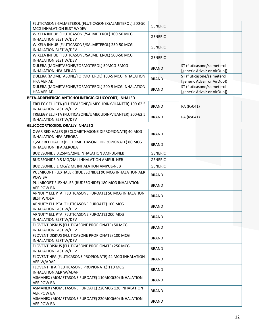| FLUTICASONE-SALMETEROL (FLUTICASONE/SALMETEROL) 500-50<br>MCG INHALATION BLST W/DEV       | <b>GENERIC</b> |                                                           |
|-------------------------------------------------------------------------------------------|----------------|-----------------------------------------------------------|
| WIXELA INHUB (FLUTICASONE/SALMETEROL) 100-50 MCG<br><b>INHALATION BLST W/DEV</b>          | <b>GENERIC</b> |                                                           |
| WIXELA INHUB (FLUTICASONE/SALMETEROL) 250-50 MCG<br><b>INHALATION BLST W/DEV</b>          | <b>GENERIC</b> |                                                           |
| WIXELA INHUB (FLUTICASONE/SALMETEROL) 500-50 MCG<br><b>INHALATION BLST W/DEV</b>          | <b>GENERIC</b> |                                                           |
| DULERA (MOMETASONE/FORMOTEROL) 50MCG-5MCG<br><b>INHALATION HFA AER AD</b>                 | <b>BRAND</b>   | ST (fluticasone/salmeterol<br>[generic Advair or AirDuo]) |
| DULERA (MOMETASONE/FORMOTEROL) 100-5 MCG INHALATION<br><b>HFA AER AD</b>                  | <b>BRAND</b>   | ST (fluticasone/salmeterol<br>[generic Advair or AirDuo]) |
| DULERA (MOMETASONE/FORMOTEROL) 200-5 MCG INHALATION<br><b>HFA AER AD</b>                  | <b>BRAND</b>   | ST (fluticasone/salmeterol<br>[generic Advair or AirDuo]) |
| BETA-ADRENERGIC-ANTICHOLINERGIC-GLUCOCORT, INHALED                                        |                |                                                           |
| TRELEGY ELLIPTA (FLUTICASONE/UMECLIDIN/VILANTER) 100-62.5<br><b>INHALATION BLST W/DEV</b> | <b>BRAND</b>   | PA (Rx041)                                                |
| TRELEGY ELLIPTA (FLUTICASONE/UMECLIDIN/VILANTER) 200-62.5<br><b>INHALATION BLST W/DEV</b> | <b>BRAND</b>   | PA (Rx041)                                                |
| <b>GLUCOCORTICOIDS, ORALLY INHALED</b>                                                    |                |                                                           |
| QVAR REDIHALER (BECLOMETHASONE DIPROPIONATE) 40 MCG<br><b>INHALATION HFA AEROBA</b>       | <b>BRAND</b>   |                                                           |
| QVAR REDIHALER (BECLOMETHASONE DIPROPIONATE) 80 MCG<br><b>INHALATION HFA AEROBA</b>       | <b>BRAND</b>   |                                                           |
| BUDESONIDE 0.25MG/2ML INHALATION AMPUL-NEB                                                | <b>GENERIC</b> |                                                           |
| BUDESONIDE 0.5 MG/2ML INHALATION AMPUL-NEB                                                | <b>GENERIC</b> |                                                           |
| BUDESONIDE 1 MG/2 ML INHALATION AMPUL-NEB                                                 | <b>GENERIC</b> |                                                           |
| PULMICORT FLEXHALER (BUDESONIDE) 90 MCG INHALATION AER                                    |                |                                                           |
| POW BA                                                                                    | <b>BRAND</b>   |                                                           |
| PULMICORT FLEXHALER (BUDESONIDE) 180 MCG INHALATION<br><b>AER POW BA</b>                  | <b>BRAND</b>   |                                                           |
| ARNUITY ELLIPTA (FLUTICASONE FUROATE) 50 MCG INHALATION<br><b>BLST W/DEV</b>              | <b>BRAND</b>   |                                                           |
| ARNUITY ELLIPTA (FLUTICASONE FUROATE) 100 MCG<br>INHALATION BLST W/DEV                    | <b>BRAND</b>   |                                                           |
| ARNUITY ELLIPTA (FLUTICASONE FUROATE) 200 MCG<br><b>INHALATION BLST W/DEV</b>             | <b>BRAND</b>   |                                                           |
| FLOVENT DISKUS (FLUTICASONE PROPIONATE) 50 MCG<br><b>INHALATION BLST W/DEV</b>            | <b>BRAND</b>   |                                                           |
| FLOVENT DISKUS (FLUTICASONE PROPIONATE) 100 MCG<br><b>INHALATION BLST W/DEV</b>           | <b>BRAND</b>   |                                                           |
| FLOVENT DISKUS (FLUTICASONE PROPIONATE) 250 MCG                                           |                |                                                           |
| <b>INHALATION BLST W/DEV</b>                                                              | <b>BRAND</b>   |                                                           |
| FLOVENT HFA (FLUTICASONE PROPIONATE) 44 MCG INHALATION<br>AER W/ADAP                      | <b>BRAND</b>   |                                                           |
| FLOVENT HFA (FLUTICASONE PROPIONATE) 110 MCG<br>INHALATION AER W/ADAP                     | <b>BRAND</b>   |                                                           |
| ASMANEX (MOMETASONE FUROATE) 110MCG(30) INHALATION<br><b>AER POW BA</b>                   | <b>BRAND</b>   |                                                           |
| ASMANEX (MOMETASONE FUROATE) 220MCG 120 INHALATION<br><b>AER POW BA</b>                   | <b>BRAND</b>   |                                                           |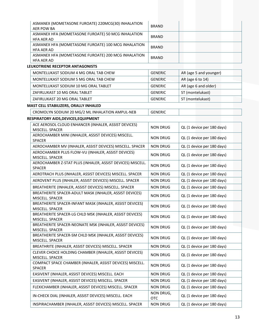| ASMANEX (MOMETASONE FUROATE) 220MCG(30) INHALATION<br><b>AER POW BA</b>     | <b>BRAND</b>            |                            |
|-----------------------------------------------------------------------------|-------------------------|----------------------------|
| ASMANEX HFA (MOMETASONE FUROATE) 50 MCG INHALATION<br><b>HFA AER AD</b>     | <b>BRAND</b>            |                            |
| ASMANEX HFA (MOMETASONE FUROATE) 100 MCG INHALATION<br><b>HFA AER AD</b>    | <b>BRAND</b>            |                            |
| ASMANEX HFA (MOMETASONE FUROATE) 200 MCG INHALATION<br><b>HFA AER AD</b>    | <b>BRAND</b>            |                            |
| LEUKOTRIENE RECEPTOR ANTAGONISTS                                            |                         |                            |
| MONTELUKAST SODIUM 4 MG ORAL TAB CHEW                                       | <b>GENERIC</b>          | AR (age 5 and younger)     |
| MONTELUKAST SODIUM 5 MG ORAL TAB CHEW                                       | <b>GENERIC</b>          | AR (age 6 to 14)           |
| MONTELUKAST SODIUM 10 MG ORAL TABLET                                        | <b>GENERIC</b>          | AR (age 6 and older)       |
| ZAFIRLUKAST 10 MG ORAL TABLET                                               | <b>GENERIC</b>          | ST (montelukast)           |
| ZAFIRLUKAST 20 MG ORAL TABLET                                               | <b>GENERIC</b>          | ST (montelukast)           |
| MAST CELL STABILIZERS, ORALLY INHALED                                       |                         |                            |
| CROMOLYN SODIUM 20 MG/2 ML INHALATION AMPUL-NEB                             | <b>GENERIC</b>          |                            |
| RESPIRATORY AIDS, DEVICES, EQUIPMENT                                        |                         |                            |
| ACE AEROSOL CLOUD ENHANCER (INHALER, ASSIST DEVICES)                        |                         |                            |
| MISCELL. SPACER                                                             | <b>NON DRUG</b>         | QL (1 device per 180 days) |
| AEROCHAMBER MINI (INHALER, ASSIST DEVICES) MISCELL.<br>SPACER               | <b>NON DRUG</b>         | QL (1 device per 180 days) |
| AEROCHAMBER MV (INHALER, ASSIST DEVICES) MISCELL. SPACER                    | <b>NON DRUG</b>         | QL (1 device per 180 days) |
| AEROCHAMBER PLUS FLOW-VU (INHALER, ASSIST DEVICES)<br>MISCELL. SPACER       | <b>NON DRUG</b>         | QL (1 device per 180 days) |
| AEROCHAMBER Z-STAT PLUS (INHALER, ASSIST DEVICES) MISCELL.<br><b>SPACER</b> | <b>NON DRUG</b>         | QL (1 device per 180 days) |
| AEROTRACH PLUS (INHALER, ASSIST DEVICES) MISCELL. SPACER                    | <b>NON DRUG</b>         | QL (1 device per 180 days) |
| AEROVENT PLUS (INHALER, ASSIST DEVICES) MISCELL. SPACER                     | <b>NON DRUG</b>         | QL (1 device per 180 days) |
| BREATHERITE (INHALER, ASSIST DEVICES) MISCELL. SPACER                       | <b>NON DRUG</b>         | QL (1 device per 180 days) |
| BREATHERITE SPACER-ADULT MASK (INHALER, ASSIST DEVICES)<br>MISCELL. SPACER  | <b>NON DRUG</b>         | QL (1 device per 180 days) |
| BREATHERITE SPACER-INFANT MASK (INHALER, ASSIST DEVICES)<br>MISCELL. SPACER | <b>NON DRUG</b>         | QL (1 device per 180 days) |
| BREATHERITE SPACER-LG CHLD MSK (INHALER, ASSIST DEVICES)<br>MISCELL. SPACER | <b>NON DRUG</b>         | QL (1 device per 180 days) |
| BREATHERITE SPACER-NEONATE MSK (INHALER, ASSIST DEVICES)<br>MISCELL. SPACER | <b>NON DRUG</b>         | QL (1 device per 180 days) |
| BREATHERITE SPACER-SM CHLD MSK (INHALER, ASSIST DEVICES)<br>MISCELL. SPACER | <b>NON DRUG</b>         | QL (1 device per 180 days) |
| BREATHRITE (INHALER, ASSIST DEVICES) MISCELL. SPACER                        | <b>NON DRUG</b>         | QL (1 device per 180 days) |
| CLEVER CHOICE HOLDING CHAMBER (INHALER, ASSIST DEVICES)<br>MISCELL. SPACER  | <b>NON DRUG</b>         | QL (1 device per 180 days) |
| COMPACT SPACE CHAMBER (INHALER, ASSIST DEVICES) MISCELL.<br><b>SPACER</b>   | <b>NON DRUG</b>         | QL (1 device per 180 days) |
| EASIVENT (INHALER, ASSIST DEVICES) MISCELL. EACH                            | <b>NON DRUG</b>         | QL (1 device per 180 days) |
| EASIVENT (INHALER, ASSIST DEVICES) MISCELL. SPACER                          | <b>NON DRUG</b>         | QL (1 device per 180 days) |
| FLEXICHAMBER (INHALER, ASSIST DEVICES) MISCELL. SPACER                      | <b>NON DRUG</b>         | QL (1 device per 180 days) |
| IN-CHECK DIAL (INHALER, ASSIST DEVICES) MISCELL. EACH                       | NON DRUG,<br><b>OTC</b> | QL (1 device per 180 days) |
| INSPIRACHAMBER (INHALER, ASSIST DEVICES) MISCELL. SPACER                    | <b>NON DRUG</b>         | QL (1 device per 180 days) |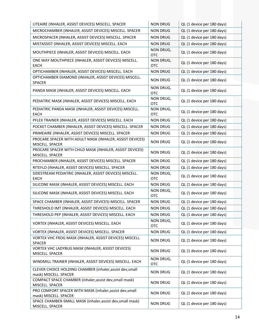| LITEAIRE (INHALER, ASSIST DEVICES) MISCELL. SPACER                                 | <b>NON DRUG</b>         | QL (1 device per 180 days) |
|------------------------------------------------------------------------------------|-------------------------|----------------------------|
| MICROCHAMBER (INHALER, ASSIST DEVICES) MISCELL. SPACER                             | <b>NON DRUG</b>         | QL (1 device per 180 days) |
| MICROSPACER (INHALER, ASSIST DEVICES) MISCELL. SPACER                              | <b>NON DRUG</b>         | QL (1 device per 180 days) |
| MISTASSIST (INHALER, ASSIST DEVICES) MISCELL. EACH                                 | <b>NON DRUG</b>         | QL (1 device per 180 days) |
| MOUTHPIECE (INHALER, ASSIST DEVICES) MISCELL. EACH                                 | NON DRUG,<br><b>OTC</b> | QL (1 device per 180 days) |
| ONE WAY MOUTHPIECE (INHALER, ASSIST DEVICES) MISCELL.<br><b>EACH</b>               | NON DRUG,<br><b>OTC</b> | QL (1 device per 180 days) |
| OPTICHAMBER (INHALER, ASSIST DEVICES) MISCELL. EACH                                | <b>NON DRUG</b>         | QL (1 device per 180 days) |
| OPTICHAMBER DIAMOND (INHALER, ASSIST DEVICES) MISCELL.<br>SPACER                   | <b>NON DRUG</b>         | QL (1 device per 180 days) |
| PANDA MASK (INHALER, ASSIST DEVICES) MISCELL. EACH                                 | NON DRUG,<br><b>OTC</b> | QL (1 device per 180 days) |
| PEDIATRIC MASK (INHALER, ASSIST DEVICES) MISCELL. EACH                             | NON DRUG,<br><b>OTC</b> | QL (1 device per 180 days) |
| PEDIATRIC PANDA MASK (INHALER, ASSIST DEVICES) MISCELL.<br><b>EACH</b>             | NON DRUG,<br><b>OTC</b> | QL (1 device per 180 days) |
| PFLEX TRAINER (INHALER, ASSIST DEVICES) MISCELL. EACH                              | <b>NON DRUG</b>         | QL (1 device per 180 days) |
| POCKET CHAMBER (INHALER, ASSIST DEVICES) MISCELL. SPACER                           | <b>NON DRUG</b>         | QL (1 device per 180 days) |
| PRIMEAIRE (INHALER, ASSIST DEVICES) MISCELL. SPACER                                | <b>NON DRUG</b>         | QL (1 device per 180 days) |
| PROCARE SPACER WITH ADULT MASK (INHALER, ASSIST DEVICES)<br>MISCELL. SPACER        | <b>NON DRUG</b>         | QL (1 device per 180 days) |
| PROCARE SPACER WITH CHILD MASK (INHALER, ASSIST DEVICES)<br>MISCELL. SPACER        | <b>NON DRUG</b>         | QL (1 device per 180 days) |
| PROCHAMBER (INHALER, ASSIST DEVICES) MISCELL. SPACER                               | <b>NON DRUG</b>         | QL (1 device per 180 days) |
| RITEFLO (INHALER, ASSIST DEVICES) MISCELL. SPACER                                  | <b>NON DRUG</b>         | QL (1 device per 180 days) |
| SIDESTREAM PEDIATRIC (INHALER, ASSIST DEVICES) MISCELL.<br><b>EACH</b>             | NON DRUG,<br><b>OTC</b> | QL (1 device per 180 days) |
| SILICONE MASK (INHALER, ASSIST DEVICES) MISCELL. EACH                              | <b>NON DRUG</b>         | QL (1 device per 180 days) |
| SILICONE MASK (INHALER, ASSIST DEVICES) MISCELL. EACH                              | NON DRUG,<br><b>OTC</b> | QL (1 device per 180 days) |
| SPACE CHAMBER (INHALER, ASSIST DEVICES) MISCELL. SPACER                            | <b>NON DRUG</b>         | QL (1 device per 180 days) |
| THRESHOLD IMT (INHALER, ASSIST DEVICES) MISCELL. EACH                              | <b>NON DRUG</b>         | QL (1 device per 180 days) |
| THRESHOLD PEP (INHALER, ASSIST DEVICES) MISCELL. EACH                              | <b>NON DRUG</b>         | QL (1 device per 180 days) |
| VORTEX (INHALER, ASSIST DEVICES) MISCELL. EACH                                     | NON DRUG,<br><b>OTC</b> | QL (1 device per 180 days) |
| VORTEX (INHALER, ASSIST DEVICES) MISCELL. SPACER                                   | <b>NON DRUG</b>         | QL (1 device per 180 days) |
| VORTEX VHC FROG MASK (INHALER, ASSIST DEVICES) MISCELL.<br>SPACER                  | <b>NON DRUG</b>         | QL (1 device per 180 days) |
| VORTEX VHC LADYBUG MASK (INHALER, ASSIST DEVICES)<br>MISCELL. SPACER               | <b>NON DRUG</b>         | QL (1 device per 180 days) |
| WINDMILL TRAINER (INHALER, ASSIST DEVICES) MISCELL. EACH                           | NON DRUG,<br><b>OTC</b> | QL (1 device per 180 days) |
| CLEVER CHOICE HOLDING CHAMBER (inhaler, assist dev, small<br>mask) MISCELL. SPACER | <b>NON DRUG</b>         | QL (1 device per 180 days) |
|                                                                                    |                         |                            |
| COMPACT SPACE CHAMBER (inhaler, assist dev, small mask)<br>MISCELL. SPACER         | <b>NON DRUG</b>         | QL (1 device per 180 days) |
| PRO COMFORT SPACER WITH MASK (inhaler, assist dev, small<br>mask) MISCELL. SPACER  | <b>NON DRUG</b>         | QL (1 device per 180 days) |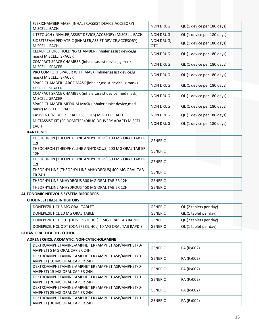| FLEXICHAMBER MASK (INHALER, ASSIST DEVICE, ACCESORY)<br>MISCELL, EACH              | NON DRUG         | QL (1 device per 180 days) |
|------------------------------------------------------------------------------------|------------------|----------------------------|
| LITETOUCH (INHALER, ASSIST DEVICE, ACCESORY) MISCELL. EACH                         | NON DRUG         | QL (1 device per 180 days) |
| SIDESTREAM PEDIATRIC (INHALER, ASSIST DEVICE, ACCESORY)<br>MISCELL, EACH           | NON DRUG,<br>OTC | QL (1 device per 180 days) |
| CLEVER CHOICE HOLDING CHAMBER (inhaler, assist device, lg<br>mask) MISCELL. SPACER | <b>NON DRUG</b>  | QL (1 device per 180 days) |
| COMPACT SPACE CHAMBER (inhaler, assist device, lg mask)<br>MISCELL, SPACER         | NON DRUG         | QL (1 device per 180 days) |
| PRO COMFORT SPACER WITH MASK (inhaler, assist device, lg<br>mask) MISCELL. SPACER  | NON DRUG         | QL (1 device per 180 days) |
| SPACE CHAMBER-LARGE MASK (inhaler, assist device, lg mask)<br>MISCELL, SPACER      | <b>NON DRUG</b>  | QL (1 device per 180 days) |
| COMPACT SPACE CHAMBER (inhaler, assist device, med mask)<br>MISCELL, SPACER        | <b>NON DRUG</b>  | QL (1 device per 180 days) |
| SPACE CHAMBER-MEDIUM MASK (inhaler, assist device, med<br>mask) MISCELL. SPACER    | <b>NON DRUG</b>  | QL (1 device per 180 days) |
| EASIVENT (NEBULIZER ACCESSORIES) MISCELL. EACH                                     | <b>NON DRUG</b>  | QL (1 device per 180 days) |
| MISTASSIST KIT (SPIROMETER/DRUG DELIVERY ADAPT) MISCELL.<br>EACH                   | <b>NON DRUG</b>  | QL (1 device per 180 days) |

#### **XANTHINES**

| THEOCHRON (THEOPHYLLINE ANHYDROUS) 100 MG ORAL TAB ER<br>12H           | <b>GENERIC</b> |  |
|------------------------------------------------------------------------|----------------|--|
| THEOCHRON (THEOPHYLLINE ANHYDROUS) 200 MG ORAL TAB ER<br>12H           | <b>GENERIC</b> |  |
| THEOCHRON (THEOPHYLLINE ANHYDROUS) 300 MG ORAL TAB ER<br>12H           | <b>GENERIC</b> |  |
| THEOPHYLLINE (THEOPHYLLINE ANHYDROUS) 400 MG ORAL TAB<br><b>ER 24H</b> | <b>GENERIC</b> |  |
| THEOPHYLLINE ANHYDROUS 300 MG ORAL TAB ER 12H                          | <b>GENERIC</b> |  |
| THEOPHYLLINE ANHYDROUS 450 MG ORAL TAB ER 12H                          | <b>GENERIC</b> |  |

#### **AUTONOMIC NERVOUS SYSTEM DISORDERS**

# **CHOLINESTERASE INHIBITORS**

| DONEPEZIL HCL 5 MG ORAL TABLET                          | GENERIC | QL (2 tablets per day) |
|---------------------------------------------------------|---------|------------------------|
| DONEPEZIL HCL 10 MG ORAL TABLET                         | GENERIC | QL (1 tablet per day)  |
| DONEPEZIL HCL ODT (DONEPEZIL HCL) 5 MG ORAL TAB RAPDIS  | GENERIC | QL (2 tablets per day) |
| DONEPEZIL HCL ODT (DONEPEZIL HCL) 10 MG ORAL TAB RAPDIS | GENERIC | QL (1 tablet per day)  |

# **BEHAVIORAL HEALTH ‐ OTHER**

#### **ADRENERGICS, AROMATIC, NON‐CATECHOLAMINE**

| DEXTROAMPHETAMINE-AMPHET ER (AMPHET ASP/AMPHET/D-<br>AMPHET) 5 MG ORAL CAP ER 24H  | <b>GENERIC</b> | PA (Rx002) |
|------------------------------------------------------------------------------------|----------------|------------|
| DEXTROAMPHETAMINE-AMPHET ER (AMPHET ASP/AMPHET/D-<br>AMPHET) 10 MG ORAL CAP ER 24H | <b>GENERIC</b> | PA (Rx002) |
| DEXTROAMPHETAMINE-AMPHET ER (AMPHET ASP/AMPHET/D-                                  |                |            |
| AMPHET) 15 MG ORAL CAP ER 24H                                                      | <b>GENERIC</b> | PA (Rx002) |
| DEXTROAMPHETAMINE-AMPHET ER (AMPHET ASP/AMPHET/D-                                  | <b>GENERIC</b> | PA (Rx002) |
| AMPHET) 20 MG ORAL CAP ER 24H                                                      |                |            |
| DEXTROAMPHETAMINE-AMPHET ER (AMPHET ASP/AMPHET/D-                                  | <b>GENERIC</b> | PA (Rx002) |
| AMPHET) 25 MG ORAL CAP ER 24H                                                      |                |            |
| DEXTROAMPHETAMINE-AMPHET ER (AMPHET ASP/AMPHET/D-                                  | <b>GENERIC</b> |            |
| AMPHET) 30 MG ORAL CAP ER 24H                                                      |                | PA (Rx002) |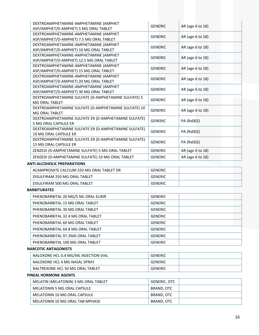| DEXTROAMPHETAMINE-AMPHETAMINE (AMPHET<br>ASP/AMPHET/D-AMPHET) 5 MG ORAL TABLET       | <b>GENERIC</b> | AR (age 6 to 18) |
|--------------------------------------------------------------------------------------|----------------|------------------|
| DEXTROAMPHETAMINE-AMPHETAMINE (AMPHET<br>ASP/AMPHET/D-AMPHET) 7.5 MG ORAL TABLET     | <b>GENERIC</b> | AR (age 6 to 18) |
| DEXTROAMPHETAMINE-AMPHETAMINE (AMPHET<br>ASP/AMPHET/D-AMPHET) 10 MG ORAL TABLET      | <b>GENERIC</b> | AR (age 6 to 18) |
| DEXTROAMPHETAMINE-AMPHETAMINE (AMPHET<br>ASP/AMPHET/D-AMPHET) 12.5 MG ORAL TABLET    | <b>GENERIC</b> | AR (age 6 to 18) |
| DEXTROAMPHETAMINE-AMPHETAMINE (AMPHET<br>ASP/AMPHET/D-AMPHET) 15 MG ORAL TABLET      | <b>GENERIC</b> | AR (age 6 to 18) |
| DEXTROAMPHETAMINE-AMPHETAMINE (AMPHET<br>ASP/AMPHET/D-AMPHET) 20 MG ORAL TABLET      | <b>GENERIC</b> | AR (age 6 to 18) |
| DEXTROAMPHETAMINE-AMPHETAMINE (AMPHET<br>ASP/AMPHET/D-AMPHET) 30 MG ORAL TABLET      | <b>GENERIC</b> | AR (age 6 to 18) |
| DEXTROAMPHETAMINE SULFATE (D-AMPHETAMINE SULFATE) 5<br>MG ORAL TABLET                | <b>GENERIC</b> | AR (age 6 to 18) |
| DEXTROAMPHETAMINE SULFATE (D-AMPHETAMINE SULFATE) 10<br>MG ORAL TABLET               | <b>GENERIC</b> | AR (age 6 to 18) |
| DEXTROAMPHETAMINE SULFATE ER (D-AMPHETAMINE SULFATE)<br>5 MG ORAL CAPSULE ER         | <b>GENERIC</b> | PA (Rx002)       |
| DEXTROAMPHETAMINE SULFATE ER (D-AMPHETAMINE SULFATE)<br><b>10 MG ORAL CAPSULE ER</b> | <b>GENERIC</b> | PA (Rx002)       |
| DEXTROAMPHETAMINE SULFATE ER (D-AMPHETAMINE SULFATE)<br><b>15 MG ORAL CAPSULE ER</b> | <b>GENERIC</b> | PA (Rx002)       |
| ZENZEDI (D-AMPHETAMINE SULFATE) 5 MG ORAL TABLET                                     | <b>GENERIC</b> | AR (age 6 to 18) |
| ZENZEDI (D-AMPHETAMINE SULFATE) 10 MG ORAL TABLET                                    | <b>GENERIC</b> | AR (age 6 to 18) |

#### **ANTI‐ALCOHOLIC PREPARATIONS**

| ACAMPROSATE CALCIUM 333 MG ORAL TABLET DR | <b>GENERIC</b> |  |
|-------------------------------------------|----------------|--|
| DISULFIRAM 250 MG ORAL TABLET             | <b>GENERIC</b> |  |
| DISULFIRAM 500 MG ORAL TABLET             | <b>GENERIC</b> |  |

#### **BARBITURATES**

| PHENOBARBITAL 20 MG/5 ML ORAL ELIXIR | <b>GENERIC</b> |
|--------------------------------------|----------------|
| PHENOBARBITAL 15 MG ORAL TABLET      | <b>GENERIC</b> |
| PHENOBARBITAL 30 MG ORAL TABLET      | <b>GENERIC</b> |
| PHENOBARBITAL 32.4 MG ORAL TABLET    | <b>GENERIC</b> |
| PHENOBARBITAL 60 MG ORAL TABLET      | <b>GENERIC</b> |
| PHENOBARBITAL 64.8 MG ORAL TABLET    | <b>GENERIC</b> |
| PHENOBARBITAL 97.2MG ORAL TABLET     | <b>GENERIC</b> |
| PHENOBARBITAL 100 MG ORAL TABLET     | <b>GENERIC</b> |

# **NARCOTIC ANTAGONISTS**

| NALOXONE HCL 0.4 MG/ML INJECTION VIAL | GENERIC        |  |
|---------------------------------------|----------------|--|
| NALOXONE HCL 4 MG NASAL SPRAY         | GENERIC        |  |
| NALTREXONE HCL 50 MG ORAL TABLET      | <b>GENERIC</b> |  |

#### **PINEAL HORMONE AGENTS**

| MELATIN (MELATONIN) 3 MG ORAL TABLET | <b>GENERIC. OTC</b> |
|--------------------------------------|---------------------|
| MELATONIN 5 MG ORAL CAPSULE          | BRAND, OTC          |
| MELATONIN 10 MG ORAL CAPSULE         | BRAND. OTC          |
| MELATONIN 10 MG ORAL TAB MPHASE      | BRAND, OTC          |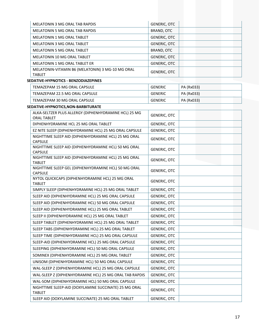| MELATONIN 3 MG ORAL TAB RAPDIS                                              | <b>GENERIC, OTC</b> |            |
|-----------------------------------------------------------------------------|---------------------|------------|
| MELATONIN 5 MG ORAL TAB RAPDIS                                              | BRAND, OTC          |            |
| <b>MELATONIN 1 MG ORAL TABLET</b>                                           | <b>GENERIC, OTC</b> |            |
| MELATONIN 3 MG ORAL TABLET                                                  | <b>GENERIC, OTC</b> |            |
| MELATONIN 5 MG ORAL TABLET                                                  | <b>BRAND, OTC</b>   |            |
| MELATONIN 10 MG ORAL TABLET                                                 | <b>GENERIC, OTC</b> |            |
| MELATONIN 1 MG ORAL TABLET ER                                               | <b>GENERIC, OTC</b> |            |
| MELATONIN-VITAMIN B6 (MELATONIN) 3 MG-10 MG ORAL                            |                     |            |
| <b>TABLET</b>                                                               | <b>GENERIC, OTC</b> |            |
| SEDATIVE-HYPNOTICS - BENZODIAZEPINES                                        |                     |            |
| TEMAZEPAM 15 MG ORAL CAPSULE                                                | <b>GENERIC</b>      | PA (Rx033) |
| TEMAZEPAM 22.5 MG ORAL CAPSULE                                              | <b>GENERIC</b>      | PA (Rx033) |
| TEMAZEPAM 30 MG ORAL CAPSULE                                                | <b>GENERIC</b>      | PA (Rx033) |
| SEDATIVE-HYPNOTICS, NON-BARBITURATE                                         |                     |            |
| ALKA-SELTZER PLUS ALLERGY (DIPHENHYDRAMINE HCL) 25 MG<br><b>ORAL TABLET</b> | <b>GENERIC, OTC</b> |            |
| DIPHENHYDRAMINE HCL 25 MG ORAL TABLET                                       | <b>GENERIC, OTC</b> |            |
| EZ NITE SLEEP (DIPHENHYDRAMINE HCL) 25 MG ORAL CAPSULE                      | <b>GENERIC, OTC</b> |            |
| NIGHTTIME SLEEP AID (DIPHENHYDRAMINE HCL) 25 MG ORAL<br><b>CAPSULE</b>      | <b>GENERIC, OTC</b> |            |
| NIGHTTIME SLEEP AID (DIPHENHYDRAMINE HCL) 50 MG ORAL<br><b>CAPSULE</b>      | <b>GENERIC, OTC</b> |            |
| NIGHTTIME SLEEP AID (DIPHENHYDRAMINE HCL) 25 MG ORAL<br><b>TABLET</b>       | <b>GENERIC, OTC</b> |            |
| NIGHTTIME SLEEP GEL (DIPHENHYDRAMINE HCL) 50 MG ORAL<br><b>CAPSULE</b>      | <b>GENERIC, OTC</b> |            |
| NYTOL QUICKCAPS (DIPHENHYDRAMINE HCL) 25 MG ORAL<br><b>TABLET</b>           | <b>GENERIC, OTC</b> |            |
| SIMPLY SLEEP (DIPHENHYDRAMINE HCL) 25 MG ORAL TABLET                        | <b>GENERIC, OTC</b> |            |
| SLEEP AID (DIPHENHYDRAMINE HCL) 25 MG ORAL CAPSULE                          | <b>GENERIC, OTC</b> |            |
| SLEEP AID (DIPHENHYDRAMINE HCL) 50 MG ORAL CAPSULE                          | <b>GENERIC, OTC</b> |            |
| SLEEP AID (DIPHENHYDRAMINE HCL) 25 MG ORAL TABLET                           | <b>GENERIC, OTC</b> |            |
| SLEEP II (DIPHENHYDRAMINE HCL) 25 MG ORAL TABLET                            | <b>GENERIC, OTC</b> |            |
| SLEEP TABLET (DIPHENHYDRAMINE HCL) 25 MG ORAL TABLET                        | GENERIC, OTC        |            |
| SLEEP TABS (DIPHENHYDRAMINE HCL) 25 MG ORAL TABLET                          | <b>GENERIC, OTC</b> |            |
| SLEEP TIME (DIPHENHYDRAMINE HCL) 25 MG ORAL CAPSULE                         | <b>GENERIC, OTC</b> |            |
| SLEEP-AID (DIPHENHYDRAMINE HCL) 25 MG ORAL CAPSULE                          | <b>GENERIC, OTC</b> |            |
| SLEEPING (DIPHENHYDRAMINE HCL) 50 MG ORAL CAPSULE                           | GENERIC, OTC        |            |
| SOMINEX (DIPHENHYDRAMINE HCL) 25 MG ORAL TABLET                             | GENERIC, OTC        |            |
| UNISOM (DIPHENHYDRAMINE HCL) 50 MG ORAL CAPSULE                             | <b>GENERIC, OTC</b> |            |
| WAL-SLEEP Z (DIPHENHYDRAMINE HCL) 25 MG ORAL CAPSULE                        | <b>GENERIC, OTC</b> |            |
| WAL-SLEEP Z (DIPHENHYDRAMINE HCL) 25 MG ORAL TAB RAPDIS                     | <b>GENERIC, OTC</b> |            |
| WAL-SOM (DIPHENHYDRAMINE HCL) 50 MG ORAL CAPSULE                            | <b>GENERIC, OTC</b> |            |
| NIGHTTIME SLEEP-AID (DOXYLAMINE SUCCINATE) 25 MG ORAL<br><b>TABLET</b>      | <b>GENERIC, OTC</b> |            |
| SLEEP AID (DOXYLAMINE SUCCINATE) 25 MG ORAL TABLET                          | <b>GENERIC, OTC</b> |            |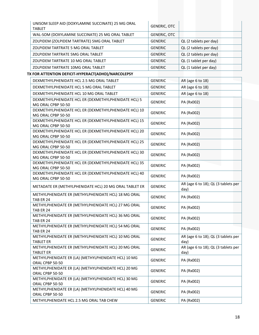| UNISOM SLEEP AID (DOXYLAMINE SUCCINATE) 25 MG ORAL<br><b>TABLET</b> | <b>GENERIC, OTC</b> |                        |
|---------------------------------------------------------------------|---------------------|------------------------|
| WAL-SOM (DOXYLAMINE SUCCINATE) 25 MG ORAL TABLET                    | <b>GENERIC, OTC</b> |                        |
| ZOLPIDEM (ZOLPIDEM TARTRATE) 5MG ORAL TABLET                        | <b>GENERIC</b>      | QL (2 tablets per day) |
| ZOLPIDEM TARTRATE 5 MG ORAL TABLET                                  | <b>GENERIC</b>      | QL (2 tablets per day) |
| ZOLPIDEM TARTRATE 5MG ORAL TABLET                                   | <b>GENERIC</b>      | QL (2 tablets per day) |
| ZOLPIDEM TARTRATE 10 MG ORAL TABLET                                 | <b>GENERIC</b>      | QL (1 tablet per day)  |
| ZOLPIDEM TARTRATE 10MG ORAL TABLET                                  | <b>GENERIC</b>      | QL (1 tablet per day)  |

# **TX FOR ATTENTION DEFICIT‐HYPERACT(ADHD)/NARCOLEPSY**

| DEXMETHYLPHENIDATE HCL 2.5 MG ORAL TABLET                                   | <b>GENERIC</b> | AR (age 6 to 18)                            |  |  |
|-----------------------------------------------------------------------------|----------------|---------------------------------------------|--|--|
| DEXMETHYLPHENIDATE HCL 5 MG ORAL TABLET                                     | <b>GENERIC</b> | AR (age 6 to 18)                            |  |  |
| DEXMETHYLPHENIDATE HCL 10 MG ORAL TABLET                                    | <b>GENERIC</b> | AR (age 6 to 18)                            |  |  |
| DEXMETHYLPHENIDATE HCL ER (DEXMETHYLPHENIDATE HCL) 5<br>MG ORAL CPBP 50-50  | <b>GENERIC</b> | PA (Rx002)                                  |  |  |
| DEXMETHYLPHENIDATE HCL ER (DEXMETHYLPHENIDATE HCL) 10<br>MG ORAL CPBP 50-50 | <b>GENERIC</b> | PA (Rx002)                                  |  |  |
| DEXMETHYLPHENIDATE HCL ER (DEXMETHYLPHENIDATE HCL) 15<br>MG ORAL CPBP 50-50 | <b>GENERIC</b> | PA (Rx002)                                  |  |  |
| DEXMETHYLPHENIDATE HCL ER (DEXMETHYLPHENIDATE HCL) 20<br>MG ORAL CPBP 50-50 | <b>GENERIC</b> | PA (Rx002)                                  |  |  |
| DEXMETHYLPHENIDATE HCL ER (DEXMETHYLPHENIDATE HCL) 25<br>MG ORAL CPBP 50-50 | <b>GENERIC</b> | PA (Rx002)                                  |  |  |
| DEXMETHYLPHENIDATE HCL ER (DEXMETHYLPHENIDATE HCL) 30<br>MG ORAL CPBP 50-50 | <b>GENERIC</b> | PA (Rx002)                                  |  |  |
| DEXMETHYLPHENIDATE HCL ER (DEXMETHYLPHENIDATE HCL) 35<br>MG ORAL CPBP 50-50 | <b>GENERIC</b> | PA (Rx002)                                  |  |  |
| DEXMETHYLPHENIDATE HCL ER (DEXMETHYLPHENIDATE HCL) 40<br>MG ORAL CPBP 50-50 | <b>GENERIC</b> | PA (Rx002)                                  |  |  |
| METADATE ER (METHYLPHENIDATE HCL) 20 MG ORAL TABLET ER                      | <b>GENERIC</b> | AR (age 6 to 18); QL (3 tablets per<br>day) |  |  |
| METHYLPHENIDATE ER (METHYLPHENIDATE HCL) 18 MG ORAL<br>TAB ER 24            | <b>GENERIC</b> | PA (Rx002)                                  |  |  |
| METHYLPHENIDATE ER (METHYLPHENIDATE HCL) 27 MG ORAL<br>TAB ER 24            | <b>GENERIC</b> | PA (Rx002)                                  |  |  |
| METHYLPHENIDATE ER (METHYLPHENIDATE HCL) 36 MG ORAL<br>TAB ER 24            | <b>GENERIC</b> | PA (Rx002)                                  |  |  |
| METHYLPHENIDATE ER (METHYLPHENIDATE HCL) 54 MG ORAL<br>TAB ER 24            | <b>GENERIC</b> | PA (Rx002)                                  |  |  |
| METHYLPHENIDATE ER (METHYLPHENIDATE HCL) 10 MG ORAL<br><b>TABLET ER</b>     | <b>GENERIC</b> | AR (age 6 to 18); QL (3 tablets per<br>day) |  |  |
| METHYLPHENIDATE ER (METHYLPHENIDATE HCL) 20 MG ORAL<br><b>TABLET ER</b>     | <b>GENERIC</b> | AR (age 6 to 18); QL (3 tablets per<br>day) |  |  |
| METHYLPHENIDATE ER (LA) (METHYLPHENIDATE HCL) 10 MG<br>ORAL CPBP 50-50      | <b>GENERIC</b> | PA (Rx002)                                  |  |  |
| METHYLPHENIDATE ER (LA) (METHYLPHENIDATE HCL) 20 MG<br>ORAL CPBP 50-50      | <b>GENERIC</b> | PA (Rx002)                                  |  |  |
| METHYLPHENIDATE ER (LA) (METHYLPHENIDATE HCL) 30 MG<br>ORAL CPBP 50-50      | <b>GENERIC</b> | PA (Rx002)                                  |  |  |
| METHYLPHENIDATE ER (LA) (METHYLPHENIDATE HCL) 40 MG<br>ORAL CPBP 50-50      | <b>GENERIC</b> | PA (Rx002)                                  |  |  |
| METHYLPHENIDATE HCL 2.5 MG ORAL TAB CHEW                                    | <b>GENERIC</b> | PA (Rx002)                                  |  |  |
|                                                                             |                |                                             |  |  |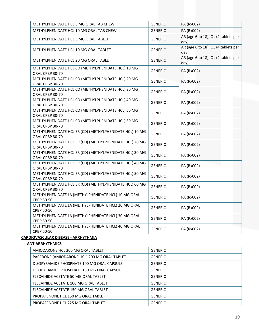| METHYLPHENIDATE HCL 5 MG ORAL TAB CHEW                                     | <b>GENERIC</b> | PA (Rx002)                                  |  |  |
|----------------------------------------------------------------------------|----------------|---------------------------------------------|--|--|
| METHYLPHENIDATE HCL 10 MG ORAL TAB CHEW                                    | <b>GENERIC</b> | PA (Rx002)                                  |  |  |
| METHYLPHENIDATE HCL 5 MG ORAL TABLET                                       | <b>GENERIC</b> | AR (age 6 to 18); QL (4 tablets per<br>day) |  |  |
| METHYLPHENIDATE HCL 10 MG ORAL TABLET                                      | <b>GENERIC</b> | AR (age 6 to 18); QL (4 tablets per<br>dav) |  |  |
| METHYLPHENIDATE HCL 20 MG ORAL TABLET                                      | <b>GENERIC</b> | AR (age 6 to 18); QL (4 tablets per<br>day) |  |  |
| METHYLPHENIDATE HCL CD (METHYLPHENIDATE HCL) 10 MG<br>ORAL CPBP 30-70      | <b>GENERIC</b> | PA (Rx002)                                  |  |  |
| METHYLPHENIDATE HCL CD (METHYLPHENIDATE HCL) 20 MG<br>ORAL CPBP 30-70      | <b>GENERIC</b> | PA (Rx002)                                  |  |  |
| METHYLPHENIDATE HCL CD (METHYLPHENIDATE HCL) 30 MG<br>ORAL CPBP 30-70      | <b>GENERIC</b> | PA (Rx002)                                  |  |  |
| METHYLPHENIDATE HCL CD (METHYLPHENIDATE HCL) 40 MG<br>ORAL CPBP 30-70      | <b>GENERIC</b> | PA (Rx002)                                  |  |  |
| METHYLPHENIDATE HCL CD (METHYLPHENIDATE HCL) 50 MG<br>ORAL CPBP 30-70      | <b>GENERIC</b> | PA (Rx002)                                  |  |  |
| METHYLPHENIDATE HCL CD (METHYLPHENIDATE HCL) 60 MG<br>ORAL CPBP 30-70      | <b>GENERIC</b> | PA (Rx002)                                  |  |  |
| METHYLPHENIDATE HCL ER (CD) (METHYLPHENIDATE HCL) 10 MG<br>ORAL CPBP 30-70 | <b>GENERIC</b> | PA (Rx002)                                  |  |  |
| METHYLPHENIDATE HCL ER (CD) (METHYLPHENIDATE HCL) 20 MG<br>ORAL CPBP 30-70 | <b>GENERIC</b> | PA (Rx002)                                  |  |  |
| METHYLPHENIDATE HCL ER (CD) (METHYLPHENIDATE HCL) 30 MG<br>ORAL CPBP 30-70 | <b>GENERIC</b> | PA (Rx002)                                  |  |  |
| METHYLPHENIDATE HCL ER (CD) (METHYLPHENIDATE HCL) 40 MG<br>ORAL CPBP 30-70 | <b>GENERIC</b> | PA (Rx002)                                  |  |  |
| METHYLPHENIDATE HCL ER (CD) (METHYLPHENIDATE HCL) 50 MG<br>ORAL CPBP 30-70 | <b>GENERIC</b> | PA (Rx002)                                  |  |  |
| METHYLPHENIDATE HCL ER (CD) (METHYLPHENIDATE HCL) 60 MG<br>ORAL CPBP 30-70 | <b>GENERIC</b> | PA (Rx002)                                  |  |  |
| METHYLPHENIDATE LA (METHYLPHENIDATE HCL) 10 MG ORAL<br>CPBP 50-50          | <b>GENERIC</b> | PA (Rx002)                                  |  |  |
| METHYLPHENIDATE LA (METHYLPHENIDATE HCL) 20 MG ORAL<br>CPBP 50-50          | <b>GENERIC</b> | PA (Rx002)                                  |  |  |
| METHYLPHENIDATE LA (METHYLPHENIDATE HCL) 30 MG ORAL<br>CPBP 50-50          | <b>GENERIC</b> | PA (Rx002)                                  |  |  |
| METHYLPHENIDATE LA (METHYLPHENIDATE HCL) 40 MG ORAL<br>CPBP 50-50          | <b>GENERIC</b> | PA (Rx002)                                  |  |  |

# **CARDIOVASCULAR DISEASE ‐ ARRHYTHMIA**

#### **ANTIARRHYTHMICS**

| <b>GENERIC</b> |
|----------------|
| <b>GENERIC</b> |
| <b>GENERIC</b> |
| <b>GENERIC</b> |
| <b>GENERIC</b> |
| <b>GENERIC</b> |
| <b>GENERIC</b> |
| <b>GENERIC</b> |
| <b>GENERIC</b> |
|                |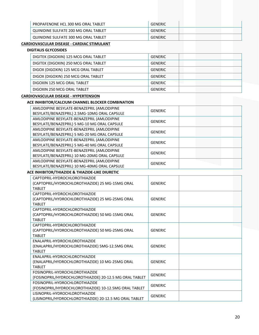| PROPAFENONE HCL 300 MG ORAL TABLET   | <b>GENERIC</b> |  |
|--------------------------------------|----------------|--|
| QUINIDINE SULFATE 200 MG ORAL TABLET | <b>GENERIC</b> |  |
| QUINIDINE SULFATE 300 MG ORAL TABLET | GENERIC        |  |

### **CARDIOVASCULAR DISEASE ‐ CARDIAC STIMULANT**

| <b>DIGITALIS GLYCOSIDES</b>           |                |
|---------------------------------------|----------------|
| DIGITEK (DIGOXIN) 125 MCG ORAL TABLET | <b>GENERIC</b> |
| DIGITEK (DIGOXIN) 250 MCG ORAL TABLET | <b>GENERIC</b> |
| DIGOX (DIGOXIN) 125 MCG ORAL TABLET   | <b>GENERIC</b> |
| DIGOX (DIGOXIN) 250 MCG ORAL TABLET   | <b>GENERIC</b> |
| DIGOXIN 125 MCG ORAL TABLET           | <b>GENERIC</b> |
| DIGOXIN 250 MCG ORAL TABLET           | <b>GENERIC</b> |

#### **CARDIOVASCULAR DISEASE ‐ HYPERTENSION**

#### **ACE INHIBITOR/CALCIUM CHANNEL BLOCKER COMBINATION**

| AMLODIPINE BESYLATE-BENAZEPRIL (AMLODIPINE<br>BESYLATE/BENAZEPRIL) 2.5MG-10MG ORAL CAPSULE | <b>GENERIC</b> |
|--------------------------------------------------------------------------------------------|----------------|
| AMLODIPINE BESYLATE-BENAZEPRIL (AMLODIPINE<br>BESYLATE/BENAZEPRIL) 5 MG-10 MG ORAL CAPSULE | <b>GENERIC</b> |
| AMLODIPINE BESYLATE-BENAZEPRIL (AMLODIPINE<br>BESYLATE/BENAZEPRIL) 5 MG-20 MG ORAL CAPSULE | <b>GENERIC</b> |
| AMLODIPINE BESYLATE-BENAZEPRIL (AMLODIPINE<br>BESYLATE/BENAZEPRIL) 5 MG-40 MG ORAL CAPSULE | <b>GENERIC</b> |
| AMLODIPINE BESYLATE-BENAZEPRIL (AMLODIPINE<br>BESYLATE/BENAZEPRIL) 10 MG-20MG ORAL CAPSULE | <b>GENERIC</b> |
| AMLODIPINE BESYLATE-BENAZEPRIL (AMLODIPINE<br>BESYLATE/BENAZEPRIL) 10 MG-40MG ORAL CAPSULE | <b>GENERIC</b> |

#### **ACE INHIBITOR/THIAZIDE & THIAZIDE‐LIKE DIURETIC**

| CAPTOPRII-HYDROCHI OROTHIAZIDE                          |                |  |
|---------------------------------------------------------|----------------|--|
| (CAPTOPRIL/HYDROCHLOROTHIAZIDE) 25 MG-15MG ORAL         | <b>GENERIC</b> |  |
| <b>TABIFT</b>                                           |                |  |
| CAPTOPRIL-HYDROCHLOROTHIAZIDE                           |                |  |
| (CAPTOPRIL/HYDROCHLOROTHIAZIDE) 25 MG-25MG ORAL         | <b>GENERIC</b> |  |
| <b>TABIFT</b>                                           |                |  |
| CAPTOPRII-HYDROCHI OROTHIAZIDE                          |                |  |
| (CAPTOPRIL/HYDROCHLOROTHIAZIDE) 50 MG-15MG ORAL         | <b>GENERIC</b> |  |
| <b>TABIFT</b>                                           |                |  |
| CAPTOPRII-HYDROCHI OROTHIAZIDE                          |                |  |
| (CAPTOPRIL/HYDROCHLOROTHIAZIDE) 50 MG-25MG ORAL         | <b>GENERIC</b> |  |
| <b>TABIFT</b>                                           |                |  |
| ENALAPRIL-HYDROCHLOROTHIAZIDE                           |                |  |
| (ENALAPRIL/HYDROCHLOROTHIAZIDE) 5MG-12.5MG ORAL         | <b>GENERIC</b> |  |
| <b>TABIFT</b>                                           |                |  |
| <b>FNAI APRII-HYDROCHI OROTHIAZIDE</b>                  |                |  |
| (ENALAPRIL/HYDROCHLOROTHIAZIDE) 10 MG-25MG ORAL         | <b>GENERIC</b> |  |
| <b>TABIFT</b>                                           |                |  |
| FOSINOPRIL-HYDROCHLOROTHIAZIDE                          | <b>GENERIC</b> |  |
| (FOSINOPRIL/HYDROCHLOROTHIAZIDE) 20-12.5 MG ORAL TABLET |                |  |
| FOSINOPRIL-HYDROCHLOROTHIAZIDE                          |                |  |
| (FOSINOPRIL/HYDROCHLOROTHIAZIDE) 10-12.5MG ORAL TABLET  | <b>GENERIC</b> |  |
| LISINOPRIL-HYDROCHLOROTHIAZIDE                          |                |  |
| (LISINOPRIL/HYDROCHLOROTHIAZIDE) 20-12.5 MG ORAL TABLET | <b>GENERIC</b> |  |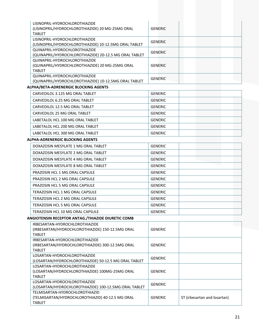| LISINOPRIL-HYDROCHLOROTHIAZIDE                                                     |                |                              |
|------------------------------------------------------------------------------------|----------------|------------------------------|
| (LISINOPRIL/HYDROCHLOROTHIAZIDE) 20 MG-25MG ORAL                                   | <b>GENERIC</b> |                              |
| <b>TABLET</b>                                                                      |                |                              |
| LISINOPRIL-HYDROCHLOROTHIAZIDE                                                     |                |                              |
| (LISINOPRIL/HYDROCHLOROTHIAZIDE) 10-12.5MG ORAL TABLET                             | <b>GENERIC</b> |                              |
| QUINAPRIL-HYDROCHLOROTHIAZIDE                                                      | <b>GENERIC</b> |                              |
| (QUINAPRIL/HYDROCHLOROTHIAZIDE) 20-12.5 MG ORAL TABLET                             |                |                              |
| QUINAPRIL-HYDROCHLOROTHIAZIDE                                                      |                |                              |
| (QUINAPRIL/HYDROCHLOROTHIAZIDE) 20 MG-25MG ORAL                                    | <b>GENERIC</b> |                              |
| <b>TABLET</b><br>OUINAPRIL-HYDROCHLOROTHIAZIDE                                     |                |                              |
| (QUINAPRIL/HYDROCHLOROTHIAZIDE) 10-12.5MG ORAL TABLET                              | <b>GENERIC</b> |                              |
| ALPHA/BETA-ADRENERGIC BLOCKING AGENTS                                              |                |                              |
| CARVEDILOL 3.125 MG ORAL TABLET                                                    | <b>GENERIC</b> |                              |
|                                                                                    |                |                              |
| CARVEDILOL 6.25 MG ORAL TABLET                                                     | <b>GENERIC</b> |                              |
| CARVEDILOL 12.5 MG ORAL TABLET                                                     | <b>GENERIC</b> |                              |
| CARVEDILOL 25 MG ORAL TABLET                                                       | <b>GENERIC</b> |                              |
| LABETALOL HCL 100 MG ORAL TABLET                                                   | <b>GENERIC</b> |                              |
| LABETALOL HCL 200 MG ORAL TABLET                                                   | <b>GENERIC</b> |                              |
| LABETALOL HCL 300 MG ORAL TABLET                                                   | <b>GENERIC</b> |                              |
| ALPHA-ADRENERGIC BLOCKING AGENTS                                                   |                |                              |
| DOXAZOSIN MESYLATE 1 MG ORAL TABLET                                                | <b>GENERIC</b> |                              |
| DOXAZOSIN MESYLATE 2 MG ORAL TABLET                                                | <b>GENERIC</b> |                              |
| DOXAZOSIN MESYLATE 4 MG ORAL TABLET                                                | <b>GENERIC</b> |                              |
| DOXAZOSIN MESYLATE 8 MG ORAL TABLET                                                | <b>GENERIC</b> |                              |
| PRAZOSIN HCL 1 MG ORAL CAPSULE                                                     | <b>GENERIC</b> |                              |
|                                                                                    | <b>GENERIC</b> |                              |
| PRAZOSIN HCL 2 MG ORAL CAPSULE                                                     |                |                              |
| PRAZOSIN HCL 5 MG ORAL CAPSULE                                                     | <b>GENERIC</b> |                              |
| <b>TERAZOSIN HCL 1 MG ORAL CAPSULE</b>                                             | <b>GENERIC</b> |                              |
| <b>TERAZOSIN HCL 2 MG ORAL CAPSULE</b>                                             | <b>GENERIC</b> |                              |
| TERAZOSIN HCL 5 MG ORAL CAPSULE                                                    | <b>GENERIC</b> |                              |
| TERAZOSIN HCL 10 MG ORAL CAPSULE                                                   | <b>GENERIC</b> |                              |
| ANGIOTENSIN RECEPTOR ANTAG./THIAZIDE DIURETIC COMB                                 |                |                              |
| IRBESARTAN-HYDROCHLOROTHIAZIDE                                                     |                |                              |
| (IRBESARTAN/HYDROCHLOROTHIAZIDE) 150-12.5MG ORAL                                   | <b>GENERIC</b> |                              |
| <b>TABLET</b>                                                                      |                |                              |
| IRBESARTAN-HYDROCHLOROTHIAZIDE                                                     |                |                              |
| (IRBESARTAN/HYDROCHLOROTHIAZIDE) 300-12.5MG ORAL<br><b>TABLET</b>                  | <b>GENERIC</b> |                              |
| LOSARTAN-HYDROCHLOROTHIAZIDE                                                       |                |                              |
| (LOSARTAN/HYDROCHLOROTHIAZIDE) 50-12.5 MG ORAL TABLET                              | <b>GENERIC</b> |                              |
| LOSARTAN-HYDROCHLOROTHIAZIDE                                                       |                |                              |
| (LOSARTAN/HYDROCHLOROTHIAZIDE) 100MG-25MG ORAL                                     | <b>GENERIC</b> |                              |
| <b>TABLET</b>                                                                      |                |                              |
| LOSARTAN-HYDROCHLOROTHIAZIDE                                                       | <b>GENERIC</b> |                              |
| (LOSARTAN/HYDROCHLOROTHIAZIDE) 100-12.5MG ORAL TABLET                              |                |                              |
| TELMISARTAN-HYDROCHLOROTHIAZID<br>(TELMISARTAN/HYDROCHLOROTHIAZID) 40-12.5 MG ORAL | <b>GENERIC</b> | ST (irbesartan and losartan) |
| <b>TABLET</b>                                                                      |                |                              |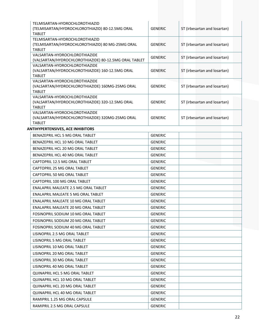| TELMISARTAN-HYDROCHLOROTHIAZID<br>(TELMISARTAN/HYDROCHLOROTHIAZID) 80-12.5MG ORAL<br><b>TABIFT</b>  | <b>GENERIC</b> | ST (irbesartan and losartan) |  |
|-----------------------------------------------------------------------------------------------------|----------------|------------------------------|--|
| TELMISARTAN-HYDROCHLOROTHIAZID                                                                      |                |                              |  |
| (TELMISARTAN/HYDROCHLOROTHIAZID) 80 MG-25MG ORAL<br><b>TABLET</b>                                   | <b>GENERIC</b> | ST (irbesartan and losartan) |  |
| VALSARTAN-HYDROCHLOROTHIAZIDE<br>(VALSARTAN/HYDROCHLOROTHIAZIDE) 80-12.5MG ORAL TABLET              | <b>GENERIC</b> | ST (irbesartan and losartan) |  |
| VALSARTAN-HYDROCHLOROTHIAZIDE<br>(VALSARTAN/HYDROCHLOROTHIAZIDE) 160-12.5MG ORAL                    | <b>GENERIC</b> | ST (irbesartan and losartan) |  |
| <b>TABIFT</b>                                                                                       |                |                              |  |
| VAI SARTAN-HYDROCHI OROTHIAZIDE<br>(VALSARTAN/HYDROCHLOROTHIAZIDE) 160MG-25MG ORAL<br><b>TABIFT</b> | <b>GENERIC</b> | ST (irbesartan and losartan) |  |
| VALSARTAN-HYDROCHLOROTHIAZIDE<br>(VALSARTAN/HYDROCHLOROTHIAZIDE) 320-12.5MG ORAL<br><b>TABIFT</b>   | <b>GENERIC</b> | ST (irbesartan and losartan) |  |
| VALSARTAN-HYDROCHLOROTHIAZIDE<br>(VALSARTAN/HYDROCHLOROTHIAZIDE) 320MG-25MG ORAL<br><b>TABLET</b>   | <b>GENERIC</b> | ST (irbesartan and losartan) |  |
| <b>ANTIHYPERTENSIVES, ACE INHIBITORS</b>                                                            |                |                              |  |
| BENAZEPRIL HCL 5 MG ORAL TABLET                                                                     | <b>GENERIC</b> |                              |  |
| BENAZEPRIL HCL 10 MG ORAL TABLET                                                                    | <b>GENERIC</b> |                              |  |

| BENAZEPRIL HCL 10 MG ORAL TABLET       | <b>GENERIC</b> |  |  |
|----------------------------------------|----------------|--|--|
| BENAZEPRIL HCL 20 MG ORAL TABLET       | <b>GENERIC</b> |  |  |
| BENAZEPRIL HCL 40 MG ORAL TABLET       | <b>GENERIC</b> |  |  |
| CAPTOPRIL 12.5 MG ORAL TABLET          | <b>GENERIC</b> |  |  |
| CAPTOPRIL 25 MG ORAL TABLET            | <b>GENERIC</b> |  |  |
| CAPTOPRIL 50 MG ORAL TABLET            | <b>GENERIC</b> |  |  |
| CAPTOPRIL 100 MG ORAL TABLET           | <b>GENERIC</b> |  |  |
| ENALAPRIL MALEATE 2.5 MG ORAL TABLET   | <b>GENERIC</b> |  |  |
| ENALAPRIL MALEATE 5 MG ORAL TABLET     | <b>GENERIC</b> |  |  |
| ENALAPRIL MALEATE 10 MG ORAL TABLET    | <b>GENERIC</b> |  |  |
| ENALAPRIL MALEATE 20 MG ORAL TABLET    | <b>GENERIC</b> |  |  |
| FOSINOPRIL SODIUM 10 MG ORAL TABLET    | <b>GENERIC</b> |  |  |
| FOSINOPRIL SODIUM 20 MG ORAL TABLET    | <b>GENERIC</b> |  |  |
| FOSINOPRIL SODIUM 40 MG ORAL TABLET    | <b>GENERIC</b> |  |  |
| LISINOPRIL 2.5 MG ORAL TABLET          | <b>GENERIC</b> |  |  |
| LISINOPRIL 5 MG ORAL TABLET            | <b>GENERIC</b> |  |  |
| LISINOPRIL 10 MG ORAL TABLET           | <b>GENERIC</b> |  |  |
| LISINOPRIL 20 MG ORAL TABLET           | <b>GENERIC</b> |  |  |
| LISINOPRIL 30 MG ORAL TABLET           | <b>GENERIC</b> |  |  |
| LISINOPRIL 40 MG ORAL TABLET           | <b>GENERIC</b> |  |  |
| QUINAPRIL HCL 5 MG ORAL TABLET         | <b>GENERIC</b> |  |  |
| <b>OUINAPRIL HCL 10 MG ORAL TABLET</b> | <b>GENERIC</b> |  |  |
| QUINAPRIL HCL 20 MG ORAL TABLET        | <b>GENERIC</b> |  |  |
| QUINAPRIL HCL 40 MG ORAL TABLET        | <b>GENERIC</b> |  |  |
| RAMIPRIL 1.25 MG ORAL CAPSULE          | <b>GENERIC</b> |  |  |
| RAMIPRIL 2.5 MG ORAL CAPSULE           | <b>GENERIC</b> |  |  |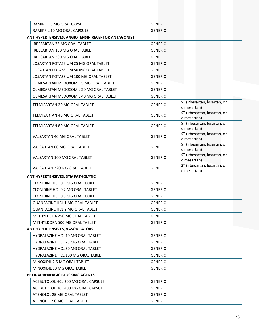| RAMIPRIL 5 MG ORAL CAPSULE  | <b>GENERIC</b> |
|-----------------------------|----------------|
| RAMIPRIL 10 MG ORAL CAPSULE | <b>GENERIC</b> |

#### **ANTIHYPERTENSIVES, ANGIOTENSIN RECEPTOR ANTAGONIST**

| <b>IRBESARTAN 75 MG ORAL TABLET</b>    | <b>GENERIC</b> |                                             |
|----------------------------------------|----------------|---------------------------------------------|
| IRBESARTAN 150 MG ORAL TABLET          | <b>GENERIC</b> |                                             |
| IRBESARTAN 300 MG ORAL TABLET          | <b>GENERIC</b> |                                             |
| LOSARTAN POTASSIUM 25 MG ORAL TABLET   | <b>GENERIC</b> |                                             |
| LOSARTAN POTASSIUM 50 MG ORAL TABLET   | <b>GENERIC</b> |                                             |
| LOSARTAN POTASSIUM 100 MG ORAL TABLET  | <b>GENERIC</b> |                                             |
| OLMESARTAN MEDOXOMIL 5 MG ORAL TABLET  | <b>GENERIC</b> |                                             |
| OLMESARTAN MEDOXOMIL 20 MG ORAL TABLET | <b>GENERIC</b> |                                             |
| OLMESARTAN MEDOXOMIL 40 MG ORAL TABLET | <b>GENERIC</b> |                                             |
| TELMISARTAN 20 MG ORAL TABLET          | <b>GENERIC</b> | ST (irbesartan, losartan, or<br>olmesartan) |
| TELMISARTAN 40 MG ORAL TABLET          | <b>GENERIC</b> | ST (irbesartan, losartan, or<br>olmesartan) |
| TELMISARTAN 80 MG ORAL TABLET          | <b>GENERIC</b> | ST (irbesartan, losartan, or<br>olmesartan) |
| <b>VALSARTAN 40 MG ORAL TABLET</b>     | <b>GENERIC</b> | ST (irbesartan, losartan, or<br>olmesartan) |
| VALSARTAN 80 MG ORAL TABLET            | <b>GENERIC</b> | ST (irbesartan, losartan, or<br>olmesartan) |
| VALSARTAN 160 MG ORAL TABLET           | <b>GENERIC</b> | ST (irbesartan, losartan, or<br>olmesartan) |
| VALSARTAN 320 MG ORAL TABLET           | <b>GENERIC</b> | ST (irbesartan, losartan, or<br>olmesartan) |

#### **ANTIHYPERTENSIVES, SYMPATHOLYTIC**

| CLONIDINE HCL 0.1 MG ORAL TABLET       | GENERIC |  |
|----------------------------------------|---------|--|
| CLONIDINE HCL 0.2 MG ORAL TABLET       | GENERIC |  |
| CLONIDINE HCL 0.3 MG ORAL TABLET       | GENERIC |  |
| <b>GUANFACINE HCL 1 MG ORAL TABLET</b> | GENERIC |  |
| <b>GUANFACINE HCL 2 MG ORAL TABLET</b> | GENERIC |  |
| METHYLDOPA 250 MG ORAL TABLET          | GENERIC |  |
| METHYLDOPA 500 MG ORAL TABLET          | GENERIC |  |

#### **ANTIHYPERTENSIVES, VASODILATORS**

| <b>HYDRALAZINE HCL 10 MG ORAL TABLET</b> | GENERIC |
|------------------------------------------|---------|
| HYDRALAZINE HCL 25 MG ORAL TABLET        | GENERIC |
| <b>HYDRALAZINE HCL 50 MG ORAL TABLET</b> | GENERIC |
| HYDRALAZINE HCL 100 MG ORAL TABLET       | GENERIC |
| MINOXIDIL 2.5 MG ORAL TABLET             | GENERIC |
| MINOXIDIL 10 MG ORAL TABLET              | GENERIC |

#### **BETA‐ADRENERGIC BLOCKING AGENTS**

| ACEBUTOLOL HCL 200 MG ORAL CAPSULE | GENERIC |  |
|------------------------------------|---------|--|
| ACEBUTOLOL HCL 400 MG ORAL CAPSULE | GENERIC |  |
| ATENOLOL 25 MG ORAL TABLET         | GENERIC |  |
| ATENOLOL 50 MG ORAL TABLET         | GENERIC |  |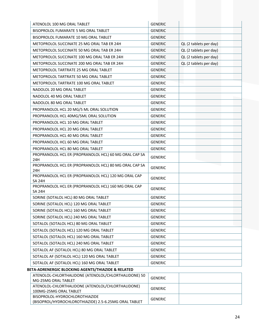| ATENOLOL 100 MG ORAL TABLET                                                             | <b>GENERIC</b> |                        |
|-----------------------------------------------------------------------------------------|----------------|------------------------|
| BISOPROLOL FUMARATE 5 MG ORAL TABLET                                                    | <b>GENERIC</b> |                        |
| BISOPROLOL FUMARATE 10 MG ORAL TABLET                                                   | <b>GENERIC</b> |                        |
| METOPROLOL SUCCINATE 25 MG ORAL TAB ER 24H                                              | <b>GENERIC</b> | QL (2 tablets per day) |
| METOPROLOL SUCCINATE 50 MG ORAL TAB ER 24H                                              | <b>GENERIC</b> | QL (2 tablets per day) |
| METOPROLOL SUCCINATE 100 MG ORAL TAB ER 24H                                             | <b>GENERIC</b> | QL (2 tablets per day) |
| METOPROLOL SUCCINATE 200 MG ORAL TAB ER 24H                                             | <b>GENERIC</b> | QL (2 tablets per day) |
| METOPROLOL TARTRATE 25 MG ORAL TABLET                                                   | <b>GENERIC</b> |                        |
| METOPROLOL TARTRATE 50 MG ORAL TABLET                                                   | <b>GENERIC</b> |                        |
| METOPROLOL TARTRATE 100 MG ORAL TABLET                                                  | <b>GENERIC</b> |                        |
| NADOLOL 20 MG ORAL TABLET                                                               | <b>GENERIC</b> |                        |
| NADOLOL 40 MG ORAL TABLET                                                               | <b>GENERIC</b> |                        |
| NADOLOL 80 MG ORAL TABLET                                                               | <b>GENERIC</b> |                        |
| PROPRANOLOL HCL 20 MG/5 ML ORAL SOLUTION                                                | <b>GENERIC</b> |                        |
| PROPRANOLOL HCL 40MG/5ML ORAL SOLUTION                                                  | <b>GENERIC</b> |                        |
| PROPRANOLOL HCL 10 MG ORAL TABLET                                                       | <b>GENERIC</b> |                        |
| PROPRANOLOL HCL 20 MG ORAL TABLET                                                       | <b>GENERIC</b> |                        |
| PROPRANOLOL HCL 40 MG ORAL TABLET                                                       | <b>GENERIC</b> |                        |
| PROPRANOLOL HCL 60 MG ORAL TABLET                                                       | <b>GENERIC</b> |                        |
| PROPRANOLOL HCL 80 MG ORAL TABLET                                                       | <b>GENERIC</b> |                        |
| PROPRANOLOL HCL ER (PROPRANOLOL HCL) 60 MG ORAL CAP SA<br>24H                           | <b>GENERIC</b> |                        |
| PROPRANOLOL HCL ER (PROPRANOLOL HCL) 80 MG ORAL CAP SA<br>24H                           | <b>GENERIC</b> |                        |
| PROPRANOLOL HCL ER (PROPRANOLOL HCL) 120 MG ORAL CAP<br><b>SA 24H</b>                   | <b>GENERIC</b> |                        |
| PROPRANOLOL HCL ER (PROPRANOLOL HCL) 160 MG ORAL CAP<br><b>SA 24H</b>                   | <b>GENERIC</b> |                        |
| SORINE (SOTALOL HCL) 80 MG ORAL TABLET                                                  | <b>GENERIC</b> |                        |
| SORINE (SOTALOL HCL) 120 MG ORAL TABLET                                                 | <b>GENERIC</b> |                        |
| SORINE (SOTALOL HCL) 160 MG ORAL TABLET                                                 | <b>GENERIC</b> |                        |
| SORINE (SOTALOL HCL) 240 MG ORAL TABLET                                                 | <b>GENERIC</b> |                        |
| SOTALOL (SOTALOL HCL) 80 MG ORAL TABLET                                                 | <b>GENERIC</b> |                        |
| SOTALOL (SOTALOL HCL) 120 MG ORAL TABLET                                                | <b>GENERIC</b> |                        |
| SOTALOL (SOTALOL HCL) 160 MG ORAL TABLET                                                | <b>GENERIC</b> |                        |
| SOTALOL (SOTALOL HCL) 240 MG ORAL TABLET                                                | <b>GENERIC</b> |                        |
| SOTALOL AF (SOTALOL HCL) 80 MG ORAL TABLET                                              | <b>GENERIC</b> |                        |
| SOTALOL AF (SOTALOL HCL) 120 MG ORAL TABLET                                             | <b>GENERIC</b> |                        |
| SOTALOL AF (SOTALOL HCL) 160 MG ORAL TABLET                                             | <b>GENERIC</b> |                        |
| BETA-ADRENERGIC BLOCKING AGENTS/THIAZIDE & RELATED                                      |                |                        |
| ATENOLOL-CHLORTHALIDONE (ATENOLOL/CHLORTHALIDONE) 50<br>MG-25MG ORAL TABLET             | <b>GENERIC</b> |                        |
| ATENOLOL-CHLORTHALIDONE (ATENOLOL/CHLORTHALIDONE)<br>100MG-25MG ORAL TABLET             | <b>GENERIC</b> |                        |
| BISOPROLOL-HYDROCHLOROTHIAZIDE<br>(BISOPROL/HYDROCHLOROTHIAZIDE) 2.5-6.25MG ORAL TABLET | <b>GENERIC</b> |                        |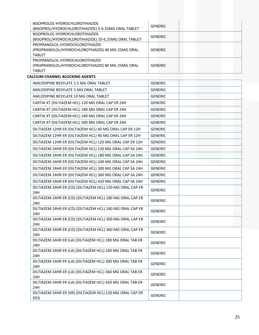| BISOPROLOL-HYDROCHLOROTHIAZIDE                                                         | <b>GENERIC</b> |  |
|----------------------------------------------------------------------------------------|----------------|--|
| (BISOPROL/HYDROCHLOROTHIAZIDE) 5-6.25MG ORAL TABLET                                    |                |  |
| BISOPROLOL-HYDROCHLOROTHIAZIDE<br>(BISOPROL/HYDROCHLOROTHIAZIDE) 10-6.25MG ORAL TABLET | <b>GENERIC</b> |  |
| PROPRANOLOL-HYDROCHLOROTHIAZID                                                         |                |  |
| (PROPRANOLOL/HYDROCHLOROTHIAZID) 40 MG-25MG ORAL                                       | <b>GENERIC</b> |  |
| <b>TABLET</b>                                                                          |                |  |
| PROPRANOLOL-HYDROCHLOROTHIAZID                                                         |                |  |
| (PROPRANOLOL/HYDROCHLOROTHIAZID) 80 MG-25MG ORAL<br><b>TABLET</b>                      | <b>GENERIC</b> |  |
| <b>CALCIUM CHANNEL BLOCKING AGENTS</b>                                                 |                |  |
| AMLODIPINE BESYLATE 2.5 MG ORAL TABLET                                                 | <b>GENERIC</b> |  |
| AMLODIPINE BESYLATE 5 MG ORAL TABLET                                                   | <b>GENERIC</b> |  |
| AMLODIPINE BESYLATE 10 MG ORAL TABLET                                                  | <b>GENERIC</b> |  |
| CARTIA XT (DILTIAZEM HCL) 120 MG ORAL CAP ER 24H                                       | <b>GENERIC</b> |  |
| CARTIA XT (DILTIAZEM HCL) 180 MG ORAL CAP ER 24H                                       | <b>GENERIC</b> |  |
| CARTIA XT (DILTIAZEM HCL) 240 MG ORAL CAP ER 24H                                       | <b>GENERIC</b> |  |
| CARTIA XT (DILTIAZEM HCL) 300 MG ORAL CAP ER 24H                                       | <b>GENERIC</b> |  |
|                                                                                        |                |  |
| DILTIAZEM 12HR ER (DILTIAZEM HCL) 60 MG ORAL CAP ER 12H                                | <b>GENERIC</b> |  |
| DILTIAZEM 12HR ER (DILTIAZEM HCL) 90 MG ORAL CAP ER 12H                                | <b>GENERIC</b> |  |
| DILTIAZEM 12HR ER (DILTIAZEM HCL) 120 MG ORAL CAP ER 12H                               | <b>GENERIC</b> |  |
| DILTIAZEM 24HR ER (DILTIAZEM HCL) 120 MG ORAL CAP SA 24H                               | <b>GENERIC</b> |  |
| DILTIAZEM 24HR ER (DILTIAZEM HCL) 180 MG ORAL CAP SA 24H                               | <b>GENERIC</b> |  |
| DILTIAZEM 24HR ER (DILTIAZEM HCL) 240 MG ORAL CAP SA 24H                               | <b>GENERIC</b> |  |
| DILTIAZEM 24HR ER (DILTIAZEM HCL) 300 MG ORAL CAP SA 24H                               | <b>GENERIC</b> |  |
| DILTIAZEM 24HR ER (DILTIAZEM HCL) 360 MG ORAL CAP SA 24H                               | <b>GENERIC</b> |  |
| DILTIAZEM 24HR ER (DILTIAZEM HCL) 420 MG ORAL CAP SA 24H                               | <b>GENERIC</b> |  |
| DILTIAZEM 24HR ER (CD) (DILTIAZEM HCL) 120 MG ORAL CAP ER<br>24H                       | <b>GENERIC</b> |  |
| DILTIAZEM 24HR ER (CD) (DILTIAZEM HCL) 180 MG ORAL CAP ER                              | <b>GENERIC</b> |  |
| 24H                                                                                    |                |  |
| DILTIAZEM 24HR ER (CD) (DILTIAZEM HCL) 240 MG ORAL CAP ER<br>24H                       | <b>GENERIC</b> |  |
| DILTIAZEM 24HR ER (CD) (DILTIAZEM HCL) 300 MG ORAL CAP ER                              |                |  |
| 24H                                                                                    | <b>GENERIC</b> |  |
| DILTIAZEM 24HR ER (CD) (DILTIAZEM HCL) 360 MG ORAL CAP ER                              | <b>GENERIC</b> |  |
| 24H                                                                                    |                |  |
| DILTIAZEM 24HR ER (LA) (DILTIAZEM HCL) 180 MG ORAL TAB ER<br>24H                       | <b>GENERIC</b> |  |
| DILTIAZEM 24HR ER (LA) (DILTIAZEM HCL) 240 MG ORAL TAB ER                              |                |  |
| 24H                                                                                    | <b>GENERIC</b> |  |
| DILTIAZEM 24HR ER (LA) (DILTIAZEM HCL) 300 MG ORAL TAB ER                              | <b>GENERIC</b> |  |
| 24H                                                                                    |                |  |
| DILTIAZEM 24HR ER (LA) (DILTIAZEM HCL) 360 MG ORAL TAB ER<br>24H                       | <b>GENERIC</b> |  |
| DILTIAZEM 24HR ER (LA) (DILTIAZEM HCL) 420 MG ORAL TAB ER                              |                |  |
| 24H                                                                                    | <b>GENERIC</b> |  |
| DILTIAZEM 24HR ER (XR) (DILTIAZEM HCL) 120 MG ORAL CAP ER                              | <b>GENERIC</b> |  |
| DEG                                                                                    |                |  |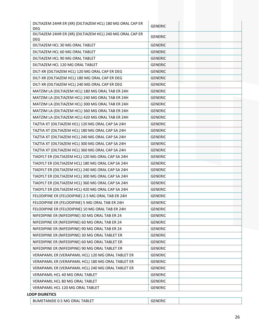| DILTIAZEM 24HR ER (XR) (DILTIAZEM HCL) 180 MG ORAL CAP ER<br><b>DEG</b> | <b>GENERIC</b> |
|-------------------------------------------------------------------------|----------------|
| DILTIAZEM 24HR ER (XR) (DILTIAZEM HCL) 240 MG ORAL CAP ER               | <b>GENERIC</b> |
| <b>DEG</b><br>DILTIAZEM HCL 30 MG ORAL TABLET                           |                |
|                                                                         | <b>GENERIC</b> |
| DILTIAZEM HCL 60 MG ORAL TABLET                                         | <b>GENERIC</b> |
| DILTIAZEM HCL 90 MG ORAL TABLET                                         | <b>GENERIC</b> |
| DILTIAZEM HCL 120 MG ORAL TABLET                                        | <b>GENERIC</b> |
| DILT-XR (DILTIAZEM HCL) 120 MG ORAL CAP ER DEG                          | <b>GENERIC</b> |
| DILT-XR (DILTIAZEM HCL) 180 MG ORAL CAP ER DEG                          | <b>GENERIC</b> |
| DILT-XR (DILTIAZEM HCL) 240 MG ORAL CAP ER DEG                          | <b>GENERIC</b> |
| MATZIM LA (DILTIAZEM HCL) 180 MG ORAL TAB ER 24H                        | <b>GENERIC</b> |
| MATZIM LA (DILTIAZEM HCL) 240 MG ORAL TAB ER 24H                        | <b>GENERIC</b> |
| MATZIM LA (DILTIAZEM HCL) 300 MG ORAL TAB ER 24H                        | <b>GENERIC</b> |
| MATZIM LA (DILTIAZEM HCL) 360 MG ORAL TAB ER 24H                        | <b>GENERIC</b> |
| MATZIM LA (DILTIAZEM HCL) 420 MG ORAL TAB ER 24H                        | <b>GENERIC</b> |
| TAZTIA XT (DILTIAZEM HCL) 120 MG ORAL CAP SA 24H                        | <b>GENERIC</b> |
| TAZTIA XT (DILTIAZEM HCL) 180 MG ORAL CAP SA 24H                        | <b>GENERIC</b> |
| TAZTIA XT (DILTIAZEM HCL) 240 MG ORAL CAP SA 24H                        | <b>GENERIC</b> |
| TAZTIA XT (DILTIAZEM HCL) 300 MG ORAL CAP SA 24H                        | <b>GENERIC</b> |
| TAZTIA XT (DILTIAZEM HCL) 360 MG ORAL CAP SA 24H                        | <b>GENERIC</b> |
| TIADYLT ER (DILTIAZEM HCL) 120 MG ORAL CAP SA 24H                       | <b>GENERIC</b> |
| TIADYLT ER (DILTIAZEM HCL) 180 MG ORAL CAP SA 24H                       | <b>GENERIC</b> |
| TIADYLT ER (DILTIAZEM HCL) 240 MG ORAL CAP SA 24H                       | <b>GENERIC</b> |
| TIADYLT ER (DILTIAZEM HCL) 300 MG ORAL CAP SA 24H                       | <b>GENERIC</b> |
| TIADYLT ER (DILTIAZEM HCL) 360 MG ORAL CAP SA 24H                       | <b>GENERIC</b> |
| TIADYLT ER (DILTIAZEM HCL) 420 MG ORAL CAP SA 24H                       | <b>GENERIC</b> |
| FELODIPINE ER (FELODIPINE) 2.5 MG ORAL TAB ER 24H                       | <b>GENERIC</b> |
| FELODIPINE ER (FELODIPINE) 5 MG ORAL TAB ER 24H                         | <b>GENERIC</b> |
| FELODIPINE ER (FELODIPINE) 10 MG ORAL TAB ER 24H                        | <b>GENERIC</b> |
| NIFEDIPINE ER (NIFEDIPINE) 30 MG ORAL TAB ER 24                         | <b>GENERIC</b> |
| NIFEDIPINE ER (NIFEDIPINE) 60 MG ORAL TAB ER 24                         | <b>GENERIC</b> |
| NIFEDIPINE ER (NIFEDIPINE) 90 MG ORAL TAB ER 24                         | <b>GENERIC</b> |
| NIFEDIPINE ER (NIFEDIPINE) 30 MG ORAL TABLET ER                         | <b>GENERIC</b> |
| NIFEDIPINE ER (NIFEDIPINE) 60 MG ORAL TABLET ER                         | <b>GENERIC</b> |
| NIFEDIPINE ER (NIFEDIPINE) 90 MG ORAL TABLET ER                         | <b>GENERIC</b> |
| VERAPAMIL ER (VERAPAMIL HCL) 120 MG ORAL TABLET ER                      | <b>GENERIC</b> |
| VERAPAMIL ER (VERAPAMIL HCL) 180 MG ORAL TABLET ER                      | <b>GENERIC</b> |
| VERAPAMIL ER (VERAPAMIL HCL) 240 MG ORAL TABLET ER                      | <b>GENERIC</b> |
| VERAPAMIL HCL 40 MG ORAL TABLET                                         | <b>GENERIC</b> |
| VERAPAMIL HCL 80 MG ORAL TABLET                                         | <b>GENERIC</b> |
| VERAPAMIL HCL 120 MG ORAL TABLET                                        | <b>GENERIC</b> |
| <b>LOOP DIURETICS</b>                                                   |                |
| BUMETANIDE 0.5 MG ORAL TABLET                                           | <b>GENERIC</b> |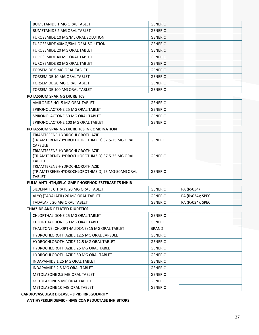| <b>BUMETANIDE 1 MG ORAL TABLET</b> | <b>GENERIC</b> |
|------------------------------------|----------------|
| <b>BUMETANIDE 2 MG ORAL TABLET</b> | <b>GENERIC</b> |
| FUROSEMIDE 10 MG/ML ORAL SOLUTION  | <b>GENERIC</b> |
| FUROSEMIDE 40MG/5ML ORAL SOLUTION  | <b>GENERIC</b> |
| FUROSEMIDE 20 MG ORAL TABLET       | <b>GENERIC</b> |
| FUROSEMIDE 40 MG ORAL TABLET       | <b>GENERIC</b> |
| FUROSEMIDE 80 MG ORAL TABLET       | <b>GENERIC</b> |
| TORSEMIDE 5 MG ORAL TABLET         | <b>GENERIC</b> |
| TORSEMIDE 10 MG ORAL TABLET        | <b>GENERIC</b> |
| TORSEMIDE 20 MG ORAL TABLET        | <b>GENERIC</b> |
| TORSEMIDE 100 MG ORAL TABLET       | <b>GENERIC</b> |

#### **POTASSIUM SPARING DIURETICS**

| AMILORIDE HCL 5 MG ORAL TABLET    | <b>GENERIC</b> |
|-----------------------------------|----------------|
| SPIRONOLACTONE 25 MG ORAL TABLET  | <b>GENERIC</b> |
| SPIRONOLACTONE 50 MG ORAL TABLET  | <b>GENERIC</b> |
| SPIRONOLACTONE 100 MG ORAL TABLET | <b>GENERIC</b> |

#### **POTASSIUM SPARING DIURETICS IN COMBINATION**

| TRIAMTERENE-HYDROCHLOROTHIAZID<br>(TRIAMTERENE/HYDROCHLOROTHIAZID) 37.5-25 MG ORAL | GENERIC        |  |
|------------------------------------------------------------------------------------|----------------|--|
| <b>CAPSULE</b>                                                                     |                |  |
| TRIAMTERENE-HYDROCHLOROTHIAZID                                                     |                |  |
| (TRIAMTERENE/HYDROCHLOROTHIAZID) 37.5-25 MG ORAL                                   | <b>GENERIC</b> |  |
| <b>TABLET</b>                                                                      |                |  |
| TRIAMTERENE-HYDROCHLOROTHIAZID                                                     |                |  |
| (TRIAMTERENE/HYDROCHLOROTHIAZID) 75 MG-50MG ORAL                                   | <b>GENERIC</b> |  |
| <b>TABLET</b>                                                                      |                |  |

#### **PULM.ANTI‐HTN,SEL.C‐GMP PHOSPHODIESTERASE T5 INHIB**

| SILDENAFIL CITRATE 20 MG ORAL TABLET | GENERIC | PA (Rx034)       |
|--------------------------------------|---------|------------------|
| ALYQ (TADALAFIL) 20 MG ORAL TABLET   | GENERIC | PA (Rx034); SPEC |
| TADALAFIL 20 MG ORAL TABLET          | GENERIC | PA (Rx034); SPEC |

#### **THIAZIDE AND RELATED DIURETICS**

| CHLORTHALIDONE 25 MG ORAL TABLET                | <b>GENERIC</b> |  |
|-------------------------------------------------|----------------|--|
| CHLORTHALIDONE 50 MG ORAL TABLET                | <b>GENERIC</b> |  |
| THALITONE (CHLORTHALIDONE) 15 MG ORAL TABLET    | <b>BRAND</b>   |  |
| <b>HYDROCHLOROTHIAZIDE 12.5 MG ORAL CAPSULE</b> | <b>GENERIC</b> |  |
| HYDROCHLOROTHIAZIDE 12.5 MG ORAL TABLET         | <b>GENERIC</b> |  |
| HYDROCHLOROTHIAZIDE 25 MG ORAL TABLET           | <b>GENERIC</b> |  |
| <b>HYDROCHLOROTHIAZIDE 50 MG ORAL TABLET</b>    | <b>GENERIC</b> |  |
| INDAPAMIDE 1.25 MG ORAL TABLET                  | <b>GENERIC</b> |  |
| INDAPAMIDE 2.5 MG ORAL TABLET                   | <b>GENERIC</b> |  |
| METOLAZONE 2.5 MG ORAL TABLET                   | <b>GENERIC</b> |  |
| METOLAZONE 5 MG ORAL TABLET                     | <b>GENERIC</b> |  |
| METOLAZONE 10 MG ORAL TABLET                    | <b>GENERIC</b> |  |

**CARDIOVASCULAR DISEASE ‐ LIPID IRREGULARITY**

**ANTIHYPERLIPIDEMIC ‐ HMG COA REDUCTASE INHIBITORS**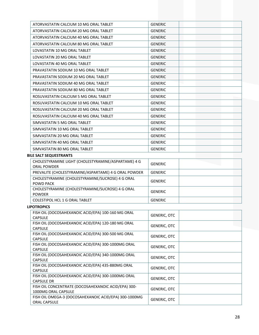| ATORVASTATIN CALCIUM 10 MG ORAL TABLET                                     | <b>GENERIC</b>      |  |
|----------------------------------------------------------------------------|---------------------|--|
| ATORVASTATIN CALCIUM 20 MG ORAL TABLET                                     | <b>GENERIC</b>      |  |
| ATORVASTATIN CALCIUM 40 MG ORAL TABLET                                     | <b>GENERIC</b>      |  |
| ATORVASTATIN CALCIUM 80 MG ORAL TABLET                                     | <b>GENERIC</b>      |  |
| LOVASTATIN 10 MG ORAL TABLET                                               | <b>GENERIC</b>      |  |
| LOVASTATIN 20 MG ORAL TABLET                                               | <b>GENERIC</b>      |  |
| LOVASTATIN 40 MG ORAL TABLET                                               | <b>GENERIC</b>      |  |
| PRAVASTATIN SODIUM 10 MG ORAL TABLET                                       | <b>GENERIC</b>      |  |
| PRAVASTATIN SODIUM 20 MG ORAL TABLET                                       | <b>GENERIC</b>      |  |
| PRAVASTATIN SODIUM 40 MG ORAL TABLET                                       | <b>GENERIC</b>      |  |
| PRAVASTATIN SODIUM 80 MG ORAL TABLET                                       | <b>GENERIC</b>      |  |
| ROSUVASTATIN CALCIUM 5 MG ORAL TABLET                                      | <b>GENERIC</b>      |  |
| ROSUVASTATIN CALCIUM 10 MG ORAL TABLET                                     | <b>GENERIC</b>      |  |
| ROSUVASTATIN CALCIUM 20 MG ORAL TABLET                                     | <b>GENERIC</b>      |  |
| ROSUVASTATIN CALCIUM 40 MG ORAL TABLET                                     | <b>GENERIC</b>      |  |
| SIMVASTATIN 5 MG ORAL TABLET                                               | <b>GENERIC</b>      |  |
| SIMVASTATIN 10 MG ORAL TABLET                                              | <b>GENERIC</b>      |  |
| SIMVASTATIN 20 MG ORAL TABLET                                              | <b>GENERIC</b>      |  |
| SIMVASTATIN 40 MG ORAL TABLET                                              | <b>GENERIC</b>      |  |
| SIMVASTATIN 80 MG ORAL TABLET                                              | <b>GENERIC</b>      |  |
| <b>BILE SALT SEQUESTRANTS</b>                                              |                     |  |
| CHOLESTYRAMINE LIGHT (CHOLESTYRAMINE/ASPARTAME) 4 G                        |                     |  |
| <b>ORAL POWDER</b>                                                         | <b>GENERIC</b>      |  |
| PREVALITE (CHOLESTYRAMINE/ASPARTAME) 4 G ORAL POWDER                       | <b>GENERIC</b>      |  |
| CHOLESTYRAMINE (CHOLESTYRAMINE/SUCROSE) 4 G ORAL<br>POWD PACK              | <b>GENERIC</b>      |  |
| CHOLESTYRAMINE (CHOLESTYRAMINE/SUCROSE) 4 G ORAL<br><b>POWDER</b>          | <b>GENERIC</b>      |  |
| COLESTIPOL HCL 1 G ORAL TABLET                                             | <b>GENERIC</b>      |  |
| <b>LIPOTROPICS</b>                                                         |                     |  |
| FISH OIL (DOCOSAHEXANOIC ACID/EPA) 100-160 MG ORAL<br><b>CAPSULE</b>       | <b>GENERIC, OTC</b> |  |
| FISH OIL (DOCOSAHEXANOIC ACID/EPA) 120-180 MG ORAL<br><b>CAPSULE</b>       | <b>GENERIC, OTC</b> |  |
| FISH OIL (DOCOSAHEXANOIC ACID/EPA) 300-500 MG ORAL<br>CAPSULE              | <b>GENERIC, OTC</b> |  |
| FISH OIL (DOCOSAHEXANOIC ACID/EPA) 300-1000MG ORAL<br>CAPSULE              | <b>GENERIC, OTC</b> |  |
| FISH OIL (DOCOSAHEXANOIC ACID/EPA) 340-1000MG ORAL<br>CAPSULE              | <b>GENERIC, OTC</b> |  |
| FISH OIL (DOCOSAHEXANOIC ACID/EPA) 435-880MG ORAL                          | <b>GENERIC, OTC</b> |  |
| CAPSULE<br>FISH OIL (DOCOSAHEXANOIC ACID/EPA) 300-1000MG ORAL              |                     |  |
| <b>CAPSULE DR</b>                                                          | <b>GENERIC, OTC</b> |  |
| FISH OIL CONCENTRATE (DOCOSAHEXANOIC ACID/EPA) 300-<br>1000MG ORAL CAPSULE | <b>GENERIC, OTC</b> |  |
| FISH OIL OMEGA-3 (DOCOSAHEXANOIC ACID/EPA) 300-1000MG<br>ORAL CAPSULE      | <b>GENERIC, OTC</b> |  |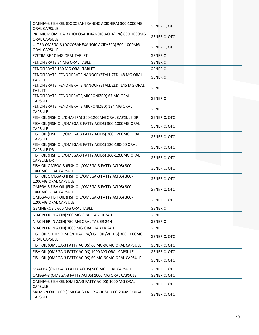| OMEGA-3 FISH OIL (DOCOSAHEXANOIC ACID/EPA) 300-1000MG<br>ORAL CAPSULE                              | <b>GENERIC, OTC</b> |
|----------------------------------------------------------------------------------------------------|---------------------|
| PREMIUM OMEGA-3 (DOCOSAHEXANOIC ACID/EPA) 600-1000MG<br>ORAL CAPSULE                               | <b>GENERIC, OTC</b> |
| ULTRA OMEGA-3 (DOCOSAHEXANOIC ACID/EPA) 500-1000MG<br>ORAL CAPSULE                                 | <b>GENERIC, OTC</b> |
| EZETIMIBE 10 MG ORAL TABLET                                                                        | <b>GENERIC</b>      |
| FENOFIBRATE 54 MG ORAL TABLET                                                                      | <b>GENERIC</b>      |
| FENOFIBRATE 160 MG ORAL TABLET                                                                     | <b>GENERIC</b>      |
| FENOFIBRATE (FENOFIBRATE NANOCRYSTALLIZED) 48 MG ORAL<br><b>TABLET</b>                             | <b>GENERIC</b>      |
| FENOFIBRATE (FENOFIBRATE NANOCRYSTALLIZED) 145 MG ORAL                                             |                     |
| <b>TABLET</b>                                                                                      | <b>GENERIC</b>      |
| FENOFIBRATE (FENOFIBRATE, MICRONIZED) 67 MG ORAL<br><b>CAPSULE</b>                                 | <b>GENERIC</b>      |
| FENOFIBRATE (FENOFIBRATE, MICRONIZED) 134 MG ORAL<br><b>CAPSULE</b>                                | <b>GENERIC</b>      |
| FISH OIL (FISH OIL/DHA/EPA) 360-1200MG ORAL CAPSULE DR                                             | <b>GENERIC, OTC</b> |
| FISH OIL (FISH OIL/OMEGA-3 FATTY ACIDS) 300-1000MG ORAL<br><b>CAPSULE</b>                          | <b>GENERIC, OTC</b> |
| FISH OIL (FISH OIL/OMEGA-3 FATTY ACIDS) 360-1200MG ORAL<br><b>CAPSULE</b>                          | <b>GENERIC, OTC</b> |
| FISH OIL (FISH OIL/OMEGA-3 FATTY ACIDS) 120-180-60 ORAL<br><b>CAPSULE DR</b>                       | <b>GENERIC, OTC</b> |
| FISH OIL (FISH OIL/OMEGA-3 FATTY ACIDS) 360-1200MG ORAL<br><b>CAPSULE DR</b>                       | <b>GENERIC, OTC</b> |
| FISH OIL OMEGA-3 (FISH OIL/OMEGA-3 FATTY ACIDS) 300-                                               |                     |
| 1000MG ORAL CAPSULE                                                                                | <b>GENERIC, OTC</b> |
| FISH OIL OMEGA-3 (FISH OIL/OMEGA-3 FATTY ACIDS) 360-                                               | <b>GENERIC, OTC</b> |
| 1200MG ORAL CAPSULE<br>OMEGA-3 FISH OIL (FISH OIL/OMEGA-3 FATTY ACIDS) 300-                        | <b>GENERIC, OTC</b> |
| 1000MG ORAL CAPSULE<br>OMEGA-3 FISH OIL (FISH OIL/OMEGA-3 FATTY ACIDS) 360-<br>1200MG ORAL CAPSULE | <b>GENERIC, OTC</b> |
| GEMFIBROZIL 600 MG ORAL TABLET                                                                     | <b>GENERIC</b>      |
| NIACIN ER (NIACIN) 500 MG ORAL TAB ER 24H                                                          | <b>GENERIC</b>      |
| NIACIN ER (NIACIN) 750 MG ORAL TAB ER 24H                                                          | <b>GENERIC</b>      |
| NIACIN ER (NIACIN) 1000 MG ORAL TAB ER 24H                                                         | <b>GENERIC</b>      |
| FISH OIL-VIT D3 (OM-3/DHA/EPA/FISH OIL/VIT D3) 300-1000MG                                          |                     |
| <b>ORAL CAPSULE</b>                                                                                | <b>GENERIC, OTC</b> |
| FISH OIL (OMEGA-3 FATTY ACIDS) 60 MG-90MG ORAL CAPSULE                                             | GENERIC, OTC        |
| FISH OIL (OMEGA-3 FATTY ACIDS) 1000 MG ORAL CAPSULE                                                | <b>GENERIC, OTC</b> |
| FISH OIL (OMEGA-3 FATTY ACIDS) 60 MG-90MG ORAL CAPSULE<br>DR                                       | <b>GENERIC, OTC</b> |
| MAXEPA (OMEGA-3 FATTY ACIDS) 500 MG ORAL CAPSULE                                                   | <b>GENERIC, OTC</b> |
| OMEGA-3 (OMEGA-3 FATTY ACIDS) 1000 MG ORAL CAPSULE                                                 | <b>GENERIC, OTC</b> |
| OMEGA-3 FISH OIL (OMEGA-3 FATTY ACIDS) 1000 MG ORAL<br><b>CAPSULE</b>                              | <b>GENERIC, OTC</b> |
| SALMON OIL-1000 (OMEGA-3 FATTY ACIDS) 1000-200MG ORAL<br>CAPSULE                                   | <b>GENERIC, OTC</b> |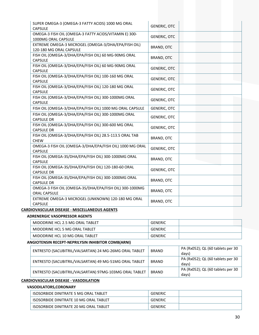| SUPER OMEGA-3 (OMEGA-3 FATTY ACIDS) 1000 MG ORAL<br><b>CAPSULE</b>             | <b>GENERIC, OTC</b> |  |
|--------------------------------------------------------------------------------|---------------------|--|
| OMEGA-3 FISH OIL (OMEGA-3 FATTY ACIDS/VITAMIN E) 300-<br>1000MG ORAL CAPSULE   | <b>GENERIC, OTC</b> |  |
| EXTREME OMEGA-3 MICROGEL (OMEGA-3/DHA/EPA/FISH OIL)<br>120-180 MG ORAL CAPSULE | <b>BRAND, OTC</b>   |  |
| FISH OIL (OMEGA-3/DHA/EPA/FISH OIL) 60 MG-90MG ORAL<br><b>CAPSULE</b>          | <b>BRAND, OTC</b>   |  |
| FISH OIL (OMEGA-3/DHA/EPA/FISH OIL) 60 MG-90MG ORAL<br><b>CAPSULE</b>          | <b>GENERIC, OTC</b> |  |
| FISH OIL (OMEGA-3/DHA/EPA/FISH OIL) 100-160 MG ORAL<br><b>CAPSULE</b>          | <b>GENERIC, OTC</b> |  |
| FISH OIL (OMEGA-3/DHA/EPA/FISH OIL) 120-180 MG ORAL<br><b>CAPSULE</b>          | <b>GENERIC, OTC</b> |  |
| FISH OIL (OMEGA-3/DHA/EPA/FISH OIL) 300-1000MG ORAL<br><b>CAPSULE</b>          | <b>GENERIC, OTC</b> |  |
| FISH OIL (OMEGA-3/DHA/EPA/FISH OIL) 1000 MG ORAL CAPSULE                       | <b>GENERIC, OTC</b> |  |
| FISH OIL (OMEGA-3/DHA/EPA/FISH OIL) 300-1000MG ORAL<br><b>CAPSULE DR</b>       | <b>GENERIC, OTC</b> |  |
| FISH OIL (OMEGA-3/DHA/EPA/FISH OIL) 300-600 MG ORAL<br><b>CAPSULE DR</b>       | <b>GENERIC, OTC</b> |  |
| FISH OIL (OMEGA-3/DHA/EPA/FISH OIL) 28.5-113.5 ORAL TAB<br><b>CHEW</b>         | BRAND, OTC          |  |
| OMEGA-3 FISH OIL (OMEGA-3/DHA/EPA/FISH OIL) 1000 MG ORAL<br><b>CAPSULE</b>     | <b>GENERIC, OTC</b> |  |
| FISH OIL (OMEGA-3S/DHA/EPA/FISH OIL) 300-1000MG ORAL<br><b>CAPSULE</b>         | <b>BRAND, OTC</b>   |  |
| FISH OIL (OMEGA-3S/DHA/EPA/FISH OIL) 120-180-60 ORAL<br><b>CAPSULE DR</b>      | <b>GENERIC, OTC</b> |  |
| FISH OIL (OMEGA-3S/DHA/EPA/FISH OIL) 300-1000MG ORAL<br><b>CAPSULE DR</b>      | BRAND, OTC          |  |
| OMEGA-3 FISH OIL (OMEGA-3S/DHA/EPA/FISH OIL) 300-1000MG<br><b>ORAL CAPSULE</b> | BRAND, OTC          |  |
| EXTREME OMEGA-3 MICROGEL (UNKNOWN) 120-180 MG ORAL<br>CAPSULE                  | BRAND, OTC          |  |

#### **CARDIOVASCULAR DISEASE ‐ MISCELLANEOUS AGENTS**

#### **ADRENERGIC VASOPRESSOR AGENTS**

| MIDODRINE HCL 2.5 MG ORAL TABLET | <b>GENERIC</b> |  |
|----------------------------------|----------------|--|
| MIDODRINE HCL 5 MG ORAL TABLET   | <b>GENERIC</b> |  |
| MIDODRINE HCL 10 MG ORAL TABLET  | <b>GENERIC</b> |  |

#### **ANGIOTENSIN RECEPT‐NEPRILYSIN INHIBITOR COMB(ARNI)**

| ENTRESTO (SACUBITRIL/VALSARTAN) 24 MG-26MG ORAL TABLET | <b>BRAND</b> | PA (Rx052); QL (60 tablets per 30<br>davs) |
|--------------------------------------------------------|--------------|--------------------------------------------|
| ENTRESTO (SACUBITRIL/VALSARTAN) 49 MG-51MG ORAL TABLET | <b>BRAND</b> | PA (Rx052); QL (60 tablets per 30<br>davs) |
| ENTRESTO (SACUBITRIL/VALSARTAN) 97MG-103MG ORAL TABLET | <b>BRAND</b> | PA (Rx052); QL (60 tablets per 30<br>days) |

#### **CARDIOVASCULAR DISEASE ‐ VASODILATION**

#### **VASODILATORS,CORONARY**

| ISOSORBIDE DINITRATE 5 MG ORAL TABLET  | GENERIC |  |
|----------------------------------------|---------|--|
| ISOSORBIDE DINITRATE 10 MG ORAL TABLET | GENERIC |  |
| ISOSORBIDE DINITRATE 20 MG ORAL TABLET | GENERIC |  |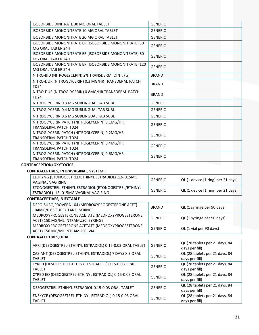| <b>ISOSORBIDE DINITRATE 30 MG ORAL TABLET</b>                                | <b>GENERIC</b> |
|------------------------------------------------------------------------------|----------------|
| ISOSORBIDE MONONITRATE 10 MG ORAL TABLET                                     | <b>GENERIC</b> |
| ISOSORBIDE MONONITRATE 20 MG ORAL TABLET                                     | <b>GENERIC</b> |
| ISOSORBIDE MONONITRATE ER (ISOSORBIDE MONONITRATE) 30<br>MG ORAL TAB ER 24H  | <b>GENERIC</b> |
| ISOSORBIDE MONONITRATE ER (ISOSORBIDE MONONITRATE) 60<br>MG ORAL TAB ER 24H  | <b>GENERIC</b> |
| ISOSORBIDE MONONITRATE ER (ISOSORBIDE MONONITRATE) 120<br>MG ORAL TAB ER 24H | <b>GENERIC</b> |
| NITRO-BID (NITROGLYCERIN) 2% TRANSDERM. OINT. (G)                            | <b>BRAND</b>   |
| NITRO-DUR (NITROGLYCERIN) 0.3 MG/HR TRANSDERM. PATCH<br><b>TD24</b>          | <b>BRAND</b>   |
| NITRO-DUR (NITROGLYCERIN) 0.8MG/HR TRANSDERM. PATCH<br><b>TD24</b>           | <b>BRAND</b>   |
| NITROGLYCERIN 0.3 MG SUBLINGUAL TAB SUBL                                     | <b>GENERIC</b> |
| NITROGLYCERIN 0.4 MG SUBLINGUAL TAB SUBL                                     | <b>GENERIC</b> |
| NITROGLYCERIN 0.6 MG SUBLINGUAL TAB SUBL                                     | <b>GENERIC</b> |
| NITROGLYCERIN PATCH (NITROGLYCERIN) 0.1MG/HR<br><b>TRANSDERM. PATCH TD24</b> | <b>GENERIC</b> |
| NITROGLYCERIN PATCH (NITROGLYCERIN) 0.2MG/HR<br><b>TRANSDERM. PATCH TD24</b> | <b>GENERIC</b> |
| NITROGLYCERIN PATCH (NITROGLYCERIN) 0.4MG/HR<br><b>TRANSDERM. PATCH TD24</b> | <b>GENERIC</b> |
| NITROGLYCERIN PATCH (NITROGLYCERIN) 0.6MG/HR<br><b>TRANSDERM. PATCH TD24</b> | <b>GENERIC</b> |

# **CONTRACEPTION/OXYTOCICS**

#### **CONTRACEPTIVES, INTRAVAGINAL, SYSTEMIC**

| ELURYNG (ETONOGESTREL/ETHINYL ESTRADIOL) .12-.015MG<br>VAGINAL VAG RING                        | <b>GENERIC</b> | QL (1 device [1 ring] per 21 days) |
|------------------------------------------------------------------------------------------------|----------------|------------------------------------|
| ETONOGESTREL-ETHINYL ESTRADIOL (ETONOGESTREL/ETHINYL<br>ESTRADIOL) .12-.015MG VAGINAL VAG RING | <b>GENERIC</b> | QL (1 device [1 ring] per 21 days) |
| CONTRACEPTIVES, INJECTABLE                                                                     |                |                                    |
| DEPO-SUBQ PROVERA 104 (MEDROXYPROGESTERONE ACET)<br>104MG/0.65 SUBCUTANE. SYRINGE              | <b>BRAND</b>   | QL (1 syringe per 90 days)         |
| MEDROXYPROGESTERONE ACETATE (MEDROXYPROGESTERONE<br>ACET) 150 MG/ML INTRAMUSC. SYRINGE         | <b>GENERIC</b> | QL (1 syringe per 90 days)         |
| MEDROXYPROGESTERONE ACETATE (MEDROXYPROGESTERONE<br>ACET) 150 MG/ML INTRAMUSC. VIAL            | <b>GENERIC</b> | QL (1 vial per 90 days)            |
| <b>CONTRACEPTIVES, ORAL</b>                                                                    |                |                                    |
|                                                                                                |                | $0.100 + 1.1 + 1.1 + 1.1 = 0.4$    |

| APRI (DESOGESTREL-ETHINYL ESTRADIOL) 0.15-0.03 ORAL TABLET               | <b>GENERIC</b> | QL (28 tablets per 21 days, 84<br>days per fill) |
|--------------------------------------------------------------------------|----------------|--------------------------------------------------|
| CAZIANT (DESOGESTREL-ETHINYL ESTRADIOL) 7 DAYS X 3 ORAL<br><b>TABLET</b> | <b>GENERIC</b> | QL (28 tablets per 21 days, 84<br>days per fill) |
| CYRED (DESOGESTREL-ETHINYL ESTRADIOL) 0.15-0.03 ORAL<br><b>TABLET</b>    | <b>GENERIC</b> | QL (28 tablets per 21 days, 84<br>days per fill) |
| CYRED EQ (DESOGESTREL-ETHINYL ESTRADIOL) 0.15-0.03 ORAL<br><b>TABLET</b> | <b>GENERIC</b> | QL (28 tablets per 21 days, 84<br>days per fill) |
| DESOGESTREL-ETHINYL ESTRADIOL 0.15-0.03 ORAL TABLET                      | <b>GENERIC</b> | QL (28 tablets per 21 days, 84<br>days per fill) |
| ENSKYCE (DESOGESTREL-ETHINYL ESTRADIOL) 0.15-0.03 ORAL<br><b>TABLET</b>  | <b>GENERIC</b> | QL (28 tablets per 21 days, 84<br>days per fill) |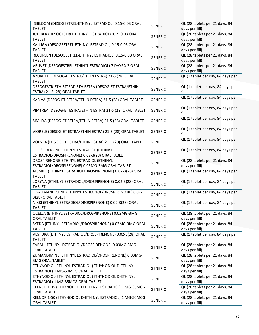| ISIBLOOM (DESOGESTREL-ETHINYL ESTRADIOL) 0.15-0.03 ORAL<br><b>TABLET</b>                  | <b>GENERIC</b> | QL (28 tablets per 21 days, 84<br>days per fill) |
|-------------------------------------------------------------------------------------------|----------------|--------------------------------------------------|
| JULEBER (DESOGESTREL-ETHINYL ESTRADIOL) 0.15-0.03 ORAL<br><b>TABLET</b>                   | <b>GENERIC</b> | QL (28 tablets per 21 days, 84<br>days per fill) |
| KALLIGA (DESOGESTREL-ETHINYL ESTRADIOL) 0.15-0.03 ORAL<br><b>TABLET</b>                   | <b>GENERIC</b> | QL (28 tablets per 21 days, 84<br>days per fill) |
| RECLIPSEN (DESOGESTREL-ETHINYL ESTRADIOL) 0.15-0.03 ORAL<br><b>TABLET</b>                 | <b>GENERIC</b> | QL (28 tablets per 21 days, 84<br>days per fill) |
| VELIVET (DESOGESTREL-ETHINYL ESTRADIOL) 7 DAYS X 3 ORAL<br><b>TABLET</b>                  | <b>GENERIC</b> | QL (28 tablets per 21 days, 84<br>days per fill) |
| AZURETTE (DESOG-ET ESTRA/ETHIN ESTRA) 21-5 (28) ORAL<br><b>TABLET</b>                     | <b>GENERIC</b> | QL (1 tablet per day, 84 days per<br>fill)       |
| DESOGESTR-ETH ESTRAD ETH ESTRA (DESOG-ET ESTRA/ETHIN<br>ESTRA) 21-5 (28) ORAL TABLET      | <b>GENERIC</b> | QL (1 tablet per day, 84 days per<br>fill)       |
| KARIVA (DESOG-ET ESTRA/ETHIN ESTRA) 21-5 (28) ORAL TABLET                                 | <b>GENERIC</b> | QL (1 tablet per day, 84 days per<br>fill)       |
| PIMTREA (DESOG-ET ESTRA/ETHIN ESTRA) 21-5 (28) ORAL TABLET                                | <b>GENERIC</b> | QL (1 tablet per day, 84 days per<br>fill)       |
| SIMLIYA (DESOG-ET ESTRA/ETHIN ESTRA) 21-5 (28) ORAL TABLET                                | <b>GENERIC</b> | QL (1 tablet per day, 84 days per<br>fill)       |
| VIORELE (DESOG-ET ESTRA/ETHIN ESTRA) 21-5 (28) ORAL TABLET                                | <b>GENERIC</b> | QL (1 tablet per day, 84 days per<br>fill)       |
| VOLNEA (DESOG-ET ESTRA/ETHIN ESTRA) 21-5 (28) ORAL TABLET                                 | <b>GENERIC</b> | QL (1 tablet per day, 84 days per<br>fill)       |
| DROSPIRENONE-ETHINYL ESTRADIOL (ETHINYL<br>ESTRADIOL/DROSPIRENONE) 0.02-3(28) ORAL TABLET | <b>GENERIC</b> | QL (1 tablet per day, 84 days per<br>fill)       |
| DROSPIRENONE-ETHINYL ESTRADIOL (ETHINYL<br>ESTRADIOL/DROSPIRENONE) 0.03MG-3MG ORAL TABLET | <b>GENERIC</b> | QL (28 tablets per 21 days, 84<br>days per fill) |
| JASMIEL (ETHINYL ESTRADIOL/DROSPIRENONE) 0.02-3(28) ORAL<br><b>TABLET</b>                 | <b>GENERIC</b> | QL (1 tablet per day, 84 days per<br>fill)       |
| LORYNA (ETHINYL ESTRADIOL/DROSPIRENONE) 0.02-3(28) ORAL<br><b>TABLET</b>                  | <b>GENERIC</b> | QL (1 tablet per day, 84 days per<br>fill)       |
| LO-ZUMANDIMINE (ETHINYL ESTRADIOL/DROSPIRENONE) 0.02-<br>3(28) ORAL TABLET                | <b>GENERIC</b> | QL (1 tablet per day, 84 days per<br>fill)       |
| NIKKI (ETHINYL ESTRADIOL/DROSPIRENONE) 0.02-3(28) ORAL<br><b>TABLET</b>                   | <b>GENERIC</b> | QL (1 tablet per day, 84 days per<br>fill)       |
| OCELLA (ETHINYL ESTRADIOL/DROSPIRENONE) 0.03MG-3MG<br><b>ORAL TABLET</b>                  | <b>GENERIC</b> | QL (28 tablets per 21 days, 84<br>days per fill) |
| SYEDA (ETHINYL ESTRADIOL/DROSPIRENONE) 0.03MG-3MG ORAL<br><b>TABLET</b>                   | <b>GENERIC</b> | QL (28 tablets per 21 days, 84<br>days per fill) |
| VESTURA (ETHINYL ESTRADIOL/DROSPIRENONE) 0.02-3(28) ORAL<br><b>TABLET</b>                 | <b>GENERIC</b> | QL (1 tablet per day, 84 days per<br>fill)       |
| ZARAH (ETHINYL ESTRADIOL/DROSPIRENONE) 0.03MG-3MG<br><b>ORAL TABLET</b>                   | <b>GENERIC</b> | QL (28 tablets per 21 days, 84<br>days per fill) |
| ZUMANDIMINE (ETHINYL ESTRADIOL/DROSPIRENONE) 0.03MG-<br><b>3MG ORAL TABLET</b>            | <b>GENERIC</b> | QL (28 tablets per 21 days, 84<br>days per fill) |
| ETHYNODIOL-ETHINYL ESTRADIOL (ETHYNODIOL D-ETHINYL<br>ESTRADIOL) 1 MG-50MCG ORAL TABLET   | <b>GENERIC</b> | QL (28 tablets per 21 days, 84<br>days per fill) |
| ETHYNODIOL-ETHINYL ESTRADIOL (ETHYNODIOL D-ETHINYL<br>ESTRADIOL) 1 MG-35MCG ORAL TABLET   | <b>GENERIC</b> | QL (28 tablets per 21 days, 84<br>days per fill) |
| KELNOR 1-35 (ETHYNODIOL D-ETHINYL ESTRADIOL) 1 MG-35MCG<br><b>ORAL TABLET</b>             | <b>GENERIC</b> | QL (28 tablets per 21 days, 84<br>days per fill) |
| KELNOR 1-50 (ETHYNODIOL D-ETHINYL ESTRADIOL) 1 MG-50MCG<br><b>ORAL TABLET</b>             | <b>GENERIC</b> | QL (28 tablets per 21 days, 84<br>days per fill) |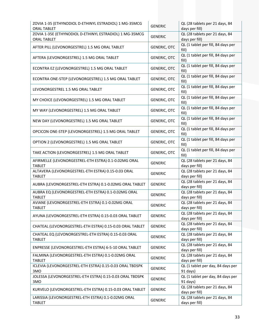| ZOVIA 1-35 (ETHYNODIOL D-ETHINYL ESTRADIOL) 1 MG-35MCG<br><b>ORAL TABLET</b>  | <b>GENERIC</b>      | QL (28 tablets per 21 days, 84<br>days per fill) |
|-------------------------------------------------------------------------------|---------------------|--------------------------------------------------|
| ZOVIA 1-35E (ETHYNODIOL D-ETHINYL ESTRADIOL) 1 MG-35MCG<br><b>ORAL TABLET</b> | <b>GENERIC</b>      | QL (28 tablets per 21 days, 84<br>days per fill) |
| AFTER PILL (LEVONORGESTREL) 1.5 MG ORAL TABLET                                | <b>GENERIC, OTC</b> | QL (1 tablet per fill, 84 days per<br>fill)      |
| AFTERA (LEVONORGESTREL) 1.5 MG ORAL TABLET                                    | <b>GENERIC, OTC</b> | QL (1 tablet per fill, 84 days per<br>fill)      |
| ECONTRA EZ (LEVONORGESTREL) 1.5 MG ORAL TABLET                                | <b>GENERIC, OTC</b> | QL (1 tablet per fill, 84 days per<br>fill)      |
| ECONTRA ONE-STEP (LEVONORGESTREL) 1.5 MG ORAL TABLET                          | <b>GENERIC, OTC</b> | QL (1 tablet per fill, 84 days per<br>fill)      |
| LEVONORGESTREL 1.5 MG ORAL TABLET                                             | <b>GENERIC, OTC</b> | QL (1 tablet per fill, 84 days per<br>fill)      |
| MY CHOICE (LEVONORGESTREL) 1.5 MG ORAL TABLET                                 | <b>GENERIC, OTC</b> | QL (1 tablet per fill, 84 days per<br>fill)      |
| MY WAY (LEVONORGESTREL) 1.5 MG ORAL TABLET                                    | GENERIC, OTC        | QL (1 tablet per fill, 84 days per<br>fill)      |
| NEW DAY (LEVONORGESTREL) 1.5 MG ORAL TABLET                                   | <b>GENERIC, OTC</b> | QL (1 tablet per fill, 84 days per<br>fill)      |
| OPCICON ONE-STEP (LEVONORGESTREL) 1.5 MG ORAL TABLET                          | <b>GENERIC, OTC</b> | QL (1 tablet per fill, 84 days per<br>fill)      |
| OPTION 2 (LEVONORGESTREL) 1.5 MG ORAL TABLET                                  | <b>GENERIC, OTC</b> | QL (1 tablet per fill, 84 days per<br>fill)      |
| TAKE ACTION (LEVONORGESTREL) 1.5 MG ORAL TABLET                               | <b>GENERIC, OTC</b> | QL (1 tablet per fill, 84 days per<br>fill)      |
| AFIRMELLE (LEVONORGESTREL-ETH ESTRA) 0.1-0.02MG ORAL<br><b>TABLET</b>         | <b>GENERIC</b>      | QL (28 tablets per 21 days, 84<br>days per fill) |
| ALTAVERA (LEVONORGESTREL-ETH ESTRA) 0.15-0.03 ORAL<br><b>TABLET</b>           | <b>GENERIC</b>      | QL (28 tablets per 21 days, 84<br>days per fill) |
| AUBRA (LEVONORGESTREL-ETH ESTRA) 0.1-0.02MG ORAL TABLET                       | <b>GENERIC</b>      | QL (28 tablets per 21 days, 84<br>days per fill) |
| AUBRA EQ (LEVONORGESTREL-ETH ESTRA) 0.1-0.02MG ORAL<br><b>TABLET</b>          | <b>GENERIC</b>      | QL (28 tablets per 21 days, 84<br>days per fill) |
| AVIANE (LEVONORGESTREL-ETH ESTRA) 0.1-0.02MG ORAL<br><b>TABLET</b>            | <b>GENERIC</b>      | QL (28 tablets per 21 days, 84<br>days per fill) |
| AYUNA (LEVONORGESTREL-ETH ESTRA) 0.15-0.03 ORAL TABLET                        | <b>GENERIC</b>      | QL (28 tablets per 21 days, 84<br>days per fill) |
| CHATEAL (LEVONORGESTREL-ETH ESTRA) 0.15-0.03 ORAL TABLET                      | <b>GENERIC</b>      | QL (28 tablets per 21 days, 84<br>days per fill) |
| CHATEAL EQ (LEVONORGESTREL-ETH ESTRA) 0.15-0.03 ORAL<br><b>TABLET</b>         | <b>GENERIC</b>      | QL (28 tablets per 21 days, 84<br>days per fill) |
| ENPRESSE (LEVONORGESTREL-ETH ESTRA) 6-5-10 ORAL TABLET                        | <b>GENERIC</b>      | QL (28 tablets per 21 days, 84<br>days per fill) |
| FALMINA (LEVONORGESTREL-ETH ESTRA) 0.1-0.02MG ORAL<br><b>TABLET</b>           | <b>GENERIC</b>      | QL (28 tablets per 21 days, 84<br>days per fill) |
| ICLEVIA (LEVONORGESTREL-ETH ESTRA) 0.15-0.03 ORAL TBDSPK<br>3MO               | <b>GENERIC</b>      | QL (1 tablet per day, 84 days per<br>91 days)    |
| JOLESSA (LEVONORGESTREL-ETH ESTRA) 0.15-0.03 ORAL TBDSPK<br>3MO               | <b>GENERIC</b>      | QL (1 tablet per day, 84 days per<br>91 days)    |
| KURVELO (LEVONORGESTREL-ETH ESTRA) 0.15-0.03 ORAL TABLET                      | <b>GENERIC</b>      | QL (28 tablets per 21 days, 84<br>days per fill) |
| LARISSIA (LEVONORGESTREL-ETH ESTRA) 0.1-0.02MG ORAL<br><b>TABLET</b>          | <b>GENERIC</b>      | QL (28 tablets per 21 days, 84<br>days per fill) |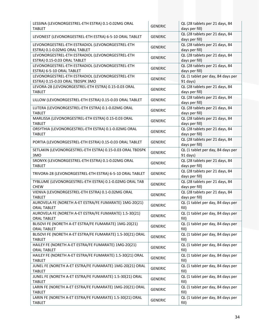| LESSINA (LEVONORGESTREL-ETH ESTRA) 0.1-0.02MG ORAL<br><b>TABLET</b>                  | <b>GENERIC</b> | QL (28 tablets per 21 days, 84<br>days per fill) |
|--------------------------------------------------------------------------------------|----------------|--------------------------------------------------|
| LEVONEST (LEVONORGESTREL-ETH ESTRA) 6-5-10 ORAL TABLET                               | <b>GENERIC</b> | QL (28 tablets per 21 days, 84<br>days per fill) |
| LEVONORGESTREL-ETH ESTRADIOL (LEVONORGESTREL-ETH<br>ESTRA) 0.1-0.02MG ORAL TABLET    | <b>GENERIC</b> | QL (28 tablets per 21 days, 84<br>days per fill) |
| LEVONORGESTREL-ETH ESTRADIOL (LEVONORGESTREL-ETH<br>ESTRA) 0.15-0.03 ORAL TABLET     | <b>GENERIC</b> | QL (28 tablets per 21 days, 84<br>days per fill) |
| LEVONORGESTREL-ETH ESTRADIOL (LEVONORGESTREL-ETH<br>ESTRA) 6-5-10 ORAL TABLET        | <b>GENERIC</b> | QL (28 tablets per 21 days, 84<br>days per fill) |
| LEVONORGESTREL-ETH ESTRADIOL (LEVONORGESTREL-ETH<br>ESTRA) 0.15-0.03 ORAL TBDSPK 3MO | <b>GENERIC</b> | QL (1 tablet per day, 84 days per<br>91 days)    |
| LEVORA-28 (LEVONORGESTREL-ETH ESTRA) 0.15-0.03 ORAL<br><b>TABLET</b>                 | <b>GENERIC</b> | QL (28 tablets per 21 days, 84<br>days per fill) |
| LILLOW (LEVONORGESTREL-ETH ESTRA) 0.15-0.03 ORAL TABLET                              | <b>GENERIC</b> | QL (28 tablets per 21 days, 84<br>days per fill) |
| LUTERA (LEVONORGESTREL-ETH ESTRA) 0.1-0.02MG ORAL<br><b>TABLET</b>                   | <b>GENERIC</b> | QL (28 tablets per 21 days, 84<br>days per fill) |
| MARLISSA (LEVONORGESTREL-ETH ESTRA) 0.15-0.03 ORAL<br><b>TABLET</b>                  | <b>GENERIC</b> | QL (28 tablets per 21 days, 84<br>days per fill) |
| ORSYTHIA (LEVONORGESTREL-ETH ESTRA) 0.1-0.02MG ORAL<br><b>TABLET</b>                 | <b>GENERIC</b> | QL (28 tablets per 21 days, 84<br>days per fill) |
| PORTIA (LEVONORGESTREL-ETH ESTRA) 0.15-0.03 ORAL TABLET                              | <b>GENERIC</b> | QL (28 tablets per 21 days, 84<br>days per fill) |
| SETLAKIN (LEVONORGESTREL-ETH ESTRA) 0.15-0.03 ORAL TBDSPK<br>3MO                     | <b>GENERIC</b> | QL (1 tablet per day, 84 days per<br>91 days)    |
| SRONYX (LEVONORGESTREL-ETH ESTRA) 0.1-0.02MG ORAL<br><b>TABLET</b>                   | <b>GENERIC</b> | QL (28 tablets per 21 days, 84<br>days per fill) |
| TRIVORA-28 (LEVONORGESTREL-ETH ESTRA) 6-5-10 ORAL TABLET                             | <b>GENERIC</b> | QL (28 tablets per 21 days, 84<br>days per fill) |
| TYBLUME (LEVONORGESTREL-ETH ESTRA) 0.1-0.02MG ORAL TAB<br><b>CHEW</b>                | <b>GENERIC</b> | QL (28 tablets per 21 days, 84<br>days per fill) |
| VIENVA (LEVONORGESTREL-ETH ESTRA) 0.1-0.02MG ORAL<br><b>TABLET</b>                   | <b>GENERIC</b> | QL (28 tablets per 21 days, 84<br>days per fill) |
| AUROVELA FE (NORETH A-ET ESTRA/FE FUMARATE) 1MG-20(21)<br><b>ORAL TABLET</b>         | <b>GENERIC</b> | QL (1 tablet per day, 84 days per<br>fill)       |
| AUROVELA FE (NORETH A-ET ESTRA/FE FUMARATE) 1.5-30(21)<br><b>ORAL TABLET</b>         | <b>GENERIC</b> | QL (1 tablet per day, 84 days per<br>fill)       |
| BLISOVI FE (NORETH A-ET ESTRA/FE FUMARATE) 1MG-20(21)<br><b>ORAL TABLET</b>          | <b>GENERIC</b> | QL (1 tablet per day, 84 days per<br>fill)       |
| BLISOVI FE (NORETH A-ET ESTRA/FE FUMARATE) 1.5-30(21) ORAL<br><b>TABLET</b>          | <b>GENERIC</b> | QL (1 tablet per day, 84 days per<br>fill)       |
| HAILEY FE (NORETH A-ET ESTRA/FE FUMARATE) 1MG-20(21)<br><b>ORAL TABLET</b>           | <b>GENERIC</b> | QL (1 tablet per day, 84 days per<br>fill)       |
| HAILEY FE (NORETH A-ET ESTRA/FE FUMARATE) 1.5-30(21) ORAL<br><b>TABLET</b>           | <b>GENERIC</b> | QL (1 tablet per day, 84 days per<br>fill)       |
| JUNEL FE (NORETH A-ET ESTRA/FE FUMARATE) 1MG-20(21) ORAL<br><b>TABLET</b>            | <b>GENERIC</b> | QL (1 tablet per day, 84 days per<br>fill)       |
| JUNEL FE (NORETH A-ET ESTRA/FE FUMARATE) 1.5-30(21) ORAL<br><b>TABLET</b>            | <b>GENERIC</b> | QL (1 tablet per day, 84 days per<br>fill)       |
| LARIN FE (NORETH A-ET ESTRA/FE FUMARATE) 1MG-20(21) ORAL<br><b>TABLET</b>            | <b>GENERIC</b> | QL (1 tablet per day, 84 days per<br>fill)       |
| LARIN FE (NORETH A-ET ESTRA/FE FUMARATE) 1.5-30(21) ORAL<br><b>TABLET</b>            | <b>GENERIC</b> | QL (1 tablet per day, 84 days per<br>fill)       |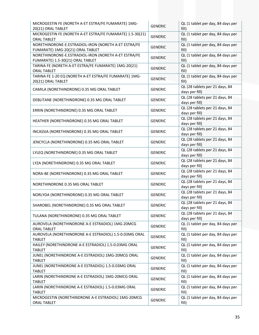| MICROGESTIN FE (NORETH A-ET ESTRA/FE FUMARATE) 1MG-<br>20(21) ORAL TABLET                | <b>GENERIC</b> | QL (1 tablet per day, 84 days per<br>fill)       |
|------------------------------------------------------------------------------------------|----------------|--------------------------------------------------|
| MICROGESTIN FE (NORETH A-ET ESTRA/FE FUMARATE) 1.5-30(21)<br><b>ORAL TABLET</b>          | <b>GENERIC</b> | QL (1 tablet per day, 84 days per<br>fill)       |
| NORETHINDRONE-E.ESTRADIOL-IRON (NORETH A-ET ESTRA/FE<br>FUMARATE) 1MG-20(21) ORAL TABLET | <b>GENERIC</b> | QL (1 tablet per day, 84 days per<br>fill)       |
| NORETHINDRONE-E.ESTRADIOL-IRON (NORETH A-ET ESTRA/FE<br>FUMARATE) 1.5-30(21) ORAL TABLET | <b>GENERIC</b> | QL (1 tablet per day, 84 days per<br>fill)       |
| TARINA FE (NORETH A-ET ESTRA/FE FUMARATE) 1MG-20(21)<br><b>ORAL TABLET</b>               | <b>GENERIC</b> | QL (1 tablet per day, 84 days per<br>fill)       |
| TARINA FE 1-20 EQ (NORETH A-ET ESTRA/FE FUMARATE) 1MG-<br>20(21) ORAL TABLET             | <b>GENERIC</b> | QL (1 tablet per day, 84 days per<br>fill)       |
| CAMILA (NORETHINDRONE) 0.35 MG ORAL TABLET                                               | <b>GENERIC</b> | QL (28 tablets per 21 days, 84<br>days per fill) |
| DEBLITANE (NORETHINDRONE) 0.35 MG ORAL TABLET                                            | <b>GENERIC</b> | QL (28 tablets per 21 days, 84<br>days per fill) |
| ERRIN (NORETHINDRONE) 0.35 MG ORAL TABLET                                                | <b>GENERIC</b> | QL (28 tablets per 21 days, 84<br>days per fill) |
| HEATHER (NORETHINDRONE) 0.35 MG ORAL TABLET                                              | <b>GENERIC</b> | QL (28 tablets per 21 days, 84<br>days per fill) |
| INCASSIA (NORETHINDRONE) 0.35 MG ORAL TABLET                                             | <b>GENERIC</b> | QL (28 tablets per 21 days, 84<br>days per fill) |
| JENCYCLA (NORETHINDRONE) 0.35 MG ORAL TABLET                                             | <b>GENERIC</b> | QL (28 tablets per 21 days, 84<br>days per fill) |
| LYLEQ (NORETHINDRONE) 0.35 MG ORAL TABLET                                                | <b>GENERIC</b> | QL (28 tablets per 21 days, 84<br>days per fill) |
| LYZA (NORETHINDRONE) 0.35 MG ORAL TABLET                                                 | <b>GENERIC</b> | QL (28 tablets per 21 days, 84<br>days per fill) |
| NORA-BE (NORETHINDRONE) 0.35 MG ORAL TABLET                                              | <b>GENERIC</b> | QL (28 tablets per 21 days, 84<br>days per fill) |
| NORETHINDRONE 0.35 MG ORAL TABLET                                                        | <b>GENERIC</b> | QL (28 tablets per 21 days, 84<br>days per fill) |
| NORLYDA (NORETHINDRONE) 0.35 MG ORAL TABLET                                              | <b>GENERIC</b> | QL (28 tablets per 21 days, 84<br>days per fill) |
| SHAROBEL (NORETHINDRONE) 0.35 MG ORAL TABLET                                             | <b>GENERIC</b> | QL (28 tablets per 21 days, 84<br>days per fill) |
| TULANA (NORETHINDRONE) 0.35 MG ORAL TABLET                                               | <b>GENERIC</b> | QL (28 tablets per 21 days, 84<br>days per fill) |
| AUROVELA (NORETHINDRONE A-E ESTRADIOL) 1MG-20MCG<br><b>ORAL TABLET</b>                   | <b>GENERIC</b> | QL (1 tablet per day, 84 days per<br>fill)       |
| AUROVELA (NORETHINDRONE A-E ESTRADIOL) 1.5-0.03MG ORAL<br><b>TABLET</b>                  | <b>GENERIC</b> | QL (1 tablet per day, 84 days per<br>fill)       |
| HAILEY (NORETHINDRONE A-E ESTRADIOL) 1.5-0.03MG ORAL<br><b>TABLET</b>                    | <b>GENERIC</b> | QL (1 tablet per day, 84 days per<br>fill)       |
| JUNEL (NORETHINDRONE A-E ESTRADIOL) 1MG-20MCG ORAL<br><b>TABLET</b>                      | <b>GENERIC</b> | QL (1 tablet per day, 84 days per<br>fill)       |
| JUNEL (NORETHINDRONE A-E ESTRADIOL) 1.5-0.03MG ORAL<br><b>TABLET</b>                     | <b>GENERIC</b> | QL (1 tablet per day, 84 days per<br>fill)       |
| LARIN (NORETHINDRONE A-E ESTRADIOL) 1MG-20MCG ORAL<br><b>TABLET</b>                      | <b>GENERIC</b> | QL (1 tablet per day, 84 days per<br>fill)       |
| LARIN (NORETHINDRONE A-E ESTRADIOL) 1.5-0.03MG ORAL<br><b>TABLET</b>                     | <b>GENERIC</b> | QL (1 tablet per day, 84 days per<br>fill)       |
| MICROGESTIN (NORETHINDRONE A-E ESTRADIOL) 1MG-20MCG<br>ORAL TABLET                       | <b>GENERIC</b> | QL (1 tablet per day, 84 days per<br>fill)       |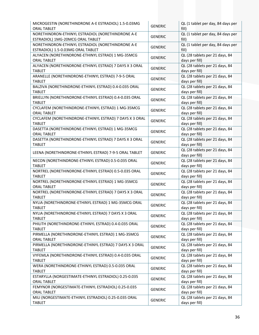| MICROGESTIN (NORETHINDRONE A-E ESTRADIOL) 1.5-0.03MG<br><b>ORAL TABLET</b>             | <b>GENERIC</b> | QL (1 tablet per day, 84 days per<br>fill)       |
|----------------------------------------------------------------------------------------|----------------|--------------------------------------------------|
| NORETHINDRON-ETHINYL ESTRADIOL (NORETHINDRONE A-E<br>ESTRADIOL) 1MG-20MCG ORAL TABLET  | <b>GENERIC</b> | QL (1 tablet per day, 84 days per<br>fill)       |
| NORETHINDRON-ETHINYL ESTRADIOL (NORETHINDRONE A-E<br>ESTRADIOL) 1.5-0.03MG ORAL TABLET | <b>GENERIC</b> | QL (1 tablet per day, 84 days per<br>fill)       |
| ALYACEN (NORETHINDRONE-ETHINYL ESTRAD) 1 MG-35MCG<br><b>ORAL TABLET</b>                | <b>GENERIC</b> | QL (28 tablets per 21 days, 84<br>days per fill) |
| ALYACEN (NORETHINDRONE-ETHINYL ESTRAD) 7 DAYS X 3 ORAL<br><b>TABLET</b>                | <b>GENERIC</b> | QL (28 tablets per 21 days, 84<br>days per fill) |
| ARANELLE (NORETHINDRONE-ETHINYL ESTRAD) 7-9-5 ORAL<br><b>TABLET</b>                    | <b>GENERIC</b> | QL (28 tablets per 21 days, 84<br>days per fill) |
| BALZIVA (NORETHINDRONE-ETHINYL ESTRAD) 0.4-0.035 ORAL<br><b>TABLET</b>                 | <b>GENERIC</b> | QL (28 tablets per 21 days, 84<br>days per fill) |
| BRIELLYN (NORETHINDRONE-ETHINYL ESTRAD) 0.4-0.035 ORAL<br><b>TABLET</b>                | <b>GENERIC</b> | QL (28 tablets per 21 days, 84<br>days per fill) |
| CYCLAFEM (NORETHINDRONE-ETHINYL ESTRAD) 1 MG-35MCG<br><b>ORAL TABLET</b>               | <b>GENERIC</b> | QL (28 tablets per 21 days, 84<br>days per fill) |
| CYCLAFEM (NORETHINDRONE-ETHINYL ESTRAD) 7 DAYS X 3 ORAL<br><b>TABLET</b>               | <b>GENERIC</b> | QL (28 tablets per 21 days, 84<br>days per fill) |
| DASETTA (NORETHINDRONE-ETHINYL ESTRAD) 1 MG-35MCG<br><b>ORAL TABLET</b>                | <b>GENERIC</b> | QL (28 tablets per 21 days, 84<br>days per fill) |
| DASETTA (NORETHINDRONE-ETHINYL ESTRAD) 7 DAYS X 3 ORAL<br><b>TABLET</b>                | <b>GENERIC</b> | QL (28 tablets per 21 days, 84<br>days per fill) |
| LEENA (NORETHINDRONE-ETHINYL ESTRAD) 7-9-5 ORAL TABLET                                 | <b>GENERIC</b> | QL (28 tablets per 21 days, 84<br>days per fill) |
| NECON (NORETHINDRONE-ETHINYL ESTRAD) 0.5-0.035 ORAL<br><b>TABLET</b>                   | <b>GENERIC</b> | QL (28 tablets per 21 days, 84<br>days per fill) |
| NORTREL (NORETHINDRONE-ETHINYL ESTRAD) 0.5-0.035 ORAL<br><b>TABLET</b>                 | <b>GENERIC</b> | QL (28 tablets per 21 days, 84<br>days per fill) |
| NORTREL (NORETHINDRONE-ETHINYL ESTRAD) 1 MG-35MCG<br><b>ORAL TABLET</b>                | <b>GENERIC</b> | QL (28 tablets per 21 days, 84<br>days per fill) |
| NORTREL (NORETHINDRONE-ETHINYL ESTRAD) 7 DAYS X 3 ORAL<br><b>TABLET</b>                | <b>GENERIC</b> | QL (28 tablets per 21 days, 84<br>days per fill) |
| NYLIA (NORETHINDRONE-ETHINYL ESTRAD) 1 MG-35MCG ORAL<br><b>TABLET</b>                  | <b>GENERIC</b> | QL (28 tablets per 21 days, 84<br>days per fill) |
| NYLIA (NORETHINDRONE-ETHINYL ESTRAD) 7 DAYS X 3 ORAL<br><b>TABLET</b>                  | <b>GENERIC</b> | QL (28 tablets per 21 days, 84<br>days per fill) |
| PHILITH (NORETHINDRONE-ETHINYL ESTRAD) 0.4-0.035 ORAL<br><b>TABLET</b>                 | <b>GENERIC</b> | QL (28 tablets per 21 days, 84<br>days per fill) |
| PIRMELLA (NORETHINDRONE-ETHINYL ESTRAD) 1 MG-35MCG<br><b>ORAL TABLET</b>               | <b>GENERIC</b> | QL (28 tablets per 21 days, 84<br>days per fill) |
| PIRMELLA (NORETHINDRONE-ETHINYL ESTRAD) 7 DAYS X 3 ORAL<br><b>TABLET</b>               | <b>GENERIC</b> | QL (28 tablets per 21 days, 84<br>days per fill) |
| VYFEMLA (NORETHINDRONE-ETHINYL ESTRAD) 0.4-0.035 ORAL<br><b>TABLET</b>                 | <b>GENERIC</b> | QL (28 tablets per 21 days, 84<br>days per fill) |
| WERA (NORETHINDRONE-ETHINYL ESTRAD) 0.5-0.035 ORAL<br><b>TABLET</b>                    | <b>GENERIC</b> | QL (28 tablets per 21 days, 84<br>days per fill) |
| ESTARYLLA (NORGESTIMATE-ETHINYL ESTRADIOL) 0.25-0.035<br><b>ORAL TABLET</b>            | <b>GENERIC</b> | QL (28 tablets per 21 days, 84<br>days per fill) |
| FEMYNOR (NORGESTIMATE-ETHINYL ESTRADIOL) 0.25-0.035<br><b>ORAL TABLET</b>              | <b>GENERIC</b> | QL (28 tablets per 21 days, 84<br>days per fill) |
| MILI (NORGESTIMATE-ETHINYL ESTRADIOL) 0.25-0.035 ORAL<br><b>TABLET</b>                 | <b>GENERIC</b> | QL (28 tablets per 21 days, 84<br>days per fill) |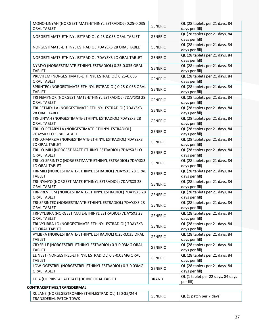| MONO-LINYAH (NORGESTIMATE-ETHINYL ESTRADIOL) 0.25-0.035<br><b>ORAL TABLET</b>  | <b>GENERIC</b> | QL (28 tablets per 21 days, 84<br>days per fill) |
|--------------------------------------------------------------------------------|----------------|--------------------------------------------------|
| NORGESTIMATE-ETHINYL ESTRADIOL 0.25-0.035 ORAL TABLET                          | <b>GENERIC</b> | QL (28 tablets per 21 days, 84<br>days per fill) |
| NORGESTIMATE-ETHINYL ESTRADIOL 7DAYSX3 28 ORAL TABLET                          | <b>GENERIC</b> | QL (28 tablets per 21 days, 84<br>days per fill) |
| NORGESTIMATE-ETHINYL ESTRADIOL 7DAYSX3 LO ORAL TABLET                          | <b>GENERIC</b> | QL (28 tablets per 21 days, 84<br>days per fill) |
| NYMYO (NORGESTIMATE-ETHINYL ESTRADIOL) 0.25-0.035 ORAL<br><b>TABLET</b>        | <b>GENERIC</b> | QL (28 tablets per 21 days, 84<br>days per fill) |
| PREVIFEM (NORGESTIMATE-ETHINYL ESTRADIOL) 0.25-0.035<br><b>ORAL TABLET</b>     | <b>GENERIC</b> | QL (28 tablets per 21 days, 84<br>days per fill) |
| SPRINTEC (NORGESTIMATE-ETHINYL ESTRADIOL) 0.25-0.035 ORAL<br><b>TABLET</b>     | <b>GENERIC</b> | QL (28 tablets per 21 days, 84<br>days per fill) |
| TRI FEMYNOR (NORGESTIMATE-ETHINYL ESTRADIOL) 7DAYSX3 28<br><b>ORAL TABLET</b>  | <b>GENERIC</b> | QL (28 tablets per 21 days, 84<br>days per fill) |
| TRI-ESTARYLLA (NORGESTIMATE-ETHINYL ESTRADIOL) 7DAYSX3<br>28 ORAL TABLET       | <b>GENERIC</b> | QL (28 tablets per 21 days, 84<br>days per fill) |
| TRI-LINYAH (NORGESTIMATE-ETHINYL ESTRADIOL) 7DAYSX3 28<br><b>ORAL TABLET</b>   | <b>GENERIC</b> | QL (28 tablets per 21 days, 84<br>days per fill) |
| TRI-LO-ESTARYLLA (NORGESTIMATE-ETHINYL ESTRADIOL)<br>7DAYSX3 LO ORAL TABLET    | <b>GENERIC</b> | QL (28 tablets per 21 days, 84<br>days per fill) |
| TRI-LO-MARZIA (NORGESTIMATE-ETHINYL ESTRADIOL) 7DAYSX3<br>LO ORAL TABLET       | <b>GENERIC</b> | QL (28 tablets per 21 days, 84<br>days per fill) |
| TRI-LO-MILI (NORGESTIMATE-ETHINYL ESTRADIOL) 7DAYSX3 LO<br><b>ORAL TABLET</b>  | <b>GENERIC</b> | QL (28 tablets per 21 days, 84<br>days per fill) |
| TRI-LO-SPRINTEC (NORGESTIMATE-ETHINYL ESTRADIOL) 7DAYSX3<br>LO ORAL TABLET     | <b>GENERIC</b> | QL (28 tablets per 21 days, 84<br>days per fill) |
| TRI-MILI (NORGESTIMATE-ETHINYL ESTRADIOL) 7DAYSX3 28 ORAL<br><b>TABLET</b>     | <b>GENERIC</b> | QL (28 tablets per 21 days, 84<br>days per fill) |
| TRI-NYMYO (NORGESTIMATE-ETHINYL ESTRADIOL) 7DAYSX3 28<br><b>ORAL TABLET</b>    | <b>GENERIC</b> | QL (28 tablets per 21 days, 84<br>days per fill) |
| TRI-PREVIFEM (NORGESTIMATE-ETHINYL ESTRADIOL) 7DAYSX3 28<br><b>ORAL TABLET</b> | <b>GENERIC</b> | QL (28 tablets per 21 days, 84<br>days per fill) |
| TRI-SPRINTEC (NORGESTIMATE-ETHINYL ESTRADIOL) 7DAYSX3 28<br><b>ORAL TABLET</b> | <b>GENERIC</b> | QL (28 tablets per 21 days, 84<br>days per fill) |
| TRI-VYLIBRA (NORGESTIMATE-ETHINYL ESTRADIOL) 7DAYSX3 28<br><b>ORAL TABLET</b>  | <b>GENERIC</b> | QL (28 tablets per 21 days, 84<br>days per fill) |
| TRI-VYLIBRA LO (NORGESTIMATE-ETHINYL ESTRADIOL) 7DAYSX3<br>LO ORAL TABLET      | <b>GENERIC</b> | QL (28 tablets per 21 days, 84<br>days per fill) |
| VYLIBRA (NORGESTIMATE-ETHINYL ESTRADIOL) 0.25-0.035 ORAL<br><b>TABLET</b>      | <b>GENERIC</b> | QL (28 tablets per 21 days, 84<br>days per fill) |
| CRYSELLE (NORGESTREL-ETHINYL ESTRADIOL) 0.3-0.03MG ORAL<br><b>TABLET</b>       | <b>GENERIC</b> | QL (28 tablets per 21 days, 84<br>days per fill) |
| ELINEST (NORGESTREL-ETHINYL ESTRADIOL) 0.3-0.03MG ORAL<br><b>TABLET</b>        | <b>GENERIC</b> | QL (28 tablets per 21 days, 84<br>days per fill) |
| LOW-OGESTREL (NORGESTREL-ETHINYL ESTRADIOL) 0.3-0.03MG<br>ORAL TABLET          | <b>GENERIC</b> | QL (28 tablets per 21 days, 84<br>days per fill) |
| ELLA (ULIPRISTAL ACETATE) 30 MG ORAL TABLET                                    | <b>BRAND</b>   | QL (1 tablet per 22 days, 84 days<br>per fill)   |
| CONTRACEPTIVES, TRANSDERMAL                                                    |                |                                                  |
| XULANE (NORELGESTROMIN/ETHIN.ESTRADIOL) 150-35/24H<br>TRANSDERM. PATCH TDWK    | <b>GENERIC</b> | QL (1 patch per 7 days)                          |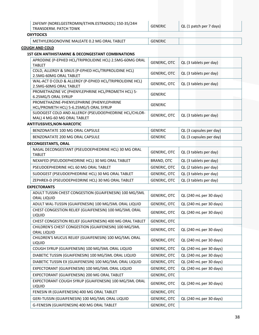| ZAFEMY (NORELGESTROMIN/ETHIN.ESTRADIOL) 150-35/24H |
|----------------------------------------------------|
| TRANSDERM. PATCH TDWK                              |

 $GENERIC$  QL (1 patch per 7 days)

#### **OXYTOCICS**

| . METHYLERGONOVINE MALEATE 0.2 MG ORAL TABLET $\,$<br>GENERIC |  |  |
|---------------------------------------------------------------|--|--|
|---------------------------------------------------------------|--|--|

# **COUGH AND COLD**

#### **1ST GEN ANTIHISTAMINE & DECONGESTANT COMBINATIONS**

| APRODINE (P-EPHED HCL/TRIPROLIDINE HCL) 2.5MG-60MG ORAL<br><b>TABLET</b>             | <b>GENERIC, OTC</b> | QL (3 tablets per day) |  |
|--------------------------------------------------------------------------------------|---------------------|------------------------|--|
| COLD, ALLERGY & SINUS (P-EPHED HCL/TRIPROLIDINE HCL)<br>2.5MG-60MG ORAL TABLET       | <b>GENERIC, OTC</b> | QL (3 tablets per day) |  |
| WAL-ACT D COLD & ALLERGY (P-EPHED HCL/TRIPROLIDINE HCL)<br>2.5MG-60MG ORAL TABLET    | <b>GENERIC, OTC</b> | QL (3 tablets per day) |  |
| PROMETHAZINE VC (PHENYLEPHRINE HCL/PROMETH HCL) 5-<br>6.25MG/5 ORAL SYRUP            | <b>GENERIC</b>      |                        |  |
| PROMETHAZINE-PHENYLEPHRINE (PHENYLEPHRINE<br>HCL/PROMETH HCL) 5-6.25MG/5 ORAL SYRUP  | <b>GENERIC</b>      |                        |  |
| SUDOGEST COLD AND ALLERGY (PSEUDOEPHEDRINE HCL/CHLOR-<br>MAL) 4 MG-60 MG ORAL TABLET | GENERIC, OTC        | QL (3 tablets per day) |  |
| NITITUCCIVEC NON NADCOTIC                                                            |                     |                        |  |

#### **ANTITUSSIVES,NON‐NARCOTIC**

| BENZONATATE 100 MG ORAL CAPSULE | <b>GENERIC</b> | QL (3 capsules per day) |
|---------------------------------|----------------|-------------------------|
| BENZONATATE 200 MG ORAL CAPSULE | <b>GENERIC</b> | QL (3 capsules per day) |

# **DECONGESTANTS, ORAL**

| NASAL DECONGESTANT (PSEUDOEPHEDRINE HCL) 30 MG ORAL<br><b>TABLET</b> | <b>GENERIC, OTC</b> | QL (3 tablets per day) |
|----------------------------------------------------------------------|---------------------|------------------------|
| NEXAFED (PSEUDOEPHEDRINE HCL) 30 MG ORAL TABLET                      | BRAND, OTC          | QL (3 tablets per day) |
| PSEUDOEPHEDRINE HCL 60 MG ORAL TABLET                                | <b>GENERIC, OTC</b> | QL (2 tablets per day) |
| SUDOGEST (PSEUDOEPHEDRINE HCL) 30 MG ORAL TABLET                     | <b>GENERIC, OTC</b> | QL (3 tablets per day) |
| ZEPHREX-D (PSEUDOEPHEDRINE HCL) 30 MG ORAL TABLET                    | <b>GENERIC, OTC</b> | QL (3 tablets per day) |

#### **EXPECTORANTS**

| GENERIC, OTC        | QL (240 mL per 30 days) |
|---------------------|-------------------------|
| <b>GENERIC, OTC</b> | QL (240 mL per 30 days) |
| <b>GENERIC, OTC</b> | QL (240 mL per 30 days) |
| <b>GENERIC, OTC</b> |                         |
| <b>GENERIC, OTC</b> | QL (240 mL per 30 days) |
| <b>GENERIC, OTC</b> | QL (240 mL per 30 days) |
| GENERIC, OTC        | QL (240 mL per 30 days) |
| GENERIC, OTC        | QL (240 mL per 30 days) |
| <b>GENERIC, OTC</b> | QL (240 mL per 30 days) |
| GENERIC, OTC        | QL (240 mL per 30 days) |
| <b>GENERIC, OTC</b> |                         |
| <b>GENERIC, OTC</b> | QL (240 mL per 30 days) |
| GENERIC, OTC        |                         |
| <b>GENERIC, OTC</b> | QL (240 mL per 30 days) |
| <b>GENERIC, OTC</b> |                         |
|                     |                         |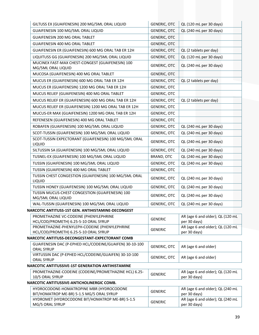| GILTUSS EX (GUAIFENESIN) 200 MG/5ML ORAL LIQUID                                        | <b>GENERIC, OTC</b> | QL (120 mL per 30 days)                          |
|----------------------------------------------------------------------------------------|---------------------|--------------------------------------------------|
| GUAIFENESIN 100 MG/5ML ORAL LIQUID                                                     | <b>GENERIC, OTC</b> | QL (240 mL per 30 days)                          |
| GUAIFENESIN 200 MG ORAL TABLET                                                         | <b>GENERIC, OTC</b> |                                                  |
| <b>GUAIFENESIN 400 MG ORAL TABLET</b>                                                  | <b>GENERIC, OTC</b> |                                                  |
| GUAIFENESIN ER (GUAIFENESIN) 600 MG ORAL TAB ER 12H                                    | <b>GENERIC, OTC</b> | QL (2 tablets per day)                           |
| LIQUITUSS GG (GUAIFENESIN) 200 MG/5ML ORAL LIQUID                                      | <b>GENERIC, OTC</b> | QL (120 mL per 30 days)                          |
| MUCINEX FAST-MAX CHEST-CONGEST (GUAIFENESIN) 100<br>MG/5ML ORAL LIQUID                 | <b>GENERIC, OTC</b> | QL (240 mL per 30 days)                          |
| MUCOSA (GUAIFENESIN) 400 MG ORAL TABLET                                                | <b>GENERIC, OTC</b> |                                                  |
| MUCUS ER (GUAIFENESIN) 600 MG ORAL TAB ER 12H                                          | <b>GENERIC, OTC</b> | QL (2 tablets per day)                           |
| MUCUS ER (GUAIFENESIN) 1200 MG ORAL TAB ER 12H                                         | GENERIC, OTC        |                                                  |
| MUCUS RELIEF (GUAIFENESIN) 400 MG ORAL TABLET                                          | GENERIC, OTC        |                                                  |
| MUCUS RELIEF ER (GUAIFENESIN) 600 MG ORAL TAB ER 12H                                   | <b>GENERIC, OTC</b> | QL (2 tablets per day)                           |
| MUCUS RELIEF ER (GUAIFENESIN) 1200 MG ORAL TAB ER 12H                                  | <b>GENERIC, OTC</b> |                                                  |
| MUCUS-ER MAX (GUAIFENESIN) 1200 MG ORAL TAB ER 12H                                     | <b>GENERIC, OTC</b> |                                                  |
| REFENESEN (GUAIFENESIN) 400 MG ORAL TABLET                                             | GENERIC, OTC        |                                                  |
| ROBAFEN (GUAIFENESIN) 100 MG/5ML ORAL LIQUID                                           | <b>GENERIC, OTC</b> | QL (240 mL per 30 days)                          |
| SCOT-TUSSIN (GUAIFENESIN) 100 MG/5ML ORAL LIQUID                                       | <b>GENERIC, OTC</b> | QL (240 mL per 30 days)                          |
| SCOT-TUSSIN EXPECTORANT (GUAIFENESIN) 100 MG/5ML ORAL<br>LIQUID                        | <b>GENERIC, OTC</b> | QL (240 mL per 30 days)                          |
| SILTUSSIN SA (GUAIFENESIN) 100 MG/5ML ORAL LIQUID                                      | <b>GENERIC, OTC</b> | QL (240 mL per 30 days)                          |
| TUSNEL-EX (GUAIFENESIN) 100 MG/5ML ORAL LIQUID                                         | BRAND, OTC          | QL (240 mL per 30 days)                          |
| TUSSIN (GUAIFENESIN) 100 MG/5ML ORAL LIQUID                                            | <b>GENERIC, OTC</b> | QL (240 mL per 30 days)                          |
| TUSSIN (GUAIFENESIN) 400 MG ORAL TABLET                                                | GENERIC, OTC        |                                                  |
| TUSSIN CHEST CONGESTION (GUAIFENESIN) 100 MG/5ML ORAL<br>LIQUID                        | <b>GENERIC, OTC</b> | QL (240 mL per 30 days)                          |
| TUSSIN HONEY (GUAIFENESIN) 100 MG/5ML ORAL LIQUID                                      | <b>GENERIC, OTC</b> | QL (240 mL per 30 days)                          |
| TUSSIN MUCUS-CHEST CONGESTION (GUAIFENESIN) 100<br>MG/5ML ORAL LIQUID                  | <b>GENERIC, OTC</b> | QL (240 mL per 30 days)                          |
| WAL-TUSSIN (GUAIFENESIN) 100 MG/5ML ORAL LIQUID                                        | <b>GENERIC, OTC</b> | QL (240 mL per 30 days)                          |
| NARCOTIC ANTITUSS-1ST GEN. ANTIHISTAMINE-DECONGEST                                     |                     |                                                  |
| PROMETHAZINE VC-CODEINE (PHENYLEPHRINE<br>HCL/COD/PROMETH) 6.25-5-10 ORAL SYRUP        | <b>GENERIC</b>      | AR (age 6 and older); QL (120 mL<br>per 30 days) |
| PROMETHAZINE-PHENYLEPH-CODEINE (PHENYLEPHRINE<br>HCL/COD/PROMETH) 6.25-5-10 ORAL SYRUP | <b>GENERIC</b>      | AR (age 6 and older); QL (120 mL<br>per 30 days) |
| NARCOTIC ANTITUSS-DECONGESTANT-EXPECTORANT COMB                                        |                     |                                                  |
| GUAIFENESIN DAC (P-EPHED HCL/CODEINE/GUAIFEN) 30-10-100<br><b>ORAL SYRUP</b>           | <b>GENERIC, OTC</b> | AR (age 6 and older)                             |
| VIRTUSSIN DAC (P-EPHED HCL/CODEINE/GUAIFEN) 30-10-100<br><b>ORAL SYRUP</b>             | <b>GENERIC, OTC</b> | AR (age 6 and older)                             |
| NARCOTIC ANTITUSSIVE-1ST GENERATION ANTIHISTAMINE                                      |                     |                                                  |
| PROMETHAZINE-CODEINE (CODEINE/PROMETHAZINE HCL) 6.25-<br>10/5 ORAL SYRUP               | <b>GENERIC</b>      | AR (age 6 and older); QL (120 mL<br>per 30 days) |
| NARCOTIC ANTITUSSIVE-ANTICHOLINERGIC COMB.                                             |                     |                                                  |
| HYDROCODONE-HOMATROPINE MBR (HYDROCODONE<br>BIT/HOMATROP ME-BR) 5-1.5 MG/5 ORAL SYRUP  | <b>GENERIC</b>      | AR (age 6 and older); QL (240 mL<br>per 30 days) |
| HYDROMET (HYDROCODONE BIT/HOMATROP ME-BR) 5-1.5<br>MG/5 ORAL SYRUP                     | <b>GENERIC</b>      | AR (age 6 and older); QL (240 mL<br>per 30 days) |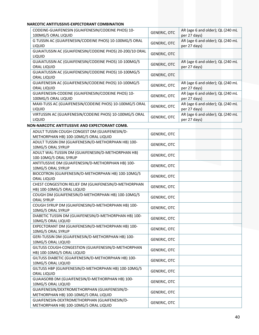# **NARCOTIC ANTITUSSIVE‐EXPECTORANT COMBINATION**

| CODEINE-GUAIFENESIN (GUAIFENESIN/CODEINE PHOS) 10-<br>100MG/5 ORAL LIQUID | <b>GENERIC, OTC</b> | AR (age 6 and older); QL (240 mL<br>per 27 days) |
|---------------------------------------------------------------------------|---------------------|--------------------------------------------------|
| G TUSSIN AC (GUAIFENESIN/CODEINE PHOS) 10-100MG/5 ORAL<br><b>LIQUID</b>   | <b>GENERIC, OTC</b> | AR (age 6 and older); QL (240 mL<br>per 27 days) |
| GUAIATUSSIN AC (GUAIFENESIN/CODEINE PHOS) 20-200/10 ORAL<br><b>LIQUID</b> | <b>GENERIC, OTC</b> |                                                  |
| GUAIATUSSIN AC (GUAIFENESIN/CODEINE PHOS) 10-100MG/5<br>ORAL LIQUID       | <b>GENERIC, OTC</b> | AR (age 6 and older); QL (240 mL<br>per 27 days) |
| GUAIATUSSIN AC (GUAIFENESIN/CODEINE PHOS) 10-100MG/5<br>ORAL LIQUID       | <b>GENERIC, OTC</b> |                                                  |
| GUAIFENESIN AC (GUAIFENESIN/CODEINE PHOS) 10-100MG/5<br>ORAL LIQUID       | <b>GENERIC, OTC</b> | AR (age 6 and older); QL (240 mL<br>per 27 days) |
| GUAIFENESIN-CODEINE (GUAIFENESIN/CODEINE PHOS) 10-<br>100MG/5 ORAL LIQUID | <b>GENERIC, OTC</b> | AR (age 6 and older); QL (240 mL<br>per 27 days) |
| MAXI-TUSS AC (GUAIFENESIN/CODEINE PHOS) 10-100MG/5 ORAL<br><b>LIQUID</b>  | <b>GENERIC, OTC</b> | AR (age 6 and older); QL (240 mL<br>per 27 days) |
| VIRTUSSIN AC (GUAIFENESIN/CODEINE PHOS) 10-100MG/5 ORAL<br><b>LIQUID</b>  | GENERIC, OTC        | AR (age 6 and older); QL (240 mL<br>per 27 days) |

#### **NON‐NARCOTIC ANTITUSSIVE AND EXPECTORANT COMB.**

| ADULT TUSSIN COUGH CONGEST DM (GUAIFENESIN/D-<br>METHORPHAN HB) 100-10MG/5 ORAL LIQUID | <b>GENERIC, OTC</b> |
|----------------------------------------------------------------------------------------|---------------------|
| ADULT TUSSIN DM (GUAIFENESIN/D-METHORPHAN HB) 100-<br>10MG/5 ORAL SYRUP                | <b>GENERIC, OTC</b> |
| ADULT WAL-TUSSIN DM (GUAIFENESIN/D-METHORPHAN HB)<br>100-10MG/5 ORAL SYRUP             | <b>GENERIC, OTC</b> |
| ANTITUSSIVE DM (GUAIFENESIN/D-METHORPHAN HB) 100-<br>10MG/5 ORAL SYRUP                 | <b>GENERIC, OTC</b> |
| BIOCOTRON (GUAIFENESIN/D-METHORPHAN HB) 100-10MG/5<br>ORAL LIQUID                      | <b>GENERIC, OTC</b> |
| CHEST CONGESTION RELIEF DM (GUAIFENESIN/D-METHORPHAN<br>HB) 100-10MG/5 ORAL LIQUID     | <b>GENERIC, OTC</b> |
| COUGH DM (GUAIFENESIN/D-METHORPHAN HB) 100-10MG/5<br><b>ORAL SYRUP</b>                 | <b>GENERIC, OTC</b> |
| COUGH SYRUP DM (GUAIFENESIN/D-METHORPHAN HB) 100-<br>10MG/5 ORAL SYRUP                 | <b>GENERIC, OTC</b> |
| DIABETIC TUSSIN DM (GUAIFENESIN/D-METHORPHAN HB) 100-<br>10MG/5 ORAL LIQUID            | <b>GENERIC, OTC</b> |
| EXPECTORANT DM (GUAIFENESIN/D-METHORPHAN HB) 100-<br>10MG/5 ORAL SYRUP                 | <b>GENERIC, OTC</b> |
| GERI-TUSSIN DM (GUAIFENESIN/D-METHORPHAN HB) 100-<br>10MG/5 ORAL LIQUID                | <b>GENERIC, OTC</b> |
| GILTUSS COUGH-CONGESTION (GUAIFENESIN/D-METHORPHAN<br>HB) 100-10MG/5 ORAL LIQUID       | <b>GENERIC, OTC</b> |
| GILTUSS DIABETIC (GUAIFENESIN/D-METHORPHAN HB) 100-<br>10MG/5 ORAL LIQUID              | <b>GENERIC, OTC</b> |
| GILTUSS HBP (GUAIFENESIN/D-METHORPHAN HB) 100-10MG/5<br>ORAL LIQUID                    | <b>GENERIC, OTC</b> |
| GUAIASORB DM (GUAIFENESIN/D-METHORPHAN HB) 100-<br>10MG/5 ORAL LIQUID                  | <b>GENERIC, OTC</b> |
| GUAIFENESIN/DEXTROMETHORPHAN (GUAIFENESIN/D-<br>METHORPHAN HB) 100-10MG/5 ORAL LIQUID  | <b>GENERIC, OTC</b> |
| GUAIFENESIN-DEXTROMETHORPHAN (GUAIFENESIN/D-<br>METHORPHAN HB) 100-10MG/5 ORAL LIQUID  | <b>GENERIC, OTC</b> |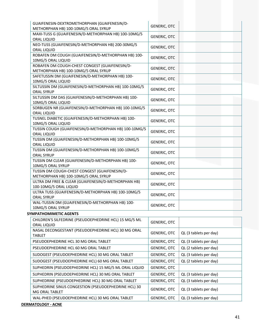| GUAIFENESIN-DEXTROMETHORPHAN (GUAIFENESIN/D-<br>METHORPHAN HB) 100-10MG/5 ORAL SYRUP     | <b>GENERIC, OTC</b> |                        |
|------------------------------------------------------------------------------------------|---------------------|------------------------|
| MAXI-TUSS G (GUAIFENESIN/D-METHORPHAN HB) 100-10MG/5                                     | <b>GENERIC, OTC</b> |                        |
| ORAL LIQUID                                                                              |                     |                        |
| NEO-TUSS (GUAIFENESIN/D-METHORPHAN HB) 200-30MG/5<br>ORAL LIQUID                         | <b>GENERIC, OTC</b> |                        |
| ROBAFEN DM COUGH (GUAIFENESIN/D-METHORPHAN HB) 100-<br>10MG/5 ORAL LIQUID                | <b>GENERIC, OTC</b> |                        |
| ROBAFEN DM COUGH-CHEST CONGEST (GUAIFENESIN/D-                                           | <b>GENERIC, OTC</b> |                        |
| METHORPHAN HB) 100-10MG/5 ORAL SYRUP<br>SAFETUSSIN DM (GUAIFENESIN/D-METHORPHAN HB) 100- |                     |                        |
| 10MG/5 ORAL LIQUID                                                                       | <b>GENERIC, OTC</b> |                        |
| SILTUSSIN DM (GUAIFENESIN/D-METHORPHAN HB) 100-10MG/5<br><b>ORAL SYRUP</b>               | <b>GENERIC, OTC</b> |                        |
| SILTUSSIN DM DAS (GUAIFENESIN/D-METHORPHAN HB) 100-<br>10MG/5 ORAL LIQUID                | <b>GENERIC, OTC</b> |                        |
| SORBUGEN NR (GUAIFENESIN/D-METHORPHAN HB) 100-10MG/5                                     | <b>GENERIC, OTC</b> |                        |
| ORAL LIQUID<br>TUSNEL DIABETIC (GUAIFENESIN/D-METHORPHAN HB) 100-                        |                     |                        |
| 10MG/5 ORAL LIQUID                                                                       | <b>GENERIC, OTC</b> |                        |
| TUSSIN COUGH (GUAIFENESIN/D-METHORPHAN HB) 100-10MG/5<br>ORAL LIQUID                     | <b>GENERIC, OTC</b> |                        |
| TUSSIN DM (GUAIFENESIN/D-METHORPHAN HB) 100-10MG/5<br>ORAL LIQUID                        | <b>GENERIC, OTC</b> |                        |
| TUSSIN DM (GUAIFENESIN/D-METHORPHAN HB) 100-10MG/5<br><b>ORAL SYRUP</b>                  | <b>GENERIC, OTC</b> |                        |
| TUSSIN DM CLEAR (GUAIFENESIN/D-METHORPHAN HB) 100-<br>10MG/5 ORAL SYRUP                  | <b>GENERIC, OTC</b> |                        |
| TUSSIN DM COUGH-CHEST CONGEST (GUAIFENESIN/D-                                            |                     |                        |
| METHORPHAN HB) 100-10MG/5 ORAL SYRUP                                                     | <b>GENERIC, OTC</b> |                        |
| ULTRA DM FREE & CLEAR (GUAIFENESIN/D-METHORPHAN HB)<br>100-10MG/5 ORAL LIQUID            | <b>GENERIC, OTC</b> |                        |
| ULTRA TUSS (GUAIFENESIN/D-METHORPHAN HB) 100-10MG/5<br><b>ORAL SYRUP</b>                 | <b>GENERIC, OTC</b> |                        |
| WAL-TUSSIN DM (GUAIFENESIN/D-METHORPHAN HB) 100-<br>10MG/5 ORAL SYRUP                    | <b>GENERIC, OTC</b> |                        |
| <b>SYMPATHOMIMETIC AGENTS</b>                                                            |                     |                        |
| CHILDREN'S SILFEDRINE (PSEUDOEPHEDRINE HCL) 15 MG/5 ML                                   |                     |                        |
| ORAL LIQUID                                                                              | <b>GENERIC, OTC</b> |                        |
| NASAL DECONGESTANT (PSEUDOEPHEDRINE HCL) 30 MG ORAL<br><b>TABLET</b>                     | <b>GENERIC, OTC</b> | QL (3 tablets per day) |
| PSEUDOEPHEDRINE HCL 30 MG ORAL TABLET                                                    | <b>GENERIC, OTC</b> | QL (3 tablets per day) |
| PSEUDOEPHEDRINE HCL 60 MG ORAL TABLET                                                    | GENERIC, OTC        | QL (2 tablets per day) |
| SUDOGEST (PSEUDOEPHEDRINE HCL) 30 MG ORAL TABLET                                         | <b>GENERIC, OTC</b> | QL (3 tablets per day) |
| SUDOGEST (PSEUDOEPHEDRINE HCL) 60 MG ORAL TABLET                                         | <b>GENERIC, OTC</b> | QL (2 tablets per day) |
| SUPHEDRIN (PSEUDOEPHEDRINE HCL) 15 MG/5 ML ORAL LIQUID                                   | <b>GENERIC, OTC</b> |                        |
| SUPHEDRIN (PSEUDOEPHEDRINE HCL) 30 MG ORAL TABLET                                        | <b>GENERIC, OTC</b> | QL (3 tablets per day) |
| SUPHEDRINE (PSEUDOEPHEDRINE HCL) 30 MG ORAL TABLET                                       | <b>GENERIC, OTC</b> | QL (3 tablets per day) |
| SUPHEDRINE SINUS CONGESTION (PSEUDOEPHEDRINE HCL) 30<br>MG ORAL TABLET                   | <b>GENERIC, OTC</b> | QL (3 tablets per day) |
| WAL-PHED (PSEUDOEPHEDRINE HCL) 30 MG ORAL TABLET                                         | <b>GENERIC, OTC</b> | QL (3 tablets per day) |
|                                                                                          |                     |                        |

**DERMATOLOGY ‐ ACNE**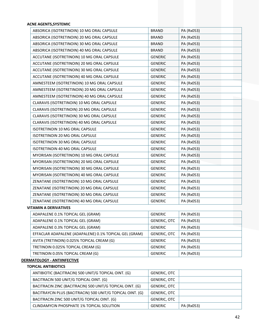#### **ACNE AGENTS,SYSTEMIC**

| ABSORICA (ISOTRETINOIN) 10 MG ORAL CAPSULE  | <b>BRAND</b>   | PA (Rx053) |
|---------------------------------------------|----------------|------------|
| ABSORICA (ISOTRETINOIN) 20 MG ORAL CAPSULE  | <b>BRAND</b>   | PA (Rx053) |
| ABSORICA (ISOTRETINOIN) 30 MG ORAL CAPSULE  | <b>BRAND</b>   | PA (Rx053) |
| ABSORICA (ISOTRETINOIN) 40 MG ORAL CAPSULE  | <b>BRAND</b>   | PA (Rx053) |
| ACCUTANE (ISOTRETINOIN) 10 MG ORAL CAPSULE  | <b>GENERIC</b> | PA (Rx053) |
| ACCUTANE (ISOTRETINOIN) 20 MG ORAL CAPSULE  | <b>GENERIC</b> | PA (Rx053) |
| ACCUTANE (ISOTRETINOIN) 30 MG ORAL CAPSULE  | <b>GENERIC</b> | PA (Rx053) |
| ACCUTANE (ISOTRETINOIN) 40 MG ORAL CAPSULE  | <b>GENERIC</b> | PA (Rx053) |
| AMNESTEEM (ISOTRETINOIN) 10 MG ORAL CAPSULE | <b>GENERIC</b> | PA (Rx053) |
| AMNESTEEM (ISOTRETINOIN) 20 MG ORAL CAPSULE | <b>GENERIC</b> | PA (Rx053) |
| AMNESTEEM (ISOTRETINOIN) 40 MG ORAL CAPSULE | <b>GENERIC</b> | PA (Rx053) |
| CLARAVIS (ISOTRETINOIN) 10 MG ORAL CAPSULE  | <b>GENERIC</b> | PA (Rx053) |
| CLARAVIS (ISOTRETINOIN) 20 MG ORAL CAPSULE  | <b>GENERIC</b> | PA (Rx053) |
| CLARAVIS (ISOTRETINOIN) 30 MG ORAL CAPSULE  | <b>GENERIC</b> | PA (Rx053) |
| CLARAVIS (ISOTRETINOIN) 40 MG ORAL CAPSULE  | <b>GENERIC</b> | PA (Rx053) |
| ISOTRETINOIN 10 MG ORAL CAPSULE             | <b>GENERIC</b> | PA (Rx053) |
| ISOTRETINOIN 20 MG ORAL CAPSULE             | <b>GENERIC</b> | PA (Rx053) |
| ISOTRETINOIN 30 MG ORAL CAPSULE             | <b>GENERIC</b> | PA (Rx053) |
| ISOTRETINOIN 40 MG ORAL CAPSULE             | <b>GENERIC</b> | PA (Rx053) |
| MYORISAN (ISOTRETINOIN) 10 MG ORAL CAPSULE  | <b>GENERIC</b> | PA (Rx053) |
| MYORISAN (ISOTRETINOIN) 20 MG ORAL CAPSULE  | <b>GENERIC</b> | PA (Rx053) |
| MYORISAN (ISOTRETINOIN) 30 MG ORAL CAPSULE  | <b>GENERIC</b> | PA (Rx053) |
| MYORISAN (ISOTRETINOIN) 40 MG ORAL CAPSULE  | <b>GENERIC</b> | PA (Rx053) |
| ZENATANE (ISOTRETINOIN) 10 MG ORAL CAPSULE  | <b>GENERIC</b> | PA (Rx053) |
| ZENATANE (ISOTRETINOIN) 20 MG ORAL CAPSULE  | <b>GENERIC</b> | PA (Rx053) |
| ZENATANE (ISOTRETINOIN) 30 MG ORAL CAPSULE  | <b>GENERIC</b> | PA (Rx053) |
| ZENATANE (ISOTRETINOIN) 40 MG ORAL CAPSULE  | <b>GENERIC</b> | PA (Rx053) |
| <b>VITAMIN A DERIVATIVES</b>                |                |            |

# ADAPALENE 0.1% TOPICAL GEL (GRAM) GENERIC | PA (Rx053) ADAPALENE 0.1% TOPICAL GEL (GRAM) GENERIC, OTC PA (Rx053) ADAPALENE 0.3% TOPICAL GEL (GRAM) GENERIC | PA (Rx053) EFFACLAR ADAPALENE (ADAPALENE) 0.1% TOPICAL GEL (GRAM) GENERIC, OTC PA (Rx053) AVITA (TRETINOIN) 0.025% TOPICAL CREAM (G) GENERIC | PA (Rx053) TRETINOIN 0.025% TOPICAL CREAM (G) GENERIC PA (Rx053) TRETINOIN 0.05% TOPICAL CREAM (G) GENERIC PA (Rx053)

# **DERMATOLOGY ‐ ANTIINFECTIVE**

# **TOPICAL ANTIBIOTICS**

| ANTIBIOTIC (BACITRACIN) 500 UNIT/G TOPICAL OINT. (G)<br><b>GENERIC, OTC</b>       |  |
|-----------------------------------------------------------------------------------|--|
|                                                                                   |  |
| BACITRACIN 500 UNIT/G TOPICAL OINT. (G)<br><b>GENERIC, OTC</b>                    |  |
| BACITRACIN ZINC (BACITRACIN) 500 UNIT/G TOPICAL OINT. (G)<br><b>GENERIC, OTC</b>  |  |
| BACITRAYCIN PLUS (BACITRACIN) 500 UNIT/G TOPICAL OINT. (G)<br><b>GENERIC, OTC</b> |  |
| BACITRACIN ZINC 500 UNIT/G TOPICAL OINT. (G)<br><b>GENERIC, OTC</b>               |  |
| PA (Rx053)<br>CLINDAMYCIN PHOSPHATE 1% TOPICAL SOLUTION<br>GENERIC                |  |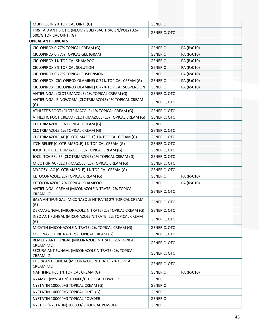| MUPIROCIN 2% TOPICAL OINT. (G)                                                     | <b>GENERIC</b>      |            |
|------------------------------------------------------------------------------------|---------------------|------------|
| FIRST AID ANTIBIOTIC (NEOMY SULF/BACITRAC ZN/POLY) 3.5-<br>500/G TOPICAL OINT. (G) | <b>GENERIC, OTC</b> |            |
| <b>TOPICAL ANTIFUNGALS</b>                                                         |                     |            |
| CICLOPIROX 0.77% TOPICAL CREAM (G)                                                 | <b>GENERIC</b>      | PA (Rx010) |
| CICLOPIROX 0.77% TOPICAL GEL (GRAM)                                                | <b>GENERIC</b>      | PA (Rx010) |
| CICLOPIROX 1% TOPICAL SHAMPOO                                                      | <b>GENERIC</b>      | PA (Rx010) |
| <b>CICLOPIROX 8% TOPICAL SOLUTION</b>                                              | <b>GENERIC</b>      | PA (Rx010) |
| CICLOPIROX 0.77% TOPICAL SUSPENSION                                                | <b>GENERIC</b>      | PA (Rx010) |
| CICLOPIROX (CICLOPIROX OLAMINE) 0.77% TOPICAL CREAM (G)                            | <b>GENERIC</b>      | PA (Rx010) |
| CICLOPIROX (CICLOPIROX OLAMINE) 0.77% TOPICAL SUSPENSION                           | <b>GENERIC</b>      | PA (Rx010) |
| ANTIFUNGAL (CLOTRIMAZOLE) 1% TOPICAL CREAM (G)                                     | <b>GENERIC, OTC</b> |            |
| ANTIFUNGAL RINGWORM (CLOTRIMAZOLE) 1% TOPICAL CREAM<br>(G)                         | GENERIC, OTC        |            |
| ATHLETE'S FOOT (CLOTRIMAZOLE) 1% TOPICAL CREAM (G)                                 | <b>GENERIC, OTC</b> |            |
| ATHLETIC FOOT CREAM (CLOTRIMAZOLE) 1% TOPICAL CREAM (G)                            | GENERIC, OTC        |            |
| CLOTRIMAZOLE 1% TOPICAL CREAM (G)                                                  | <b>GENERIC</b>      |            |
| CLOTRIMAZOLE 1% TOPICAL CREAM (G)                                                  | <b>GENERIC, OTC</b> |            |
| CLOTRIMAZOLE AF (CLOTRIMAZOLE) 1% TOPICAL CREAM (G)                                | <b>GENERIC, OTC</b> |            |
| ITCH RELIEF (CLOTRIMAZOLE) 1% TOPICAL CREAM (G)                                    | <b>GENERIC, OTC</b> |            |
| JOCK ITCH (CLOTRIMAZOLE) 1% TOPICAL CREAM (G)                                      | GENERIC, OTC        |            |
| JOCK ITCH RELIEF (CLOTRIMAZOLE) 1% TOPICAL CREAM (G)                               | <b>GENERIC, OTC</b> |            |
| MICOTRIN AC (CLOTRIMAZOLE) 1% TOPICAL CREAM (G)                                    | GENERIC, OTC        |            |
| MYCOZYL AC (CLOTRIMAZOLE) 1% TOPICAL CREAM (G)                                     | <b>GENERIC, OTC</b> |            |
| KETOCONAZOLE 2% TOPICAL CREAM (G)                                                  | <b>GENERIC</b>      | PA (Rx010) |
| KETOCONAZOLE 2% TOPICAL SHAMPOO                                                    | <b>GENERIC</b>      | PA (Rx010) |
| ANTIFUNGAL CREAM (MICONAZOLE NITRATE) 2% TOPICAL<br>CREAM (G)                      | <b>GENERIC, OTC</b> |            |
| BAZA ANTIFUNGAL (MICONAZOLE NITRATE) 2% TOPICAL CREAM<br>(G)                       | <b>GENERIC, OTC</b> |            |
| DERMAFUNGAL (MICONAZOLE NITRATE) 2% TOPICAL CREAM (G)                              | <b>GENERIC, OTC</b> |            |
| INZO ANTIFUNGAL (MICONAZOLE NITRATE) 2% TOPICAL CREAM<br>(G)                       | <b>GENERIC, OTC</b> |            |
| MICATIN (MICONAZOLE NITRATE) 2% TOPICAL CREAM (G)                                  | <b>GENERIC, OTC</b> |            |
| MICONAZOLE NITRATE 2% TOPICAL CREAM (G)                                            | <b>GENERIC, OTC</b> |            |

REMEDY ANTIFUNGAL (MICONAZOLE NITRATE) 2% TOPICAL GENERIC, OTC <br>CREAM(ML)

SECURA ANTIFUNGAL (MICONAZOLE NITRATE) 2% TOPICAL GENERIC, OTC <br>CREAM (G)

THERA ANTIFUNGAL (MICONAZOLE NITRATE) 2% TOPICAL CREAM(ML) GENERIC, OTC

NYAMYC (NYSTATIN) 100000/G TOPICAL POWDER GENERIC NYSTATIN 100000/G TOPICAL CREAM (G) GENERIC NYSTATIN 100000/G TOPICAL OINT. (G) GENERIC NYSTATIN 100000/G TOPICAL POWDER GENERIC NYSTOP (NYSTATIN) 100000/G TOPICAL POWDER GENERIC

NAFTIFINE HCL 1% TOPICAL CREAM (G) GENERIC | PA (Rx010)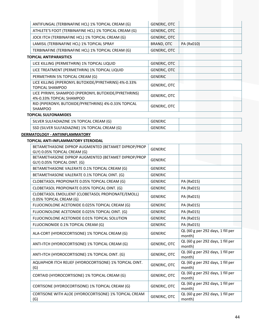| ANTIFUNGAL (TERBINAFINE HCL) 1% TOPICAL CREAM (G)     | <b>GENERIC, OTC</b> |            |
|-------------------------------------------------------|---------------------|------------|
| ATHLETE'S FOOT (TERBINAFINE HCL) 1% TOPICAL CREAM (G) | GENERIC, OTC        |            |
| JOCK ITCH (TERBINAFINE HCL) 1% TOPICAL CREAM (G)      | GENERIC, OTC        |            |
| LAMISIL (TERBINAFINE HCL) 1% TOPICAL SPRAY            | BRAND, OTC          | PA (Rx010) |
| TERBINAFINE (TERBINAFINE HCL) 1% TOPICAL CREAM (G)    | GENERIC, OTC        |            |

#### **TOPICAL ANTIPARASITICS**

| LICE KILLING (PERMETHRIN) 1% TOPICAL LIQUID                                      | <b>GENERIC, OTC</b> |
|----------------------------------------------------------------------------------|---------------------|
| LICE TREATMENT (PERMETHRIN) 1% TOPICAL LIQUID                                    | <b>GENERIC, OTC</b> |
| PERMETHRIN 5% TOPICAL CREAM (G)                                                  | <b>GENERIC</b>      |
| LICE KILLING (PIPERONYL BUTOXIDE/PYRETHRINS) 4%-0.33%<br><b>TOPICAL SHAMPOO</b>  | <b>GENERIC, OTC</b> |
| LICE PYRINYL SHAMPOO (PIPERONYL BUTOXIDE/PYRETHRINS)<br>4%-0.33% TOPICAL SHAMPOO | <b>GENERIC, OTC</b> |
| RID (PIPERONYL BUTOXIDE/PYRETHRINS) 4%-0.33% TOPICAL<br><b>SHAMPOO</b>           | <b>GENERIC, OTC</b> |

# **TOPICAL SULFONAMIDES**

| SILVER SULFADIAZINE 1% TOPICAL CREAM (G)       | GENERIC |  |
|------------------------------------------------|---------|--|
| SSD (SILVER SULFADIAZINE) 1% TOPICAL CREAM (G) | GENERIC |  |

# **DERMATOLOGY ‐ ANTIINFLAMMATORY**

#### **TOPICAL ANTI‐INFLAMMATORY STEROIDAL**

| BETAMETHASONE DIPROP AUGMENTED (BETAMET DIPROP/PROP    |                     |                                             |
|--------------------------------------------------------|---------------------|---------------------------------------------|
| GLY) 0.05% TOPICAL CREAM (G)                           | <b>GENERIC</b>      |                                             |
| BETAMETHASONE DIPROP AUGMENTED (BETAMET DIPROP/PROP    |                     |                                             |
| GLY) 0.05% TOPICAL OINT. (G)                           | <b>GENERIC</b>      |                                             |
| BETAMETHASONE VALERATE 0.1% TOPICAL CREAM (G)          | <b>GENERIC</b>      |                                             |
| BETAMETHASONE VALERATE 0.1% TOPICAL OINT. (G)          | <b>GENERIC</b>      |                                             |
| CLOBETASOL PROPIONATE 0.05% TOPICAL CREAM (G)          | <b>GENERIC</b>      | PA (Rx015)                                  |
| CLOBETASOL PROPIONATE 0.05% TOPICAL OINT. (G)          | <b>GENERIC</b>      | PA (Rx015)                                  |
| CLOBETASOL EMOLLIENT (CLOBETASOL PROPIONATE/EMOLL)     | <b>GENERIC</b>      |                                             |
| 0.05% TOPICAL CREAM (G)                                |                     | PA (Rx015)                                  |
| FLUOCINOLONE ACETONIDE 0.025% TOPICAL CREAM (G)        | <b>GENERIC</b>      | PA (Rx015)                                  |
| FLUOCINOLONE ACETONIDE 0.025% TOPICAL OINT. (G)        | <b>GENERIC</b>      | PA (Rx015)                                  |
| FLUOCINOLONE ACETONIDE 0.01% TOPICAL SOLUTION          | <b>GENERIC</b>      | PA (Rx015)                                  |
| FLUOCINONIDE 0.1% TOPICAL CREAM (G)                    | <b>GENERIC</b>      | PA (Rx015)                                  |
| ALA-CORT (HYDROCORTISONE) 1% TOPICAL CREAM (G)         | <b>GENERIC</b>      | QL (60 g per 292 days, 1 fill per           |
|                                                        |                     | month)                                      |
| ANTI-ITCH (HYDROCORTISONE) 1% TOPICAL CREAM (G)        | <b>GENERIC, OTC</b> | QL (60 g per 292 days, 1 fill per           |
|                                                        |                     | month)                                      |
| ANTI-ITCH (HYDROCORTISONE) 1% TOPICAL OINT. (G)        | <b>GENERIC, OTC</b> | QL (60 g per 292 days, 1 fill per           |
|                                                        |                     | month)                                      |
| AQUAPHOR ITCH RELIEF (HYDROCORTISONE) 1% TOPICAL OINT. | <b>GENERIC, OTC</b> | QL (60 g per 292 days, 1 fill per           |
| (G)                                                    |                     | month)                                      |
| CORTAID (HYDROCORTISONE) 1% TOPICAL CREAM (G)          | <b>GENERIC, OTC</b> | QL (60 g per 292 days, 1 fill per           |
|                                                        |                     | month)<br>QL (60 g per 292 days, 1 fill per |
| CORTISONE (HYDROCORTISONE) 1% TOPICAL CREAM (G)        | <b>GENERIC, OTC</b> | month)                                      |
| CORTISONE WITH ALOE (HYDROCORTISONE) 1% TOPICAL CREAM  |                     | QL (60 g per 292 days, 1 fill per           |
| (G)                                                    | <b>GENERIC, OTC</b> | month)                                      |
|                                                        |                     |                                             |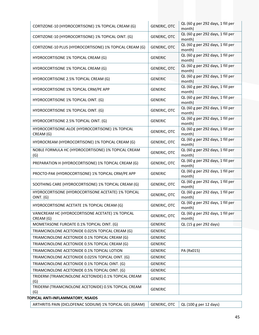| CORTIZONE-10 (HYDROCORTISONE) 1% TOPICAL CREAM (G)              | <b>GENERIC, OTC</b> | QL (60 g per 292 days, 1 fill per<br>month) |  |  |  |
|-----------------------------------------------------------------|---------------------|---------------------------------------------|--|--|--|
| CORTIZONE-10 (HYDROCORTISONE) 1% TOPICAL OINT. (G)              | <b>GENERIC, OTC</b> | QL (60 g per 292 days, 1 fill per<br>month) |  |  |  |
| CORTIZONE-10 PLUS (HYDROCORTISONE) 1% TOPICAL CREAM (G)         | <b>GENERIC, OTC</b> | QL (60 g per 292 days, 1 fill per<br>month) |  |  |  |
| HYDROCORTISONE 1% TOPICAL CREAM (G)                             | <b>GENERIC</b>      | QL (60 g per 292 days, 1 fill per<br>month) |  |  |  |
| HYDROCORTISONE 1% TOPICAL CREAM (G)                             | <b>GENERIC, OTC</b> | QL (60 g per 292 days, 1 fill per<br>month) |  |  |  |
| HYDROCORTISONE 2.5% TOPICAL CREAM (G)                           | <b>GENERIC</b>      | QL (60 g per 292 days, 1 fill per<br>month) |  |  |  |
| HYDROCORTISONE 1% TOPICAL CRM/PE APP                            | <b>GENERIC</b>      | QL (60 g per 292 days, 1 fill per<br>month) |  |  |  |
| HYDROCORTISONE 1% TOPICAL OINT. (G)                             | <b>GENERIC</b>      | QL (60 g per 292 days, 1 fill per<br>month) |  |  |  |
| HYDROCORTISONE 1% TOPICAL OINT. (G)                             | <b>GENERIC, OTC</b> | QL (60 g per 292 days, 1 fill per<br>month) |  |  |  |
| HYDROCORTISONE 2.5% TOPICAL OINT. (G)                           | <b>GENERIC</b>      | QL (60 g per 292 days, 1 fill per<br>month) |  |  |  |
| HYDROCORTISONE-ALOE (HYDROCORTISONE) 1% TOPICAL<br>CREAM (G)    | <b>GENERIC, OTC</b> | QL (60 g per 292 days, 1 fill per<br>month) |  |  |  |
| HYDROCREAM (HYDROCORTISONE) 1% TOPICAL CREAM (G)                | <b>GENERIC, OTC</b> | QL (60 g per 292 days, 1 fill per<br>month) |  |  |  |
| NOBLE FORMULA HC (HYDROCORTISONE) 1% TOPICAL CREAM<br>(G)       | <b>GENERIC, OTC</b> | QL (60 g per 292 days, 1 fill per<br>month) |  |  |  |
| PREPARATION H (HYDROCORTISONE) 1% TOPICAL CREAM (G)             | <b>GENERIC, OTC</b> | QL (60 g per 292 days, 1 fill per<br>month) |  |  |  |
| PROCTO-PAK (HYDROCORTISONE) 1% TOPICAL CRM/PE APP               | <b>GENERIC</b>      | QL (60 g per 292 days, 1 fill per<br>month) |  |  |  |
| SOOTHING CARE (HYDROCORTISONE) 1% TOPICAL CREAM (G)             | <b>GENERIC, OTC</b> | QL (60 g per 292 days, 1 fill per<br>month) |  |  |  |
| HYDROCORTISONE (HYDROCORTISONE ACETATE) 1% TOPICAL<br>OINT. (G) | GENERIC, OTC        | QL (60 g per 292 days, 1 fill per<br>month) |  |  |  |
| HYDROCORTISONE ACETATE 1% TOPICAL CREAM (G)                     | <b>GENERIC, OTC</b> | QL (60 g per 292 days, 1 fill per<br>month) |  |  |  |
| VANICREAM HC (HYDROCORTISONE ACETATE) 1% TOPICAL<br>CREAM (G)   | <b>GENERIC, OTC</b> | QL (60 g per 292 days, 1 fill per<br>month) |  |  |  |
| MOMETASONE FUROATE 0.1% TOPICAL OINT. (G)                       | <b>GENERIC</b>      | QL (15 g per 292 days)                      |  |  |  |
| TRIAMCINOLONE ACETONIDE 0.025% TOPICAL CREAM (G)                | <b>GENERIC</b>      |                                             |  |  |  |
| TRIAMCINOLONE ACETONIDE 0.1% TOPICAL CREAM (G)                  | <b>GENERIC</b>      |                                             |  |  |  |
| TRIAMCINOLONE ACETONIDE 0.5% TOPICAL CREAM (G)                  | <b>GENERIC</b>      |                                             |  |  |  |
| TRIAMCINOLONE ACETONIDE 0.1% TOPICAL LOTION                     | <b>GENERIC</b>      | PA (Rx015)                                  |  |  |  |
| TRIAMCINOLONE ACETONIDE 0.025% TOPICAL OINT. (G)                | <b>GENERIC</b>      |                                             |  |  |  |
| TRIAMCINOLONE ACETONIDE 0.1% TOPICAL OINT. (G)                  | <b>GENERIC</b>      |                                             |  |  |  |
| TRIAMCINOLONE ACETONIDE 0.5% TOPICAL OINT. (G)                  | <b>GENERIC</b>      |                                             |  |  |  |
| TRIDERM (TRIAMCINOLONE ACETONIDE) 0.1% TOPICAL CREAM<br>(G)     | <b>GENERIC</b>      |                                             |  |  |  |
| TRIDERM (TRIAMCINOLONE ACETONIDE) 0.5% TOPICAL CREAM<br>(G)     | <b>GENERIC</b>      |                                             |  |  |  |
| TOPICAL ANTI-INFLAMMATORY, NSAIDS                               |                     |                                             |  |  |  |

| ARTHRITIS PAIN (DICLOFENAC SODIUM) 1% TOPICAL GEL (GRAM)   GENERIC, OTC   QL (100 g per 12 days) |  |  |
|--------------------------------------------------------------------------------------------------|--|--|
|--------------------------------------------------------------------------------------------------|--|--|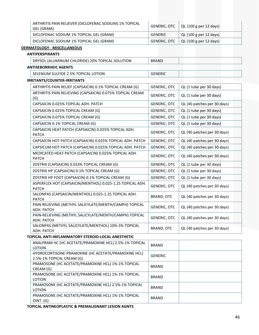| ARTHRITIS PAIN RELIEVER (DICLOFENAC SODIUM) 1% TOPICAL<br>GEL (GRAM) |              | GENERIC, OTC $\vert$ QL (100 g per 12 days) |
|----------------------------------------------------------------------|--------------|---------------------------------------------|
| DICLOFENAC SODIUM 1% TOPICAL GEL (GRAM)                              | GENERIC      | $\vert$ QL (100 g per 12 days)              |
| DICLOFENAC SODIUM 1% TOPICAL GEL (GRAM)                              | GENERIC, OTC | $\vert$ QL (100 g per 12 days)              |

# **DERMATOLOGY ‐ MISCELLANEOUS**

| <b>ANTIPERSPIRANTS</b>                          |       |  |  |  |
|-------------------------------------------------|-------|--|--|--|
| DRYSOL (ALUMINUM CHLORIDE) 20% TOPICAL SOLUTION | BRAND |  |  |  |
| <b>ANTISEBORRHEIC AGENTS</b>                    |       |  |  |  |

SELENIUM SULFIDE 2.5% TOPICAL LOTION GENERIC

# **IRRITANTS/COUNTER‐IRRITANTS**

| ARTHRITIS PAIN RELIEF (CAPSAICIN) 0.1% TOPICAL CREAM (G)                  | <b>GENERIC, OTC</b> | QL (1 tube per 30 days)     |  |  |  |
|---------------------------------------------------------------------------|---------------------|-----------------------------|--|--|--|
| ARTHRITIS PAIN RELIEVING (CAPSAICIN) 0.075% TOPICAL CREAM<br>(G)          | <b>GENERIC, OTC</b> | QL (1 tube per 30 days)     |  |  |  |
| CAPSAICIN 0.025% TOPICAL ADH. PATCH                                       | <b>GENERIC, OTC</b> | QL (40 patches per 30 days) |  |  |  |
| CAPSAICIN 0.025% TOPICAL CREAM (G)                                        | <b>GENERIC, OTC</b> | QL (1 tube per 30 days)     |  |  |  |
| CAPSAICIN 0.075% TOPICAL CREAM (G)                                        | <b>GENERIC, OTC</b> | QL (1 tube per 30 days)     |  |  |  |
| CAPSAICIN 0.1% TOPICAL CREAM (G)                                          | <b>GENERIC, OTC</b> | QL (1 tube per 30 days)     |  |  |  |
| CAPSAICIN HEAT PATCH (CAPSAICIN) 0.025% TOPICAL ADH.<br><b>PATCH</b>      | <b>GENERIC, OTC</b> | QL (40 patches per 30 days) |  |  |  |
| CAPSAICIN HOT PATCH (CAPSAICIN) 0.025% TOPICAL ADH. PATCH                 | <b>GENERIC, OTC</b> | QL (40 patches per 30 days) |  |  |  |
| CAPSICUM HOT PATCH (CAPSAICIN) 0.025% TOPICAL ADH. PATCH                  | <b>GENERIC, OTC</b> | QL (40 patches per 30 days) |  |  |  |
| MEDICATED HEAT PATCH (CAPSAICIN) 0.025% TOPICAL ADH.<br><b>PATCH</b>      | <b>GENERIC, OTC</b> | QL (40 patches per 30 days) |  |  |  |
| ZOSTRIX (CAPSAICIN) 0.033% TOPICAL CREAM (G)                              | <b>GENERIC, OTC</b> | QL (1 tube per 30 days)     |  |  |  |
| ZOSTRIX HP (CAPSAICIN) 0.1% TOPICAL CREAM (G)                             | <b>GENERIC, OTC</b> | QL (1 tube per 30 days)     |  |  |  |
| ZOSTRIX HP FOOT (CAPSAICIN) 0.1% TOPICAL CREAM (G)                        | <b>GENERIC, OTC</b> | QL (1 tube per 30 days)     |  |  |  |
| ASPERFLEX HOT (CAPSAICIN/MENTHOL) 0.025-1.25 TOPICAL ADH.<br><b>PATCH</b> | <b>GENERIC, OTC</b> | QL (40 patches per 30 days) |  |  |  |
| SALONPAS (CAPSAICIN/MENTHOL) 0.025-1.25 TOPICAL ADH.<br><b>PATCH</b>      | BRAND, OTC          | QL (40 patches per 30 days) |  |  |  |
| PAIN RELIEVING (METHYL SALICYLATE/MENTH/CAMPH) TOPICAL<br>ADH. PATCH      | <b>GENERIC, OTC</b> | QL (40 patches per 30 days) |  |  |  |
| PAIN-RELIEVING (METHYL SALICYLATE/MENTH/CAMPH) TOPICAL<br>ADH. PATCH      | <b>GENERIC, OTC</b> | QL (40 patches per 30 days) |  |  |  |
| SALONPAS (METHYL SALICYLATE/MENTHOL) 10%-3% TOPICAL<br>ADH. PATCH         | BRAND, OTC          | QL (40 patches per 30 days) |  |  |  |

#### **TOPICAL ANTI‐INFLAMMATORY STEROID‐LOCAL ANESTHETIC**

| ANALPRAM HC (HC ACETATE/PRAMOXINE HCL) 2.5%-1% TOPICAL<br>LOTION                 | <b>BRAND</b>   |  |
|----------------------------------------------------------------------------------|----------------|--|
| HYDROCORTISONE-PRAMOXINE (HC ACETATE/PRAMOXINE HCL)<br>2.5%-1% TOPICAL CREAM (G) | <b>GENERIC</b> |  |
| PRAMOSONE (HC ACETATE/PRAMOXINE HCL) 1%-1% TOPICAL<br>CREAM (G)                  | <b>BRAND</b>   |  |
| PRAMOSONE (HC ACETATE/PRAMOXINE HCL) 1%-1% TOPICAL<br>LOTION                     | <b>BRAND</b>   |  |
| PRAMOSONE (HC ACETATE/PRAMOXINE HCL) 2.5%-1% TOPICAL<br><b>LOTION</b>            | <b>BRAND</b>   |  |
| PRAMOSONE (HC ACETATE/PRAMOXINE HCL) 1%-1% TOPICAL<br>OINT. (G)                  | <b>BRAND</b>   |  |

**TOPICAL ANTINEOPLASTIC & PREMALIGNANT LESION AGNTS**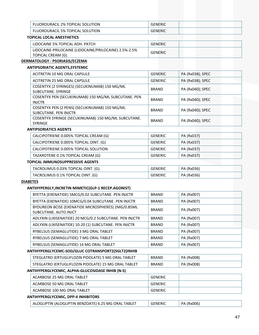| <b>FLUOROURACIL 2% TOPICAL SOLUTION</b>    | <b>GENERIC</b> |
|--------------------------------------------|----------------|
| . 5% TOPICAL<br>FLUOROURACIL<br>. SOLUTION | GENERIC        |

# **TOPICAL LOCAL ANESTHETICS**

| LIDOCAINE 5% TOPICAL ADH. PATCH                                            | GENERIC |
|----------------------------------------------------------------------------|---------|
| LIDOCAINE-PRILOCAINE (LIDOCAINE/PRILOCAINE) 2.5%-2.5%<br>TOPICAL CREAM (G) | GENERIC |

#### **DERMATOLOGY ‐ PSORIASIS/ECZEMA ANTIPSORIATIC AGENTS,SYSTEMIC**

| ACITRETIN 10 MG ORAL CAPSULE                                                  | <b>GENERIC</b> | PA (Rx038); SPEC |
|-------------------------------------------------------------------------------|----------------|------------------|
| ACITRETIN 25 MG ORAL CAPSULE                                                  | <b>GENERIC</b> | PA (Rx038); SPEC |
| COSENTYX (2 SYRINGES) (SECUKINUMAB) 150 MG/ML<br>SUBCUTANE, SYRINGE           | <b>BRAND</b>   | PA (Rx040); SPEC |
| COSENTYX PEN (SECUKINUMAB) 150 MG/ML SUBCUTANE. PEN<br><b>INJCTR</b>          | <b>BRAND</b>   | PA (Rx040); SPEC |
| COSENTYX PEN (2 PENS) (SECUKINUMAB) 150 MG/ML<br><b>SUBCUTANE, PEN INJCTR</b> | <b>BRAND</b>   | PA (Rx040); SPEC |
| COSENTYX SYRINGE (SECUKINUMAB) 150 MG/ML SUBCUTANE.<br><b>SYRINGE</b>         | <b>BRAND</b>   | PA (Rx040); SPEC |

#### **ANTIPSORIATICS AGENTS**

| CALCIPOTRIENE 0.005% TOPICAL CREAM (G) | GENERIC        | PA (Rx037) |
|----------------------------------------|----------------|------------|
| CALCIPOTRIENE 0.005% TOPICAL OINT. (G) | <b>GENERIC</b> | PA (Rx037) |
| CALCIPOTRIENE 0.005% TOPICAL SOLUTION  | <b>GENERIC</b> | PA (Rx037) |
| TAZAROTENE 0.1% TOPICAL CREAM (G)      | <b>GENERIC</b> | PA (Rx037) |
| TOPICAL IMMUNOSUPPRESSIVE AGENTS       |                |            |
| TACROLIMUS 0.03% TOPICAL OINT. (G)     | <b>GENERIC</b> | PA (Rx036) |
| TACROLIMUS 0.1% TOPICAL OINT. (G)      | <b>GENERIC</b> | PA (Rx036) |

# **DIABETES**

#### **ANTIHYPERGLY,INCRETIN MIMETIC(GLP‐1 RECEP.AGONIST)**

| BYETTA (EXENATIDE) 5MCG/0.02 SUBCUTANE. PEN INJCTR                          | <b>BRAND</b> | PA (Rx007) |  |
|-----------------------------------------------------------------------------|--------------|------------|--|
| BYETTA (EXENATIDE) 10MCG/0.04 SUBCUTANE. PEN INJCTR                         | <b>BRAND</b> | PA (Rx007) |  |
| BYDUREON BCISE (EXENATIDE MICROSPHERES) 2MG/0.85ML<br>SUBCUTANE, AUTO INJCT | <b>BRAND</b> | PA (Rx007) |  |
| ADLYXIN (LIXISENATIDE) 20 MCG/0.2 SUBCUTANE. PEN INJCTR                     | <b>BRAND</b> | PA (Rx007) |  |
| ADLYXIN (LIXISENATIDE) 10-20 (1) SUBCUTANE. PEN INJCTR                      | <b>BRAND</b> | PA (Rx007) |  |
| RYBELSUS (SEMAGLUTIDE) 3 MG ORAL TABLET                                     | <b>BRAND</b> | PA (Rx007) |  |
| RYBELSUS (SEMAGLUTIDE) 7 MG ORAL TABLET                                     | <b>BRAND</b> | PA (Rx007) |  |
| RYBELSUS (SEMAGLUTIDE) 14 MG ORAL TABLET                                    | <b>BRAND</b> | PA (Rx007) |  |
| ANTIHYPERGLYCEMC-SOD/GLUC COTRANSPORT2(SGLT2)INHIB                          |              |            |  |
| STEGLATRO (ERTUGLIFLOZIN PIDOLATE) 5 MG ORAL TABLET                         | <b>BRAND</b> | PA (Rx008) |  |
|                                                                             |              |            |  |

# STEGLATRO (ERTUGLIFLOZIN PIDOLATE) 15 MG ORAL TABLET  $\vert$  BRAND  $\vert$  PA (Rx008)

# **ANTIHYPERGLYCEMIC, ALPHA‐GLUCOSIDASE INHIB (N‐S)**

| ACARBOSE 25 MG ORAL TABLET  | GENERIC |  |
|-----------------------------|---------|--|
| ACARBOSE 50 MG ORAL TABLET  | GENERIC |  |
| ACARBOSE 100 MG ORAL TABLET | GENERIC |  |

# **ANTIHYPERGLYCEMIC, DPP‐4 INHIBITORS**

| ALOGLIPTIN (ALOGLIPTIN BENZOATE) 6.25 MG ORAL TABLET | GENERIC | PA (Rx006) |
|------------------------------------------------------|---------|------------|
|                                                      |         |            |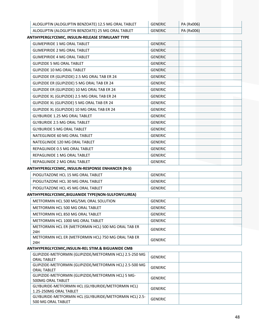| ALOGLIPTIN (ALOGLIPTIN BENZOATE) 12.5 MG ORAL TABLET | <b>GENERIC</b> | PA (Rx006) |
|------------------------------------------------------|----------------|------------|
| ALOGLIPTIN (ALOGLIPTIN BENZOATE) 25 MG ORAL TABLET   | GENERIC        | PA (Rx006) |

# **ANTIHYPERGLYCEMIC, INSULIN‐RELEASE STIMULANT TYPE**

| <b>GLIMEPIRIDE 1 MG ORAL TABLET</b>            | <b>GENERIC</b> |  |
|------------------------------------------------|----------------|--|
| <b>GLIMEPIRIDE 2 MG ORAL TABLET</b>            | <b>GENERIC</b> |  |
| <b>GLIMEPIRIDE 4 MG ORAL TABLET</b>            | <b>GENERIC</b> |  |
| <b>GLIPIZIDE 5 MG ORAL TABLET</b>              | <b>GENERIC</b> |  |
| <b>GLIPIZIDE 10 MG ORAL TABLET</b>             | <b>GENERIC</b> |  |
| GLIPIZIDE ER (GLIPIZIDE) 2.5 MG ORAL TAB ER 24 | <b>GENERIC</b> |  |
| GLIPIZIDE ER (GLIPIZIDE) 5 MG ORAL TAB ER 24   | <b>GENERIC</b> |  |
| GLIPIZIDE ER (GLIPIZIDE) 10 MG ORAL TAB ER 24  | <b>GENERIC</b> |  |
| GLIPIZIDE XL (GLIPIZIDE) 2.5 MG ORAL TAB ER 24 | <b>GENERIC</b> |  |
| GLIPIZIDE XL (GLIPIZIDE) 5 MG ORAL TAB ER 24   | <b>GENERIC</b> |  |
| GLIPIZIDE XL (GLIPIZIDE) 10 MG ORAL TAB ER 24  | <b>GENERIC</b> |  |
| <b>GLYBURIDE 1.25 MG ORAL TABLET</b>           | <b>GENERIC</b> |  |
| <b>GLYBURIDE 2.5 MG ORAL TABLET</b>            | <b>GENERIC</b> |  |
| <b>GLYBURIDE 5 MG ORAL TABLET</b>              | <b>GENERIC</b> |  |
| NATEGLINIDE 60 MG ORAL TABLET                  | <b>GENERIC</b> |  |
| NATEGLINIDE 120 MG ORAL TABLET                 | <b>GENERIC</b> |  |
| REPAGLINIDE 0.5 MG ORAL TABLET                 | <b>GENERIC</b> |  |
| REPAGLINIDE 1 MG ORAL TABLET                   | <b>GENERIC</b> |  |
| REPAGLINIDE 2 MG ORAL TABLET                   | <b>GENERIC</b> |  |
|                                                |                |  |

# **ANTIHYPERGLYCEMIC, INSULIN‐RESPONSE ENHANCER (N‐S)**

| PIOGLITAZONE HCL 15 MG ORAL TABLET | <b>GENERIC</b> |
|------------------------------------|----------------|
| PIOGLITAZONE HCL 30 MG ORAL TABLET | GENERIC        |
| PIOGLITAZONE HCL 45 MG ORAL TABLET | GENERIC        |

# **ANTIHYPERGLYCEMIC,BIGUANIDE TYPE(NON‐SULFONYLUREA)**

| METFORMIN HCL 500 MG/5ML ORAL SOLUTION                     | GENERIC        |
|------------------------------------------------------------|----------------|
| METFORMIN HCL 500 MG ORAL TABLET                           | <b>GENERIC</b> |
| METFORMIN HCL 850 MG ORAL TABLET                           | <b>GENERIC</b> |
| METFORMIN HCL 1000 MG ORAL TABLET                          | <b>GENERIC</b> |
| METFORMIN HCL ER (METFORMIN HCL) 500 MG ORAL TAB ER<br>24H | GENERIC        |
| METFORMIN HCL ER (METFORMIN HCL) 750 MG ORAL TAB ER<br>24H | GENERIC        |

# **ANTIHYPERGLYCEMIC,INSULIN‐REL STIM.& BIGUANIDE CMB**

| GLIPIZIDE-METFORMIN (GLIPIZIDE/METFORMIN HCL) 2.5-250 MG<br><b>ORAL TABLET</b> | <b>GENERIC</b> |  |
|--------------------------------------------------------------------------------|----------------|--|
| GLIPIZIDE-METFORMIN (GLIPIZIDE/METFORMIN HCL) 2.5-500 MG<br><b>ORAL TABLET</b> | <b>GENERIC</b> |  |
| GLIPIZIDE-METFORMIN (GLIPIZIDE/METFORMIN HCL) 5 MG-<br>500MG ORAL TABLET       | <b>GENERIC</b> |  |
| GLYBURIDE-METFORMIN HCL (GLYBURIDE/METFORMIN HCL)<br>1.25-250MG ORAL TABLET    | <b>GENERIC</b> |  |
| GLYBURIDE-METFORMIN HCL (GLYBURIDE/METFORMIN HCL) 2.5-<br>500 MG ORAL TABLET   | <b>GENERIC</b> |  |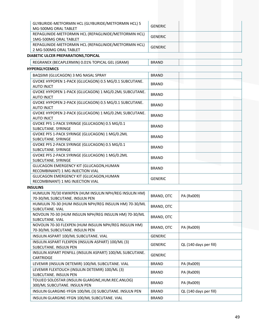| GLYBURIDE-METFORMIN HCL (GLYBURIDE/METFORMIN HCL) 5   | <b>GENERIC</b> |
|-------------------------------------------------------|----------------|
| MG-500MG ORAL TABLET                                  |                |
| REPAGLINIDE-METFORMIN HCL (REPAGLINIDE/METFORMIN HCL) | <b>GENERIC</b> |
| 1MG-500MG ORAL TABLET                                 |                |
| REPAGLINIDE-METFORMIN HCL (REPAGLINIDE/METFORMIN HCL) | <b>GENERIC</b> |
| 2 MG-500MG ORAL TABLET                                |                |
| DIABETIC ULCER PREPARATIONS, TOPICAL                  |                |
| REGRANEX (BECAPLERMIN) 0.01% TOPICAL GEL (GRAM)       | <b>BRAND</b>   |
| <b>HYPERGLYCEMICS</b>                                 |                |
| BAQSIMI (GLUCAGON) 3 MG NASAL SPRAY                   | <b>BRAND</b>   |
| GVOKE HYPOPEN 1-PACK (GLUCAGON) 0.5 MG/0.1 SUBCUTANE. | <b>BRAND</b>   |
| <b>AUTO INJCT</b>                                     |                |
| GVOKE HYPOPEN 1-PACK (GLUCAGON) 1 MG/0.2ML SUBCUTANE. | <b>BRAND</b>   |
| <b>AUTO INJCT</b>                                     |                |
| GVOKE HYPOPEN 2-PACK (GLUCAGON) 0.5 MG/0.1 SUBCUTANE. | <b>BRAND</b>   |
| <b>AUTO INJCT</b>                                     |                |
| GVOKE HYPOPEN 2-PACK (GLUCAGON) 1 MG/0.2ML SUBCUTANE. | <b>BRAND</b>   |
| <b>AUTO INJCT</b>                                     |                |
| GVOKE PFS 1-PACK SYRINGE (GLUCAGON) 0.5 MG/0.1        | <b>BRAND</b>   |
| SUBCUTANE, SYRINGE                                    |                |
| GVOKE PFS 1-PACK SYRINGE (GLUCAGON) 1 MG/0.2ML        | <b>BRAND</b>   |
| SUBCUTANE. SYRINGE                                    |                |
| GVOKE PFS 2-PACK SYRINGE (GLUCAGON) 0.5 MG/0.1        | <b>BRAND</b>   |
| SUBCUTANE, SYRINGE                                    |                |
| GVOKE PFS 2-PACK SYRINGE (GLUCAGON) 1 MG/0.2ML        | <b>BRAND</b>   |
| SUBCUTANE. SYRINGE                                    |                |
| GLUCAGON EMERGENCY KIT (GLUCAGON, HUMAN               | <b>BRAND</b>   |
| RECOMBINANT) 1 MG INJECTION VIAL                      |                |

# **INSULINS**

GLUCAGON EMERGENCY KIT (GLUCAGON,HUMAN

GLUCAGON EMERGENCY KIT (GLUCAGON,HUMAN<br>RECOMBINANT) 1 MG INJECTION VIAL

| HUMULIN 70/30 KWIKPEN (HUM INSULIN NPH/REG INSULIN HM)<br>70-30/ML SUBCUTANE. INSULN PEN | BRAND, OTC     | PA (Rx009)             |
|------------------------------------------------------------------------------------------|----------------|------------------------|
| HUMULIN 70-30 (HUM INSULIN NPH/REG INSULIN HM) 70-30/ML<br><b>SUBCUTANE, VIAL</b>        | BRAND, OTC     |                        |
| NOVOLIN 70-30 (HUM INSULIN NPH/REG INSULIN HM) 70-30/ML<br>SUBCUTANE, VIAL               | BRAND, OTC     |                        |
| NOVOLIN 70-30 FLEXPEN (HUM INSULIN NPH/REG INSULIN HM)<br>70-30/ML SUBCUTANE. INSULN PEN | BRAND, OTC     | PA (Rx009)             |
| INSULIN ASPART 100/ML SUBCUTANE. VIAL                                                    | <b>GENERIC</b> |                        |
| INSULIN ASPART FLEXPEN (INSULIN ASPART) 100/ML (3)<br>SUBCUTANE, INSULN PEN              | <b>GENERIC</b> | QL (140 days per fill) |
| INSULIN ASPART PENFILL (INSULIN ASPART) 100/ML SUBCUTANE.<br><b>CARTRIDGE</b>            | <b>GENERIC</b> |                        |
| LEVEMIR (INSULIN DETEMIR) 100/ML SUBCUTANE. VIAL                                         | <b>BRAND</b>   | PA (Rx009)             |
| LEVEMIR FLEXTOUCH (INSULIN DETEMIR) 100/ML (3)<br><b>SUBCUTANE, INSULN PEN</b>           | <b>BRAND</b>   | PA (Rx009)             |
| TOUJEO SOLOSTAR (INSULIN GLARGINE, HUM.REC.ANLOG)<br>300/ML SUBCUTANE. INSULN PEN        | <b>BRAND</b>   | PA (Rx009)             |
| INSULIN GLARGINE-YFGN 100/ML (3) SUBCUTANE. INSULN PEN                                   | <b>BRAND</b>   | QL (140 days per fill) |
| INSULIN GLARGINE-YFGN 100/ML SUBCUTANE. VIAL                                             | <b>BRAND</b>   |                        |
|                                                                                          |                |                        |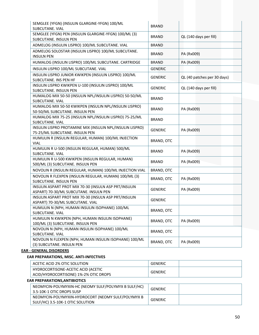| SEMGLEE (YFGN) (INSULIN GLARGINE-YFGN) 100/ML<br>SUBCUTANE. VIAL                                | <b>BRAND</b>      |                             |
|-------------------------------------------------------------------------------------------------|-------------------|-----------------------------|
| SEMGLEE (YFGN) PEN (INSULIN GLARGINE-YFGN) 100/ML (3)<br><b>SUBCUTANE. INSULN PEN</b>           | <b>BRAND</b>      | QL (140 days per fill)      |
| ADMELOG (INSULIN LISPRO) 100/ML SUBCUTANE. VIAL                                                 | <b>BRAND</b>      |                             |
| ADMELOG SOLOSTAR (INSULIN LISPRO) 100/ML SUBCUTANE.<br><b>INSULN PEN</b>                        | <b>BRAND</b>      | PA (Rx009)                  |
| HUMALOG (INSULIN LISPRO) 100/ML SUBCUTANE. CARTRIDGE                                            | <b>BRAND</b>      | PA (Rx009)                  |
| INSULIN LISPRO 100/ML SUBCUTANE. VIAL                                                           | <b>GENERIC</b>    |                             |
| INSULIN LISPRO JUNIOR KWIKPEN (INSULIN LISPRO) 100/ML<br>SUBCUTANE. INS PEN HF                  | <b>GENERIC</b>    | QL (40 patches per 30 days) |
| INSULIN LISPRO KWIKPEN U-100 (INSULIN LISPRO) 100/ML<br><b>SUBCUTANE. INSULN PEN</b>            | <b>GENERIC</b>    | QL (140 days per fill)      |
| HUMALOG MIX 50-50 (INSULIN NPL/INSULIN LISPRO) 50-50/ML<br>SUBCUTANE. VIAL                      | <b>BRAND</b>      |                             |
| HUMALOG MIX 50-50 KWIKPEN (INSULIN NPL/INSULIN LISPRO)<br>50-50/ML SUBCUTANE. INSULN PEN        | <b>BRAND</b>      | PA (Rx009)                  |
| HUMALOG MIX 75-25 (INSULIN NPL/INSULIN LISPRO) 75-25/ML<br>SUBCUTANE. VIAL                      | <b>BRAND</b>      |                             |
| INSULIN LISPRO PROTAMINE MIX (INSULIN NPL/INSULIN LISPRO)<br>75-25/ML SUBCUTANE. INSULN PEN     | <b>GENERIC</b>    | PA (Rx009)                  |
| HUMULIN R (INSULIN REGULAR, HUMAN) 100/ML INJECTION<br><b>VIAL</b>                              | BRAND, OTC        |                             |
| HUMULIN R U-500 (INSULIN REGULAR, HUMAN) 500/ML<br>SUBCUTANE. VIAL                              | <b>BRAND</b>      | PA (Rx009)                  |
| HUMULIN R U-500 KWIKPEN (INSULIN REGULAR, HUMAN)<br>500/ML (3) SUBCUTANE. INSULN PEN            | <b>BRAND</b>      | PA (Rx009)                  |
| NOVOLIN R (INSULIN REGULAR, HUMAN) 100/ML INJECTION VIAL                                        | <b>BRAND, OTC</b> |                             |
| NOVOLIN R FLEXPEN (INSULIN REGULAR, HUMAN) 100/ML (3)<br>SUBCUTANE. INSULN PEN                  | BRAND, OTC        | PA (Rx009)                  |
| INSULIN ASPART PROT MIX 70-30 (INSULN ASP PRT/INSULIN<br>ASPART) 70-30/ML SUBCUTANE. INSULN PEN | <b>GENERIC</b>    | PA (Rx009)                  |
| INSULIN ASPART PROT MIX 70-30 (INSULN ASP PRT/INSULIN<br>ASPART) 70-30/ML SUBCUTANE. VIAL       | <b>GENERIC</b>    |                             |
| HUMULIN N (NPH, HUMAN INSULIN ISOPHANE) 100/ML<br>SUBCUTANE. VIAL                               | BRAND, OTC        |                             |
| HUMULIN N KWIKPEN (NPH, HUMAN INSULIN ISOPHANE)<br>100/ML (3) SUBCUTANE. INSULN PEN             | BRAND, OTC        | PA (Rx009)                  |
| NOVOLIN N (NPH, HUMAN INSULIN ISOPHANE) 100/ML<br>SUBCUTANE. VIAL                               | BRAND, OTC        |                             |
| NOVOLIN N FLEXPEN (NPH, HUMAN INSULIN ISOPHANE) 100/ML<br>(3) SUBCUTANE. INSULN PEN             | BRAND, OTC        | PA (Rx009)                  |

#### **EAR ‐ GENERAL DISORDERS**

# **EAR PREPARATIONS, MISC. ANTI‐INFECTIVES**

| ACETIC ACID 2% OTIC SOLUTION                                                | GENERIC |  |
|-----------------------------------------------------------------------------|---------|--|
| HYDROCORTISONE-ACETIC ACID (ACETIC<br>ACID/HYDROCORTISONE) 1%-2% OTIC DROPS | GENERIC |  |

#### **EAR PREPARATIONS,ANTIBIOTICS**

| NEOMYCIN-POLYMYXIN-HC (NEOMY SULF/POLYMYX B SULF/HC)<br>3.5-10K-1 OTIC DROPS SUSP      | GENERIC |  |
|----------------------------------------------------------------------------------------|---------|--|
| NEOMYCIN-POLYMYXIN-HYDROCORT (NEOMY SULF/POLYMYX B<br>SULF/HC) 3.5-10K-1 OTIC SOLUTION | GENERIC |  |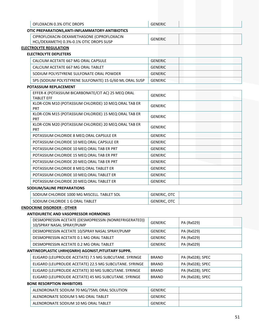| OFLOXACIN 0.3% OTIC DROPS                                                             | <b>GENERIC</b>      |                  |  |  |
|---------------------------------------------------------------------------------------|---------------------|------------------|--|--|
| OTIC PREPARATIONS, ANTI-INFLAMMATORY-ANTIBIOTICS                                      |                     |                  |  |  |
| CIPROFLOXACIN-DEXAMETHASONE (CIPROFLOXACIN<br>HCL/DEXAMETH) 0.3%-0.1% OTIC DROPS SUSP | <b>GENERIC</b>      |                  |  |  |
| <b>ELECTROLYTE REGULATION</b>                                                         |                     |                  |  |  |
| <b>ELECTROLYTE DEPLETERS</b>                                                          |                     |                  |  |  |
| CALCIUM ACETATE 667 MG ORAL CAPSULE                                                   | <b>GENERIC</b>      |                  |  |  |
| CALCIUM ACETATE 667 MG ORAL TABLET                                                    | <b>GENERIC</b>      |                  |  |  |
| SODIUM POLYSTYRENE SULFONATE ORAL POWDER                                              | <b>GENERIC</b>      |                  |  |  |
| SPS (SODIUM POLYSTYRENE SULFONATE) 15 G/60 ML ORAL SUSP                               | <b>GENERIC</b>      |                  |  |  |
| POTASSIUM REPLACEMENT                                                                 |                     |                  |  |  |
| EFFER-K (POTASSIUM BICARBONATE/CIT AC) 25 MEQ ORAL<br><b>TABLET EFF</b>               | <b>GENERIC</b>      |                  |  |  |
| KLOR-CON M10 (POTASSIUM CHLORIDE) 10 MEQ ORAL TAB ER<br><b>PRT</b>                    | <b>GENERIC</b>      |                  |  |  |
| KLOR-CON M15 (POTASSIUM CHLORIDE) 15 MEQ ORAL TAB ER<br>PRT                           | <b>GENERIC</b>      |                  |  |  |
| KLOR-CON M20 (POTASSIUM CHLORIDE) 20 MEQ ORAL TAB ER<br><b>PRT</b>                    | <b>GENERIC</b>      |                  |  |  |
| POTASSIUM CHLORIDE 8 MEQ ORAL CAPSULE ER                                              | <b>GENERIC</b>      |                  |  |  |
| POTASSIUM CHLORIDE 10 MEQ ORAL CAPSULE ER                                             | <b>GENERIC</b>      |                  |  |  |
| POTASSIUM CHLORIDE 10 MEQ ORAL TAB ER PRT                                             | <b>GENERIC</b>      |                  |  |  |
| POTASSIUM CHLORIDE 15 MEQ ORAL TAB ER PRT                                             | <b>GENERIC</b>      |                  |  |  |
| POTASSIUM CHLORIDE 20 MEQ ORAL TAB ER PRT                                             | <b>GENERIC</b>      |                  |  |  |
| POTASSIUM CHLORIDE 8 MEQ ORAL TABLET ER                                               | <b>GENERIC</b>      |                  |  |  |
| POTASSIUM CHLORIDE 10 MEQ ORAL TABLET ER                                              | <b>GENERIC</b>      |                  |  |  |
| POTASSIUM CHLORIDE 20 MEQ ORAL TABLET ER                                              | <b>GENERIC</b>      |                  |  |  |
| SODIUM/SALINE PREPARATIONS                                                            |                     |                  |  |  |
| SODIUM CHLORIDE 1000 MG MISCELL. TABLET SOL                                           | GENERIC, OTC        |                  |  |  |
| SODIUM CHLORIDE 1 G ORAL TABLET                                                       | <b>GENERIC, OTC</b> |                  |  |  |
| <b>ENDOCRINE DISORDER - OTHER</b>                                                     |                     |                  |  |  |
| <b>ANTIDIURETIC AND VASOPRESSOR HORMONES</b>                                          |                     |                  |  |  |
| DESMOPRESSIN ACETATE (DESMOPRESSIN (NONREFRIGERATED))<br>10/SPRAY NASAL SPRAY/PUMP    | <b>GENERIC</b>      | PA (Rx029)       |  |  |
| DESMOPRESSIN ACETATE 10/SPRAY NASAL SPRAY/PUMP                                        | <b>GENERIC</b>      | PA (Rx029)       |  |  |
| DESMOPRESSIN ACETATE 0.1 MG ORAL TABLET                                               | <b>GENERIC</b>      | PA (Rx029)       |  |  |
| DESMOPRESSIN ACETATE 0.2 MG ORAL TABLET                                               | <b>GENERIC</b>      | PA (Rx029)       |  |  |
| ANTINEOPLASTIC LHRH(GNRH) AGONIST, PITUITARY SUPPR.                                   |                     |                  |  |  |
| ELIGARD (LEUPROLIDE ACETATE) 7.5 MG SUBCUTANE. SYRINGE                                | <b>BRAND</b>        | PA (Rx028); SPEC |  |  |
| ELIGARD (LEUPROLIDE ACETATE) 22.5 MG SUBCUTANE. SYRINGE                               | <b>BRAND</b>        | PA (Rx028); SPEC |  |  |
| ELIGARD (LEUPROLIDE ACETATE) 30 MG SUBCUTANE. SYRINGE                                 | <b>BRAND</b>        | PA (Rx028); SPEC |  |  |
| ELIGARD (LEUPROLIDE ACETATE) 45 MG SUBCUTANE. SYRINGE                                 | <b>BRAND</b>        | PA (Rx028); SPEC |  |  |
| <b>BONE RESORPTION INHIBITORS</b>                                                     |                     |                  |  |  |
| ALENDRONATE SODIUM 70 MG/75ML ORAL SOLUTION                                           | <b>GENERIC</b>      |                  |  |  |
| ALENDRONATE SODIUM 5 MG ORAL TABLET                                                   | <b>GENERIC</b>      |                  |  |  |
| ALENDRONATE SODIUM 10 MG ORAL TABLET                                                  | <b>GENERIC</b>      |                  |  |  |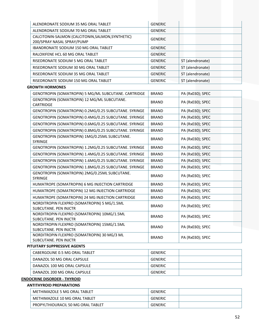| ALENDRONATE SODIUM 35 MG ORAL TABLET                                            | <b>GENERIC</b> |                  |
|---------------------------------------------------------------------------------|----------------|------------------|
| ALENDRONATE SODIUM 70 MG ORAL TABLET                                            | <b>GENERIC</b> |                  |
| CALCITONIN-SALMON (CALCITONIN, SALMON, SYNTHETIC)<br>200/SPRAY NASAL SPRAY/PUMP | <b>GENERIC</b> |                  |
| IBANDRONATE SODIUM 150 MG ORAL TABLET                                           | <b>GENERIC</b> |                  |
| RALOXIFENE HCL 60 MG ORAL TABLET                                                | <b>GENERIC</b> |                  |
| RISEDRONATE SODIUM 5 MG ORAL TABLET                                             | <b>GENERIC</b> | ST (alendronate) |
| RISEDRONATE SODIUM 30 MG ORAL TABLET                                            | <b>GENERIC</b> | ST (alendronate) |
| RISEDRONATE SODIUM 35 MG ORAL TABLET                                            | <b>GENERIC</b> | ST (alendronate) |
| RISEDRONATE SODIUM 150 MG ORAL TABLET                                           | <b>GENERIC</b> | ST (alendronate) |
| <b>GROWTH HORMONES</b>                                                          |                |                  |
| GENOTROPIN (SOMATROPIN) 5 MG/ML SUBCUTANE. CARTRIDGE                            | <b>BRAND</b>   | PA (Rx030); SPEC |
| GENOTROPIN (SOMATROPIN) 12 MG/ML SUBCUTANE.                                     |                |                  |
| CARTRIDGE                                                                       | <b>BRAND</b>   | PA (Rx030); SPEC |
| GENOTROPIN (SOMATROPIN) 0.2MG/0.25 SUBCUTANE. SYRINGE                           | <b>BRAND</b>   | PA (Rx030); SPEC |
| GENOTROPIN (SOMATROPIN) 0.4MG/0.25 SUBCUTANE. SYRINGE                           | <b>BRAND</b>   | PA (Rx030); SPEC |
| GENOTROPIN (SOMATROPIN) 0.6MG/0.25 SUBCUTANE. SYRINGE                           | <b>BRAND</b>   | PA (Rx030); SPEC |
| GENOTROPIN (SOMATROPIN) 0.8MG/0.25 SUBCUTANE. SYRINGE                           | <b>BRAND</b>   | PA (Rx030); SPEC |
| GENOTROPIN (SOMATROPIN) 1MG/0.25ML SUBCUTANE.<br>SYRINGE                        | <b>BRAND</b>   | PA (Rx030); SPEC |
| GENOTROPIN (SOMATROPIN) 1.2MG/0.25 SUBCUTANE. SYRINGE                           | <b>BRAND</b>   | PA (Rx030); SPEC |
| GENOTROPIN (SOMATROPIN) 1.4MG/0.25 SUBCUTANE. SYRINGE                           | <b>BRAND</b>   | PA (Rx030); SPEC |
| GENOTROPIN (SOMATROPIN) 1.6MG/0.25 SUBCUTANE. SYRINGE                           | <b>BRAND</b>   | PA (Rx030); SPEC |
| GENOTROPIN (SOMATROPIN) 1.8MG/0.25 SUBCUTANE. SYRINGE                           | <b>BRAND</b>   | PA (Rx030); SPEC |
| GENOTROPIN (SOMATROPIN) 2MG/0.25ML SUBCUTANE.<br>SYRINGE                        | <b>BRAND</b>   | PA (Rx030); SPEC |
| HUMATROPE (SOMATROPIN) 6 MG INJECTION CARTRIDGE                                 | <b>BRAND</b>   | PA (Rx030); SPEC |
| HUMATROPE (SOMATROPIN) 12 MG INJECTION CARTRIDGE                                | <b>BRAND</b>   | PA (Rx030); SPEC |
| HUMATROPE (SOMATROPIN) 24 MG INJECTION CARTRIDGE                                | <b>BRAND</b>   | PA (Rx030); SPEC |
| NORDITROPIN FLEXPRO (SOMATROPIN) 5 MG/1.5ML<br>SUBCUTANE. PEN INJCTR            | <b>BRAND</b>   | PA (Rx030); SPEC |
| NORDITROPIN FLEXPRO (SOMATROPIN) 10MG/1.5ML<br>SUBCUTANE. PEN INJCTR            | <b>BRAND</b>   | PA (Rx030); SPEC |
| NORDITROPIN FLEXPRO (SOMATROPIN) 15MG/1.5ML<br>SUBCUTANE. PEN INJCTR            | <b>BRAND</b>   | PA (Rx030); SPEC |
| NORDITROPIN FLEXPRO (SOMATROPIN) 30 MG/3 ML<br>SUBCUTANE. PEN INJCTR            | <b>BRAND</b>   | PA (Rx030); SPEC |
| PITUITARY SUPPRESSIVE AGENTS                                                    |                |                  |
| CABERGOLINE 0.5 MG ORAL TABLET                                                  | <b>GENERIC</b> |                  |
| DANAZOL 50 MG ORAL CAPSULE                                                      | <b>GENERIC</b> |                  |

| <b>ENDOCRINE DISORDER - THYROID</b> |                |
|-------------------------------------|----------------|
| DANAZOL 200 MG ORAL CAPSULE         | <b>GENERIC</b> |
| DANAZOL 100 MG ORAL CAPSULE         | GENERIC        |

# **ANTITHYROID PREPARATIONS**

| METHIMAZOLE 5 MG ORAL TABLET       | <b>GENERIC</b> |  |
|------------------------------------|----------------|--|
| METHIMAZOLE 10 MG ORAL TABLET      | GENERIC        |  |
| PROPYLTHIOURACIL 50 MG ORAL TABLET | GENERIC        |  |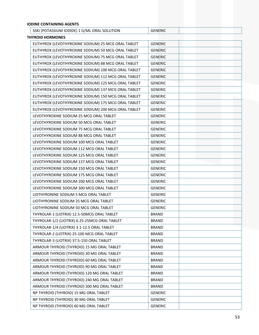| <b>IODINE CONTAINING AGENTS</b>                     |                |  |
|-----------------------------------------------------|----------------|--|
| SSKI (POTASSIUM IODIDE) 1 G/ML ORAL SOLUTION        | <b>GENERIC</b> |  |
| <b>THYROID HORMONES</b>                             |                |  |
| EUTHYROX (LEVOTHYROXINE SODIUM) 25 MCG ORAL TABLET  | <b>GENERIC</b> |  |
| EUTHYROX (LEVOTHYROXINE SODIUM) 50 MCG ORAL TABLET  | <b>GENERIC</b> |  |
| EUTHYROX (LEVOTHYROXINE SODIUM) 75 MCG ORAL TABLET  | <b>GENERIC</b> |  |
| EUTHYROX (LEVOTHYROXINE SODIUM) 88 MCG ORAL TABLET  | <b>GENERIC</b> |  |
| EUTHYROX (LEVOTHYROXINE SODIUM) 100 MCG ORAL TABLET | <b>GENERIC</b> |  |
| EUTHYROX (LEVOTHYROXINE SODIUM) 112 MCG ORAL TABLET | <b>GENERIC</b> |  |
| EUTHYROX (LEVOTHYROXINE SODIUM) 125 MCG ORAL TABLET | <b>GENERIC</b> |  |
| EUTHYROX (LEVOTHYROXINE SODIUM) 137 MCG ORAL TABLET | <b>GENERIC</b> |  |
| EUTHYROX (LEVOTHYROXINE SODIUM) 150 MCG ORAL TABLET | <b>GENERIC</b> |  |
| EUTHYROX (LEVOTHYROXINE SODIUM) 175 MCG ORAL TABLET | <b>GENERIC</b> |  |
| EUTHYROX (LEVOTHYROXINE SODIUM) 200 MCG ORAL TABLET | <b>GENERIC</b> |  |
| LEVOTHYROXINE SODIUM 25 MCG ORAL TABLET             | <b>GENERIC</b> |  |
| LEVOTHYROXINE SODIUM 50 MCG ORAL TABLET             | <b>GENERIC</b> |  |
| LEVOTHYROXINE SODIUM 75 MCG ORAL TABLET             | <b>GENERIC</b> |  |
| LEVOTHYROXINE SODIUM 88 MCG ORAL TABLET             | <b>GENERIC</b> |  |
| LEVOTHYROXINE SODIUM 100 MCG ORAL TABLET            | <b>GENERIC</b> |  |
| LEVOTHYROXINE SODIUM 112 MCG ORAL TABLET            | <b>GENERIC</b> |  |
| LEVOTHYROXINE SODIUM 125 MCG ORAL TABLET            | <b>GENERIC</b> |  |
| LEVOTHYROXINE SODIUM 137 MCG ORAL TABLET            | <b>GENERIC</b> |  |
| LEVOTHYROXINE SODIUM 150 MCG ORAL TABLET            | <b>GENERIC</b> |  |
| LEVOTHYROXINE SODIUM 175 MCG ORAL TABLET            | <b>GENERIC</b> |  |
| LEVOTHYROXINE SODIUM 200 MCG ORAL TABLET            | <b>GENERIC</b> |  |
| LEVOTHYROXINE SODIUM 300 MCG ORAL TABLET            | <b>GENERIC</b> |  |
| LIOTHYRONINE SODIUM 5 MCG ORAL TABLET               | <b>GENERIC</b> |  |
| LIOTHYRONINE SODIUM 25 MCG ORAL TABLET              | <b>GENERIC</b> |  |
| LIOTHYRONINE SODIUM 50 MCG ORAL TABLET              | <b>GENERIC</b> |  |
| THYROLAR-1 (LIOTRIX) 12.5-50MCG ORAL TABLET         | <b>BRAND</b>   |  |
| THYROLAR-1/2 (LIOTRIX) 6.25-25MCG ORAL TABLET       | <b>BRAND</b>   |  |
| THYROLAR-1/4 (LIOTRIX) 3.1-12.5 ORAL TABLET         | <b>BRAND</b>   |  |
| THYROLAR-2 (LIOTRIX) 25-100 MCG ORAL TABLET         | <b>BRAND</b>   |  |
| THYROLAR-3 (LIOTRIX) 37.5-150 ORAL TABLET           | <b>BRAND</b>   |  |
| ARMOUR THYROID (THYROID) 15 MG ORAL TABLET          | <b>BRAND</b>   |  |
| ARMOUR THYROID (THYROID) 30 MG ORAL TABLET          | <b>BRAND</b>   |  |
| ARMOUR THYROID (THYROID) 60 MG ORAL TABLET          | <b>BRAND</b>   |  |
| ARMOUR THYROID (THYROID) 90 MG ORAL TABLET          | <b>BRAND</b>   |  |
| ARMOUR THYROID (THYROID) 120 MG ORAL TABLET         | <b>BRAND</b>   |  |
| ARMOUR THYROID (THYROID) 240 MG ORAL TABLET         | <b>BRAND</b>   |  |
| ARMOUR THYROID (THYROID) 300 MG ORAL TABLET         | <b>BRAND</b>   |  |
| NP THYROID (THYROID) 15 MG ORAL TABLET              | <b>GENERIC</b> |  |
| NP THYROID (THYROID) 30 MG ORAL TABLET              | <b>GENERIC</b> |  |
| NP THYROID (THYROID) 60 MG ORAL TABLET              | <b>GENERIC</b> |  |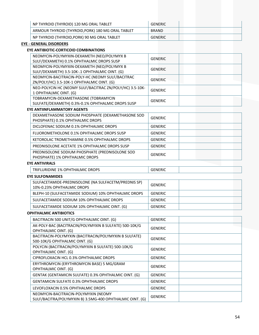| NP THYROID (THYROID) 120 MG ORAL TABLET           | GENERIC        |
|---------------------------------------------------|----------------|
| ARMOUR THYROID (THYROID, PORK) 180 MG ORAL TABLET | <b>BRAND</b>   |
| NP THYROID (THYROID, PORK) 90 MG ORAL TABLET      | <b>GENERIC</b> |

#### **EYE ‐ GENERAL DISORDERS**

# **EYE ANTIBIOTIC‐CORTICOID COMBINATIONS**

| NEOMYCIN-POLYMYXIN-DEXAMETH (NEO/POLYMYX B<br>SULF/DEXAMETH) 0.1% OPHTHALMIC DROPS SUSP        | <b>GENERIC</b> |
|------------------------------------------------------------------------------------------------|----------------|
| NEOMYCIN-POLYMYXIN-DEXAMETH (NEO/POLYMYX B<br>SULF/DEXAMETH) 3.5-10K-.1 OPHTHALMIC OINT. (G)   | <b>GENERIC</b> |
| NEOMYCIN-BACITRACIN-POLY-HC (NEOMY SULF/BACITRAC<br>ZN/POLY/HC) 3.5-10K-1 OPHTHALMIC OINT. (G) | GENERIC        |
| NEO-POLYCIN HC (NEOMY SULF/BACITRAC ZN/POLY/HC) 3.5-10K-<br>1 OPHTHALMIC OINT. (G)             | <b>GENERIC</b> |
| TOBRAMYCIN-DEXAMETHASONE (TOBRAMYCIN<br>SULFATE/DEXAMETH) 0.3%-0.1% OPHTHALMIC DROPS SUSP      | <b>GENERIC</b> |

#### **EYE ANTIINFLAMMATORY AGENTS**

| DEXAMETHASONE SODIUM PHOSPHATE (DEXAMETHASONE SOD<br>PHOSPHATE) 0.1% OPHTHALMIC DROPS | <b>GENERIC</b> |
|---------------------------------------------------------------------------------------|----------------|
| DICLOFENAC SODIUM 0.1% OPHTHALMIC DROPS                                               | <b>GENERIC</b> |
| FLUOROMETHOLONE 0.1% OPHTHALMIC DROPS SUSP                                            | <b>GENERIC</b> |
| KETOROLAC TROMETHAMINE 0.5% OPHTHALMIC DROPS                                          | GENERIC        |
| PREDNISOLONE ACETATE 1% OPHTHALMIC DROPS SUSP                                         | <b>GENERIC</b> |
| PREDNISOLONE SODIUM PHOSPHATE (PREDNISOLONE SOD<br>PHOSPHATE) 1% OPHTHALMIC DROPS     | <b>GENERIC</b> |

#### **EYE ANTIVIRALS**

| SOPHTHALMIC DROPS<br><b>TRIFLURIDINE 1% C</b> | טויות |  |
|-----------------------------------------------|-------|--|
| .                                             |       |  |

#### **EYE SULFONAMIDES**

| SULFACETAMIDE-PREDNISOLONE (NA SULFACETM/PREDNIS SP)<br>10%-0.23% OPHTHALMIC DROPS | GENERIC |  |
|------------------------------------------------------------------------------------|---------|--|
| BLEPH-10 (SULFACETAMIDE SODIUM) 10% OPHTHALMIC DROPS                               | GENERIC |  |
| SULFACETAMIDE SODIUM 10% OPHTHALMIC DROPS                                          | GENERIC |  |
| SULFACETAMIDE SODIUM 10% OPHTHALMIC OINT. (G)                                      | GENERIC |  |

#### **OPHTHALMIC ANTIBIOTICS**

| BACITRACIN 500 UNIT/G OPHTHALMIC OINT. (G)               | <b>GENERIC</b> |
|----------------------------------------------------------|----------------|
| AK-POLY-BAC (BACITRACIN/POLYMYXIN B SULFATE) 500-10K/G   |                |
| OPHTHALMIC OINT. (G)                                     | <b>GENERIC</b> |
| BACITRACIN-POLYMYXIN (BACITRACIN/POLYMYXIN B SULFATE)    |                |
| 500-10K/G OPHTHALMIC OINT. (G)                           | <b>GENERIC</b> |
| POLYCIN (BACITRACIN/POLYMYXIN B SULFATE) 500-10K/G       |                |
| <b>OPHTHALMIC OINT. (G)</b>                              | <b>GENERIC</b> |
| CIPROFLOXACIN HCL 0.3% OPHTHALMIC DROPS                  | <b>GENERIC</b> |
| ERYTHROMYCIN (ERYTHROMYCIN BASE) 5 MG/GRAM               |                |
| OPHTHALMIC OINT. (G)                                     | <b>GENERIC</b> |
| GENTAK (GENTAMICIN SULFATE) 0.3% OPHTHALMIC OINT. (G)    | <b>GENERIC</b> |
| <b>GENTAMICIN SULFATE 0.3% OPHTHALMIC DROPS</b>          | <b>GENERIC</b> |
| LEVOFLOXACIN 0.5% OPHTHALMIC DROPS                       | <b>GENERIC</b> |
| NEOMYCIN-BACITRACIN-POLYMYXIN (NEOMY                     |                |
| SULF/BACITRA/POLYMYXIN B) 3.5MG-400 OPHTHALMIC OINT. (G) | <b>GENERIC</b> |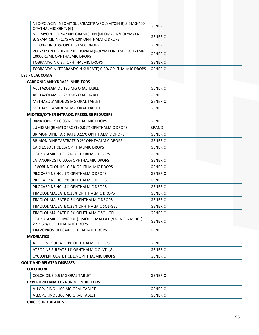| NEO-POLYCIN (NEOMY SULF/BACITRA/POLYMYXIN B) 3.5MG-400<br>OPHTHALMIC OINT. (G)                | <b>GENERIC</b> |
|-----------------------------------------------------------------------------------------------|----------------|
| NEOMYCIN-POLYMYXIN-GRAMICIDIN (NEOMYCIN/POLYMYXN<br>B/GRAMICIDIN) 1.75MG-10K OPHTHALMIC DROPS | <b>GENERIC</b> |
| OFLOXACIN 0.3% OPHTHALMIC DROPS                                                               | <b>GENERIC</b> |
| POLYMYXIN B SUL-TRIMETHOPRIM (POLYMYXIN B SULFATE/TMP)<br>10000-1/ML OPHTHALMIC DROPS         | <b>GENERIC</b> |
| TOBRAMYCIN 0.3% OPHTHALMIC DROPS                                                              | <b>GENERIC</b> |
| TOBRAMYCIN (TOBRAMYCIN SULFATE) 0.3% OPHTHALMIC DROPS                                         | <b>GENERIC</b> |
| <b>EYE - GLAUCOMA</b>                                                                         |                |
| <b>CARBONIC ANHYDRASE INHIBITORS</b>                                                          |                |
| ACETAZOLAMIDE 125 MG ORAL TABLET                                                              | <b>GENERIC</b> |
| ACETAZOLAMIDE 250 MG ORAL TABLET                                                              | <b>GENERIC</b> |
| METHAZOLAMIDE 25 MG ORAL TABLET                                                               | <b>GENERIC</b> |
| METHAZOLAMIDE 50 MG ORAL TABLET                                                               | <b>GENERIC</b> |
| MIOTICS/OTHER INTRAOC. PRESSURE REDUCERS                                                      |                |
| <b>RIMATODROST O 02% ODHTHAI MIC DRODS</b>                                                    | CENEDIC        |

| BIMATOPROST 0.03% OPHTHALMIC DROPS                                                | <b>GENERIC</b> |
|-----------------------------------------------------------------------------------|----------------|
| LUMIGAN (BIMATOPROST) 0.01% OPHTHALMIC DROPS                                      | <b>BRAND</b>   |
| BRIMONIDINE TARTRATE 0.15% OPHTHALMIC DROPS                                       | <b>GENERIC</b> |
| BRIMONIDINE TARTRATE 0.2% OPHTHALMIC DROPS                                        | <b>GENERIC</b> |
| CARTEOLOL HCL 1% OPHTHALMIC DROPS                                                 | <b>GENERIC</b> |
| DORZOLAMIDE HCL 2% OPHTHALMIC DROPS                                               | <b>GENERIC</b> |
| LATANOPROST 0.005% OPHTHALMIC DROPS                                               | <b>GENERIC</b> |
| LEVOBUNOLOL HCL 0.5% OPHTHALMIC DROPS                                             | <b>GENERIC</b> |
| PILOCARPINE HCL 1% OPHTHALMIC DROPS                                               | <b>GENERIC</b> |
| PILOCARPINE HCL 2% OPHTHALMIC DROPS                                               | <b>GENERIC</b> |
| PILOCARPINE HCL 4% OPHTHALMIC DROPS                                               | <b>GENERIC</b> |
| TIMOLOL MALEATE 0.25% OPHTHALMIC DROPS                                            | <b>GENERIC</b> |
| TIMOLOL MALEATE 0.5% OPHTHALMIC DROPS                                             | <b>GENERIC</b> |
| TIMOLOL MALEATE 0.25% OPHTHALMIC SOL-GEL                                          | <b>GENERIC</b> |
| TIMOLOL MALEATE 0.5% OPHTHALMIC SOL-GEL                                           | <b>GENERIC</b> |
| DORZOLAMIDE-TIMOLOL (TIMOLOL MALEATE/DORZOLAM HCL)<br>22.3-6.8/1 OPHTHALMIC DROPS | <b>GENERIC</b> |
| TRAVOPROST 0.004% OPHTHALMIC DROPS                                                | <b>GENERIC</b> |

#### **MYDRIATICS**

| ATROPINE SULFATE 1% OPHTHALMIC DROPS     | GENERIC        |
|------------------------------------------|----------------|
| ATROPINE SULFATE 1% OPHTHALMIC OINT. (G) | <b>GENERIC</b> |
| CYCLOPENTOLATE HCL 1% OPHTHALMIC DROPS   | GENERIC        |

# **GOUT AND RELATED DISEASES**

# **COLCHICINE**

|                                      | COLCHICINE 0.6 MG ORAL TABLET  | <b>GENERIC</b> |  |
|--------------------------------------|--------------------------------|----------------|--|
| HYPERURICEMIA TX - PURINE INHIBITORS |                                |                |  |
|                                      | ALLOPHRINOL 100 MG ORAL TARLET | GENERIC        |  |

| <b>TABLET</b><br>.300 MG ORAL<br>`¤URINOL .<br>LLOP' | <b>GENERIC</b> |  |
|------------------------------------------------------|----------------|--|
| <b>TABLET</b><br>URINO'<br>100 MG<br>`ORAL<br>LLUP'. | -מי<br>TNERIC  |  |

# **URICOSURIC AGENTS**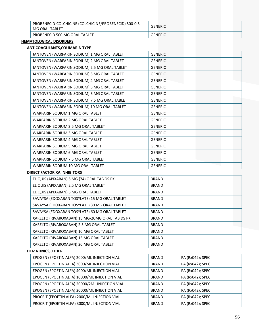| PROBENECID-COLCHICINE (COLCHICINE/PROBENECID) 500-0.5<br>MG ORAL TABLET | <b>GENERIC</b> |  |
|-------------------------------------------------------------------------|----------------|--|
| PROBENECID 500 MG ORAL TABLET                                           | GENERIC        |  |

#### **HEMATOLOGICAL DISORDERS**

#### **ANTICOAGULANTS,COUMARIN TYPE**

| JANTOVEN (WARFARIN SODIUM) 1 MG ORAL TABLET   | <b>GENERIC</b> |
|-----------------------------------------------|----------------|
| JANTOVEN (WARFARIN SODIUM) 2 MG ORAL TABLET   | <b>GENERIC</b> |
| JANTOVEN (WARFARIN SODIUM) 2.5 MG ORAL TABLET | <b>GENERIC</b> |
| JANTOVEN (WARFARIN SODIUM) 3 MG ORAL TABLET   | <b>GENERIC</b> |
| JANTOVEN (WARFARIN SODIUM) 4 MG ORAL TABLET   | <b>GENERIC</b> |
| JANTOVEN (WARFARIN SODIUM) 5 MG ORAL TABLET   | <b>GENERIC</b> |
| JANTOVEN (WARFARIN SODIUM) 6 MG ORAL TABLET   | <b>GENERIC</b> |
| JANTOVEN (WARFARIN SODIUM) 7.5 MG ORAL TABLET | <b>GENERIC</b> |
| JANTOVEN (WARFARIN SODIUM) 10 MG ORAL TABLET  | <b>GENERIC</b> |
| WARFARIN SODIUM 1 MG ORAL TABLET              | <b>GENERIC</b> |
| WARFARIN SODIUM 2 MG ORAL TABLET              | <b>GENERIC</b> |
| WARFARIN SODIUM 2.5 MG ORAL TABLET            | <b>GENERIC</b> |
| WARFARIN SODIUM 3 MG ORAL TABLET              | <b>GENERIC</b> |
| WARFARIN SODIUM 4 MG ORAL TABLET              | <b>GENERIC</b> |
| WARFARIN SODIUM 5 MG ORAL TABLET              | <b>GENERIC</b> |
| WARFARIN SODIUM 6 MG ORAL TABLET              | <b>GENERIC</b> |
| WARFARIN SODIUM 7.5 MG ORAL TABLET            | <b>GENERIC</b> |
| WARFARIN SODIUM 10 MG ORAL TABLET             | <b>GENERIC</b> |

#### **DIRECT FACTOR XA INHIBITORS**

| ELIQUIS (APIXABAN) 5 MG (74) ORAL TAB DS PK     | <b>BRAND</b> |  |
|-------------------------------------------------|--------------|--|
| ELIQUIS (APIXABAN) 2.5 MG ORAL TABLET           | <b>BRAND</b> |  |
| ELIQUIS (APIXABAN) 5 MG ORAL TABLET             | <b>BRAND</b> |  |
| SAVAYSA (EDOXABAN TOSYLATE) 15 MG ORAL TABLET   | <b>BRAND</b> |  |
| SAVAYSA (EDOXABAN TOSYLATE) 30 MG ORAL TABLET   | <b>BRAND</b> |  |
| SAVAYSA (EDOXABAN TOSYLATE) 60 MG ORAL TABLET   | <b>BRAND</b> |  |
| XARELTO (RIVAROXABAN) 15 MG-20MG ORAL TAB DS PK | <b>BRAND</b> |  |
| XARELTO (RIVAROXABAN) 2.5 MG ORAL TABLET        | <b>BRAND</b> |  |
| XARELTO (RIVAROXABAN) 10 MG ORAL TABLET         | <b>BRAND</b> |  |
| XARELTO (RIVAROXABAN) 15 MG ORAL TABLET         | <b>BRAND</b> |  |
| XARELTO (RIVAROXABAN) 20 MG ORAL TABLET         | <b>BRAND</b> |  |

#### **HEMATINICS,OTHER**

| EPOGEN (EPOETIN ALFA) 2000/ML INJECTION VIAL   | <b>BRAND</b> | PA (Rx042); SPEC |
|------------------------------------------------|--------------|------------------|
| EPOGEN (EPOETIN ALFA) 3000/ML INJECTION VIAL   | <b>BRAND</b> | PA (Rx042); SPEC |
| EPOGEN (EPOETIN ALFA) 4000/ML INJECTION VIAL   | <b>BRAND</b> | PA (Rx042); SPEC |
| EPOGEN (EPOETIN ALFA) 10000/ML INJECTION VIAL  | <b>BRAND</b> | PA (Rx042); SPEC |
| EPOGEN (EPOETIN ALFA) 20000/2ML INJECTION VIAL | <b>BRAND</b> | PA (Rx042); SPEC |
| EPOGEN (EPOETIN ALFA) 20000/ML INJECTION VIAL  | <b>BRAND</b> | PA (Rx042); SPEC |
| PROCRIT (EPOETIN ALFA) 2000/ML INJECTION VIAL  | <b>BRAND</b> | PA (Rx042); SPEC |
| PROCRIT (EPOETIN ALFA) 3000/ML INJECTION VIAL  | <b>BRAND</b> | PA (Rx042); SPEC |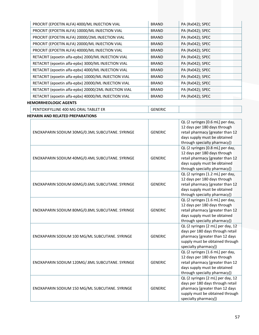| PROCRIT (EPOETIN ALFA) 4000/ML INJECTION VIAL         | <b>BRAND</b> | PA (Rx042); SPEC |
|-------------------------------------------------------|--------------|------------------|
| PROCRIT (EPOETIN ALFA) 10000/ML INJECTION VIAL        | <b>BRAND</b> | PA (Rx042); SPEC |
| PROCRIT (EPOETIN ALFA) 20000/2ML INJECTION VIAL       | <b>BRAND</b> | PA (Rx042); SPEC |
| PROCRIT (EPOETIN ALFA) 20000/ML INJECTION VIAL        | <b>BRAND</b> | PA (Rx042); SPEC |
| PROCRIT (EPOETIN ALFA) 40000/ML INJECTION VIAL        | <b>BRAND</b> | PA (Rx042); SPEC |
| RETACRIT (epoetin alfa-epbx) 2000/ML INJECTION VIAL   | <b>BRAND</b> | PA (Rx042); SPEC |
| RETACRIT (epoetin alfa-epbx) 3000/ML INJECTION VIAL   | <b>BRAND</b> | PA (Rx042); SPEC |
| RETACRIT (epoetin alfa-epbx) 4000/ML INJECTION VIAL   | <b>BRAND</b> | PA (Rx042); SPEC |
| RETACRIT (epoetin alfa-epbx) 10000/ML INJECTION VIAL  | <b>BRAND</b> | PA (Rx042); SPEC |
| RETACRIT (epoetin alfa-epbx) 20000/ML INJECTION VIAL  | <b>BRAND</b> | PA (Rx042); SPEC |
| RETACRIT (epoetin alfa-epbx) 20000/2ML INJECTION VIAL | <b>BRAND</b> | PA (Rx042); SPEC |
| RETACRIT (epoetin alfa-epbx) 40000/ML INJECTION VIAL  | <b>BRAND</b> | PA (Rx042); SPEC |

#### **HEMORRHEOLOGIC AGENTS**

**HEPARIN AND RELATED PREPARATIONS**

PENTOXIFYLLINE 400 MG ORAL TABLET ER GENERIC

| ENOXAPARIN SODIUM 30MG/0.3ML SUBCUTANE. SYRINGE | <b>GENERIC</b> | QL (2 syringes [0.6 mL] per day,<br>12 days per 180 days through<br>retail pharmacy [greater than 12<br>days supply must be obtained<br>through specialty pharmacy]) |
|-------------------------------------------------|----------------|----------------------------------------------------------------------------------------------------------------------------------------------------------------------|
| ENOXAPARIN SODIUM 40MG/0.4ML SUBCUTANE. SYRINGE | <b>GENERIC</b> | QL (2 syringes [0.8 mL] per day,<br>12 days per 180 days through<br>retail pharmacy [greater than 12<br>days supply must be obtained<br>through specialty pharmacy]) |
| ENOXAPARIN SODIUM 60MG/0.6ML SUBCUTANE. SYRINGE | <b>GENERIC</b> | QL (2 syringes [1.2 mL] per day,<br>12 days per 180 days through<br>retail pharmacy [greater than 12<br>days supply must be obtained<br>through specialty pharmacy]) |
| ENOXAPARIN SODIUM 80MG/0.8ML SUBCUTANE. SYRINGE | <b>GENERIC</b> | QL (2 syringes [1.6 mL] per day,<br>12 days per 180 days through<br>retail pharmacy [greater than 12<br>days supply must be obtained<br>through specialty pharmacy]) |
| ENOXAPARIN SODIUM 100 MG/ML SUBCUTANE. SYRINGE  | <b>GENERIC</b> | QL (2 syringes [2 mL] per day, 12<br>days per 180 days through retail<br>pharmacy [greater than 12 days<br>supply must be obtained through<br>specialty pharmacy])   |
| ENOXAPARIN SODIUM 120MG/.8ML SUBCUTANE. SYRINGE | <b>GENERIC</b> | QL (2 syringes [1.6 mL] per day,<br>12 days per 180 days through<br>retail pharmacy [greater than 12<br>days supply must be obtained<br>through specialty pharmacy]) |
| ENOXAPARIN SODIUM 150 MG/ML SUBCUTANE. SYRINGE  | <b>GENERIC</b> | QL (2 syringes [2 mL] per day, 12<br>days per 180 days through retail<br>pharmacy [greater than 12 days<br>supply must be obtained through<br>specialty pharmacy])   |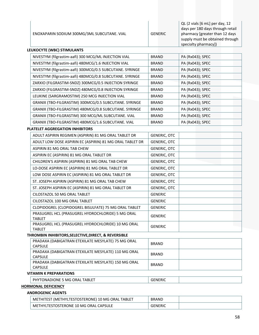| ENOXAPARIN SODIUM 300MG/3ML SUBCUTANE. VIAL | <b>GENERIC</b> | QL (2 vials [6 mL] per day, 12<br>days per 180 days through retail<br>pharmacy [greater than 12 days<br>supply must be obtained through<br>specialty pharmacy]) |
|---------------------------------------------|----------------|-----------------------------------------------------------------------------------------------------------------------------------------------------------------|
|---------------------------------------------|----------------|-----------------------------------------------------------------------------------------------------------------------------------------------------------------|

| LEUKOCYTE (WBC) STIMULANTS |                                                          |              |                  |  |  |
|----------------------------|----------------------------------------------------------|--------------|------------------|--|--|
|                            | NIVESTYM (filgrastim-aafi) 300 MCG/ML INJECTION VIAL     | <b>BRAND</b> | PA (Rx043); SPEC |  |  |
|                            | NIVESTYM (filgrastim-aafi) 480MCG/1.6 INJECTION VIAL     | <b>BRAND</b> | PA (Rx043); SPEC |  |  |
|                            | NIVESTYM (filgrastim-aafi) 300MCG/0.5 SUBCUTANE. SYRINGE | <b>BRAND</b> | PA (Rx043); SPEC |  |  |
|                            | NIVESTYM (filgrastim-aafi) 480MCG/0.8 SUBCUTANE. SYRINGE | <b>BRAND</b> | PA (Rx043); SPEC |  |  |
|                            | ZARXIO (FILGRASTIM-SNDZ) 300MCG/0.5 INJECTION SYRINGE    | <b>BRAND</b> | PA (Rx043); SPEC |  |  |
|                            | ZARXIO (FILGRASTIM-SNDZ) 480MCG/0.8 INJECTION SYRINGE    | <b>BRAND</b> | PA (Rx043); SPEC |  |  |
|                            | LEUKINE (SARGRAMOSTIM) 250 MCG INJECTION VIAL            | <b>BRAND</b> | PA (Rx043); SPEC |  |  |
|                            | GRANIX (TBO-FILGRASTIM) 300MCG/0.5 SUBCUTANE. SYRINGE    | <b>BRAND</b> | PA (Rx043); SPEC |  |  |
|                            | GRANIX (TBO-FILGRASTIM) 480MCG/0.8 SUBCUTANE. SYRINGE    | <b>BRAND</b> | PA (Rx043); SPEC |  |  |
|                            | GRANIX (TBO-FILGRASTIM) 300 MCG/ML SUBCUTANE. VIAL       | <b>BRAND</b> | PA (Rx043); SPEC |  |  |
|                            | GRANIX (TBO-FILGRASTIM) 480MCG/1.6 SUBCUTANE. VIAL       | <b>BRAND</b> | PA (Rx043); SPEC |  |  |

#### **PLATELET AGGREGATION INHIBITORS**

 $\mathbf{I}$ 

| ADULT ASPIRIN REGIMEN (ASPIRIN) 81 MG ORAL TABLET DR                | <b>GENERIC, OTC</b> |  |
|---------------------------------------------------------------------|---------------------|--|
| ADULT LOW DOSE ASPIRIN EC (ASPIRIN) 81 MG ORAL TABLET DR            | <b>GENERIC, OTC</b> |  |
| ASPIRIN 81 MG ORAL TAB CHEW                                         | <b>GENERIC, OTC</b> |  |
| ASPIRIN EC (ASPIRIN) 81 MG ORAL TABLET DR                           | <b>GENERIC, OTC</b> |  |
| CHILDREN'S ASPIRIN (ASPIRIN) 81 MG ORAL TAB CHEW                    | <b>GENERIC, OTC</b> |  |
| LO-DOSE ASPIRIN EC (ASPIRIN) 81 MG ORAL TABLET DR                   | GENERIC, OTC        |  |
| LOW DOSE ASPIRIN EC (ASPIRIN) 81 MG ORAL TABLET DR                  | <b>GENERIC, OTC</b> |  |
| ST. JOSEPH ASPIRIN (ASPIRIN) 81 MG ORAL TAB CHEW                    | <b>GENERIC, OTC</b> |  |
| ST. JOSEPH ASPIRIN EC (ASPIRIN) 81 MG ORAL TABLET DR                | <b>GENERIC, OTC</b> |  |
| CILOSTAZOL 50 MG ORAL TABLET                                        | <b>GENERIC</b>      |  |
| CILOSTAZOL 100 MG ORAL TABLET                                       | <b>GENERIC</b>      |  |
| CLOPIDOGREL (CLOPIDOGREL BISULFATE) 75 MG ORAL TABLET               | <b>GENERIC</b>      |  |
| PRASUGREL HCL (PRASUGREL HYDROCHLORIDE) 5 MG ORAL                   | <b>GENERIC</b>      |  |
| <b>TABLET</b>                                                       |                     |  |
| PRASUGREL HCL (PRASUGREL HYDROCHLORIDE) 10 MG ORAL<br><b>TABLET</b> | <b>GENERIC</b>      |  |

#### **THROMBIN INHIBITORS,SELECTIVE,DIRECT, & REVERSIBLE**

| <b>VITAMINI V DOEDADATIONIC</b>                     |              |  |
|-----------------------------------------------------|--------------|--|
| <b>CAPSULE</b>                                      |              |  |
| PRADAXA (DABIGATRAN ETEXILATE MESYLATE) 150 MG ORAL | <b>BRAND</b> |  |
| <b>CAPSULE</b>                                      |              |  |
| PRADAXA (DABIGATRAN ETEXILATE MESYLATE) 110 MG ORAL | <b>BRAND</b> |  |
| <b>CAPSULE</b>                                      |              |  |
| PRADAXA (DABIGATRAN ETEXILATE MESYLATE) 75 MG ORAL  | <b>BRAND</b> |  |

#### **VITAMIN K PREPARATIONS**

PHYTONADIONE 5 MG ORAL TABLET GENERIC

# **HORMONAL DEFICIENCY**

#### **ANDROGENIC AGENTS**

| METHITEST (METHYLTESTOSTERONE) 10 MG ORAL<br>. TABLET | <b>BRAND</b> |  |
|-------------------------------------------------------|--------------|--|
| METHYLTESTOSTERONE 10 MG ORAL CAPSULE                 |              |  |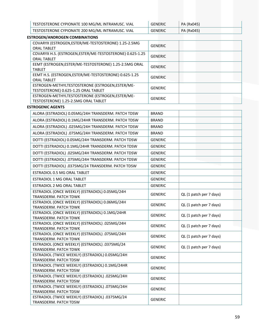| TESTOSTERONE CYPIONATE 100 MG/ML INTRAMUSC. VIAL | GENERIC | PA (Rx045) |
|--------------------------------------------------|---------|------------|
| TESTOSTERONE CYPIONATE 200 MG/ML INTRAMUSC. VIAL | GENERIC | PA (Rx045) |

| <b>ESTROGEN/ANDROGEN COMBINATIONS</b>                                   |                |                                                    |
|-------------------------------------------------------------------------|----------------|----------------------------------------------------|
| COVARYX (ESTROGEN, ESTER/ME-TESTOSTERONE) 1.25-2.5MG                    | <b>GENERIC</b> |                                                    |
| <b>ORAL TABLET</b>                                                      |                |                                                    |
| COVARYX H.S. (ESTROGEN, ESTER/ME-TESTOSTERONE) 0.625-1.25               | <b>GENERIC</b> |                                                    |
| <b>ORAL TABLET</b>                                                      |                |                                                    |
| EEMT (ESTROGEN, ESTER/ME-TESTOSTERONE) 1.25-2.5MG ORAL<br><b>TABLET</b> | <b>GENERIC</b> |                                                    |
| EEMT H.S. (ESTROGEN, ESTER/ME-TESTOSTERONE) 0.625-1.25                  |                |                                                    |
| <b>ORAL TABLET</b>                                                      | <b>GENERIC</b> |                                                    |
| ESTROGEN-METHYLTESTOSTERONE (ESTROGEN, ESTER/ME-                        | <b>GENERIC</b> |                                                    |
| TESTOSTERONE) 0.625-1.25 ORAL TABLET                                    |                |                                                    |
| ESTROGEN-METHYLTESTOSTERONE (ESTROGEN, ESTER/ME-                        | <b>GENERIC</b> |                                                    |
| TESTOSTERONE) 1.25-2.5MG ORAL TABLET                                    |                |                                                    |
| <b>ESTROGENIC AGENTS</b>                                                |                |                                                    |
| ALORA (ESTRADIOL) 0.05MG/24H TRANSDERM. PATCH TDSW                      | <b>BRAND</b>   |                                                    |
| ALORA (ESTRADIOL) 0.1MG/24HR TRANSDERM. PATCH TDSW                      | <b>BRAND</b>   |                                                    |
| ALORA (ESTRADIOL) .025MG/24H TRANSDERM. PATCH TDSW                      | <b>BRAND</b>   |                                                    |
| ALORA (ESTRADIOL) .075MG/24H TRANSDERM. PATCH TDSW                      | <b>BRAND</b>   |                                                    |
| DOTTI (ESTRADIOL) 0.05MG/24H TRANSDERM. PATCH TDSW                      | <b>GENERIC</b> |                                                    |
| DOTTI (ESTRADIOL) 0.1MG/24HR TRANSDERM. PATCH TDSW                      | <b>GENERIC</b> |                                                    |
| DOTTI (ESTRADIOL) .025MG/24H TRANSDERM. PATCH TDSW                      | <b>GENERIC</b> |                                                    |
| DOTTI (ESTRADIOL) .075MG/24H TRANSDERM. PATCH TDSW                      | <b>GENERIC</b> |                                                    |
| DOTTI (ESTRADIOL) .0375MG/24 TRANSDERM. PATCH TDSW                      | <b>GENERIC</b> |                                                    |
| ESTRADIOL 0.5 MG ORAL TABLET                                            | <b>GENERIC</b> |                                                    |
| ESTRADIOL 1 MG ORAL TABLET                                              | <b>GENERIC</b> |                                                    |
| <b>ESTRADIOL 2 MG ORAL TABLET</b>                                       | <b>GENERIC</b> |                                                    |
| ESTRADIOL (ONCE WEEKLY) (ESTRADIOL) 0.05MG/24H                          | <b>GENERIC</b> | QL (1 patch per 7 days)                            |
| TRANSDERM. PATCH TDWK                                                   |                |                                                    |
| ESTRADIOL (ONCE WEEKLY) (ESTRADIOL) 0.06MG/24H                          | <b>GENERIC</b> | QL (1 patch per 7 days)                            |
| TRANSDERM. PATCH TDWK<br>ESTRADIOL (ONCE WEEKLY) (ESTRADIOL) 0.1MG/24HR |                |                                                    |
| TRANSDERM. PATCH TDWK                                                   | <b>GENERIC</b> | QL (1 patch per 7 days)                            |
| ESTRADIOL (ONCE WEEKLY) (ESTRADIOL) .025MG/24H                          |                |                                                    |
| TRANSDERM. PATCH TDWK                                                   | <b>GENERIC</b> | QL (1 patch per 7 days)                            |
| ESTRADIOL (ONCE WEEKLY) (ESTRADIOL) .075MG/24H                          | <b>GENERIC</b> | QL (1 patch per 7 days)                            |
| TRANSDERM. PATCH TDWK                                                   |                |                                                    |
| ESTRADIOL (ONCE WEEKLY) (ESTRADIOL) .0375MG/24                          | CENEDIC        | $\bigcap$ $\bigcup$ antoh nor $\overline{Z}$ dough |

| <b>ESTRADIOL (ONCE WEEKLY) (ESTRADIOL) .0375MG/24</b> | <b>GENERIC</b> | QL (1 patch per 7 days) |
|-------------------------------------------------------|----------------|-------------------------|
| <b>TRANSDERM. PATCH TDWK</b>                          |                |                         |
| ESTRADIOL (TWICE WEEKLY) (ESTRADIOL) 0.05MG/24H       |                |                         |
| <b>TRANSDERM. PATCH TDSW</b>                          | <b>GENERIC</b> |                         |
| ESTRADIOL (TWICE WEEKLY) (ESTRADIOL) 0.1MG/24HR       | <b>GENERIC</b> |                         |
| <b>TRANSDERM. PATCH TDSW</b>                          |                |                         |
| ESTRADIOL (TWICE WEEKLY) (ESTRADIOL) .025MG/24H       | <b>GENERIC</b> |                         |
| <b>TRANSDERM. PATCH TDSW</b>                          |                |                         |
| ESTRADIOL (TWICE WEEKLY) (ESTRADIOL) .075MG/24H       |                |                         |
| <b>TRANSDERM. PATCH TDSW</b>                          | <b>GENERIC</b> |                         |
| ESTRADIOL (TWICE WEEKLY) (ESTRADIOL) .0375MG/24       |                |                         |
| <b>TRANSDERM. PATCH TDSW</b>                          | <b>GENERIC</b> |                         |
|                                                       |                |                         |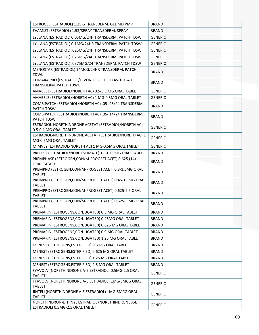| ESTROGEL (ESTRADIOL) 1.25 G TRANSDERM. GEL MD PMP                                     | <b>BRAND</b>   |  |
|---------------------------------------------------------------------------------------|----------------|--|
| EVAMIST (ESTRADIOL) 1.53/SPRAY TRANSDERM. SPRAY                                       | <b>BRAND</b>   |  |
| LYLLANA (ESTRADIOL) 0.05MG/24H TRANSDERM. PATCH TDSW                                  | <b>GENERIC</b> |  |
| LYLLANA (ESTRADIOL) 0.1MG/24HR TRANSDERM. PATCH TDSW                                  | <b>GENERIC</b> |  |
| LYLLANA (ESTRADIOL) .025MG/24H TRANSDERM. PATCH TDSW                                  | <b>GENERIC</b> |  |
| LYLLANA (ESTRADIOL) .075MG/24H TRANSDERM. PATCH TDSW                                  | <b>GENERIC</b> |  |
| LYLLANA (ESTRADIOL) .0375MG/24 TRANSDERM. PATCH TDSW                                  | <b>GENERIC</b> |  |
| MENOSTAR (ESTRADIOL) 14MCG/24HR TRANSDERM. PATCH<br><b>TDWK</b>                       | <b>BRAND</b>   |  |
| CLIMARA PRO (ESTRADIOL/LEVONORGESTREL) 45-15/24H<br>TRANSDERM. PATCH TDWK             | <b>BRAND</b>   |  |
| AMABELZ (ESTRADIOL/NORETH AC) 0.5-0.1 MG ORAL TABLET                                  | <b>GENERIC</b> |  |
| AMABELZ (ESTRADIOL/NORETH AC) 1 MG-0.5MG ORAL TABLET                                  | <b>GENERIC</b> |  |
| COMBIPATCH (ESTRADIOL/NORETH AC) .05-.25/24 TRANSDERM.<br>PATCH TDSW                  | <b>BRAND</b>   |  |
| COMBIPATCH (ESTRADIOL/NORETH AC) .05-.14/24 TRANSDERM.<br>PATCH TDSW                  | <b>BRAND</b>   |  |
| ESTRADIOL-NORETHINDRONE ACETAT (ESTRADIOL/NORETH AC)<br>0.5-0.1 MG ORAL TABLET        | <b>GENERIC</b> |  |
| ESTRADIOL-NORETHINDRONE ACETAT (ESTRADIOL/NORETH AC) 1<br>MG-0.5MG ORAL TABLET        | <b>GENERIC</b> |  |
| MIMVEY (ESTRADIOL/NORETH AC) 1 MG-0.5MG ORAL TABLET                                   | <b>GENERIC</b> |  |
| PREFEST (ESTRADIOL/NORGESTIMATE) 1-1-0.09MG ORAL TABLET                               | <b>BRAND</b>   |  |
| PREMPHASE (ESTROGEN, CON/M-PROGEST ACET) 0.625 (14)<br><b>ORAL TABLET</b>             | <b>BRAND</b>   |  |
| PREMPRO (ESTROGEN, CON/M-PROGEST ACET) 0.3-1.5MG ORAL<br><b>TABLET</b>                | <b>BRAND</b>   |  |
| PREMPRO (ESTROGEN, CON/M-PROGEST ACET) 0.45-1.5MG ORAL<br><b>TABLET</b>               | <b>BRAND</b>   |  |
| PREMPRO (ESTROGEN, CON/M-PROGEST ACET) 0.625-2.5 ORAL<br><b>TABLET</b>                | <b>BRAND</b>   |  |
| PREMPRO (ESTROGEN, CON/M-PROGEST ACET) 0.625-5 MG ORAL<br><b>TABLET</b>               | <b>BRAND</b>   |  |
| PREMARIN (ESTROGENS, CONJUGATED) 0.3 MG ORAL TABLET                                   | <b>BRAND</b>   |  |
| PREMARIN (ESTROGENS, CONJUGATED) 0.45MG ORAL TABLET                                   | <b>BRAND</b>   |  |
| PREMARIN (ESTROGENS, CONJUGATED) 0.625 MG ORAL TABLET                                 | <b>BRAND</b>   |  |
| PREMARIN (ESTROGENS, CONJUGATED) 0.9 MG ORAL TABLET                                   | <b>BRAND</b>   |  |
| PREMARIN (ESTROGENS, CONJUGATED) 1.25 MG ORAL TABLET                                  | <b>BRAND</b>   |  |
| MENEST (ESTROGENS, ESTERIFIED) 0.3 MG ORAL TABLET                                     | <b>BRAND</b>   |  |
| MENEST (ESTROGENS, ESTERIFIED) 0.625 MG ORAL TABLET                                   | <b>BRAND</b>   |  |
| MENEST (ESTROGENS, ESTERIFIED) 1.25 MG ORAL TABLET                                    | <b>BRAND</b>   |  |
| MENEST (ESTROGENS, ESTERIFIED) 2.5 MG ORAL TABLET                                     | <b>BRAND</b>   |  |
| FYAVOLV (NORETHINDRONE A-E ESTRADIOL) 0.5MG-2.5 ORAL<br><b>TABLET</b>                 | <b>GENERIC</b> |  |
| FYAVOLV (NORETHINDRONE A-E ESTRADIOL) 1MG-5MCG ORAL<br><b>TABLET</b>                  | <b>GENERIC</b> |  |
| JINTELI (NORETHINDRONE A-E ESTRADIOL) 1MG-5MCG ORAL<br><b>TABLET</b>                  | <b>GENERIC</b> |  |
| NORETHINDRON-ETHINYL ESTRADIOL (NORETHINDRONE A-E<br>ESTRADIOL) 0.5MG-2.5 ORAL TABLET | <b>GENERIC</b> |  |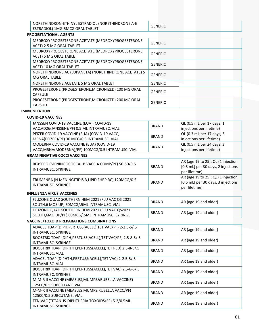| NORETHINDRON-ETHINYL ESTRADIOL (NORETHINDRONE A-E | GENERIC |  |
|---------------------------------------------------|---------|--|
| ESTRADIOL) 1MG-5MCG ORAL TABLET                   |         |  |

#### **PROGESTATIONAL AGENTS**

| MEDROXYPROGESTERONE ACETATE (MEDROXYPROGESTERONE<br>ACET) 2.5 MG ORAL TABLET | <b>GENERIC</b> |
|------------------------------------------------------------------------------|----------------|
| MEDROXYPROGESTERONE ACETATE (MEDROXYPROGESTERONE<br>ACET) 5 MG ORAL TABLET   | <b>GENERIC</b> |
| MEDROXYPROGESTERONE ACETATE (MEDROXYPROGESTERONE<br>ACET) 10 MG ORAL TABLET  | <b>GENERIC</b> |
| NORETHINDRONE AC (LUPANETA) (NORETHINDRONE ACETATE) 5<br>MG ORAL TABLET      | <b>GENERIC</b> |
| NORETHINDRONE ACETATE 5 MG ORAL TABLET                                       | <b>GENERIC</b> |
| PROGESTERONE (PROGESTERONE, MICRONIZED) 100 MG ORAL<br><b>CAPSULE</b>        | <b>GENERIC</b> |
| PROGESTERONE (PROGESTERONE, MICRONIZED) 200 MG ORAL<br><b>CAPSULE</b>        | <b>GENERIC</b> |

#### **IMMUNIZATION**

#### **COVID‐19 VACCINES**

| JANSSEN COVID-19 VACCINE (EUA) (COVID-19           | <b>BRAND</b> | QL (0.5 mL per 17 days, 1 |
|----------------------------------------------------|--------------|---------------------------|
| VAC, AD26(JANSSEN)/PF) 0.5 ML INTRAMUSC. VIAL      |              | injections per lifetime)  |
| PFIZER COVID-19 VACCINE (EUA) (COVID-19 VACC,      | <b>BRAND</b> | QL (0.3 mL per 17 days, 3 |
| MRNA(PFIZER)/PF) 30 MCG/0.3 INTRAMUSC. VIAL        |              | injections per lifetime)  |
| MODERNA COVID-19 VACCINE (EUA) (COVID-19           | <b>BRAND</b> | QL (0.5 mL per 24 days, 3 |
| VACC, MRNA(MODERNA)/PF) 100MCG/0.5 INTRAMUSC. VIAL |              | injections per lifetime)  |

#### **GRAM NEGATIVE COCCI VACCINES**

| BEXSERO (MENINGOCOCCAL B VACC, 4-COMP/PF) 50-50/0.5<br>INTRAMUSC, SYRINGE  | <b>BRAND</b> | AR (age 19 to 25); QL (1 injection<br>[0.5 mL] per 30 days, 2 injections<br>per lifetime) |
|----------------------------------------------------------------------------|--------------|-------------------------------------------------------------------------------------------|
| TRUMENBA (N.MENINGITIDIS B,LIPID FHBP RC) 120MCG/0.5<br>INTRAMUSC, SYRINGE | <b>BRAND</b> | AR (age 19 to 25); QL (1 injection<br>[0.5 mL] per 30 days, 3 injections<br>per lifetime) |

#### **INFLUENZA VIRUS VACCINES**

| FLUZONE QUAD SOUTHERN HEM 2021 (FLU VAC QS 2021<br>SOUTH,6 MOS UP) 60MCG/.5ML INTRAMUSC. VIAL    | <b>BRAND</b> | AR (age 19 and older) |
|--------------------------------------------------------------------------------------------------|--------------|-----------------------|
| FLUZONE QUAD SOUTHERN HEM 2021 (FLU VAC QS2021<br>SOUTH,6MO UP/PF) 60MCG/.5ML INTRAMUSC. SYRINGE | <b>BRAND</b> | AR (age 19 and older) |

# **VACCINE/TOXOID PREPARATIONS,COMBINATIONS**

| <b>BRAND</b> | AR (age 19 and older) |
|--------------|-----------------------|
| <b>BRAND</b> | AR (age 19 and older) |
| <b>BRAND</b> | AR (age 19 and older) |
| <b>BRAND</b> | AR (age 19 and older) |
| <b>BRAND</b> | AR (age 19 and older) |
| <b>BRAND</b> | AR (age 19 and older) |
| <b>BRAND</b> | AR (age 19 and older) |
| <b>BRAND</b> | AR (age 19 and older) |
|              |                       |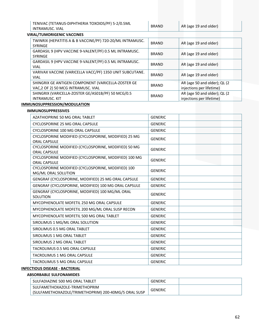| TENIVAC (TETANUS-DIPHTHERIA TOXOIDS/PF) 5-2/0.5ML |  |
|---------------------------------------------------|--|
| INTRAMUSC. VIAL                                   |  |

BRAND  $AR$  (age 19 and older)

#### **VIRAL/TUMORIGENIC VACCINES**

| TWINRIX (HEPATITIS A & B VACCINE/PF) 720-20/ML INTRAMUSC.<br><b>SYRINGE</b>               | <b>BRAND</b> | AR (age 19 and older)                                    |
|-------------------------------------------------------------------------------------------|--------------|----------------------------------------------------------|
| GARDASIL 9 (HPV VACCINE 9-VALENT/PF) 0.5 ML INTRAMUSC.<br><b>SYRINGE</b>                  | <b>BRAND</b> | AR (age 19 and older)                                    |
| GARDASIL 9 (HPV VACCINE 9-VALENT/PF) 0.5 ML INTRAMUSC.<br><b>VIAL</b>                     | <b>BRAND</b> | AR (age 19 and older)                                    |
| VARIVAX VACCINE (VARICELLA VACC/PF) 1350 UNIT SUBCUTANE.<br><b>VIAL</b>                   | <b>BRAND</b> | AR (age 19 and older)                                    |
| SHINGRIX GE ANTIGEN COMPONENT (VARICELLA-ZOSTER GE<br>VAC, 2 OF 2) 50 MCG INTRAMUSC. VIAL | <b>BRAND</b> | AR (age 50 and older); QL (2<br>injections per lifetime) |
| SHINGRIX (VARICELLA-ZOSTER GE/AS01B/PF) 50 MCG/0.5<br><b>INTRAMUSC. KIT</b>               | <b>BRAND</b> | AR (age 50 and older); QL (2<br>injections per lifetime) |

#### **IMMUNOSUPPRESSION/MODULATION**

#### **IMMUNOSUPPRESSIVES**

| AZATHIOPRINE 50 MG ORAL TABLET                                               | <b>GENERIC</b> |  |
|------------------------------------------------------------------------------|----------------|--|
| CYCLOSPORINE 25 MG ORAL CAPSULE                                              | <b>GENERIC</b> |  |
| <b>CYCLOSPORINE 100 MG ORAL CAPSULE</b>                                      | <b>GENERIC</b> |  |
| CYCLOSPORINE MODIFIED (CYCLOSPORINE, MODIFIED) 25 MG<br><b>ORAL CAPSULE</b>  | <b>GENERIC</b> |  |
| CYCLOSPORINE MODIFIED (CYCLOSPORINE, MODIFIED) 50 MG<br><b>ORAL CAPSULE</b>  | <b>GENERIC</b> |  |
| CYCLOSPORINE MODIFIED (CYCLOSPORINE, MODIFIED) 100 MG<br><b>ORAL CAPSULE</b> | <b>GENERIC</b> |  |
| CYCLOSPORINE MODIFIED (CYCLOSPORINE, MODIFIED) 100<br>MG/ML ORAL SOLUTION    | <b>GENERIC</b> |  |
| GENGRAF (CYCLOSPORINE, MODIFIED) 25 MG ORAL CAPSULE                          | <b>GENERIC</b> |  |
| GENGRAF (CYCLOSPORINE, MODIFIED) 100 MG ORAL CAPSULE                         | <b>GENERIC</b> |  |
| GENGRAF (CYCLOSPORINE, MODIFIED) 100 MG/ML ORAL<br>SOLUTION                  | <b>GENERIC</b> |  |
| MYCOPHENOLATE MOFETIL 250 MG ORAL CAPSULE                                    | <b>GENERIC</b> |  |
| MYCOPHENOLATE MOFETIL 200 MG/ML ORAL SUSP RECON                              | <b>GENERIC</b> |  |
| MYCOPHENOLATE MOFETIL 500 MG ORAL TABLET                                     | <b>GENERIC</b> |  |
| SIROLIMUS 1 MG/ML ORAL SOLUTION                                              | <b>GENERIC</b> |  |
| SIROLIMUS 0.5 MG ORAL TABLET                                                 | <b>GENERIC</b> |  |
| SIROLIMUS 1 MG ORAL TABLET                                                   | <b>GENERIC</b> |  |
| SIROLIMUS 2 MG ORAL TABLET                                                   | <b>GENERIC</b> |  |
| TACROLIMUS 0.5 MG ORAL CAPSULE                                               | <b>GENERIC</b> |  |
| <b>TACROLIMUS 1 MG ORAL CAPSULE</b>                                          | <b>GENERIC</b> |  |
| <b>TACROLIMUS 5 MG ORAL CAPSULE</b>                                          | <b>GENERIC</b> |  |

#### **INFECTIOUS DISEASE ‐ BACTERIAL**

#### **ABSORBABLE SULFONAMIDES**

| SULFADIAZINE 500 MG ORAL TABLET                      | GENERIC        |  |
|------------------------------------------------------|----------------|--|
| SULFAMETHOXAZOLE-TRIMETHOPRIM                        | <b>GENERIC</b> |  |
| (SULFAMETHOXAZOLE/TRIMETHOPRIM) 200-40MG/5 ORAL SUSP |                |  |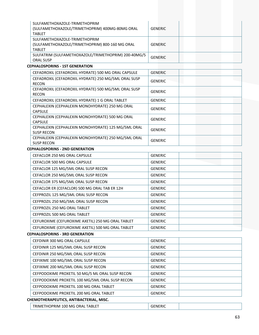| SULFAMETHOXAZOLE-TRIMETHOPRIM<br>(SULFAMETHOXAZOLE/TRIMETHOPRIM) 400MG-80MG ORAL<br><b>TABLET</b> | <b>GENERIC</b> |
|---------------------------------------------------------------------------------------------------|----------------|
| SULFAMETHOXAZOLE-TRIMETHOPRIM<br>(SULFAMETHOXAZOLE/TRIMETHOPRIM) 800-160 MG ORAL<br><b>TABLET</b> | <b>GENERIC</b> |
| SULFATRIM (SULFAMETHOXAZOLE/TRIMETHOPRIM) 200-40MG/5<br><b>ORAL SUSP</b>                          | <b>GENERIC</b> |

#### **CEPHALOSPORINS ‐ 1ST GENERATION**

| CEFADROXIL (CEFADROXIL HYDRATE) 500 MG ORAL CAPSULE  | <b>GENERIC</b> |
|------------------------------------------------------|----------------|
| CEFADROXIL (CEFADROXIL HYDRATE) 250 MG/5ML ORAL SUSP | <b>GENERIC</b> |
| <b>RECON</b>                                         |                |
| CEFADROXIL (CEFADROXIL HYDRATE) 500 MG/5ML ORAL SUSP | <b>GENERIC</b> |
| <b>RECON</b>                                         |                |
| CEFADROXIL (CEFADROXIL HYDRATE) 1 G ORAL TABLET      | <b>GENERIC</b> |
| CEPHALEXIN (CEPHALEXIN MONOHYDRATE) 250 MG ORAL      | <b>GENERIC</b> |
| <b>CAPSULE</b>                                       |                |
| CEPHALEXIN (CEPHALEXIN MONOHYDRATE) 500 MG ORAL      | <b>GENERIC</b> |
| <b>CAPSULE</b>                                       |                |
| CEPHALEXIN (CEPHALEXIN MONOHYDRATE) 125 MG/5ML ORAL  | <b>GENERIC</b> |
| <b>SUSP RECON</b>                                    |                |
| CEPHALEXIN (CEPHALEXIN MONOHYDRATE) 250 MG/5ML ORAL  | <b>GENERIC</b> |
| <b>SUSP RECON</b>                                    |                |

#### **CEPHALOSPORINS ‐ 2ND GENERATION**

| <b>CEFACLOR 250 MG ORAL CAPSULE</b>               | <b>GENERIC</b> |
|---------------------------------------------------|----------------|
| <b>CEFACLOR 500 MG ORAL CAPSULE</b>               | <b>GENERIC</b> |
| CEFACLOR 125 MG/5ML ORAL SUSP RECON               | <b>GENERIC</b> |
| CEFACLOR 250 MG/5ML ORAL SUSP RECON               | <b>GENERIC</b> |
| CEFACLOR 375 MG/5ML ORAL SUSP RECON               | <b>GENERIC</b> |
| CEFACLOR ER (CEFACLOR) 500 MG ORAL TAB ER 12H     | <b>GENERIC</b> |
| CEFPROZIL 125 MG/5ML ORAL SUSP RECON              | <b>GENERIC</b> |
| CEFPROZIL 250 MG/5ML ORAL SUSP RECON              | <b>GENERIC</b> |
| CEFPROZIL 250 MG ORAL TABLET                      | <b>GENERIC</b> |
| CEFPROZIL 500 MG ORAL TABLET                      | <b>GENERIC</b> |
| CEFUROXIME (CEFUROXIME AXETIL) 250 MG ORAL TABLET | <b>GENERIC</b> |
| CEFUROXIME (CEFUROXIME AXETIL) 500 MG ORAL TABLET | <b>GENERIC</b> |

#### **CEPHALOSPORINS ‐ 3RD GENERATION**

| CEFDINIR 300 MG ORAL CAPSULE                    | <b>GENERIC</b> |  |
|-------------------------------------------------|----------------|--|
| CEFDINIR 125 MG/5ML ORAL SUSP RECON             | <b>GENERIC</b> |  |
| CEFDINIR 250 MG/5ML ORAL SUSP RECON             | <b>GENERIC</b> |  |
| CEFIXIME 100 MG/5ML ORAL SUSP RECON             | <b>GENERIC</b> |  |
| CEFIXIME 200 MG/5ML ORAL SUSP RECON             | <b>GENERIC</b> |  |
| CEFPODOXIME PROXETIL 50 MG/5 ML ORAL SUSP RECON | <b>GENERIC</b> |  |
| CEFPODOXIME PROXETIL 100 MG/5ML ORAL SUSP RECON | <b>GENERIC</b> |  |
| CEFPODOXIME PROXETIL 100 MG ORAL TABLET         | <b>GENERIC</b> |  |
| CEFPODOXIME PROXETIL 200 MG ORAL TABLET         | <b>GENERIC</b> |  |
| CHEMOTHERAPEUTICS, ANTIBACTERIAL, MISC.         |                |  |
|                                                 |                |  |

| TRIMETHOPRIM 100 MG ORAL TABLET | ` <sup>⊏</sup> NERIC ⊺ |  |
|---------------------------------|------------------------|--|
|---------------------------------|------------------------|--|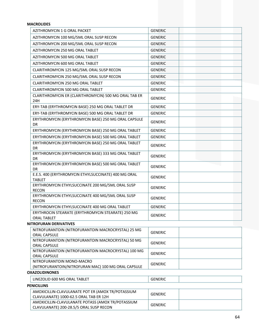# **MACROLIDES**

| AZITHROMYCIN 1 G ORAL PACKET                                               | <b>GENERIC</b> |
|----------------------------------------------------------------------------|----------------|
| AZITHROMYCIN 100 MG/5ML ORAL SUSP RECON                                    | <b>GENERIC</b> |
| AZITHROMYCIN 200 MG/5ML ORAL SUSP RECON                                    | <b>GENERIC</b> |
| AZITHROMYCIN 250 MG ORAL TABLET                                            | <b>GENERIC</b> |
| AZITHROMYCIN 500 MG ORAL TABLET                                            | <b>GENERIC</b> |
| AZITHROMYCIN 600 MG ORAL TABLET                                            | <b>GENERIC</b> |
| CLARITHROMYCIN 125 MG/5ML ORAL SUSP RECON                                  | <b>GENERIC</b> |
| CLARITHROMYCIN 250 MG/5ML ORAL SUSP RECON                                  | <b>GENERIC</b> |
| <b>CLARITHROMYCIN 250 MG ORAL TABLET</b>                                   | <b>GENERIC</b> |
| CLARITHROMYCIN 500 MG ORAL TABLET                                          | <b>GENERIC</b> |
| CLARITHROMYCIN ER (CLARITHROMYCIN) 500 MG ORAL TAB ER<br>24H               | <b>GENERIC</b> |
| ERY-TAB (ERYTHROMYCIN BASE) 250 MG ORAL TABLET DR                          | <b>GENERIC</b> |
| ERY-TAB (ERYTHROMYCIN BASE) 500 MG ORAL TABLET DR                          | <b>GENERIC</b> |
| ERYTHROMYCIN (ERYTHROMYCIN BASE) 250 MG ORAL CAPSULE<br>DR                 | <b>GENERIC</b> |
| ERYTHROMYCIN (ERYTHROMYCIN BASE) 250 MG ORAL TABLET                        | <b>GENERIC</b> |
| ERYTHROMYCIN (ERYTHROMYCIN BASE) 500 MG ORAL TABLET                        | <b>GENERIC</b> |
| ERYTHROMYCIN (ERYTHROMYCIN BASE) 250 MG ORAL TABLET<br><b>DR</b>           | <b>GENERIC</b> |
| ERYTHROMYCIN (ERYTHROMYCIN BASE) 333 MG ORAL TABLET<br><b>DR</b>           | <b>GENERIC</b> |
| ERYTHROMYCIN (ERYTHROMYCIN BASE) 500 MG ORAL TABLET<br><b>DR</b>           | <b>GENERIC</b> |
| E.E.S. 400 (ERYTHROMYCIN ETHYLSUCCINATE) 400 MG ORAL<br><b>TABLET</b>      | <b>GENERIC</b> |
| ERYTHROMYCIN ETHYLSUCCINATE 200 MG/5ML ORAL SUSP<br><b>RECON</b>           | <b>GENERIC</b> |
| ERYTHROMYCIN ETHYLSUCCINATE 400 MG/5ML ORAL SUSP<br><b>RECON</b>           | <b>GENERIC</b> |
| ERYTHROMYCIN ETHYLSUCCINATE 400 MG ORAL TABLET                             | <b>GENERIC</b> |
| ERYTHROCIN STEARATE (ERYTHROMYCIN STEARATE) 250 MG<br>ORAL TABLET          | <b>GENERIC</b> |
| <b>NITROFURAN DERIVATIVES</b>                                              |                |
| NITROFURANTOIN (NITROFURANTOIN MACROCRYSTAL) 25 MG<br><b>ORAL CAPSULE</b>  | <b>GENERIC</b> |
| NITROFURANTOIN (NITROFURANTOIN MACROCRYSTAL) 50 MG<br><b>ORAL CAPSULE</b>  | <b>GENERIC</b> |
| NITROFURANTOIN (NITROFURANTOIN MACROCRYSTAL) 100 MG<br><b>ORAL CAPSULE</b> | <b>GENERIC</b> |
| NITROFURANTOIN MONO-MACRO                                                  | <b>GENERIC</b> |
| (NITROFURANTOIN/NITROFURAN MAC) 100 MG ORAL CAPSULE                        |                |
| <b>OXAZOLIDINONES</b>                                                      |                |
| LINEZOLID 600 MG ORAL TABLET                                               | <b>GENERIC</b> |
| <b>PENICILLINS</b>                                                         |                |
| AMOXICILLIN-CLAVULANATE POT ER (AMOX TR/POTASSIUM                          | CENEDIC        |

| AMOXICILLIN-CLAVULANATE POT ER (AMOX TR/POTASSIUM<br>CLAVULANATE) 1000-62.5 ORAL TAB ER 12H | GENERIC        |  |
|---------------------------------------------------------------------------------------------|----------------|--|
| AMOXICILLIN-CLAVULANATE POTASS (AMOX TR/POTASSIUM                                           | <b>GENERIC</b> |  |
| CLAVULANATE) 200-28.5/5 ORAL SUSP RECON                                                     |                |  |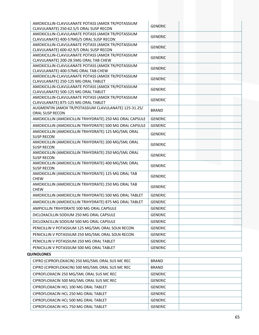| AMOXICILLIN-CLAVULANATE POTASS (AMOX TR/POTASSIUM                                        |                |  |
|------------------------------------------------------------------------------------------|----------------|--|
| CLAVULANATE) 250-62.5/5 ORAL SUSP RECON                                                  | <b>GENERIC</b> |  |
| AMOXICILLIN-CLAVULANATE POTASS (AMOX TR/POTASSIUM                                        | <b>GENERIC</b> |  |
| CLAVULANATE) 400-57MG/5 ORAL SUSP RECON                                                  |                |  |
| AMOXICILLIN-CLAVULANATE POTASS (AMOX TR/POTASSIUM                                        | <b>GENERIC</b> |  |
| CLAVULANATE) 600-42.9/5 ORAL SUSP RECON                                                  |                |  |
| AMOXICILLIN-CLAVULANATE POTASS (AMOX TR/POTASSIUM                                        | <b>GENERIC</b> |  |
| CLAVULANATE) 200-28.5MG ORAL TAB CHEW                                                    |                |  |
| AMOXICILLIN-CLAVULANATE POTASS (AMOX TR/POTASSIUM<br>CLAVULANATE) 400-57MG ORAL TAB CHEW | <b>GENERIC</b> |  |
| AMOXICILLIN-CLAVULANATE POTASS (AMOX TR/POTASSIUM                                        |                |  |
| CLAVULANATE) 250-125 MG ORAL TABLET                                                      | <b>GENERIC</b> |  |
| AMOXICILLIN-CLAVULANATE POTASS (AMOX TR/POTASSIUM                                        |                |  |
| CLAVULANATE) 500-125 MG ORAL TABLET                                                      | <b>GENERIC</b> |  |
| AMOXICILLIN-CLAVULANATE POTASS (AMOX TR/POTASSIUM                                        | <b>GENERIC</b> |  |
| CLAVULANATE) 875-125 MG ORAL TABLET                                                      |                |  |
| AUGMENTIN (AMOX TR/POTASSIUM CLAVULANATE) 125-31.25/                                     | <b>BRAND</b>   |  |
| ORAL SUSP RECON                                                                          |                |  |
| AMOXICILLIN (AMOXICILLIN TRIHYDRATE) 250 MG ORAL CAPSULE                                 | <b>GENERIC</b> |  |
| AMOXICILLIN (AMOXICILLIN TRIHYDRATE) 500 MG ORAL CAPSULE                                 | <b>GENERIC</b> |  |
| AMOXICILLIN (AMOXICILLIN TRIHYDRATE) 125 MG/5ML ORAL                                     | <b>GENERIC</b> |  |
| <b>SUSP RECON</b>                                                                        |                |  |
| AMOXICILLIN (AMOXICILLIN TRIHYDRATE) 200 MG/5ML ORAL<br><b>SUSP RECON</b>                | <b>GENERIC</b> |  |
| AMOXICILLIN (AMOXICILLIN TRIHYDRATE) 250 MG/5ML ORAL                                     |                |  |
| <b>SUSP RECON</b>                                                                        | <b>GENERIC</b> |  |
| AMOXICILLIN (AMOXICILLIN TRIHYDRATE) 400 MG/5ML ORAL                                     |                |  |
| <b>SUSP RECON</b>                                                                        | <b>GENERIC</b> |  |
| AMOXICILLIN (AMOXICILLIN TRIHYDRATE) 125 MG ORAL TAB                                     | <b>GENERIC</b> |  |
| <b>CHEW</b>                                                                              |                |  |
| AMOXICILLIN (AMOXICILLIN TRIHYDRATE) 250 MG ORAL TAB                                     | <b>GENERIC</b> |  |
| <b>CHEW</b>                                                                              |                |  |
| AMOXICILLIN (AMOXICILLIN TRIHYDRATE) 500 MG ORAL TABLET                                  | <b>GENERIC</b> |  |
| AMOXICILLIN (AMOXICILLIN TRIHYDRATE) 875 MG ORAL TABLET                                  | <b>GENERIC</b> |  |
| AMPICILLIN TRIHYDRATE 500 MG ORAL CAPSULE                                                | <b>GENERIC</b> |  |
| DICLOXACILLIN SODIUM 250 MG ORAL CAPSULE                                                 | <b>GENERIC</b> |  |
| DICLOXACILLIN SODIUM 500 MG ORAL CAPSULE                                                 | <b>GENERIC</b> |  |
| PENICILLIN V POTASSIUM 125 MG/5ML ORAL SOLN RECON                                        | <b>GENERIC</b> |  |
| PENICILLIN V POTASSIUM 250 MG/5ML ORAL SOLN RECON                                        | <b>GENERIC</b> |  |
| PENICILLIN V POTASSIUM 250 MG ORAL TABLET                                                | <b>GENERIC</b> |  |
|                                                                                          |                |  |
| PENICILLIN V POTASSIUM 500 MG ORAL TABLET                                                | <b>GENERIC</b> |  |
| <b>QUINOLONES</b>                                                                        |                |  |
| CIPRO (CIPROFLOXACIN) 250 MG/5ML ORAL SUS MC REC                                         | <b>BRAND</b>   |  |
| CIPRO (CIPROFLOXACIN) 500 MG/5ML ORAL SUS MC REC                                         | <b>BRAND</b>   |  |
| CIPROFLOXACIN 250 MG/5ML ORAL SUS MC REC                                                 | <b>GENERIC</b> |  |
| CIPROFLOXACIN 500 MG/5ML ORAL SUS MC REC                                                 | <b>GENERIC</b> |  |
| CIPROFLOXACIN HCL 100 MG ORAL TABLET                                                     | <b>GENERIC</b> |  |
| CIPROFLOXACIN HCL 250 MG ORAL TABLET                                                     | <b>GENERIC</b> |  |
|                                                                                          |                |  |
| CIPROFLOXACIN HCL 500 MG ORAL TABLET                                                     | <b>GENERIC</b> |  |
| CIPROFLOXACIN HCL 750 MG ORAL TABLET                                                     | <b>GENERIC</b> |  |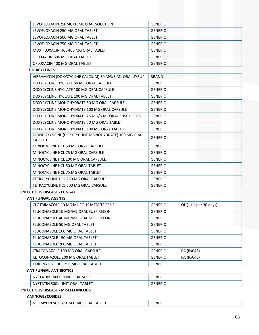| LEVOFLOXACIN 250MG/10ML ORAL SOLUTION | <b>GENERIC</b> |
|---------------------------------------|----------------|
| LEVOFLOXACIN 250 MG ORAL TABLET       | <b>GENERIC</b> |
| LEVOFLOXACIN 500 MG ORAL TABLET       | <b>GENERIC</b> |
| LEVOFLOXACIN 750 MG ORAL TABLET       | <b>GENERIC</b> |
| MOXIFLOXACIN HCL 400 MG ORAL TABLET   | <b>GENERIC</b> |
| OFLOXACIN 300 MG ORAL TABLET          | <b>GENERIC</b> |
| OFLOXACIN 400 MG ORAL TABLET          | <b>GENERIC</b> |

**TETRACYCLINES**

| VIBRAMYCIN (DOXYCYCLINE CALCIUM) 50 MG/5 ML ORAL SYRUP               | <b>BRAND</b>   |
|----------------------------------------------------------------------|----------------|
| DOXYCYCLINE HYCLATE 50 MG ORAL CAPSULE                               | <b>GENERIC</b> |
| DOXYCYCLINE HYCLATE 100 MG ORAL CAPSULE                              | <b>GENERIC</b> |
| DOXYCYCLINE HYCLATE 100 MG ORAL TABLET                               | <b>GENERIC</b> |
| DOXYCYCLINE MONOHYDRATE 50 MG ORAL CAPSULE                           | <b>GENERIC</b> |
| DOXYCYCLINE MONOHYDRATE 100 MG ORAL CAPSULE                          | <b>GENERIC</b> |
| DOXYCYCLINE MONOHYDRATE 25 MG/5 ML ORAL SUSP RECON                   | <b>GENERIC</b> |
| DOXYCYCLINE MONOHYDRATE 50 MG ORAL TABLET                            | <b>GENERIC</b> |
| DOXYCYCLINE MONOHYDRATE 100 MG ORAL TABLET                           | <b>GENERIC</b> |
| MONDOXYNE NL (DOXYCYCLINE MONOHYDRATE) 100 MG ORAL<br><b>CAPSULE</b> | <b>GENERIC</b> |
| MINOCYCLINE HCL 50 MG ORAL CAPSULE                                   | <b>GENERIC</b> |
| MINOCYCLINE HCL 75 MG ORAL CAPSULE                                   | <b>GENERIC</b> |
| MINOCYCLINE HCL 100 MG ORAL CAPSULE                                  | <b>GENERIC</b> |
| MINOCYCLINE HCL 50 MG ORAL TABLET                                    | <b>GENERIC</b> |
| MINOCYCLINE HCL 75 MG ORAL TABLET                                    | <b>GENERIC</b> |
| TETRACYCLINE HCL 250 MG ORAL CAPSULE                                 | <b>GENERIC</b> |
| TETRACYCLINE HCL 500 MG ORAL CAPSULE                                 | <b>GENERIC</b> |
|                                                                      |                |

#### **INFECTIOUS DISEASE ‐ FUNGAL**

# **ANTIFUNGAL AGENTS**

| CLOTRIMAZOLE 10 MG MUCOUS MEM TROCHE | <b>GENERIC</b> | QL (1 fill per 30 days) |
|--------------------------------------|----------------|-------------------------|
| FLUCONAZOLE 10 MG/ML ORAL SUSP RECON | <b>GENERIC</b> |                         |
| FLUCONAZOLE 40 MG/ML ORAL SUSP RECON | <b>GENERIC</b> |                         |
| FLUCONAZOLE 50 MG ORAL TABLET        | <b>GENERIC</b> |                         |
| FLUCONAZOLE 100 MG ORAL TABLET       | <b>GENERIC</b> |                         |
| FLUCONAZOLE 150 MG ORAL TABLET       | <b>GENERIC</b> |                         |
| FLUCONAZOLE 200 MG ORAL TABLET       | <b>GENERIC</b> |                         |
| ITRACONAZOLE 100 MG ORAL CAPSULE     | <b>GENERIC</b> | PA (Rx046)              |
| KETOCONAZOLE 200 MG ORAL TABLET      | <b>GENERIC</b> | PA (Rx046)              |
| TERBINAFINE HCL 250 MG ORAL TABLET   | <b>GENERIC</b> |                         |

#### **ANTIFUNGAL ANTIBIOTICS**

| <b>SUSP</b><br>100000/ML<br>NIT'<br>NVC.<br>ORAL          | GENERIC        |  |
|-----------------------------------------------------------|----------------|--|
| <b>TABLET</b><br>500K<br>UNIT<br>ORAL<br>'STATIN<br>- IVY | <b>GENERIC</b> |  |

# **INFECTIOUS DISEASE ‐ MISCELLANEOUS**

# **AMINOGLYCOSIDES**

| NEOMYCIN SULFATE 500 MG ORAL TABLET |
|-------------------------------------|
|-------------------------------------|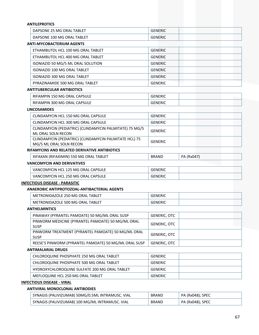| <b>ANTILEPROTICS</b>                                                              |                     |            |
|-----------------------------------------------------------------------------------|---------------------|------------|
| DAPSONE 25 MG ORAL TABLET                                                         | <b>GENERIC</b>      |            |
| DAPSONE 100 MG ORAL TABLET                                                        | <b>GENERIC</b>      |            |
| <b>ANTI-MYCOBACTERIUM AGENTS</b>                                                  |                     |            |
| ETHAMBUTOL HCL 100 MG ORAL TABLET                                                 | <b>GENERIC</b>      |            |
| ETHAMBUTOL HCL 400 MG ORAL TABLET                                                 | <b>GENERIC</b>      |            |
| ISONIAZID 50 MG/5 ML ORAL SOLUTION                                                | <b>GENERIC</b>      |            |
| <b>ISONIAZID 100 MG ORAL TABLET</b>                                               | <b>GENERIC</b>      |            |
| <b>ISONIAZID 300 MG ORAL TABLET</b>                                               | <b>GENERIC</b>      |            |
| PYRAZINAMIDE 500 MG ORAL TABLET                                                   | <b>GENERIC</b>      |            |
| <b>ANTITUBERCULAR ANTIBIOTICS</b>                                                 |                     |            |
| RIFAMPIN 150 MG ORAL CAPSULE                                                      | <b>GENERIC</b>      |            |
| RIFAMPIN 300 MG ORAL CAPSULE                                                      | <b>GENERIC</b>      |            |
| <b>LINCOSAMIDES</b>                                                               |                     |            |
| CLINDAMYCIN HCL 150 MG ORAL CAPSULE                                               | <b>GENERIC</b>      |            |
| CLINDAMYCIN HCL 300 MG ORAL CAPSULE                                               | <b>GENERIC</b>      |            |
| CLINDAMYCIN (PEDIATRIC) (CLINDAMYCIN PALMITATE) 75 MG/5<br>ML ORAL SOLN RECON     | <b>GENERIC</b>      |            |
| CLINDAMYCIN (PEDIATRIC) (CLINDAMYCIN PALMITATE HCL) 75<br>MG/5 ML ORAL SOLN RECON | <b>GENERIC</b>      |            |
| RIFAMYCINS AND RELATED DERIVATIVE ANTIBIOTICS                                     |                     |            |
| XIFAXAN (RIFAXIMIN) 550 MG ORAL TABLET                                            | <b>BRAND</b>        | PA (Rx047) |
| <b>VANCOMYCIN AND DERIVATIVES</b>                                                 |                     |            |
| VANCOMYCIN HCL 125 MG ORAL CAPSULE                                                | <b>GENERIC</b>      |            |
| VANCOMYCIN HCL 250 MG ORAL CAPSULE                                                | <b>GENERIC</b>      |            |
| <b>INFECTIOUS DISEASE - PARASITIC</b>                                             |                     |            |
| ANAEROBIC ANTIPROTOZOAL-ANTIBACTERIAL AGENTS                                      |                     |            |
| METRONIDAZOLE 250 MG ORAL TABLET                                                  | <b>GENERIC</b>      |            |
| METRONIDAZOLE 500 MG ORAL TABLET                                                  | <b>GENERIC</b>      |            |
| <b>ANTHELMINTICS</b>                                                              |                     |            |
| PINAWAY (PYRANTEL PAMOATE) 50 MG/ML ORAL SUSP                                     | <b>GENERIC, OTC</b> |            |
| PINWORM MEDICINE (PYRANTEL PAMOATE) 50 MG/ML ORAL<br><b>SUSP</b>                  | <b>GENERIC, OTC</b> |            |
| PINWORM TREATMENT (PYRANTEL PAMOATE) 50 MG/ML ORAL<br><b>SUSP</b>                 | <b>GENERIC, OTC</b> |            |
| REESE'S PINWORM (PYRANTEL PAMOATE) 50 MG/ML ORAL SUSP                             | <b>GENERIC, OTC</b> |            |
| <b>ANTIMALARIAL DRUGS</b>                                                         |                     |            |
| CHLOROQUINE PHOSPHATE 250 MG ORAL TABLET                                          | <b>GENERIC</b>      |            |
| CHLOROQUINE PHOSPHATE 500 MG ORAL TABLET                                          | <b>GENERIC</b>      |            |
| HYDROXYCHLOROQUINE SULFATE 200 MG ORAL TABLET                                     | <b>GENERIC</b>      |            |
| MEFLOQUINE HCL 250 MG ORAL TABLET                                                 | <b>GENERIC</b>      |            |

# **INFECTIOUS DISEASE ‐ VIRAL**

# **ANTIVIRAL MONOCLONAL ANTIBODIES**

| <sup>1</sup> SYNAGIS (PALIVIZUMAB) 50MG/0.5ML INTRAMUSC. VIAL | <b>BRAND</b> | ' PA (Rx048); SPEC |
|---------------------------------------------------------------|--------------|--------------------|
| SYNAGIS (PALIVIZUMAB) 100 MG/ML INTRAMUSC. VIAL               | <b>BRAND</b> | $PA$ (Rx048); SPEC |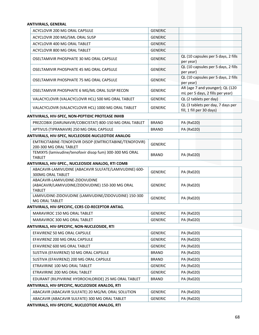#### **ANTIVIRALS, GENERAL**

| ACYCLOVIR 200 MG ORAL CAPSULE                                                                       | <b>GENERIC</b> |                                                                     |
|-----------------------------------------------------------------------------------------------------|----------------|---------------------------------------------------------------------|
| ACYCLOVIR 200 MG/5ML ORAL SUSP                                                                      | <b>GENERIC</b> |                                                                     |
| ACYCLOVIR 400 MG ORAL TABLET                                                                        | <b>GENERIC</b> |                                                                     |
| ACYCLOVIR 800 MG ORAL TABLET                                                                        | <b>GENERIC</b> |                                                                     |
| OSELTAMIVIR PHOSPHATE 30 MG ORAL CAPSULE                                                            | <b>GENERIC</b> | QL (10 capsules per 5 days, 2 fills<br>per year)                    |
| OSELTAMIVIR PHOSPHATE 45 MG ORAL CAPSULE                                                            | <b>GENERIC</b> | QL (10 capsules per 5 days, 2 fills<br>per year)                    |
| OSELTAMIVIR PHOSPHATE 75 MG ORAL CAPSULE                                                            | <b>GENERIC</b> | QL (10 capsules per 5 days, 2 fills<br>per year)                    |
| OSELTAMIVIR PHOSPHATE 6 MG/ML ORAL SUSP RECON                                                       | <b>GENERIC</b> | AR (age 7 and younger); QL (120<br>mL per 5 days, 2 fills per year) |
| VALACYCLOVIR (VALACYCLOVIR HCL) 500 MG ORAL TABLET                                                  | <b>GENERIC</b> | QL (2 tablets per day)                                              |
| VALACYCLOVIR (VALACYCLOVIR HCL) 1000 MG ORAL TABLET                                                 | <b>GENERIC</b> | QL (3 tablets per day, 7 days per<br>fill, 1 fill per 30 days)      |
| ANTIVIRALS, HIV-SPEC, NON-PEPTIDIC PROTEASE INHIB                                                   |                |                                                                     |
| PREZCOBIX (DARUNAVIR/COBICISTAT) 800-150 MG ORAL TABLET                                             | <b>BRAND</b>   | PA (Rx020)                                                          |
| APTIVUS (TIPRANAVIR) 250 MG ORAL CAPSULE                                                            | <b>BRAND</b>   | PA (Rx020)                                                          |
| ANTIVIRALS, HIV-SPEC, NUCLEOSIDE-NUCLEOTIDE ANALOG                                                  |                |                                                                     |
| EMTRICITABINE-TENOFOVIR DISOP (EMTRICITABINE/TENOFOVIR)<br>200-300 MG ORAL TABLET                   | <b>GENERIC</b> |                                                                     |
| TEMIXYS (lamivudine/tenofovir disop fum) 300-300 MG ORAL<br><b>TABLET</b>                           | <b>BRAND</b>   | PA (Rx020)                                                          |
| ANTIVIRALS, HIV-SPEC., NUCLEOSIDE ANALOG, RTI COMB                                                  |                |                                                                     |
| ABACAVIR-LAMIVUDINE (ABACAVIR SULFATE/LAMIVUDINE) 600-<br>300MG ORAL TABLET                         | <b>GENERIC</b> | PA (Rx020)                                                          |
| ABACAVIR-LAMIVUDINE-ZIDOVUDINE<br>(ABACAVIR/LAMIVUDINE/ZIDOVUDINE) 150-300 MG ORAL<br><b>TABLET</b> | <b>GENERIC</b> | PA (Rx020)                                                          |
| LAMIVUDINE-ZIDOVUDINE (LAMIVUDINE/ZIDOVUDINE) 150-300<br>MG ORAL TABLET                             | <b>GENERIC</b> | PA (Rx020)                                                          |
| ANTIVIRALS, HIV-SPECIFIC, CCR5 CO-RECEPTOR ANTAG.                                                   |                |                                                                     |
| MARAVIROC 150 MG ORAL TABLET                                                                        | <b>GENERIC</b> | PA (Rx020)                                                          |
| MARAVIROC 300 MG ORAL TABLET                                                                        | <b>GENERIC</b> | PA (Rx020)                                                          |
| ANTIVIRALS, HIV-SPECIFIC, NON-NUCLEOSIDE, RTI                                                       |                |                                                                     |
| EFAVIRENZ 50 MG ORAL CAPSULE                                                                        | <b>GENERIC</b> | PA (Rx020)                                                          |
| EFAVIRENZ 200 MG ORAL CAPSULE                                                                       | <b>GENERIC</b> | PA (Rx020)                                                          |
| EFAVIRENZ 600 MG ORAL TABLET                                                                        | <b>GENERIC</b> | PA (Rx020)                                                          |
| SUSTIVA (EFAVIRENZ) 50 MG ORAL CAPSULE                                                              | <b>BRAND</b>   | PA (Rx020)                                                          |
| SUSTIVA (EFAVIRENZ) 200 MG ORAL CAPSULE                                                             | <b>BRAND</b>   | PA (Rx020)                                                          |
| ETRAVIRINE 100 MG ORAL TABLET                                                                       | <b>GENERIC</b> | PA (Rx020)                                                          |
| ETRAVIRINE 200 MG ORAL TABLET                                                                       | <b>GENERIC</b> | PA (Rx020)                                                          |
| EDURANT (RILPIVIRINE HYDROCHLORIDE) 25 MG ORAL TABLET                                               | <b>BRAND</b>   | PA (Rx020)                                                          |
| ANTIVIRALS, HIV-SPECIFIC, NUCLEOSIDE ANALOG, RTI                                                    |                |                                                                     |
| ABACAVIR (ABACAVIR SULFATE) 20 MG/ML ORAL SOLUTION                                                  | <b>GENERIC</b> | PA (Rx020)                                                          |
| ABACAVIR (ABACAVIR SULFATE) 300 MG ORAL TABLET                                                      | <b>GENERIC</b> | PA (Rx020)                                                          |

**ANTIVIRALS, HIV‐SPECIFIC, NUCLEOTIDE ANALOG, RTI**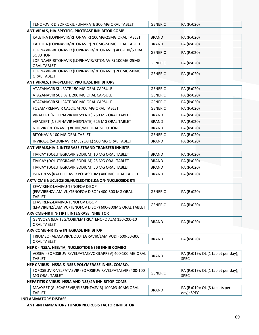| TENOFOVIR DISOPROXIL FUMARATE 300<br>. TABLET<br>ነ MG ORAL | VERIC<br>-NF | ∩ר∩<br>DΔ<br>'Dví |
|------------------------------------------------------------|--------------|-------------------|
| <b>UTIVIDALE LIIV CRECIEIC RROTEACE INLURITOR COMP</b>     |              |                   |

| ANTIVIRALS, HIV-SPECIFIC, PROTEASE INHIBITOR COMB                                                   |                |                                                   |
|-----------------------------------------------------------------------------------------------------|----------------|---------------------------------------------------|
| KALETRA (LOPINAVIR/RITONAVIR) 100MG-25MG ORAL TABLET                                                | <b>BRAND</b>   | PA (Rx020)                                        |
| KALETRA (LOPINAVIR/RITONAVIR) 200MG-50MG ORAL TABLET                                                | <b>BRAND</b>   | PA (Rx020)                                        |
| LOPINAVIR-RITONAVIR (LOPINAVIR/RITONAVIR) 400-100/5 ORAL<br>SOLUTION                                | <b>GENERIC</b> | PA (Rx020)                                        |
| LOPINAVIR-RITONAVIR (LOPINAVIR/RITONAVIR) 100MG-25MG<br><b>ORAL TABLET</b>                          | <b>GENERIC</b> | PA (Rx020)                                        |
| LOPINAVIR-RITONAVIR (LOPINAVIR/RITONAVIR) 200MG-50MG<br><b>ORAL TABLET</b>                          | <b>GENERIC</b> | PA (Rx020)                                        |
| ANTIVIRALS, HIV-SPECIFIC, PROTEASE INHIBITORS                                                       |                |                                                   |
| ATAZANAVIR SULFATE 150 MG ORAL CAPSULE                                                              | <b>GENERIC</b> | PA (Rx020)                                        |
| ATAZANAVIR SULFATE 200 MG ORAL CAPSULE                                                              | <b>GENERIC</b> | PA (Rx020)                                        |
| ATAZANAVIR SULFATE 300 MG ORAL CAPSULE                                                              | <b>GENERIC</b> | PA (Rx020)                                        |
| FOSAMPRENAVIR CALCIUM 700 MG ORAL TABLET                                                            | <b>GENERIC</b> | PA (Rx020)                                        |
| VIRACEPT (NELFINAVIR MESYLATE) 250 MG ORAL TABLET                                                   | <b>BRAND</b>   | PA (Rx020)                                        |
| VIRACEPT (NELFINAVIR MESYLATE) 625 MG ORAL TABLET                                                   | <b>BRAND</b>   | PA (Rx020)                                        |
| NORVIR (RITONAVIR) 80 MG/ML ORAL SOLUTION                                                           | <b>BRAND</b>   | PA (Rx020)                                        |
| RITONAVIR 100 MG ORAL TABLET                                                                        | <b>GENERIC</b> | PA (Rx020)                                        |
| INVIRASE (SAQUINAVIR MESYLATE) 500 MG ORAL TABLET                                                   | <b>BRAND</b>   | PA (Rx020)                                        |
| ANTIVIRALS, HIV-1 INTEGRASE STRAND TRANSFER INHIBTR                                                 |                |                                                   |
| TIVICAY (DOLUTEGRAVIR SODIUM) 10 MG ORAL TABLET                                                     | <b>BRAND</b>   | PA (Rx020)                                        |
| TIVICAY (DOLUTEGRAVIR SODIUM) 25 MG ORAL TABLET                                                     | <b>BRAND</b>   | PA (Rx020)                                        |
| TIVICAY (DOLUTEGRAVIR SODIUM) 50 MG ORAL TABLET                                                     | <b>BRAND</b>   | PA (Rx020)                                        |
| ISENTRESS (RALTEGRAVIR POTASSIUM) 400 MG ORAL TABLET                                                | <b>BRAND</b>   | PA (Rx020)                                        |
| ARTV CMB NUCLEOSIDE, NUCLEOTIDE, & NON-NUCLEOSIDE RTI                                               |                |                                                   |
| EFAVIRENZ-LAMIVU-TENOFOV DISOP<br>(EFAVIRENZ/LAMIVU/TENOFOV DISOP) 400-300 MG ORAL<br><b>TABLET</b> | <b>GENERIC</b> | PA (Rx020)                                        |
| EFAVIRENZ-LAMIVU-TENOFOV DISOP<br>(EFAVIRENZ/LAMIVU/TENOFOV DISOP) 600-300MG ORAL TABLET            | <b>GENERIC</b> | PA (Rx020)                                        |
| ARV CMB-NRTI, N(T) RTI, INTEGRASE INHIBITOR                                                         |                |                                                   |
| GENVOYA (ELVITEG/COBI/EMTRIC/TENOFO ALA) 150-200-10<br><b>ORAL TABLET</b>                           | <b>BRAND</b>   | PA (Rx020)                                        |
| ARV COMB-NRTIS & INTEGRASE INHIBITOR                                                                |                |                                                   |
| TRIUMEQ (ABACAVIR/DOLUTEGRAVIR/LAMIVUDI) 600-50-300<br><b>ORAL TABLET</b>                           | <b>BRAND</b>   | PA (Rx020)                                        |
| HEP C - NS5A, NS3/4A, NUCLEOTIDE NS5B INHIB COMBO                                                   |                |                                                   |
| VOSEVI (SOFOSBUVIR/VELPATAS/VOXILAPREV) 400-100 MG ORAL<br><b>TABLET</b>                            | <b>BRAND</b>   | PA (Rx019); QL (1 tablet per day);<br><b>SPEC</b> |
| HEP C VIRUS - NS5A & NS5B POLYMERASE INHIB. COMBO.                                                  |                |                                                   |
| SOFOSBUVIR-VELPATASVIR (SOFOSBUVIR/VELPATASVIR) 400-100<br>MG ORAL TABLET                           | <b>GENERIC</b> | PA (Rx019); QL (1 tablet per day);<br><b>SPEC</b> |
| HEPATITIS C VIRUS- NS5A AND NS3/4A INHIBITOR COMB                                                   |                |                                                   |
| MAVYRET (GLECAPREVIR/PIBRENTASVIR) 100MG-40MG ORAL                                                  | <b>DDANIE</b>  | PA (Rx019); QL (3 tablets per                     |

TABLET BRAND PA (Rx019); QL (3 tablets per day); SPEC **INFLAMMATORY DISEASE**

**ANTI‐INFLAMMATORY TUMOR NECROSIS FACTOR INHIBITOR**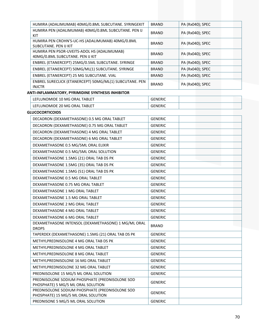| HUMIRA (ADALIMUMAB) 40MG/0.8ML SUBCUTANE. SYRINGEKIT                                   | <b>BRAND</b>   | PA (Rx040); SPEC |
|----------------------------------------------------------------------------------------|----------------|------------------|
| HUMIRA PEN (ADALIMUMAB) 40MG/0.8ML SUBCUTANE. PEN IJ<br>KIT                            | <b>BRAND</b>   | PA (Rx040); SPEC |
| HUMIRA PEN CROHN'S-UC-HS (ADALIMUMAB) 40MG/0.8ML<br>SUBCUTANE. PEN IJ KIT              | <b>BRAND</b>   | PA (Rx040); SPEC |
| HUMIRA PEN PSOR-UVEITS-ADOL HS (ADALIMUMAB)<br>40MG/0.8ML SUBCUTANE. PEN IJ KIT        | <b>BRAND</b>   | PA (Rx040); SPEC |
| ENBREL (ETANERCEPT) 25MG/0.5ML SUBCUTANE. SYRINGE                                      | <b>BRAND</b>   | PA (Rx040); SPEC |
| ENBREL (ETANERCEPT) 50MG/ML(1) SUBCUTANE. SYRINGE                                      | <b>BRAND</b>   | PA (Rx040); SPEC |
| ENBREL (ETANERCEPT) 25 MG SUBCUTANE. VIAL                                              | <b>BRAND</b>   | PA (Rx040); SPEC |
| ENBREL SURECLICK (ETANERCEPT) 50MG/ML(1) SUBCUTANE. PEN<br><b>INJCTR</b>               | <b>BRAND</b>   | PA (Rx040); SPEC |
| ANTI-INFLAMMATORY, PYRIMIDINE SYNTHESIS INHIBITOR                                      |                |                  |
| LEFLUNOMIDE 10 MG ORAL TABLET                                                          | <b>GENERIC</b> |                  |
| LEFLUNOMIDE 20 MG ORAL TABLET                                                          | <b>GENERIC</b> |                  |
| <b>GLUCOCORTICOIDS</b>                                                                 |                |                  |
| DECADRON (DEXAMETHASONE) 0.5 MG ORAL TABLET                                            | <b>GENERIC</b> |                  |
| DECADRON (DEXAMETHASONE) 0.75 MG ORAL TABLET                                           | <b>GENERIC</b> |                  |
| DECADRON (DEXAMETHASONE) 4 MG ORAL TABLET                                              | <b>GENERIC</b> |                  |
| DECADRON (DEXAMETHASONE) 6 MG ORAL TABLET                                              | <b>GENERIC</b> |                  |
| DEXAMETHASONE 0.5 MG/5ML ORAL ELIXIR                                                   | <b>GENERIC</b> |                  |
| DEXAMETHASONE 0.5 MG/5ML ORAL SOLUTION                                                 | <b>GENERIC</b> |                  |
| DEXAMETHASONE 1.5MG (21) ORAL TAB DS PK                                                | <b>GENERIC</b> |                  |
| DEXAMETHASONE 1.5MG (35) ORAL TAB DS PK                                                | <b>GENERIC</b> |                  |
| DEXAMETHASONE 1.5MG (51) ORAL TAB DS PK                                                | <b>GENERIC</b> |                  |
| DEXAMETHASONE 0.5 MG ORAL TABLET                                                       | <b>GENERIC</b> |                  |
| DEXAMETHASONE 0.75 MG ORAL TABLET                                                      | <b>GENERIC</b> |                  |
| DEXAMETHASONE 1 MG ORAL TABLET                                                         | <b>GENERIC</b> |                  |
| DEXAMETHASONE 1.5 MG ORAL TABLET                                                       | <b>GENERIC</b> |                  |
| DEXAMETHASONE 2 MG ORAL TABLET                                                         | <b>GENERIC</b> |                  |
| DEXAMETHASONE 4 MG ORAL TABLET                                                         | <b>GENERIC</b> |                  |
| DEXAMETHASONE 6 MG ORAL TABLET                                                         | <b>GENERIC</b> |                  |
| DEXAMETHASONE INTENSOL (DEXAMETHASONE) 1 MG/ML ORAL<br><b>DROPS</b>                    | <b>BRAND</b>   |                  |
| TAPERDEX (DEXAMETHASONE) 1.5MG (21) ORAL TAB DS PK                                     | <b>GENERIC</b> |                  |
| METHYLPREDNISOLONE 4 MG ORAL TAB DS PK                                                 | <b>GENERIC</b> |                  |
| METHYLPREDNISOLONE 4 MG ORAL TABLET                                                    | <b>GENERIC</b> |                  |
| METHYLPREDNISOLONE 8 MG ORAL TABLET                                                    | <b>GENERIC</b> |                  |
| METHYLPREDNISOLONE 16 MG ORAL TABLET                                                   | <b>GENERIC</b> |                  |
| METHYLPREDNISOLONE 32 MG ORAL TABLET                                                   | <b>GENERIC</b> |                  |
| PREDNISOLONE 15 MG/5 ML ORAL SOLUTION                                                  | <b>GENERIC</b> |                  |
| PREDNISOLONE SODIUM PHOSPHATE (PREDNISOLONE SOD                                        | <b>GENERIC</b> |                  |
| PHOSPHATE) 5 MG/5 ML ORAL SOLUTION                                                     |                |                  |
| PREDNISOLONE SODIUM PHOSPHATE (PREDNISOLONE SOD<br>PHOSPHATE) 15 MG/5 ML ORAL SOLUTION | <b>GENERIC</b> |                  |
| PREDNISONE 5 MG/5 ML ORAL SOLUTION                                                     | <b>GENERIC</b> |                  |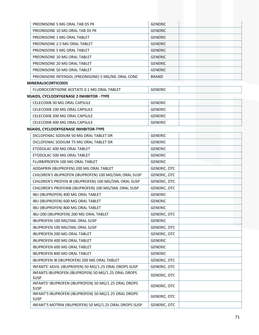| PREDNISONE 5 MG ORAL TAB DS PK                                      | <b>GENERIC</b>      |
|---------------------------------------------------------------------|---------------------|
| PREDNISONE 10 MG ORAL TAB DS PK                                     | <b>GENERIC</b>      |
| PREDNISONE 1 MG ORAL TABLET                                         | <b>GENERIC</b>      |
| PREDNISONE 2.5 MG ORAL TABLET                                       | <b>GENERIC</b>      |
| PREDNISONE 5 MG ORAL TABLET                                         | <b>GENERIC</b>      |
| PREDNISONE 10 MG ORAL TABLET                                        | <b>GENERIC</b>      |
| PREDNISONE 20 MG ORAL TABLET                                        | <b>GENERIC</b>      |
| PREDNISONE 50 MG ORAL TABLET                                        | <b>GENERIC</b>      |
| PREDNISONE INTENSOL (PREDNISONE) 5 MG/ML ORAL CONC                  | <b>BRAND</b>        |
| <b>MINERALOCORTICOIDS</b>                                           |                     |
| FLUDROCORTISONE ACETATE 0.1 MG ORAL TABLET                          | <b>GENERIC</b>      |
| <b>NSAIDS, CYCLOOXYGENASE 2 INHIBITOR - TYPE</b>                    |                     |
| CELECOXIB 50 MG ORAL CAPSULE                                        | <b>GENERIC</b>      |
| CELECOXIB 100 MG ORAL CAPSULE                                       | <b>GENERIC</b>      |
| CELECOXIB 200 MG ORAL CAPSULE                                       | <b>GENERIC</b>      |
| CELECOXIB 400 MG ORAL CAPSULE                                       | <b>GENERIC</b>      |
| NSAIDS, CYCLOOXYGENASE INHIBITOR-TYPE                               |                     |
| DICLOFENAC SODIUM 50 MG ORAL TABLET DR                              | <b>GENERIC</b>      |
| DICLOFENAC SODIUM 75 MG ORAL TABLET DR                              | <b>GENERIC</b>      |
| ETODOLAC 400 MG ORAL TABLET                                         | <b>GENERIC</b>      |
| ETODOLAC 500 MG ORAL TABLET                                         | <b>GENERIC</b>      |
| FLURBIPROFEN 100 MG ORAL TABLET                                     | <b>GENERIC</b>      |
| ADDAPRIN (IBUPROFEN) 200 MG ORAL TABLET                             | GENERIC, OTC        |
| CHILDREN'S IBUPROFEN (IBUPROFEN) 100 MG/5ML ORAL SUSP               | <b>GENERIC, OTC</b> |
| CHILDREN'S PROFEN IB (IBUPROFEN) 100 MG/5ML ORAL SUSP               | <b>GENERIC, OTC</b> |
| CHILDREN'S PROFENIB (IBUPROFEN) 100 MG/5ML ORAL SUSP                | GENERIC, OTC        |
| IBU (IBUPROFEN) 400 MG ORAL TABLET                                  | <b>GENERIC</b>      |
| IBU (IBUPROFEN) 600 MG ORAL TABLET                                  | <b>GENERIC</b>      |
| IBU (IBUPROFEN) 800 MG ORAL TABLET                                  | <b>GENERIC</b>      |
| IBU-200 (IBUPROFEN) 200 MG ORAL TABLET                              | <b>GENERIC, OTC</b> |
| IBUPROFEN 100 MG/5ML ORAL SUSP                                      | <b>GENERIC</b>      |
| IBUPROFEN 100 MG/5ML ORAL SUSP                                      | <b>GENERIC, OTC</b> |
| IBUPROFEN 200 MG ORAL TABLET                                        | <b>GENERIC, OTC</b> |
| IBUPROFEN 400 MG ORAL TABLET                                        | <b>GENERIC</b>      |
| IBUPROFEN 600 MG ORAL TABLET                                        | <b>GENERIC</b>      |
| IBUPROFEN 800 MG ORAL TABLET                                        | <b>GENERIC</b>      |
| IBUPROFEN IB (IBUPROFEN) 200 MG ORAL TABLET                         | GENERIC, OTC        |
| INFANTS' ADVIL (IBUPROFEN) 50 MG/1.25 ORAL DROPS SUSP               | GENERIC, OTC        |
| INFANTS IBUPROFEN (IBUPROFEN) 50 MG/1.25 ORAL DROPS<br><b>SUSP</b>  | <b>GENERIC, OTC</b> |
| INFANTS' IBUPROFEN (IBUPROFEN) 50 MG/1.25 ORAL DROPS<br><b>SUSP</b> | <b>GENERIC, OTC</b> |
| INFANT'S IBUPROFEN (IBUPROFEN) 50 MG/1.25 ORAL DROPS<br><b>SUSP</b> | <b>GENERIC, OTC</b> |
| INFANT'S MOTRIN (IBUPROFEN) 50 MG/1.25 ORAL DROPS SUSP              | <b>GENERIC, OTC</b> |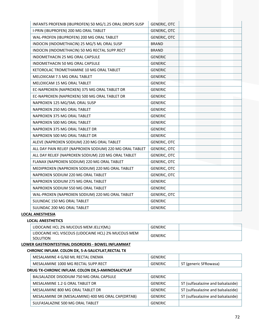| INFANTS PROFENIB (IBUPROFEN) 50 MG/1.25 ORAL DROPS SUSP  | <b>GENERIC, OTC</b> |
|----------------------------------------------------------|---------------------|
| I-PRIN (IBUPROFEN) 200 MG ORAL TABLET                    | <b>GENERIC, OTC</b> |
| WAL-PROFEN (IBUPROFEN) 200 MG ORAL TABLET                | <b>GENERIC, OTC</b> |
| INDOCIN (INDOMETHACIN) 25 MG/5 ML ORAL SUSP              | <b>BRAND</b>        |
| INDOCIN (INDOMETHACIN) 50 MG RECTAL SUPP.RECT            | <b>BRAND</b>        |
| INDOMETHACIN 25 MG ORAL CAPSULE                          | <b>GENERIC</b>      |
| <b>INDOMETHACIN 50 MG ORAL CAPSULE</b>                   | <b>GENERIC</b>      |
| KETOROLAC TROMETHAMINE 10 MG ORAL TABLET                 | <b>GENERIC</b>      |
| MELOXICAM 7.5 MG ORAL TABLET                             | <b>GENERIC</b>      |
| MELOXICAM 15 MG ORAL TABLET                              | <b>GENERIC</b>      |
| EC-NAPROXEN (NAPROXEN) 375 MG ORAL TABLET DR             | <b>GENERIC</b>      |
| EC-NAPROXEN (NAPROXEN) 500 MG ORAL TABLET DR             | <b>GENERIC</b>      |
| NAPROXEN 125 MG/5ML ORAL SUSP                            | <b>GENERIC</b>      |
| NAPROXEN 250 MG ORAL TABLET                              | <b>GENERIC</b>      |
| NAPROXEN 375 MG ORAL TABLET                              | <b>GENERIC</b>      |
| NAPROXEN 500 MG ORAL TABLET                              | <b>GENERIC</b>      |
| NAPROXEN 375 MG ORAL TABLET DR                           | <b>GENERIC</b>      |
| NAPROXEN 500 MG ORAL TABLET DR                           | <b>GENERIC</b>      |
| ALEVE (NAPROXEN SODIUM) 220 MG ORAL TABLET               | <b>GENERIC, OTC</b> |
| ALL DAY PAIN RELIEF (NAPROXEN SODIUM) 220 MG ORAL TABLET | <b>GENERIC, OTC</b> |
| ALL DAY RELIEF (NAPROXEN SODIUM) 220 MG ORAL TABLET      | <b>GENERIC, OTC</b> |
| FLANAX (NAPROXEN SODIUM) 220 MG ORAL TABLET              | <b>GENERIC, OTC</b> |
| MEDIPROXEN (NAPROXEN SODIUM) 220 MG ORAL TABLET          | <b>GENERIC, OTC</b> |
| NAPROXEN SODIUM 220 MG ORAL TABLET                       | <b>GENERIC, OTC</b> |
| NAPROXEN SODIUM 275 MG ORAL TABLET                       | <b>GENERIC</b>      |
| NAPROXEN SODIUM 550 MG ORAL TABLET                       | <b>GENERIC</b>      |
| WAL-PROXEN (NAPROXEN SODIUM) 220 MG ORAL TABLET          | <b>GENERIC, OTC</b> |
| SULINDAC 150 MG ORAL TABLET                              | <b>GENERIC</b>      |
| SULINDAC 200 MG ORAL TABLET                              | <b>GENERIC</b>      |

#### **LOCAL ANESTHESIA**

# **LOCAL ANESTHETICS**

| LIDOCAINE HCL 2% MUCOUS MEM JELLY(ML)                           | GENERIC |  |
|-----------------------------------------------------------------|---------|--|
| LIDOCAINE HCL VISCOUS (LIDOCAINE HCL) 2% MUCOUS MEM<br>SOLUTION | GENERIC |  |

# **LOWER GASTROINTESTINAL DISORDERS ‐ BOWEL INFLAMMAT**

#### **CHRONIC INFLAM. COLON DX, 5‐A‐SALICYLAT,RECTAL TX**

| MESALAMINE 4 G/60 ML RECTAL ENEMA   | <b>ENERIC</b> |                    |
|-------------------------------------|---------------|--------------------|
| MESALAMINE 1000 MG RECTAL SUPP.RECT | `ENERIC       | (generic SFRowasa) |

#### **DRUG TX‐CHRONIC INFLAM. COLON DX,5‐AMINOSALICYLAT**

| BALSALAZIDE DISODIUM 750 MG ORAL CAPSULE          | GENERIC        |                                    |
|---------------------------------------------------|----------------|------------------------------------|
| MESALAMINE 1.2 G ORAL TABLET DR                   | <b>GENERIC</b> | ST (sulfasalazine and balsalazide) |
| MESALAMINE 800 MG ORAL TABLET DR                  | GENERIC        | ST (sulfasalazine and balsalazide) |
| MESALAMINE DR (MESALAMINE) 400 MG ORAL CAP(DRTAB) | GENERIC        | ST (sulfasalazine and balsalazide) |
| SULFASALAZINE 500 MG ORAL TABLET                  | GENERIC        |                                    |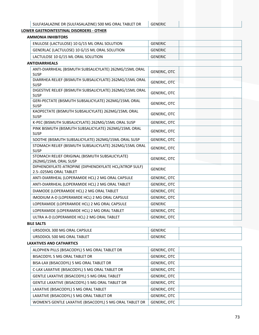# **LOWER GASTROINTESTINAL DISORDERS ‐ OTHER**

# **AMMONIA INHIBITORS**

| ENULOSE (LACTULOSE) 10 G/15 ML ORAL SOLUTION  | <b>GENERIC</b> |
|-----------------------------------------------|----------------|
| GENERLAC (LACTULOSE) 10 G/15 ML ORAL SOLUTION | <b>GENERIC</b> |
| LACTULOSE 10 G/15 ML ORAL SOLUTION            | GENERIC        |

## **ANTIDIARRHEALS**

| ANTI-DIARRHEAL (BISMUTH SUBSALICYLATE) 262MG/15ML ORAL<br><b>SUSP</b>           | <b>GENERIC, OTC</b> |  |
|---------------------------------------------------------------------------------|---------------------|--|
| DIARRHEA RELIEF (BISMUTH SUBSALICYLATE) 262MG/15ML ORAL<br><b>SUSP</b>          | <b>GENERIC, OTC</b> |  |
| DIGESTIVE RELIEF (BISMUTH SUBSALICYLATE) 262MG/15ML ORAL<br><b>SUSP</b>         | <b>GENERIC, OTC</b> |  |
| GERI-PECTATE (BISMUTH SUBSALICYLATE) 262MG/15ML ORAL<br><b>SUSP</b>             | <b>GENERIC, OTC</b> |  |
| KAOPECTATE (BISMUTH SUBSALICYLATE) 262MG/15ML ORAL<br><b>SUSP</b>               | <b>GENERIC, OTC</b> |  |
| K-PEC (BISMUTH SUBSALICYLATE) 262MG/15ML ORAL SUSP                              | <b>GENERIC, OTC</b> |  |
| PINK BISMUTH (BISMUTH SUBSALICYLATE) 262MG/15ML ORAL<br><b>SUSP</b>             | <b>GENERIC, OTC</b> |  |
| SOOTHE (BISMUTH SUBSALICYLATE) 262MG/15ML ORAL SUSP                             | <b>GENERIC, OTC</b> |  |
| STOMACH RELIEF (BISMUTH SUBSALICYLATE) 262MG/15ML ORAL<br><b>SUSP</b>           | <b>GENERIC, OTC</b> |  |
| STOMACH RELIEF ORIGINAL (BISMUTH SUBSALICYLATE)<br>262MG/15ML ORAL SUSP         | <b>GENERIC, OTC</b> |  |
| DIPHENOXYLATE-ATROPINE (DIPHENOXYLATE HCL/ATROP SULF)<br>2.5-.025MG ORAL TABLET | <b>GENERIC</b>      |  |
| ANTI-DIARRHEAL (LOPERAMIDE HCL) 2 MG ORAL CAPSULE                               | <b>GENERIC, OTC</b> |  |
| ANTI-DIARRHEAL (LOPERAMIDE HCL) 2 MG ORAL TABLET                                | <b>GENERIC, OTC</b> |  |
| DIAMODE (LOPERAMIDE HCL) 2 MG ORAL TABLET                                       | <b>GENERIC, OTC</b> |  |
| IMODIUM A-D (LOPERAMIDE HCL) 2 MG ORAL CAPSULE                                  | <b>GENERIC, OTC</b> |  |
| LOPERAMIDE (LOPERAMIDE HCL) 2 MG ORAL CAPSULE                                   | <b>GENERIC</b>      |  |
| LOPERAMIDE (LOPERAMIDE HCL) 2 MG ORAL TABLET                                    | <b>GENERIC, OTC</b> |  |
| ULTRA A-D (LOPERAMIDE HCL) 2 MG ORAL TABLET                                     | <b>GENERIC, OTC</b> |  |

### **BILE SALTS**

| LE SALTS                     |                |  |
|------------------------------|----------------|--|
| URSODIOL 300 MG ORAL CAPSULE | GENERIC        |  |
| URSODIOL 500 MG ORAL TABLET  | <b>GENERIC</b> |  |

### **LAXATIVES AND CATHARTICS**

| ALOPHEN PILLS (BISACODYL) 5 MG ORAL TABLET DR           | GENERIC, OTC        |
|---------------------------------------------------------|---------------------|
| BISACODYL 5 MG ORAL TABLET DR                           | GENERIC, OTC        |
| BISA-LAX (BISACODYL) 5 MG ORAL TABLET DR                | GENERIC, OTC        |
| C-LAX LAXATIVE (BISACODYL) 5 MG ORAL TABLET DR          | GENERIC, OTC        |
| GENTLE LAXATIVE (BISACODYL) 5 MG ORAL TABLET            | <b>GENERIC, OTC</b> |
| GENTLE LAXATIVE (BISACODYL) 5 MG ORAL TABLET DR         | <b>GENERIC, OTC</b> |
| LAXATIVE (BISACODYL) 5 MG ORAL TABLET                   | <b>GENERIC, OTC</b> |
| LAXATIVE (BISACODYL) 5 MG ORAL TABLET DR                | <b>GENERIC, OTC</b> |
| WOMEN'S GENTLE LAXATIVE (BISACODYL) 5 MG ORAL TABLET DR | <b>GENERIC, OTC</b> |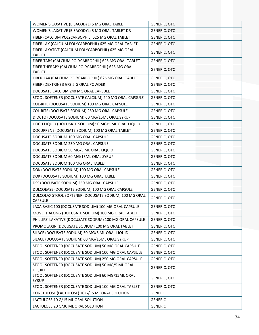| WOMEN'S LAXATIVE (BISACODYL) 5 MG ORAL TABLET                           | <b>GENERIC, OTC</b> |
|-------------------------------------------------------------------------|---------------------|
| WOMEN'S LAXATIVE (BISACODYL) 5 MG ORAL TABLET DR                        | <b>GENERIC, OTC</b> |
| FIBER (CALCIUM POLYCARBOPHIL) 625 MG ORAL TABLET                        | <b>GENERIC, OTC</b> |
| FIBER LAX (CALCIUM POLYCARBOPHIL) 625 MG ORAL TABLET                    | <b>GENERIC, OTC</b> |
| FIBER LAXATIVE (CALCIUM POLYCARBOPHIL) 625 MG ORAL<br><b>TABLET</b>     | <b>GENERIC, OTC</b> |
| FIBER TABS (CALCIUM POLYCARBOPHIL) 625 MG ORAL TABLET                   | <b>GENERIC, OTC</b> |
| FIBER THERAPY (CALCIUM POLYCARBOPHIL) 625 MG ORAL                       | <b>GENERIC, OTC</b> |
| <b>TABLET</b>                                                           |                     |
| FIBER-LAX (CALCIUM POLYCARBOPHIL) 625 MG ORAL TABLET                    | <b>GENERIC, OTC</b> |
| FIBER (DEXTRIN) 3 G/3.5 G ORAL POWDER                                   | <b>GENERIC, OTC</b> |
| DOCUSATE CALCIUM 240 MG ORAL CAPSULE                                    | <b>GENERIC, OTC</b> |
| STOOL SOFTENER (DOCUSATE CALCIUM) 240 MG ORAL CAPSULE                   | GENERIC, OTC        |
| COL-RITE (DOCUSATE SODIUM) 100 MG ORAL CAPSULE                          | <b>GENERIC, OTC</b> |
| COL-RITE (DOCUSATE SODIUM) 250 MG ORAL CAPSULE                          | <b>GENERIC, OTC</b> |
| DIOCTO (DOCUSATE SODIUM) 60 MG/15ML ORAL SYRUP                          | <b>GENERIC, OTC</b> |
| DOCU LIQUID (DOCUSATE SODIUM) 50 MG/5 ML ORAL LIQUID                    | <b>GENERIC, OTC</b> |
| DOCUPRENE (DOCUSATE SODIUM) 100 MG ORAL TABLET                          | <b>GENERIC, OTC</b> |
| DOCUSATE SODIUM 100 MG ORAL CAPSULE                                     | <b>GENERIC, OTC</b> |
| DOCUSATE SODIUM 250 MG ORAL CAPSULE                                     | <b>GENERIC, OTC</b> |
| DOCUSATE SODIUM 50 MG/5 ML ORAL LIQUID                                  | <b>GENERIC, OTC</b> |
| DOCUSATE SODIUM 60 MG/15ML ORAL SYRUP                                   | <b>GENERIC, OTC</b> |
| DOCUSATE SODIUM 100 MG ORAL TABLET                                      | <b>GENERIC, OTC</b> |
| DOK (DOCUSATE SODIUM) 100 MG ORAL CAPSULE                               | <b>GENERIC, OTC</b> |
| DOK (DOCUSATE SODIUM) 100 MG ORAL TABLET                                | GENERIC, OTC        |
| DSS (DOCUSATE SODIUM) 250 MG ORAL CAPSULE                               | <b>GENERIC, OTC</b> |
| DULCOEASE (DOCUSATE SODIUM) 100 MG ORAL CAPSULE                         | <b>GENERIC, OTC</b> |
| DULCOLAX STOOL SOFTENER (DOCUSATE SODIUM) 100 MG ORAL<br><b>CAPSULE</b> | <b>GENERIC, OTC</b> |
| LAXA BASIC 100 (DOCUSATE SODIUM) 100 MG ORAL CAPSULE                    | <b>GENERIC, OTC</b> |
| MOVE IT ALONG (DOCUSATE SODIUM) 100 MG ORAL TABLET                      | <b>GENERIC, OTC</b> |
| PHILLIPS' LAXATIVE (DOCUSATE SODIUM) 100 MG ORAL CAPSULE                | GENERIC, OTC        |
| PROMOLAXIN (DOCUSATE SODIUM) 100 MG ORAL TABLET                         | <b>GENERIC, OTC</b> |
| SILACE (DOCUSATE SODIUM) 50 MG/5 ML ORAL LIQUID                         | <b>GENERIC, OTC</b> |
| SILACE (DOCUSATE SODIUM) 60 MG/15ML ORAL SYRUP                          | <b>GENERIC, OTC</b> |
| STOOL SOFTENER (DOCUSATE SODIUM) 50 MG ORAL CAPSULE                     | <b>GENERIC, OTC</b> |
| STOOL SOFTENER (DOCUSATE SODIUM) 100 MG ORAL CAPSULE                    | GENERIC, OTC        |
| STOOL SOFTENER (DOCUSATE SODIUM) 250 MG ORAL CAPSULE                    | <b>GENERIC, OTC</b> |
| STOOL SOFTENER (DOCUSATE SODIUM) 50 MG/5 ML ORAL<br>LIQUID              | <b>GENERIC, OTC</b> |
| STOOL SOFTENER (DOCUSATE SODIUM) 60 MG/15ML ORAL<br><b>SYRUP</b>        | <b>GENERIC, OTC</b> |
| STOOL SOFTENER (DOCUSATE SODIUM) 100 MG ORAL TABLET                     | <b>GENERIC, OTC</b> |
| CONSTULOSE (LACTULOSE) 10 G/15 ML ORAL SOLUTION                         | <b>GENERIC</b>      |
| LACTULOSE 10 G/15 ML ORAL SOLUTION                                      | <b>GENERIC</b>      |
| LACTULOSE 20 G/30 ML ORAL SOLUTION                                      | <b>GENERIC</b>      |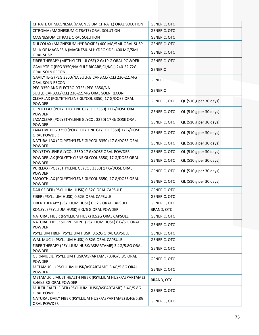| CITRATE OF MAGNESIA (MAGNESIUM CITRATE) ORAL SOLUTION                          | <b>GENERIC, OTC</b> |                        |
|--------------------------------------------------------------------------------|---------------------|------------------------|
| CITROMA (MAGNESIUM CITRATE) ORAL SOLUTION                                      | <b>GENERIC, OTC</b> |                        |
| MAGNESIUM CITRATE ORAL SOLUTION                                                | <b>GENERIC, OTC</b> |                        |
| DULCOLAX (MAGNESIUM HYDROXIDE) 400 MG/5ML ORAL SUSP                            | <b>GENERIC, OTC</b> |                        |
| MILK OF MAGNESIA (MAGNESIUM HYDROXIDE) 400 MG/5ML                              |                     |                        |
| <b>ORAL SUSP</b>                                                               | <b>GENERIC, OTC</b> |                        |
| FIBER THERAPY (METHYLCELLULOSE) 2 G/19 G ORAL POWDER                           | <b>GENERIC, OTC</b> |                        |
| GAVILYTE-C (PEG 3350/NA SULF, BICARB, CL/KCL) 240-22.72G                       | <b>GENERIC</b>      |                        |
| ORAL SOLN RECON                                                                |                     |                        |
| GAVILYTE-G (PEG 3350/NA SULF, BICARB, CL/KCL) 236-22.74G<br>ORAL SOLN RECON    | <b>GENERIC</b>      |                        |
| PEG-3350 AND ELECTROLYTES (PEG 3350/NA                                         |                     |                        |
| SULF, BICARB, CL/KCL) 236-22.74G ORAL SOLN RECON                               | <b>GENERIC</b>      |                        |
| CLEARLAX (POLYETHYLENE GLYCOL 3350) 17 G/DOSE ORAL                             | <b>GENERIC, OTC</b> | QL (510 g per 30 days) |
| <b>POWDER</b>                                                                  |                     |                        |
| GENTLELAX (POLYETHYLENE GLYCOL 3350) 17 G/DOSE ORAL                            | <b>GENERIC, OTC</b> | QL (510 g per 30 days) |
| <b>POWDER</b><br>LAXACLEAR (POLYETHYLENE GLYCOL 3350) 17 G/DOSE ORAL           |                     |                        |
| <b>POWDER</b>                                                                  | <b>GENERIC, OTC</b> | QL (510 g per 30 days) |
| LAXATIVE PEG 3350 (POLYETHYLENE GLYCOL 3350) 17 G/DOSE                         | <b>GENERIC, OTC</b> |                        |
| <b>ORAL POWDER</b>                                                             |                     | QL (510 g per 30 days) |
| NATURA-LAX (POLYETHYLENE GLYCOL 3350) 17 G/DOSE ORAL                           | <b>GENERIC, OTC</b> | QL (510 g per 30 days) |
| <b>POWDER</b>                                                                  |                     |                        |
| POLYETHYLENE GLYCOL 3350 17 G/DOSE ORAL POWDER                                 | <b>GENERIC, OTC</b> | QL (510 g per 30 days) |
| POWDERLAX (POLYETHYLENE GLYCOL 3350) 17 G/DOSE ORAL<br><b>POWDER</b>           | <b>GENERIC, OTC</b> | QL (510 g per 30 days) |
| PURELAX (POLYETHYLENE GLYCOL 3350) 17 G/DOSE ORAL                              |                     |                        |
| <b>POWDER</b>                                                                  | <b>GENERIC, OTC</b> | QL (510 g per 30 days) |
| SMOOTHLAX (POLYETHYLENE GLYCOL 3350) 17 G/DOSE ORAL                            | <b>GENERIC, OTC</b> | QL (510 g per 30 days) |
| <b>POWDER</b>                                                                  |                     |                        |
| DAILY FIBER (PSYLLIUM HUSK) 0.52G ORAL CAPSULE                                 | <b>GENERIC, OTC</b> |                        |
| FIBER (PSYLLIUM HUSK) 0.52G ORAL CAPSULE                                       | <b>GENERIC, OTC</b> |                        |
| FIBER THERAPY (PSYLLIUM HUSK) 0.52G ORAL CAPSULE                               | <b>GENERIC, OTC</b> |                        |
| KONSYL (PSYLLIUM HUSK) 6 G/6 G ORAL POWDER                                     | <b>BRAND, OTC</b>   |                        |
| NATURAL FIBER (PSYLLIUM HUSK) 0.52G ORAL CAPSULE                               | <b>GENERIC, OTC</b> |                        |
| NATURAL FIBER SUPPLEMENT (PSYLLIUM HUSK) 6 G/6 G ORAL                          | <b>GENERIC, OTC</b> |                        |
| <b>POWDER</b>                                                                  |                     |                        |
| PSYLLIUM FIBER (PSYLLIUM HUSK) 0.52G ORAL CAPSULE                              | <b>GENERIC, OTC</b> |                        |
| WAL-MUCIL (PSYLLIUM HUSK) 0.52G ORAL CAPSULE                                   | GENERIC, OTC        |                        |
| FIBER THERAPY (PSYLLIUM HUSK/ASPARTAME) 3.4G/5.8G ORAL<br><b>POWDER</b>        | <b>GENERIC, OTC</b> |                        |
| GERI-MUCIL (PSYLLIUM HUSK/ASPARTAME) 3.4G/5.8G ORAL                            |                     |                        |
| <b>POWDER</b>                                                                  | <b>GENERIC, OTC</b> |                        |
| METAMUCIL (PSYLLIUM HUSK/ASPARTAME) 3.4G/5.8G ORAL                             | <b>GENERIC, OTC</b> |                        |
| <b>POWDER</b>                                                                  |                     |                        |
| METAMUCIL MULTIHEALTH FIBER (PSYLLIUM HUSK/ASPARTAME)                          | BRAND, OTC          |                        |
| 3.4G/5.8G ORAL POWDER<br>MULTIHEALTH FIBER (PSYLLIUM HUSK/ASPARTAME) 3.4G/5.8G |                     |                        |
| ORAL POWDER                                                                    | <b>GENERIC, OTC</b> |                        |
| NATURAL DAILY FIBER (PSYLLIUM HUSK/ASPARTAME) 3.4G/5.8G                        |                     |                        |
| ORAL POWDER                                                                    | <b>GENERIC, OTC</b> |                        |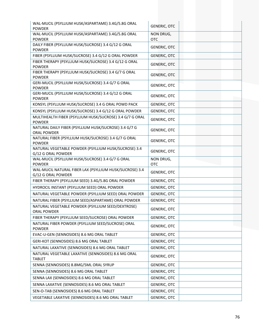| WAL-MUCIL (PSYLLIUM HUSK/ASPARTAME) 3.4G/5.8G ORAL<br><b>POWDER</b>           | <b>GENERIC, OTC</b>     |  |
|-------------------------------------------------------------------------------|-------------------------|--|
| WAL-MUCIL (PSYLLIUM HUSK/ASPARTAME) 3.4G/5.8G ORAL<br><b>POWDER</b>           | NON DRUG,<br><b>OTC</b> |  |
| DAILY FIBER (PSYLLIUM HUSK/SUCROSE) 3.4 G/12 G ORAL<br><b>POWDER</b>          | <b>GENERIC, OTC</b>     |  |
| FIBER (PSYLLIUM HUSK/SUCROSE) 3.4 G/12 G ORAL POWDER                          | <b>GENERIC, OTC</b>     |  |
| FIBER THERAPY (PSYLLIUM HUSK/SUCROSE) 3.4 G/12 G ORAL<br><b>POWDER</b>        | <b>GENERIC, OTC</b>     |  |
| FIBER THERAPY (PSYLLIUM HUSK/SUCROSE) 3.4 G/7 G ORAL<br><b>POWDER</b>         | <b>GENERIC, OTC</b>     |  |
| GERI-MUCIL (PSYLLIUM HUSK/SUCROSE) 3.4 G/7 G ORAL<br><b>POWDER</b>            | <b>GENERIC, OTC</b>     |  |
| GERI-MUCIL (PSYLLIUM HUSK/SUCROSE) 3.4 G/12 G ORAL<br><b>POWDER</b>           | <b>GENERIC, OTC</b>     |  |
| KONSYL (PSYLLIUM HUSK/SUCROSE) 3.4 G ORAL POWD PACK                           | <b>GENERIC, OTC</b>     |  |
| KONSYL (PSYLLIUM HUSK/SUCROSE) 3.4 G/12 G ORAL POWDER                         | <b>GENERIC, OTC</b>     |  |
| MULTIHEALTH FIBER (PSYLLIUM HUSK/SUCROSE) 3.4 G/7 G ORAL<br><b>POWDER</b>     | <b>GENERIC, OTC</b>     |  |
| NATURAL DAILY FIBER (PSYLLIUM HUSK/SUCROSE) 3.4 G/7 G<br><b>ORAL POWDER</b>   | <b>GENERIC, OTC</b>     |  |
| NATURAL FIBER (PSYLLIUM HUSK/SUCROSE) 3.4 G/7 G ORAL<br><b>POWDER</b>         | <b>GENERIC, OTC</b>     |  |
| NATURAL VEGETABLE POWDER (PSYLLIUM HUSK/SUCROSE) 3.4<br>G/12 G ORAL POWDER    | <b>GENERIC, OTC</b>     |  |
| WAL-MUCIL (PSYLLIUM HUSK/SUCROSE) 3.4 G/7 G ORAL<br><b>POWDER</b>             | NON DRUG,<br><b>OTC</b> |  |
| WAL-MUCIL NATURAL FIBER LAX (PSYLLIUM HUSK/SUCROSE) 3.4<br>G/12 G ORAL POWDER | <b>GENERIC, OTC</b>     |  |
| FIBER THERAPY (PSYLLIUM SEED) 3.4G/5.8G ORAL POWDER                           | <b>GENERIC, OTC</b>     |  |
| HYDROCIL INSTANT (PSYLLIUM SEED) ORAL POWDER                                  | <b>GENERIC, OTC</b>     |  |
| NATURAL VEGETABLE POWDER (PSYLLIUM SEED) ORAL POWDER                          | <b>GENERIC, OTC</b>     |  |
| NATURAL FIBER (PSYLLIUM SEED/ASPARTAME) ORAL POWDER                           | <b>GENERIC, OTC</b>     |  |
| NATURAL VEGETABLE POWDER (PSYLLIUM SEED/DEXTROSE)<br><b>ORAL POWDER</b>       | <b>GENERIC, OTC</b>     |  |
| FIBER THERAPY (PSYLLIUM SEED/SUCROSE) ORAL POWDER                             | <b>GENERIC, OTC</b>     |  |
| NATURAL FIBER POWDER (PSYLLIUM SEED/SUCROSE) ORAL<br><b>POWDER</b>            | <b>GENERIC, OTC</b>     |  |
| EVAC-U-GEN (SENNOSIDES) 8.6 MG ORAL TABLET                                    | <b>GENERIC, OTC</b>     |  |
| GERI-KOT (SENNOSIDES) 8.6 MG ORAL TABLET                                      | <b>GENERIC, OTC</b>     |  |
| NATURAL LAXATIVE (SENNOSIDES) 8.6 MG ORAL TABLET                              | <b>GENERIC, OTC</b>     |  |
| NATURAL VEGETABLE LAXATIVE (SENNOSIDES) 8.6 MG ORAL<br>TABLET                 | <b>GENERIC, OTC</b>     |  |
| SENNA (SENNOSIDES) 8.8MG/5ML ORAL SYRUP                                       | <b>GENERIC, OTC</b>     |  |
| SENNA (SENNOSIDES) 8.6 MG ORAL TABLET                                         | <b>GENERIC, OTC</b>     |  |
| SENNA LAX (SENNOSIDES) 8.6 MG ORAL TABLET                                     | <b>GENERIC, OTC</b>     |  |
| SENNA LAXATIVE (SENNOSIDES) 8.6 MG ORAL TABLET                                | GENERIC, OTC            |  |
| SEN-O-TAB (SENNOSIDES) 8.6 MG ORAL TABLET                                     | <b>GENERIC, OTC</b>     |  |
| VEGETABLE LAXATIVE (SENNOSIDES) 8.6 MG ORAL TABLET                            | <b>GENERIC, OTC</b>     |  |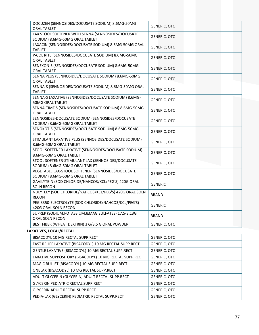| DOCUZEN (SENNOSIDES/DOCUSATE SODIUM) 8.6MG-50MG<br><b>ORAL TABLET</b>                | <b>GENERIC, OTC</b> |
|--------------------------------------------------------------------------------------|---------------------|
| LAX STOOL SOFTENER WITH SENNA (SENNOSIDES/DOCUSATE<br>SODIUM) 8.6MG-50MG ORAL TABLET | <b>GENERIC, OTC</b> |
| LAXACIN (SENNOSIDES/DOCUSATE SODIUM) 8.6MG-50MG ORAL<br><b>TABLET</b>                | <b>GENERIC, OTC</b> |
| P-COL RITE (SENNOSIDES/DOCUSATE SODIUM) 8.6MG-50MG<br><b>ORAL TABLET</b>             | <b>GENERIC, OTC</b> |
| SENEXON-S (SENNOSIDES/DOCUSATE SODIUM) 8.6MG-50MG<br><b>ORAL TABLET</b>              | <b>GENERIC, OTC</b> |
| SENNA PLUS (SENNOSIDES/DOCUSATE SODIUM) 8.6MG-50MG<br><b>ORAL TABLET</b>             | <b>GENERIC, OTC</b> |
| SENNA-S (SENNOSIDES/DOCUSATE SODIUM) 8.6MG-50MG ORAL<br><b>TABLET</b>                | <b>GENERIC, OTC</b> |
| SENNA-S LAXATIVE (SENNOSIDES/DOCUSATE SODIUM) 8.6MG-<br><b>50MG ORAL TABLET</b>      | <b>GENERIC, OTC</b> |
| SENNA-TIME S (SENNOSIDES/DOCUSATE SODIUM) 8.6MG-50MG<br><b>ORAL TABLET</b>           | <b>GENERIC, OTC</b> |
| SENNOSIDES-DOCUSATE SODIUM (SENNOSIDES/DOCUSATE<br>SODIUM) 8.6MG-50MG ORAL TABLET    | <b>GENERIC, OTC</b> |
| SENOKOT-S (SENNOSIDES/DOCUSATE SODIUM) 8.6MG-50MG<br><b>ORAL TABLET</b>              | <b>GENERIC, OTC</b> |
| STIMULANT LAXATIVE PLUS (SENNOSIDES/DOCUSATE SODIUM)<br>8.6MG-50MG ORAL TABLET       | <b>GENERIC, OTC</b> |
| STOOL SOFTENER-LAXATIVE (SENNOSIDES/DOCUSATE SODIUM)<br>8.6MG-50MG ORAL TABLET       | <b>GENERIC, OTC</b> |
| STOOL SOFTENER-STIMULANT LAX (SENNOSIDES/DOCUSATE<br>SODIUM) 8.6MG-50MG ORAL TABLET  | <b>GENERIC, OTC</b> |
| VEGETABLE LAX-STOOL SOFTENER (SENNOSIDES/DOCUSATE<br>SODIUM) 8.6MG-50MG ORAL TABLET  | <b>GENERIC, OTC</b> |
| GAVILYTE-N (SOD CHLORIDE/NAHCO3/KCL/PEG'S) 420G ORAL<br><b>SOLN RECON</b>            | <b>GENERIC</b>      |
| NULYTELY (SOD CHLORIDE/NAHCO3/KCL/PEG'S) 420G ORAL SOLN<br><b>RECON</b>              | <b>BRAND</b>        |
| PEG 3350-ELECTROLYTE (SOD CHLORIDE/NAHCO3/KCL/PEG'S)<br>420G ORAL SOLN RECON         | <b>GENERIC</b>      |
| SUPREP (SODIUM, POTASSIUM, & MAG SULFATES) 17.5-3.13G<br>ORAL SOLN RECON             | <b>BRAND</b>        |
| BEST FIBER (WHEAT DEXTRIN) 3 G/3.5 G ORAL POWDER                                     | <b>GENERIC, OTC</b> |

# **LAXATIVES, LOCAL/RECTAL**

| BISACODYL 10 MG RECTAL SUPP.RECT                        | GENERIC, OTC        |  |
|---------------------------------------------------------|---------------------|--|
| FAST RELIEF LAXATIVE (BISACODYL) 10 MG RECTAL SUPP.RECT | GENERIC, OTC        |  |
| GENTLE LAXATIVE (BISACODYL) 10 MG RECTAL SUPP.RECT      | GENERIC, OTC        |  |
| LAXATIVE SUPPOSITORY (BISACODYL) 10 MG RECTAL SUPP.RECT | <b>GENERIC, OTC</b> |  |
| MAGIC BULLET (BISACODYL) 10 MG RECTAL SUPP.RECT         | GENERIC, OTC        |  |
| ONELAX (BISACODYL) 10 MG RECTAL SUPP.RECT               | GENERIC, OTC        |  |
| ADULT GLYCERIN (GLYCERIN) ADULT RECTAL SUPP.RECT        | GENERIC, OTC        |  |
| <b>GLYCERIN PEDIATRIC RECTAL SUPP.RECT</b>              | GENERIC, OTC        |  |
| GLYCERIN ADULT RECTAL SUPP.RECT                         | <b>GENERIC, OTC</b> |  |
| PEDIA-LAX (GLYCERIN) PEDIATRIC RECTAL SUPP.RECT         | GENERIC, OTC        |  |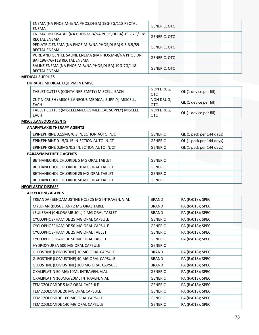| ENEMA (NA PHOS, M-B/NA PHOS, DI-BA) 19G-7G/118 RECTAL<br>ENEMA                         | <b>GENERIC, OTC</b> |
|----------------------------------------------------------------------------------------|---------------------|
| ENEMA DISPOSABLE (NA PHOS, M-B/NA PHOS, DI-BA) 19G-7G/118<br><b>RECTAL ENEMA</b>       | <b>GENERIC, OTC</b> |
| PEDIATRIC ENEMA (NA PHOS, M-B/NA PHOS, DI-BA) 9.5-3.5/59<br><b>RECTAL ENEMA</b>        | <b>GENERIC, OTC</b> |
| PURE AND GENTLE SALINE ENEMA (NA PHOS, M-B/NA PHOS, DI-<br>BA) 19G-7G/118 RECTAL ENEMA | <b>GENERIC, OTC</b> |
| SALINE ENEMA (NA PHOS, M-B/NA PHOS, DI-BA) 19G-7G/118<br><b>RECTAL ENEMA</b>           | <b>GENERIC, OTC</b> |

### **MEDICAL SUPPLIES**

### **DURABLE MEDICAL EQUIPMENT,MISC**

| TABLET CUTTER (CONTAINER, EMPTY) MISCELL. EACH                | NON DRUG,<br>OTC        | QL (1 device per fill) |
|---------------------------------------------------------------|-------------------------|------------------------|
| CUT N CRUSH (MISCELLANEOUS MEDICAL SUPPLY) MISCELL.<br>EACH   | NON DRUG,<br><b>OTC</b> | QL (1 device per fill) |
| TABLET CUTTER (MISCELLANEOUS MEDICAL SUPPLY) MISCELL.<br>EACH | NON DRUG,<br>OTC        | QL (1 device per fill) |

## **MISCELLANEOUS AGENTS**

#### **ANAPHYLAXIS THERAPY AGENTS**

| EPINEPHRINE 0.15MG/0.3 INJECTION AUTO INJCT | <b>GENERIC</b> | QL (1 pack per 144 days) |
|---------------------------------------------|----------------|--------------------------|
| EPINEPHRINE 0.15/0.15 INJECTION AUTO INJCT  | <b>GENERIC</b> | QL (1 pack per 144 days) |
| EPINEPHRINE 0.3MG/0.3 INJECTION AUTO INJCT  | <b>GENERIC</b> | QL (1 pack per 144 days) |

### **PARASYMPATHETIC AGENTS**

| BETHANECHOL CHLORIDE 5 MG ORAL TABLET  | GENERIC |  |
|----------------------------------------|---------|--|
| BETHANECHOL CHLORIDE 10 MG ORAL TABLET | GENERIC |  |
| BETHANECHOL CHLORIDE 25 MG ORAL TABLET | GENERIC |  |
| BETHANECHOL CHLORIDE 50 MG ORAL TABLET | GENERIC |  |

#### **NEOPLASTIC DISEASE**

## **ALKYLATING AGENTS**

| TREANDA (BENDAMUSTINE HCL) 25 MG INTRAVEN. VIAL | <b>BRAND</b>   | PA (Rx018); SPEC |  |
|-------------------------------------------------|----------------|------------------|--|
| MYLERAN (BUSULFAN) 2 MG ORAL TABLET             | <b>BRAND</b>   | PA (Rx018); SPEC |  |
| LEUKERAN (CHLORAMBUCIL) 2 MG ORAL TABLET        | <b>BRAND</b>   | PA (Rx018); SPEC |  |
| CYCLOPHOSPHAMIDE 25 MG ORAL CAPSULE             | <b>GENERIC</b> | PA (Rx018); SPEC |  |
| CYCLOPHOSPHAMIDE 50 MG ORAL CAPSULE             | <b>GENERIC</b> | PA (Rx018); SPEC |  |
| CYCLOPHOSPHAMIDE 25 MG ORAL TABLET              | <b>GENERIC</b> | PA (Rx018); SPEC |  |
| CYCLOPHOSPHAMIDE 50 MG ORAL TABLET              | <b>GENERIC</b> | PA (Rx018); SPEC |  |
| <b>HYDROXYUREA 500 MG ORAL CAPSULE</b>          | <b>GENERIC</b> |                  |  |
| GLEOSTINE (LOMUSTINE) 10 MG ORAL CAPSULE        | <b>BRAND</b>   | PA (Rx018); SPEC |  |
| GLEOSTINE (LOMUSTINE) 40 MG ORAL CAPSULE        | <b>BRAND</b>   | PA (Rx018); SPEC |  |
| GLEOSTINE (LOMUSTINE) 100 MG ORAL CAPSULE       | <b>BRAND</b>   | PA (Rx018); SPEC |  |
| OXALIPLATIN 50 MG/10ML INTRAVEN. VIAL           | <b>GENERIC</b> | PA (Rx018); SPEC |  |
| OXALIPLATIN 100MG/20ML INTRAVEN. VIAL           | <b>GENERIC</b> | PA (Rx018); SPEC |  |
| TEMOZOLOMIDE 5 MG ORAL CAPSULE                  | <b>GENERIC</b> | PA (Rx018); SPEC |  |
| TEMOZOLOMIDE 20 MG ORAL CAPSULE                 | <b>GENERIC</b> | PA (Rx018); SPEC |  |
| TEMOZOLOMIDE 100 MG ORAL CAPSULE                | <b>GENERIC</b> | PA (Rx018); SPEC |  |
| TEMOZOLOMIDE 140 MG ORAL CAPSULE                | <b>GENERIC</b> | PA (Rx018); SPEC |  |
|                                                 |                |                  |  |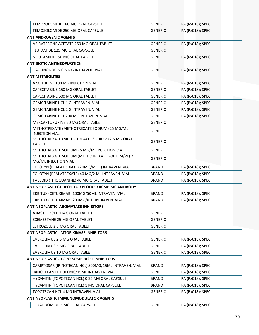| TEMOZOLOMIDE 180 MG ORAL CAPSULE                                        | <b>GENERIC</b> | PA (Rx018); SPEC |  |
|-------------------------------------------------------------------------|----------------|------------------|--|
| TEMOZOLOMIDE 250 MG ORAL CAPSULE                                        | <b>GENERIC</b> | PA (Rx018); SPEC |  |
| <b>ANTIANDROGENIC AGENTS</b>                                            |                |                  |  |
| ABIRATERONE ACETATE 250 MG ORAL TABLET                                  | <b>GENERIC</b> | PA (Rx018); SPEC |  |
| FLUTAMIDE 125 MG ORAL CAPSULE                                           | <b>GENERIC</b> |                  |  |
| NILUTAMIDE 150 MG ORAL TABLET                                           | <b>GENERIC</b> | PA (Rx018); SPEC |  |
| <b>ANTIBIOTIC ANTINEOPLASTICS</b>                                       |                |                  |  |
| DACTINOMYCIN 0.5 MG INTRAVEN. VIAL                                      | <b>GENERIC</b> | PA (Rx018); SPEC |  |
| <b>ANTIMETABOLITES</b>                                                  |                |                  |  |
| AZACITIDINE 100 MG INJECTION VIAL                                       | <b>GENERIC</b> | PA (Rx018); SPEC |  |
| CAPECITABINE 150 MG ORAL TABLET                                         | <b>GENERIC</b> | PA (Rx018); SPEC |  |
| CAPECITABINE 500 MG ORAL TABLET                                         | <b>GENERIC</b> | PA (Rx018); SPEC |  |
| <b>GEMCITABINE HCL 1 G INTRAVEN, VIAL</b>                               | <b>GENERIC</b> | PA (Rx018); SPEC |  |
| <b>GEMCITABINE HCL 2 G INTRAVEN, VIAL</b>                               | <b>GENERIC</b> | PA (Rx018); SPEC |  |
| <b>GEMCITABINE HCL 200 MG INTRAVEN. VIAL</b>                            | <b>GENERIC</b> | PA (Rx018); SPEC |  |
| MERCAPTOPURINE 50 MG ORAL TABLET                                        | <b>GENERIC</b> |                  |  |
| METHOTREXATE (METHOTREXATE SODIUM) 25 MG/ML<br><b>INJECTION VIAL</b>    | <b>GENERIC</b> |                  |  |
| METHOTREXATE (METHOTREXATE SODIUM) 2.5 MG ORAL<br><b>TABLET</b>         | <b>GENERIC</b> |                  |  |
| METHOTREXATE SODIUM 25 MG/ML INJECTION VIAL                             | <b>GENERIC</b> |                  |  |
| METHOTREXATE SODIUM (METHOTREXATE SODIUM/PF) 25<br>MG/ML INJECTION VIAL | <b>GENERIC</b> |                  |  |
| FOLOTYN (PRALATREXATE) 20MG/ML(1) INTRAVEN. VIAL                        | <b>BRAND</b>   | PA (Rx018); SPEC |  |
| FOLOTYN (PRALATREXATE) 40 MG/2 ML INTRAVEN. VIAL                        | <b>BRAND</b>   | PA (Rx018); SPEC |  |
| TABLOID (THIOGUANINE) 40 MG ORAL TABLET                                 | <b>BRAND</b>   | PA (Rx018); SPEC |  |
| ANTINEOPLAST EGF RECEPTOR BLOCKER RCMB MC ANTIBODY                      |                |                  |  |
| ERBITUX (CETUXIMAB) 100MG/50ML INTRAVEN. VIAL                           | <b>BRAND</b>   | PA (Rx018); SPEC |  |
| ERBITUX (CETUXIMAB) 200MG/0.1L INTRAVEN. VIAL                           | <b>BRAND</b>   | PA (Rx018); SPEC |  |
| <b>ANTINEOPLASTIC AROMATASE INHIBITORS</b>                              |                |                  |  |
| ANASTROZOLE 1 MG ORAL TABLET                                            | <b>GENERIC</b> |                  |  |
| EXEMESTANE 25 MG ORAL TABLET                                            | <b>GENERIC</b> |                  |  |
| LETROZOLE 2.5 MG ORAL TABLET                                            | <b>GENERIC</b> |                  |  |
| <b>ANTINEOPLASTIC - MTOR KINASE INHIBITORS</b>                          |                |                  |  |
| EVEROLIMUS 2.5 MG ORAL TABLET                                           | <b>GENERIC</b> | PA (Rx018); SPEC |  |
| EVEROLIMUS 5 MG ORAL TABLET                                             | <b>GENERIC</b> | PA (Rx018); SPEC |  |
| EVEROLIMUS 10 MG ORAL TABLET                                            | <b>GENERIC</b> | PA (Rx018); SPEC |  |
| <b>ANTINEOPLASTIC - TOPOISOMERASE I INHIBITORS</b>                      |                |                  |  |
| CAMPTOSAR (IRINOTECAN HCL) 300MG/15ML INTRAVEN. VIAL                    | <b>BRAND</b>   | PA (Rx018); SPEC |  |
| IRINOTECAN HCL 300MG/15ML INTRAVEN. VIAL                                | <b>GENERIC</b> | PA (Rx018); SPEC |  |
| HYCAMTIN (TOPOTECAN HCL) 0.25 MG ORAL CAPSULE                           | <b>BRAND</b>   | PA (Rx018); SPEC |  |
| HYCAMTIN (TOPOTECAN HCL) 1 MG ORAL CAPSULE                              | <b>BRAND</b>   | PA (Rx018); SPEC |  |
| TOPOTECAN HCL 4 MG INTRAVEN. VIAL                                       | <b>GENERIC</b> | PA (Rx018); SPEC |  |
| <b>ANTINEOPLASTIC IMMUNOMODULATOR AGENTS</b>                            |                |                  |  |
| LENALIDOMIDE 5 MG ORAL CAPSULE                                          | <b>GENERIC</b> | PA (Rx018); SPEC |  |
|                                                                         |                |                  |  |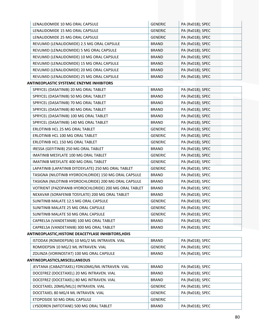| LENALIDOMIDE 10 MG ORAL CAPSULE                       | <b>GENERIC</b> | PA (Rx018); SPEC |
|-------------------------------------------------------|----------------|------------------|
| LENALIDOMIDE 15 MG ORAL CAPSULE                       | <b>GENERIC</b> | PA (Rx018); SPEC |
| LENALIDOMIDE 25 MG ORAL CAPSULE                       | <b>GENERIC</b> | PA (Rx018); SPEC |
| REVLIMID (LENALIDOMIDE) 2.5 MG ORAL CAPSULE           | <b>BRAND</b>   | PA (Rx018); SPEC |
| REVLIMID (LENALIDOMIDE) 5 MG ORAL CAPSULE             | <b>BRAND</b>   | PA (Rx018); SPEC |
| REVLIMID (LENALIDOMIDE) 10 MG ORAL CAPSULE            | <b>BRAND</b>   | PA (Rx018); SPEC |
| REVLIMID (LENALIDOMIDE) 15 MG ORAL CAPSULE            | <b>BRAND</b>   | PA (Rx018); SPEC |
| REVLIMID (LENALIDOMIDE) 20 MG ORAL CAPSULE            | <b>BRAND</b>   | PA (Rx018); SPEC |
| REVLIMID (LENALIDOMIDE) 25 MG ORAL CAPSULE            | <b>BRAND</b>   | PA (Rx018); SPEC |
| <b>ANTINEOPLASTIC SYSTEMIC ENZYME INHIBITORS</b>      |                |                  |
| SPRYCEL (DASATINIB) 20 MG ORAL TABLET                 | <b>BRAND</b>   | PA (Rx018); SPEC |
| SPRYCEL (DASATINIB) 50 MG ORAL TABLET                 | <b>BRAND</b>   | PA (Rx018); SPEC |
| SPRYCEL (DASATINIB) 70 MG ORAL TABLET                 | <b>BRAND</b>   | PA (Rx018); SPEC |
| SPRYCEL (DASATINIB) 80 MG ORAL TABLET                 | <b>BRAND</b>   | PA (Rx018); SPEC |
| SPRYCEL (DASATINIB) 100 MG ORAL TABLET                | <b>BRAND</b>   | PA (Rx018); SPEC |
| SPRYCEL (DASATINIB) 140 MG ORAL TABLET                | <b>BRAND</b>   | PA (Rx018); SPEC |
| ERLOTINIB HCL 25 MG ORAL TABLET                       | <b>GENERIC</b> | PA (Rx018); SPEC |
| ERLOTINIB HCL 100 MG ORAL TABLET                      | <b>GENERIC</b> | PA (Rx018); SPEC |
| ERLOTINIB HCL 150 MG ORAL TABLET                      | <b>GENERIC</b> | PA (Rx018); SPEC |
| IRESSA (GEFITINIB) 250 MG ORAL TABLET                 | <b>BRAND</b>   | PA (Rx018); SPEC |
| IMATINIB MESYLATE 100 MG ORAL TABLET                  | <b>GENERIC</b> | PA (Rx018); SPEC |
| IMATINIB MESYLATE 400 MG ORAL TABLET                  | <b>GENERIC</b> | PA (Rx018); SPEC |
| LAPATINIB (LAPATINIB DITOSYLATE) 250 MG ORAL TABLET   | <b>GENERIC</b> | PA (Rx018); SPEC |
| TASIGNA (NILOTINIB HYDROCHLORIDE) 150 MG ORAL CAPSULE | <b>BRAND</b>   | PA (Rx018); SPEC |
| TASIGNA (NILOTINIB HYDROCHLORIDE) 200 MG ORAL CAPSULE | <b>BRAND</b>   | PA (Rx018); SPEC |
| VOTRIENT (PAZOPANIB HYDROCHLORIDE) 200 MG ORAL TABLET | <b>BRAND</b>   | PA (Rx018); SPEC |
| NEXAVAR (SORAFENIB TOSYLATE) 200 MG ORAL TABLET       | <b>BRAND</b>   | PA (Rx018); SPEC |
| SUNITINIB MALATE 12.5 MG ORAL CAPSULE                 | <b>GENERIC</b> | PA (Rx018); SPEC |
| SUNITINIB MALATE 25 MG ORAL CAPSULE                   | <b>GENERIC</b> | PA (Rx018); SPEC |
| SUNITINIB MALATE 50 MG ORAL CAPSULE                   | <b>GENERIC</b> | PA (Rx018); SPEC |
| CAPRELSA (VANDETANIB) 100 MG ORAL TABLET              | <b>BRAND</b>   | PA (Rx018); SPEC |
| CAPRELSA (VANDETANIB) 300 MG ORAL TABLET              | <b>BRAND</b>   | PA (Rx018); SPEC |
| ANTINEOPLASTIC, HISTONE DEACETYLASE INHIBITORS, HDIS  |                |                  |
| ISTODAX (ROMIDEPSIN) 10 MG/2 ML INTRAVEN. VIAL        | <b>BRAND</b>   | PA (Rx018); SPEC |
| ROMIDEPSIN 10 MG/2 ML INTRAVEN. VIAL                  | <b>GENERIC</b> | PA (Rx018); SPEC |
| ZOLINZA (VORINOSTAT) 100 MG ORAL CAPSULE              | <b>BRAND</b>   | PA (Rx018); SPEC |
| ANTINEOPLASTICS, MISCELLANEOUS                        |                |                  |
| JEVTANA (CABAZITAXEL) FDN10MG/ML INTRAVEN. VIAL       | <b>BRAND</b>   | PA (Rx018); SPEC |
| DOCEFREZ (DOCETAXEL) 20 MG INTRAVEN. VIAL             | <b>BRAND</b>   | PA (Rx018); SPEC |
| DOCEFREZ (DOCETAXEL) 80 MG INTRAVEN. VIAL             | <b>BRAND</b>   | PA (Rx018); SPEC |
| DOCETAXEL 20MG/ML(1) INTRAVEN. VIAL                   | <b>GENERIC</b> | PA (Rx018); SPEC |
| DOCETAXEL 80 MG/4 ML INTRAVEN. VIAL                   | <b>GENERIC</b> | PA (Rx018); SPEC |
| ETOPOSIDE 50 MG ORAL CAPSULE                          | <b>GENERIC</b> |                  |
| LYSODREN (MITOTANE) 500 MG ORAL TABLET                | <b>BRAND</b>   | PA (Rx018); SPEC |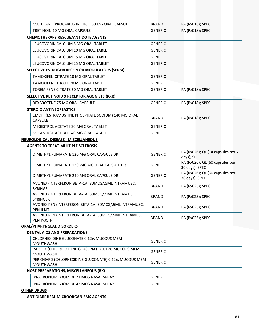| MATULANE (PROCARBAZINE HCL) 50 MG ORAL CAPSULE                      | <b>BRAND</b>   | PA (Rx018); SPEC |
|---------------------------------------------------------------------|----------------|------------------|
| <b>TRETINOIN 10 MG ORAL CAPSULE</b>                                 | <b>GENERIC</b> | PA (Rx018); SPEC |
| <b>CHEMOTHERAPY RESCUE/ANTIDOTE AGENTS</b>                          |                |                  |
| LEUCOVORIN CALCIUM 5 MG ORAL TABLET                                 | <b>GENERIC</b> |                  |
| LEUCOVORIN CALCIUM 10 MG ORAL TABLET                                | <b>GENERIC</b> |                  |
| LEUCOVORIN CALCIUM 15 MG ORAL TABLET                                | <b>GENERIC</b> |                  |
| LEUCOVORIN CALCIUM 25 MG ORAL TABLET                                | <b>GENERIC</b> |                  |
| SELECTIVE ESTROGEN RECEPTOR MODULATORS (SERM)                       |                |                  |
| TAMOXIFEN CITRATE 10 MG ORAL TABLET                                 | <b>GENERIC</b> |                  |
| TAMOXIFEN CITRATE 20 MG ORAL TABLET                                 | <b>GENERIC</b> |                  |
| TOREMIFENE CITRATE 60 MG ORAL TABLET                                | <b>GENERIC</b> | PA (Rx018); SPEC |
| SELECTIVE RETINOID X RECEPTOR AGONISTS (RXR)                        |                |                  |
| BEXAROTENE 75 MG ORAL CAPSULE                                       | <b>GENERIC</b> | PA (Rx018); SPEC |
| <b>STEROID ANTINEOPLASTICS</b>                                      |                |                  |
| EMCYT (ESTRAMUSTINE PHOSPHATE SODIUM) 140 MG ORAL<br><b>CAPSULE</b> | <b>BRAND</b>   | PA (Rx018); SPEC |
| MEGESTROL ACETATE 20 MG ORAL TABLET                                 | <b>GENERIC</b> |                  |
| MEGESTROL ACETATE 40 MG ORAL TABLET                                 | <b>GENERIC</b> |                  |

# **NEUROLOGICAL DISEASE ‐ MISCELLANEOUS**

### **AGENTS TO TREAT MULTIPLE SCLEROSIS**

| DIMETHYL FUMARATE 120 MG ORAL CAPSULE DR                                   | <b>GENERIC</b> | PA (Rx026); QL (14 capsules per 7<br>days); SPEC  |
|----------------------------------------------------------------------------|----------------|---------------------------------------------------|
| DIMETHYL FUMARATE 120-240 MG ORAL CAPSULE DR                               | <b>GENERIC</b> | PA (Rx026); QL (60 capsules per<br>30 days); SPEC |
| DIMETHYL FUMARATE 240 MG ORAL CAPSULE DR                                   | <b>GENERIC</b> | PA (Rx026); QL (60 capsules per<br>30 days); SPEC |
| AVONEX (INTERFERON BETA-1A) 30MCG/.5ML INTRAMUSC.<br><b>SYRINGE</b>        | <b>BRAND</b>   | PA (Rx025); SPEC                                  |
| AVONEX (INTERFERON BETA-1A) 30MCG/.5ML INTRAMUSC.<br><b>SYRINGEKIT</b>     | <b>BRAND</b>   | PA (Rx025); SPEC                                  |
| AVONEX PEN (INTERFERON BETA-1A) 30MCG/.5ML INTRAMUSC.<br>PEN IJ KIT        | <b>BRAND</b>   | PA (Rx025); SPEC                                  |
| AVONEX PEN (INTERFERON BETA-1A) 30MCG/.5ML INTRAMUSC.<br><b>PEN INJCTR</b> | <b>BRAND</b>   | PA (Rx025); SPEC                                  |

## **ORAL/PHARYNGEAL DISORDERS**

### **DENTAL AIDS AND PREPARATIONS**

| CHLORHEXIDINE GLUCONATE 0.12% MUCOUS MEM<br>MOUTHWASH             | GENERIC |  |
|-------------------------------------------------------------------|---------|--|
| PAROEX (CHLORHEXIDINE GLUCONATE) 0.12% MUCOUS MEM<br>MOUTHWASH    | GENERIC |  |
| PERIOGARD (CHLORHEXIDINE GLUCONATE) 0.12% MUCOUS MEM<br>MOUTHWASH | GENERIC |  |
| <b>NOSE PREPARATIONS, MISCELLANEOUS (RX)</b>                      |         |  |

| <b>SPRAY</b><br>PRATROPIUM BROMIDE 21 MCG NASAL      | ERIC   |  |
|------------------------------------------------------|--------|--|
| <b>SPRAY</b><br>, IPRATROPIUM BROMIDE 42 MCG NASAL S | ENERIC |  |

#### **OTHER DRUGS**

## **ANTIDIARRHEAL MICROORGANISMS AGENTS**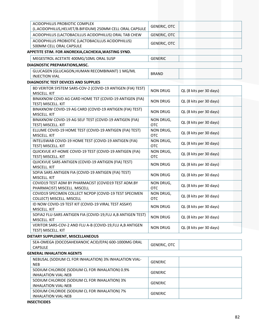| ACIDOPHILUS PROBIOTIC COMPLEX<br>(L.ACIDOPHILUS, HELVET/B.BIFIDUM) 250MM CELL ORAL CAPSULE | <b>GENERIC, OTC</b>     |                         |
|--------------------------------------------------------------------------------------------|-------------------------|-------------------------|
| ACIDOPHILUS (LACTOBACILLUS ACIDOPHILUS) ORAL TAB CHEW                                      | <b>GENERIC, OTC</b>     |                         |
| ACIDOPHILUS PROBIOTIC (LACTOBACILLUS ACIDOPHILUS)                                          |                         |                         |
| 500MM CELL ORAL CAPSULE                                                                    | <b>GENERIC, OTC</b>     |                         |
| APPETITE STIM. FOR ANOREXIA, CACHEXIA, WASTING SYND.                                       |                         |                         |
| MEGESTROL ACETATE 400MG/10ML ORAL SUSP                                                     | <b>GENERIC</b>          |                         |
| DIAGNOSTIC PREPARATIONS, MISC.                                                             |                         |                         |
|                                                                                            |                         |                         |
| GLUCAGEN (GLUCAGON, HUMAN RECOMBINANT) 1 MG/ML<br><b>INJECTION VIAL</b>                    | <b>BRAND</b>            |                         |
| <b>DIAGNOSTIC TEST DEVICES AND SUPPLIES</b>                                                |                         |                         |
| BD VERITOR SYSTEM SARS-COV-2 (COVID-19 ANTIGEN (FIA) TEST)                                 |                         |                         |
| MISCELL. KIT                                                                               | <b>NON DRUG</b>         | QL (8 kits per 30 days) |
| BINAXNOW COVD AG CARD HOME TST (COVID-19 ANTIGEN (FIA)                                     | <b>NON DRUG</b>         | QL (8 kits per 30 days) |
| TEST) MISCELL. KIT                                                                         |                         |                         |
| BINAXNOW COVID-19 AG CARD (COVID-19 ANTIGEN (FIA) TEST)                                    | <b>NON DRUG</b>         | QL (8 kits per 30 days) |
| MISCELL. KIT                                                                               |                         |                         |
| BINAXNOW COVID-19 AG SELF TEST (COVID-19 ANTIGEN (FIA)                                     | NON DRUG,               | QL (8 kits per 30 days) |
| TEST) MISCELL. KIT                                                                         | <b>OTC</b>              |                         |
| ELLUME COVID-19 HOME TEST (COVID-19 ANTIGEN (FIA) TEST)                                    | NON DRUG,               | QL (8 kits per 30 days) |
| MISCELL. KIT<br>INTELISWAB COVID-19 HOME TEST (COVID-19 ANTIGEN (FIA)                      | <b>OTC</b>              |                         |
| TEST) MISCELL. KIT                                                                         | NON DRUG,<br><b>OTC</b> | QL (8 kits per 30 days) |
| QUICKVUE AT-HOME COVID-19 TEST (COVID-19 ANTIGEN (FIA)                                     | NON DRUG,               |                         |
| TEST) MISCELL. KIT                                                                         | <b>OTC</b>              | QL (8 kits per 30 days) |
| QUICKVUE SARS ANTIGEN (COVID-19 ANTIGEN (FIA) TEST)                                        |                         |                         |
| MISCELL. KIT                                                                               | <b>NON DRUG</b>         | QL (8 kits per 30 days) |
| SOFIA SARS ANTIGEN FIA (COVID-19 ANTIGEN (FIA) TEST)                                       | <b>NON DRUG</b>         | QL (8 kits per 30 days) |
| MISCELL. KIT                                                                               |                         |                         |
| COVID19 TEST ADM BY PHARMACIST (COVID19 TEST ADM.BY                                        | NON DRUG,               | QL (8 kits per 30 days) |
| PHARMACIST) MISCELL. MISCELL                                                               | <b>OTC</b>              |                         |
| COVID19 SPECIMEN COLLECT NCPDP (COVID-19 TEST SPECIMEN                                     | NON DRUG,               | QL (8 kits per 30 days) |
| COLLECT) MISCELL. MISCELL<br>ID NOW COVID-19 TEST KIT (COVID-19 VIRAL TEST ASSAY)          | <b>OTC</b>              |                         |
| MISCELL. KIT                                                                               | <b>NON DRUG</b>         | QL (8 kits per 30 days) |
| SOFIA2 FLU-SARS ANTIGEN FIA (COVID-19, FLU A, B ANTIGEN TEST)                              |                         |                         |
| MISCELL. KIT                                                                               | <b>NON DRUG</b>         | QL (8 kits per 30 days) |
| VERITOR SARS-COV-2 AND FLU A-B (COVID-19, FLU A, B ANTIGEN                                 |                         |                         |
| TEST) MISCELL. KIT                                                                         | <b>NON DRUG</b>         | QL (8 kits per 30 days) |
| DIETARY SUPPLEMENT, MISCELLANEOUS                                                          |                         |                         |
| SEA-OMEGA (DOCOSAHEXANOIC ACID/EPA) 600-1000MG ORAL                                        |                         |                         |
| <b>CAPSULE</b>                                                                             | <b>GENERIC, OTC</b>     |                         |
| <b>GENERAL INHALATION AGENTS</b>                                                           |                         |                         |
| NEBUSAL (SODIUM CL FOR INHALATION) 3% INHALATION VIAL-                                     | <b>GENERIC</b>          |                         |
| <b>NEB</b>                                                                                 |                         |                         |
| SODIUM CHLORIDE (SODIUM CL FOR INHALATION) 0.9%                                            | <b>GENERIC</b>          |                         |
| <b>INHALATION VIAL-NEB</b>                                                                 |                         |                         |
| SODIUM CHLORIDE (SODIUM CL FOR INHALATION) 3%                                              | <b>GENERIC</b>          |                         |
| <b>INHALATION VIAL-NEB</b>                                                                 |                         |                         |
| SODIUM CHLORIDE (SODIUM CL FOR INHALATION) 7%                                              | <b>GENERIC</b>          |                         |
| <b>INHALATION VIAL-NEB</b>                                                                 |                         |                         |

### **INSECTICIDES**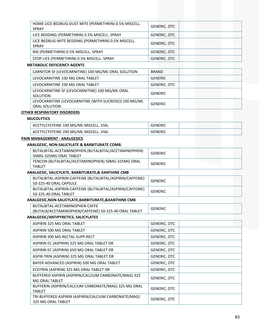| HOME LICE-BEDBUG-DUST MITE (PERMETHRIN) 0.5% MISCELL.<br><b>SPRAY</b>         | <b>GENERIC, OTC</b>                                                                                                                                                                                                                                                                                                                                                                                                    |
|-------------------------------------------------------------------------------|------------------------------------------------------------------------------------------------------------------------------------------------------------------------------------------------------------------------------------------------------------------------------------------------------------------------------------------------------------------------------------------------------------------------|
| LICE BEDDING (PERMETHRIN) 0.5% MISCELL. SPRAY                                 | <b>GENERIC, OTC</b>                                                                                                                                                                                                                                                                                                                                                                                                    |
| LICE-BEDBUG-MITE BEDDING (PERMETHRIN) 0.5% MISCELL.<br><b>SPRAY</b>           | <b>GENERIC, OTC</b>                                                                                                                                                                                                                                                                                                                                                                                                    |
| RID (PERMETHRIN) 0.5% MISCELL. SPRAY                                          | <b>GENERIC, OTC</b>                                                                                                                                                                                                                                                                                                                                                                                                    |
| STOP LICE (PERMETHRIN) 0.5% MISCELL. SPRAY                                    | <b>GENERIC, OTC</b>                                                                                                                                                                                                                                                                                                                                                                                                    |
|                                                                               |                                                                                                                                                                                                                                                                                                                                                                                                                        |
| CARNITOR SF (LEVOCARNITINE) 100 MG/ML ORAL SOLUTION                           | <b>BRAND</b>                                                                                                                                                                                                                                                                                                                                                                                                           |
| LEVOCARNITINE 330 MG ORAL TABLET                                              | <b>GENERIC</b>                                                                                                                                                                                                                                                                                                                                                                                                         |
| LEVOCARNITINE 330 MG ORAL TABLET                                              | <b>GENERIC, OTC</b>                                                                                                                                                                                                                                                                                                                                                                                                    |
| LEVOCARNITINE SF (LEVOCARNITINE) 100 MG/ML ORAL<br><b>SOLUTION</b>            | <b>GENERIC</b>                                                                                                                                                                                                                                                                                                                                                                                                         |
| LEVOCARNITINE (LEVOCARNITINE (WITH SUCROSE)) 100 MG/ML<br>ORAL SOLUTION       | <b>GENERIC</b>                                                                                                                                                                                                                                                                                                                                                                                                         |
|                                                                               |                                                                                                                                                                                                                                                                                                                                                                                                                        |
|                                                                               |                                                                                                                                                                                                                                                                                                                                                                                                                        |
| ACETYLCYSTEINE 100 MG/ML MISCELL. VIAL                                        | <b>GENERIC</b>                                                                                                                                                                                                                                                                                                                                                                                                         |
| ACETYLCYSTEINE 200 MG/ML MISCELL. VIAL                                        | <b>GENERIC</b>                                                                                                                                                                                                                                                                                                                                                                                                         |
|                                                                               |                                                                                                                                                                                                                                                                                                                                                                                                                        |
|                                                                               |                                                                                                                                                                                                                                                                                                                                                                                                                        |
| BUTALBITAL-ACETAMINOPHEN (BUTALBITAL/ACETAMINOPHEN)<br>50MG-325MG ORAL TABLET | <b>GENERIC</b>                                                                                                                                                                                                                                                                                                                                                                                                         |
| TENCON (BUTALBITAL/ACETAMINOPHEN) 50MG-325MG ORAL<br><b>TABLET</b>            | <b>GENERIC</b>                                                                                                                                                                                                                                                                                                                                                                                                         |
|                                                                               |                                                                                                                                                                                                                                                                                                                                                                                                                        |
| BUTALBITAL-ASPIRIN-CAFFEINE (BUTALBITAL/ASPIRIN/CAFFEINE)                     | <b>GENERIC</b>                                                                                                                                                                                                                                                                                                                                                                                                         |
| 50-325-40 ORAL CAPSULE                                                        |                                                                                                                                                                                                                                                                                                                                                                                                                        |
|                                                                               | <b>GENERIC</b>                                                                                                                                                                                                                                                                                                                                                                                                         |
|                                                                               |                                                                                                                                                                                                                                                                                                                                                                                                                        |
|                                                                               |                                                                                                                                                                                                                                                                                                                                                                                                                        |
| (BUTALB/ACETAMINOPHEN/CAFFEINE) 50-325-40 ORAL TABLET                         | <b>GENERIC</b>                                                                                                                                                                                                                                                                                                                                                                                                         |
|                                                                               | <b>METABOLIC DEFICIENCY AGENTS</b><br><b>OTHER RESPIRATORY DISORDERS</b><br><b>MUCOLYTICS</b><br>PAIN MANAGEMENT - ANALGESICS<br>ANALGESIC, NON-SALICYLATE & BARBITURATE COMB.<br>ANALGESIC, SALICYLATE, BARBITURATE, & XANTHINE CMB<br>BUTALBITAL-ASPIRIN-CAFFEINE (BUTALBITAL/ASPIRIN/CAFFEINE)<br>50-325-40 ORAL TABLET<br>ANALGESIC, NON-SALICYLATE, BARBITURATE, & XANTHINE CMB<br>BUTALBITAL-ACETAMINOPHEN-CAFFE |

# **ANALGESIC/ANTIPYRETICS, SALICYLATES**

| GENERIC, OTC        |
|---------------------|
| <b>GENERIC, OTC</b> |
| GENERIC, OTC        |
| GENERIC, OTC        |
| <b>GENERIC, OTC</b> |
| <b>GENERIC, OTC</b> |
| GENERIC, OTC        |
| GENERIC, OTC        |
| <b>GENERIC, OTC</b> |
| <b>GENERIC, OTC</b> |
| <b>GENERIC, OTC</b> |
|                     |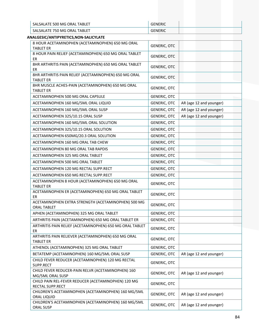| SALSALATE 500 MG ORAL TABLET                                                                                  | <b>GENERIC</b> |
|---------------------------------------------------------------------------------------------------------------|----------------|
| SALSALATE 750 MG ORAL TABLET                                                                                  | <b>GENERIC</b> |
| → South South South South South South South South South South South South South South South South South South |                |

| ANALGESIC/ANTIPYRETICS, NON-SALICYLATE                                    |                     |                         |
|---------------------------------------------------------------------------|---------------------|-------------------------|
| 8 HOUR ACETAMINOPHEN (ACETAMINOPHEN) 650 MG ORAL<br><b>TABLET ER</b>      | <b>GENERIC, OTC</b> |                         |
| 8 HOUR PAIN RELIEF (ACETAMINOPHEN) 650 MG ORAL TABLET<br>ER               | <b>GENERIC, OTC</b> |                         |
| 8HR ARTHRITIS PAIN (ACETAMINOPHEN) 650 MG ORAL TABLET<br>ER               | <b>GENERIC, OTC</b> |                         |
| 8HR ARTHRITIS PAIN RELIEF (ACETAMINOPHEN) 650 MG ORAL<br><b>TABLET ER</b> | <b>GENERIC, OTC</b> |                         |
| 8HR MUSCLE ACHES-PAIN (ACETAMINOPHEN) 650 MG ORAL<br><b>TABLET ER</b>     | <b>GENERIC, OTC</b> |                         |
| ACETAMINOPHEN 500 MG ORAL CAPSULE                                         | <b>GENERIC, OTC</b> |                         |
| ACETAMINOPHEN 160 MG/5ML ORAL LIQUID                                      | <b>GENERIC, OTC</b> | AR (age 12 and younger) |
| ACETAMINOPHEN 160 MG/5ML ORAL SUSP                                        | <b>GENERIC, OTC</b> | AR (age 12 and younger) |
| ACETAMINOPHEN 325/10.15 ORAL SUSP                                         | <b>GENERIC, OTC</b> | AR (age 12 and younger) |
| ACETAMINOPHEN 160 MG/5ML ORAL SOLUTION                                    | <b>GENERIC, OTC</b> |                         |
| ACETAMINOPHEN 325/10.15 ORAL SOLUTION                                     | <b>GENERIC, OTC</b> |                         |
| ACETAMINOPHEN 650MG/20.3 ORAL SOLUTION                                    | <b>GENERIC, OTC</b> |                         |
| ACETAMINOPHEN 160 MG ORAL TAB CHEW                                        | <b>GENERIC, OTC</b> |                         |
| ACETAMINOPHEN 80 MG ORAL TAB RAPDIS                                       | <b>GENERIC, OTC</b> |                         |
| ACETAMINOPHEN 325 MG ORAL TABLET                                          | <b>GENERIC, OTC</b> |                         |
| ACETAMINOPHEN 500 MG ORAL TABLET                                          | <b>GENERIC, OTC</b> |                         |
| ACETAMINOPHEN 120 MG RECTAL SUPP.RECT                                     | <b>GENERIC, OTC</b> |                         |
| ACETAMINOPHEN 650 MG RECTAL SUPP.RECT                                     | <b>GENERIC, OTC</b> |                         |
| ACETAMINOPHEN 8 HOUR (ACETAMINOPHEN) 650 MG ORAL<br><b>TABLET ER</b>      | <b>GENERIC, OTC</b> |                         |
| ACETAMINOPHEN ER (ACETAMINOPHEN) 650 MG ORAL TABLET<br>ER                 | <b>GENERIC, OTC</b> |                         |
| ACETAMINOPHEN EXTRA STRENGTH (ACETAMINOPHEN) 500 MG<br><b>ORAL TABLET</b> | <b>GENERIC, OTC</b> |                         |
| APHEN (ACETAMINOPHEN) 325 MG ORAL TABLET                                  | <b>GENERIC, OTC</b> |                         |
| ARTHRITIS PAIN (ACETAMINOPHEN) 650 MG ORAL TABLET ER                      | <b>GENERIC, OTC</b> |                         |
| ARTHRITIS PAIN RELIEF (ACETAMINOPHEN) 650 MG ORAL TABLET<br>ER            | <b>GENERIC, OTC</b> |                         |
| ARTHRITIS PAIN RELIEVER (ACETAMINOPHEN) 650 MG ORAL<br><b>TABLET ER</b>   | <b>GENERIC, OTC</b> |                         |
| ATHENOL (ACETAMINOPHEN) 325 MG ORAL TABLET                                | <b>GENERIC, OTC</b> |                         |
| BETATEMP (ACETAMINOPHEN) 160 MG/5ML ORAL SUSP                             | <b>GENERIC, OTC</b> | AR (age 12 and younger) |
| CHILD FEVER REDUCER (ACETAMINOPHEN) 120 MG RECTAL<br>SUPP.RECT            | <b>GENERIC, OTC</b> |                         |
| CHILD FEVER REDUCER-PAIN RELVR (ACETAMINOPHEN) 160<br>MG/5ML ORAL SUSP    | <b>GENERIC, OTC</b> | AR (age 12 and younger) |
| CHILD PAIN REL-FEVER REDUCER (ACETAMINOPHEN) 120 MG<br>RECTAL SUPP.RECT   | <b>GENERIC, OTC</b> |                         |
| CHILDREN'S ACETAMINOPHEN (ACETAMINOPHEN) 160 MG/5ML<br>ORAL LIQUID        | <b>GENERIC, OTC</b> | AR (age 12 and younger) |
| CHILDREN'S ACETAMINOPHEN (ACETAMINOPHEN) 160 MG/5ML<br>ORAL SUSP          | <b>GENERIC, OTC</b> | AR (age 12 and younger) |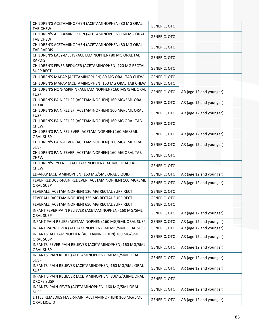| CHILDREN'S ACETAMINOPHEN (ACETAMINOPHEN) 80 MG ORAL<br><b>TAB CHEW</b>      | <b>GENERIC, OTC</b> |                         |
|-----------------------------------------------------------------------------|---------------------|-------------------------|
| CHILDREN'S ACETAMINOPHEN (ACETAMINOPHEN) 160 MG ORAL<br><b>TAB CHEW</b>     | <b>GENERIC, OTC</b> |                         |
| CHILDREN'S ACETAMINOPHEN (ACETAMINOPHEN) 80 MG ORAL<br><b>TAB RAPDIS</b>    | <b>GENERIC, OTC</b> |                         |
| CHILDREN'S EASY-MELTS (ACETAMINOPHEN) 80 MG ORAL TAB<br><b>RAPDIS</b>       | <b>GENERIC, OTC</b> |                         |
| CHILDREN'S FEVER REDUCER (ACETAMINOPHEN) 120 MG RECTAL<br>SUPP.RECT         | <b>GENERIC, OTC</b> |                         |
| CHILDREN'S MAPAP (ACETAMINOPHEN) 80 MG ORAL TAB CHEW                        | <b>GENERIC, OTC</b> |                         |
| CHILDREN'S MAPAP (ACETAMINOPHEN) 160 MG ORAL TAB CHEW                       | <b>GENERIC, OTC</b> |                         |
| CHILDREN'S NON-ASPIRIN (ACETAMINOPHEN) 160 MG/5ML ORAL<br><b>SUSP</b>       | <b>GENERIC, OTC</b> | AR (age 12 and younger) |
| CHILDREN'S PAIN RELIEF (ACETAMINOPHEN) 160 MG/5ML ORAL<br><b>ELIXIR</b>     | <b>GENERIC, OTC</b> | AR (age 12 and younger) |
| CHILDREN'S PAIN RELIEF (ACETAMINOPHEN) 160 MG/5ML ORAL<br><b>SUSP</b>       | <b>GENERIC, OTC</b> | AR (age 12 and younger) |
| CHILDREN'S PAIN RELIEF (ACETAMINOPHEN) 160 MG ORAL TAB<br><b>CHEW</b>       | <b>GENERIC, OTC</b> |                         |
| CHILDREN'S PAIN RELIEVER (ACETAMINOPHEN) 160 MG/5ML<br><b>ORAL SUSP</b>     | <b>GENERIC, OTC</b> | AR (age 12 and younger) |
| CHILDREN'S PAIN-FEVER (ACETAMINOPHEN) 160 MG/5ML ORAL<br><b>SUSP</b>        | <b>GENERIC, OTC</b> | AR (age 12 and younger) |
| CHILDREN'S PAIN-FEVER (ACETAMINOPHEN) 160 MG ORAL TAB<br><b>CHEW</b>        | <b>GENERIC, OTC</b> |                         |
| CHILDREN'S TYLENOL (ACETAMINOPHEN) 160 MG ORAL TAB<br><b>CHEW</b>           | <b>GENERIC, OTC</b> |                         |
| ED-APAP (ACETAMINOPHEN) 160 MG/5ML ORAL LIQUID                              | <b>GENERIC, OTC</b> | AR (age 12 and younger) |
| FEVER REDUCER-PAIN RELIEVER (ACETAMINOPHEN) 160 MG/5ML<br><b>ORAL SUSP</b>  | <b>GENERIC, OTC</b> | AR (age 12 and younger) |
| FEVERALL (ACETAMINOPHEN) 120 MG RECTAL SUPP.RECT                            | GENERIC, OTC        |                         |
| FEVERALL (ACETAMINOPHEN) 325 MG RECTAL SUPP.RECT                            | <b>GENERIC, OTC</b> |                         |
| FEVERALL (ACETAMINOPHEN) 650 MG RECTAL SUPP.RECT                            | <b>GENERIC, OTC</b> |                         |
| INFANT FEVER-PAIN RELIEVER (ACETAMINOPHEN) 160 MG/5ML<br><b>ORAL SUSP</b>   | <b>GENERIC, OTC</b> | AR (age 12 and younger) |
| INFANT PAIN RELIEF (ACETAMINOPHEN) 160 MG/5ML ORAL SUSP                     | <b>GENERIC, OTC</b> | AR (age 12 and younger) |
| INFANT PAIN-FEVER (ACETAMINOPHEN) 160 MG/5ML ORAL SUSP                      | <b>GENERIC, OTC</b> | AR (age 12 and younger) |
| INFANTS' ACETAMINOPHEN (ACETAMINOPHEN) 160 MG/5ML<br>ORAL SUSP              | GENERIC, OTC        | AR (age 12 and younger) |
| INFANTS' FEVER-PAIN RELIEVER (ACETAMINOPHEN) 160 MG/5ML<br><b>ORAL SUSP</b> | <b>GENERIC, OTC</b> | AR (age 12 and younger) |
| INFANTS' PAIN RELIEF (ACETAMINOPHEN) 160 MG/5ML ORAL<br><b>SUSP</b>         | <b>GENERIC, OTC</b> | AR (age 12 and younger) |
| INFANTS' PAIN RELIEVER (ACETAMINOPHEN) 160 MG/5ML ORAL<br><b>SUSP</b>       | <b>GENERIC, OTC</b> | AR (age 12 and younger) |
| INFANT'S PAIN RELIEVER (ACETAMINOPHEN) 80MG/0.8ML ORAL<br><b>DROPS SUSP</b> | <b>GENERIC, OTC</b> |                         |
| INFANTS' PAIN-FEVER (ACETAMINOPHEN) 160 MG/5ML ORAL<br><b>SUSP</b>          | <b>GENERIC, OTC</b> | AR (age 12 and younger) |
| LITTLE REMEDIES FEVER-PAIN (ACETAMINOPHEN) 160 MG/5ML<br>ORAL LIQUID        | <b>GENERIC, OTC</b> | AR (age 12 and younger) |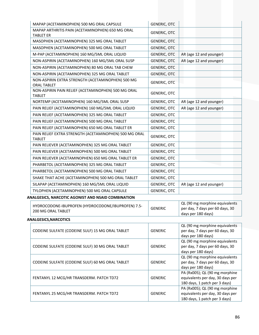| MAPAP (ACETAMINOPHEN) 500 MG ORAL CAPSULE                                | <b>GENERIC, OTC</b> |                                                                                                     |  |
|--------------------------------------------------------------------------|---------------------|-----------------------------------------------------------------------------------------------------|--|
| MAPAP ARTHRITIS PAIN (ACETAMINOPHEN) 650 MG ORAL                         | <b>GENERIC, OTC</b> |                                                                                                     |  |
| <b>TABLET ER</b>                                                         |                     |                                                                                                     |  |
| MASOPHEN (ACETAMINOPHEN) 325 MG ORAL TABLET                              | <b>GENERIC, OTC</b> |                                                                                                     |  |
| MASOPHEN (ACETAMINOPHEN) 500 MG ORAL TABLET                              | <b>GENERIC, OTC</b> |                                                                                                     |  |
| M-PAP (ACETAMINOPHEN) 160 MG/5ML ORAL LIQUID                             | <b>GENERIC, OTC</b> | AR (age 12 and younger)                                                                             |  |
| NON-ASPIRIN (ACETAMINOPHEN) 160 MG/5ML ORAL SUSP                         | <b>GENERIC, OTC</b> | AR (age 12 and younger)                                                                             |  |
| NON-ASPIRIN (ACETAMINOPHEN) 80 MG ORAL TAB CHEW                          | <b>GENERIC, OTC</b> |                                                                                                     |  |
| NON-ASPIRIN (ACETAMINOPHEN) 325 MG ORAL TABLET                           | <b>GENERIC, OTC</b> |                                                                                                     |  |
| NON-ASPIRIN EXTRA STRENGTH (ACETAMINOPHEN) 500 MG<br><b>ORAL TABLET</b>  | <b>GENERIC, OTC</b> |                                                                                                     |  |
| NON-ASPIRIN PAIN RELIEF (ACETAMINOPHEN) 500 MG ORAL<br><b>TABLET</b>     | <b>GENERIC, OTC</b> |                                                                                                     |  |
| NORTEMP (ACETAMINOPHEN) 160 MG/5ML ORAL SUSP                             | <b>GENERIC, OTC</b> | AR (age 12 and younger)                                                                             |  |
| PAIN RELIEF (ACETAMINOPHEN) 160 MG/5ML ORAL LIQUID                       | <b>GENERIC, OTC</b> | AR (age 12 and younger)                                                                             |  |
| PAIN RELIEF (ACETAMINOPHEN) 325 MG ORAL TABLET                           | GENERIC, OTC        |                                                                                                     |  |
| PAIN RELIEF (ACETAMINOPHEN) 500 MG ORAL TABLET                           | <b>GENERIC, OTC</b> |                                                                                                     |  |
| PAIN RELIEF (ACETAMINOPHEN) 650 MG ORAL TABLET ER                        | <b>GENERIC, OTC</b> |                                                                                                     |  |
| PAIN RELIEF EXTRA STRENGTH (ACETAMINOPHEN) 500 MG ORAL<br><b>TABLET</b>  | <b>GENERIC, OTC</b> |                                                                                                     |  |
| PAIN RELIEVER (ACETAMINOPHEN) 325 MG ORAL TABLET                         | GENERIC, OTC        |                                                                                                     |  |
| PAIN RELIEVER (ACETAMINOPHEN) 500 MG ORAL TABLET                         | <b>GENERIC, OTC</b> |                                                                                                     |  |
| PAIN RELIEVER (ACETAMINOPHEN) 650 MG ORAL TABLET ER                      | <b>GENERIC, OTC</b> |                                                                                                     |  |
| PHARBETOL (ACETAMINOPHEN) 325 MG ORAL TABLET                             | <b>GENERIC, OTC</b> |                                                                                                     |  |
| PHARBETOL (ACETAMINOPHEN) 500 MG ORAL TABLET                             | <b>GENERIC, OTC</b> |                                                                                                     |  |
| SHAKE THAT ACHE (ACETAMINOPHEN) 500 MG ORAL TABLET                       | GENERIC, OTC        |                                                                                                     |  |
| SILAPAP (ACETAMINOPHEN) 160 MG/5ML ORAL LIQUID                           | <b>GENERIC, OTC</b> | AR (age 12 and younger)                                                                             |  |
| TYLOPHEN (ACETAMINOPHEN) 500 MG ORAL CAPSULE                             | <b>GENERIC, OTC</b> |                                                                                                     |  |
| ANALGESICS, NARCOTIC AGONIST AND NSAID COMBINATION                       |                     |                                                                                                     |  |
| HYDROCODONE-IBUPROFEN (HYDROCODONE/IBUPROFEN) 7.5-<br>200 MG ORAL TABLET | <b>GENERIC</b>      | QL (90 mg morphine equivalents<br>per day, 7 days per 60 days, 30<br>days per 180 days)             |  |
| <b>ANALGESICS, NARCOTICS</b>                                             |                     |                                                                                                     |  |
| CODEINE SULFATE (CODEINE SULF) 15 MG ORAL TABLET                         | <b>GENERIC</b>      | QL (90 mg morphine equivalents<br>per day, 7 days per 60 days, 30<br>days per 180 days)             |  |
| CODEINE SULFATE (CODEINE SULF) 30 MG ORAL TABLET                         | <b>GENERIC</b>      | QL (90 mg morphine equivalents<br>per day, 7 days per 60 days, 30<br>days per 180 days)             |  |
| CODEINE SULFATE (CODEINE SULF) 60 MG ORAL TABLET                         | <b>GENERIC</b>      | QL (90 mg morphine equivalents<br>per day, 7 days per 60 days, 30<br>days per 180 days)             |  |
| FENTANYL 12 MCG/HR TRANSDERM. PATCH TD72                                 | <b>GENERIC</b>      | PA (Rx005); QL (90 mg morphine<br>equivalents per day, 30 days per<br>180 days, 1 patch per 3 days) |  |
| FENTANYL 25 MCG/HR TRANSDERM. PATCH TD72                                 | <b>GENERIC</b>      | PA (Rx005); QL (90 mg morphine<br>equivalents per day, 30 days per<br>180 days, 1 patch per 3 days) |  |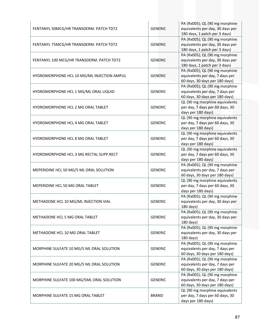| FENTANYL 50MCG/HR TRANSDERM. PATCH TD72    | <b>GENERIC</b> | PA (Rx005); QL (90 mg morphine<br>equivalents per day, 30 days per<br>180 days, 1 patch per 3 days) |
|--------------------------------------------|----------------|-----------------------------------------------------------------------------------------------------|
| FENTANYL 75MCG/HR TRANSDERM. PATCH TD72    | <b>GENERIC</b> | PA (Rx005); QL (90 mg morphine<br>equivalents per day, 30 days per<br>180 days, 1 patch per 3 days) |
| FENTANYL 100 MCG/HR TRANSDERM. PATCH TD72  | <b>GENERIC</b> | PA (Rx005); QL (90 mg morphine<br>equivalents per day, 30 days per<br>180 days, 1 patch per 3 days) |
| HYDROMORPHONE HCL 10 MG/ML INJECTION AMPUL | <b>GENERIC</b> | PA (Rx005); QL (90 mg morphine<br>equivalents per day, 7 days per<br>60 days, 30 days per 180 days) |
| HYDROMORPHONE HCL 1 MG/ML ORAL LIQUID      | <b>GENERIC</b> | PA (Rx005); QL (90 mg morphine<br>equivalents per day, 7 days per<br>60 days, 30 days per 180 days) |
| <b>HYDROMORPHONE HCL 2 MG ORAL TABLET</b>  | <b>GENERIC</b> | QL (90 mg morphine equivalents<br>per day, 7 days per 60 days, 30<br>days per 180 days)             |
| HYDROMORPHONE HCL 4 MG ORAL TABLET         | <b>GENERIC</b> | QL (90 mg morphine equivalents<br>per day, 7 days per 60 days, 30<br>days per 180 days)             |
| HYDROMORPHONE HCL 8 MG ORAL TABLET         | <b>GENERIC</b> | QL (90 mg morphine equivalents<br>per day, 7 days per 60 days, 30<br>days per 180 days)             |
| HYDROMORPHONE HCL 3 MG RECTAL SUPP.RECT    | <b>GENERIC</b> | QL (90 mg morphine equivalents<br>per day, 7 days per 60 days, 30<br>days per 180 days)             |
| MEPERIDINE HCL 50 MG/5 ML ORAL SOLUTION    | <b>GENERIC</b> | PA (Rx005); QL (90 mg morphine<br>equivalents per day, 7 days per<br>60 days, 30 days per 180 days) |
| MEPERIDINE HCL 50 MG ORAL TABLET           | <b>GENERIC</b> | QL (90 mg morphine equivalents<br>per day, 7 days per 60 days, 30<br>days per 180 days)             |
| METHADONE HCL 10 MG/ML INJECTION VIAL      | <b>GENERIC</b> | PA (Rx005); QL (90 mg morphine<br>equivalents per day, 30 days per<br>180 days)                     |
| METHADONE HCL 5 MG ORAL TABLET             | <b>GENERIC</b> | PA (Rx005); QL (90 mg morphine<br>equivalents per day, 30 days per<br>180 days)                     |
| METHADONE HCL 10 MG ORAL TABLET            | <b>GENERIC</b> | PA (Rx005); QL (90 mg morphine<br>equivalents per day, 30 days per<br>180 days)                     |
| MORPHINE SULFATE 10 MG/5 ML ORAL SOLUTION  | <b>GENERIC</b> | PA (Rx005); QL (90 mg morphine<br>equivalents per day, 7 days per<br>60 days, 30 days per 180 days) |
| MORPHINE SULFATE 20 MG/5 ML ORAL SOLUTION  | <b>GENERIC</b> | PA (Rx005); QL (90 mg morphine<br>equivalents per day, 7 days per<br>60 days, 30 days per 180 days) |
| MORPHINE SULFATE 100 MG/5ML ORAL SOLUTION  | <b>GENERIC</b> | PA (Rx005); QL (90 mg morphine<br>equivalents per day, 7 days per<br>60 days, 30 days per 180 days) |
| MORPHINE SULFATE 15 MG ORAL TABLET         | <b>BRAND</b>   | QL (90 mg morphine equivalents<br>per day, 7 days per 60 days, 30<br>days per 180 days)             |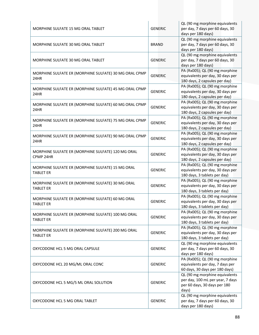| MORPHINE SULFATE 15 MG ORAL TABLET                                     | <b>GENERIC</b> | QL (90 mg morphine equivalents<br>per day, 7 days per 60 days, 30<br>days per 180 days)                     |
|------------------------------------------------------------------------|----------------|-------------------------------------------------------------------------------------------------------------|
| MORPHINE SULFATE 30 MG ORAL TABLET                                     | <b>BRAND</b>   | QL (90 mg morphine equivalents<br>per day, 7 days per 60 days, 30<br>days per 180 days)                     |
| MORPHINE SULFATE 30 MG ORAL TABLET                                     | <b>GENERIC</b> | QL (90 mg morphine equivalents<br>per day, 7 days per 60 days, 30<br>days per 180 days)                     |
| MORPHINE SULFATE ER (MORPHINE SULFATE) 30 MG ORAL CPMP<br>24HR         | <b>GENERIC</b> | PA (Rx005); QL (90 mg morphine<br>equivalents per day, 30 days per<br>180 days, 2 capsules per day)         |
| MORPHINE SULFATE ER (MORPHINE SULFATE) 45 MG ORAL CPMP<br>24HR         | <b>GENERIC</b> | PA (Rx005); QL (90 mg morphine<br>equivalents per day, 30 days per<br>180 days, 2 capsules per day)         |
| MORPHINE SULFATE ER (MORPHINE SULFATE) 60 MG ORAL CPMP<br>24HR         | <b>GENERIC</b> | PA (Rx005); QL (90 mg morphine<br>equivalents per day, 30 days per<br>180 days, 2 capsules per day)         |
| MORPHINE SULFATE ER (MORPHINE SULFATE) 75 MG ORAL CPMP<br>24HR         | <b>GENERIC</b> | PA (Rx005); QL (90 mg morphine<br>equivalents per day, 30 days per<br>180 days, 2 capsules per day)         |
| MORPHINE SULFATE ER (MORPHINE SULFATE) 90 MG ORAL CPMP<br>24HR         | <b>GENERIC</b> | PA (Rx005); QL (90 mg morphine<br>equivalents per day, 30 days per<br>180 days, 2 capsules per day)         |
| MORPHINE SULFATE ER (MORPHINE SULFATE) 120 MG ORAL<br>CPMP 24HR        | <b>GENERIC</b> | PA (Rx005); QL (90 mg morphine<br>equivalents per day, 30 days per<br>180 days, 2 capsules per day)         |
| MORPHINE SULFATE ER (MORPHINE SULFATE) 15 MG ORAL<br><b>TABLET ER</b>  | <b>GENERIC</b> | PA (Rx005); QL (90 mg morphine<br>equivalents per day, 30 days per<br>180 days, 3 tablets per day)          |
| MORPHINE SULFATE ER (MORPHINE SULFATE) 30 MG ORAL<br><b>TABLET ER</b>  | <b>GENERIC</b> | PA (Rx005); QL (90 mg morphine<br>equivalents per day, 30 days per<br>180 days, 3 tablets per day)          |
| MORPHINE SULFATE ER (MORPHINE SULFATE) 60 MG ORAL<br><b>TABLET ER</b>  | <b>GENERIC</b> | PA (Rx005); QL (90 mg morphine<br>equivalents per day, 30 days per<br>180 days, 3 tablets per day)          |
| MORPHINE SULFATE ER (MORPHINE SULFATE) 100 MG ORAL<br><b>TABLET ER</b> | <b>GENERIC</b> | PA (Rx005); QL (90 mg morphine<br>equivalents per day, 30 days per<br>180 days, 3 tablets per day)          |
| MORPHINE SULFATE ER (MORPHINE SULFATE) 200 MG ORAL<br><b>TABLET ER</b> | <b>GENERIC</b> | PA (Rx005); QL (90 mg morphine<br>equivalents per day, 30 days per<br>180 days, 3 tablets per day)          |
| OXYCODONE HCL 5 MG ORAL CAPSULE                                        | <b>GENERIC</b> | QL (90 mg morphine equivalents<br>per day, 7 days per 60 days, 30<br>days per 180 days)                     |
| OXYCODONE HCL 20 MG/ML ORAL CONC                                       | <b>GENERIC</b> | PA (Rx005); QL (90 mg morphine<br>equivalents per day, 7 days per<br>60 days, 30 days per 180 days)         |
| OXYCODONE HCL 5 MG/5 ML ORAL SOLUTION                                  | <b>GENERIC</b> | QL (90 mg morphine equivalents<br>per day, 100 mL per year, 7 days<br>per 60 days, 30 days per 180<br>days) |
| OXYCODONE HCL 5 MG ORAL TABLET                                         | <b>GENERIC</b> | QL (90 mg morphine equivalents<br>per day, 7 days per 60 days, 30<br>days per 180 days)                     |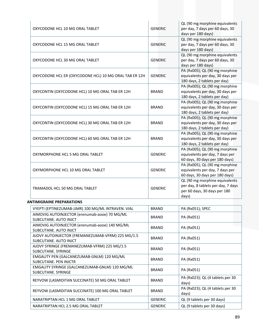| OXYCODONE HCL 10 MG ORAL TABLET                        | <b>GENERIC</b> | QL (90 mg morphine equivalents<br>per day, 7 days per 60 days, 30<br>days per 180 days)                       |
|--------------------------------------------------------|----------------|---------------------------------------------------------------------------------------------------------------|
| OXYCODONE HCL 15 MG ORAL TABLET                        | <b>GENERIC</b> | QL (90 mg morphine equivalents<br>per day, 7 days per 60 days, 30<br>days per 180 days)                       |
| OXYCODONE HCL 30 MG ORAL TABLET                        | <b>GENERIC</b> | QL (90 mg morphine equivalents<br>per day, 7 days per 60 days, 30<br>days per 180 days)                       |
| OXYCODONE HCL ER (OXYCODONE HCL) 10 MG ORAL TAB ER 12H | <b>GENERIC</b> | PA (Rx005); QL (90 mg morphine<br>equivalents per day, 30 days per<br>180 days, 2 tablets per day)            |
| OXYCONTIN (OXYCODONE HCL) 10 MG ORAL TAB ER 12H        | <b>BRAND</b>   | PA (Rx005); QL (90 mg morphine<br>equivalents per day, 30 days per<br>180 days, 2 tablets per day)            |
| OXYCONTIN (OXYCODONE HCL) 15 MG ORAL TAB ER 12H        | <b>BRAND</b>   | PA (Rx005); QL (90 mg morphine<br>equivalents per day, 30 days per<br>180 days, 2 tablets per day)            |
| OXYCONTIN (OXYCODONE HCL) 30 MG ORAL TAB ER 12H        | <b>BRAND</b>   | PA (Rx005); QL (90 mg morphine<br>equivalents per day, 30 days per<br>180 days, 2 tablets per day)            |
| OXYCONTIN (OXYCODONE HCL) 60 MG ORAL TAB ER 12H        | <b>BRAND</b>   | PA (Rx005); QL (90 mg morphine<br>equivalents per day, 30 days per<br>180 days, 2 tablets per day)            |
| OXYMORPHONE HCL 5 MG ORAL TABLET                       | <b>GENERIC</b> | PA (Rx005); QL (90 mg morphine<br>equivalents per day, 7 days per<br>60 days, 30 days per 180 days)           |
| OXYMORPHONE HCL 10 MG ORAL TABLET                      | <b>GENERIC</b> | PA (Rx005); QL (90 mg morphine<br>equivalents per day, 7 days per<br>60 days, 30 days per 180 days)           |
| <b>TRAMADOL HCL 50 MG ORAL TABLET</b>                  | <b>GENERIC</b> | QL (90 mg morphine equivalents<br>per day, 8 tablets per day, 7 days<br>per 60 days, 30 days per 180<br>days) |

### **ANTIMIGRAINE PREPARATIONS**

| VYEPTI (EPTINEZUMAB-JJMR) 100 MG/ML INTRAVEN. VIAL                         | <b>BRAND</b>                                              | PA (Rx051); SPEC                          |  |
|----------------------------------------------------------------------------|-----------------------------------------------------------|-------------------------------------------|--|
| AIMOVIG AUTOINJECTOR (erenumab-aooe) 70 MG/ML<br>SUBCUTANE, AUTO INJCT     | <b>BRAND</b>                                              | PA (Rx051)                                |  |
| AIMOVIG AUTOINJECTOR (erenumab-aooe) 140 MG/ML<br>SUBCUTANE, AUTO INJCT    | <b>BRAND</b>                                              | PA (Rx051)                                |  |
| AJOVY AUTOINJECTOR (FREMANEZUMAB-VFRM) 225 MG/1.5<br>SUBCUTANE, AUTO INJCT | <b>BRAND</b>                                              | PA (Rx051)                                |  |
| AJOVY SYRINGE (FREMANEZUMAB-VFRM) 225 MG/1.5<br>SUBCUTANE, SYRINGE         | <b>BRAND</b>                                              | PA (Rx051)                                |  |
| EMGALITY PEN (GALCANEZUMAB-GNLM) 120 MG/ML<br>SUBCUTANE, PEN INJCTR        | <b>BRAND</b>                                              | PA (Rx051)                                |  |
| EMGALITY SYRINGE (GALCANEZUMAB-GNLM) 120 MG/ML<br>SUBCUTANE, SYRINGE       | <b>BRAND</b>                                              | PA (Rx051)                                |  |
| REYVOW (LASMIDITAN SUCCINATE) 50 MG ORAL TABLET                            | <b>BRAND</b>                                              | PA (Rx023); QL (4 tablets per 30<br>days) |  |
| REYVOW (LASMIDITAN SUCCINATE) 100 MG ORAL TABLET                           | PA (Rx023); QL (4 tablets per 30<br><b>BRAND</b><br>days) |                                           |  |
| NARATRIPTAN HCL 1 MG ORAL TABLET                                           | <b>GENERIC</b>                                            | QL (9 tablets per 30 days)                |  |
| NARATRIPTAN HCL 2.5 MG ORAL TABLET                                         | <b>GENERIC</b>                                            | QL (9 tablets per 30 days)                |  |
|                                                                            |                                                           |                                           |  |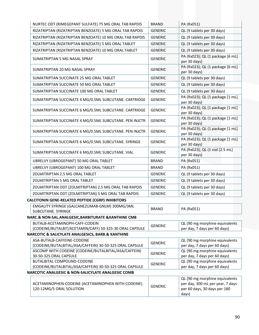|                                                    | NURTEC ODT (RIMEGEPANT SULFATE) 75 MG ORAL TAB RAPDIS                                     | <b>BRAND</b>   | PA (Rx051)                                                                                                  |  |
|----------------------------------------------------|-------------------------------------------------------------------------------------------|----------------|-------------------------------------------------------------------------------------------------------------|--|
|                                                    | RIZATRIPTAN (RIZATRIPTAN BENZOATE) 5 MG ORAL TAB RAPDIS                                   | <b>GENERIC</b> | QL (9 tablets per 30 days)                                                                                  |  |
|                                                    | RIZATRIPTAN (RIZATRIPTAN BENZOATE) 10 MG ORAL TAB RAPDIS                                  | <b>GENERIC</b> | QL (9 tablets per 30 days)                                                                                  |  |
|                                                    | RIZATRIPTAN (RIZATRIPTAN BENZOATE) 5 MG ORAL TABLET                                       | <b>GENERIC</b> | QL (9 tablets per 30 days)                                                                                  |  |
|                                                    | RIZATRIPTAN (RIZATRIPTAN BENZOATE) 10 MG ORAL TABLET                                      | <b>GENERIC</b> | QL (9 tablets per 30 days)                                                                                  |  |
|                                                    | SUMATRIPTAN 5 MG NASAL SPRAY                                                              | <b>GENERIC</b> | PA (Rx023); QL (1 package [6 mL]<br>per 30 days)                                                            |  |
|                                                    | SUMATRIPTAN 20 MG NASAL SPRAY                                                             | <b>GENERIC</b> | PA (Rx023); QL (1 package [6 mL]<br>per 30 days)                                                            |  |
|                                                    | SUMATRIPTAN SUCCINATE 25 MG ORAL TABLET                                                   | <b>GENERIC</b> | QL (9 tablets per 30 days)                                                                                  |  |
|                                                    | SUMATRIPTAN SUCCINATE 50 MG ORAL TABLET                                                   | <b>GENERIC</b> | QL (9 tablets per 30 days)                                                                                  |  |
|                                                    | SUMATRIPTAN SUCCINATE 100 MG ORAL TABLET                                                  | <b>GENERIC</b> | QL (9 tablets per 30 days)                                                                                  |  |
|                                                    | SUMATRIPTAN SUCCINATE 4 MG/0.5ML SUBCUTANE. CARTRIDGE                                     | <b>GENERIC</b> | PA (Rx023); QL (1 package [1 mL]<br>per 30 days)                                                            |  |
|                                                    | SUMATRIPTAN SUCCINATE 6 MG/0.5ML SUBCUTANE. CARTRIDGE                                     | <b>GENERIC</b> | PA (Rx023); QL (1 package [1 mL]<br>per 30 days)                                                            |  |
|                                                    | SUMATRIPTAN SUCCINATE 4 MG/0.5ML SUBCUTANE. PEN INJCTR                                    | <b>GENERIC</b> | PA (Rx023); QL (1 package [1 mL]<br>per 30 days)                                                            |  |
|                                                    | SUMATRIPTAN SUCCINATE 6 MG/0.5ML SUBCUTANE. PEN INJCTR                                    | <b>GENERIC</b> | PA (Rx023); QL (1 package [1 mL]<br>per 30 days)                                                            |  |
|                                                    | SUMATRIPTAN SUCCINATE 6 MG/0.5ML SUBCUTANE. SYRINGE                                       | <b>GENERIC</b> | PA (Rx023); QL (1 package [1 mL]<br>per 30 days)                                                            |  |
|                                                    | SUMATRIPTAN SUCCINATE 6 MG/0.5ML SUBCUTANE. VIAL                                          | <b>GENERIC</b> | PA (Rx023); QL (1 vial [2.5 mL]<br>per 30 days)                                                             |  |
|                                                    | UBRELVY (UBROGEPANT) 50 MG ORAL TABLET                                                    | <b>BRAND</b>   | PA (Rx051)                                                                                                  |  |
|                                                    | UBRELVY (UBROGEPANT) 100 MG ORAL TABLET                                                   | <b>BRAND</b>   | PA (Rx051)                                                                                                  |  |
|                                                    | ZOLMITRIPTAN 2.5 MG ORAL TABLET                                                           | <b>GENERIC</b> | QL (9 tablets per 30 days)                                                                                  |  |
|                                                    | ZOLMITRIPTAN 5 MG ORAL TABLET                                                             | <b>GENERIC</b> | QL (9 tablets per 30 days)                                                                                  |  |
|                                                    | ZOLMITRIPTAN ODT (ZOLMITRIPTAN) 2.5 MG ORAL TAB RAPDIS                                    | <b>GENERIC</b> | QL (9 tablets per 30 days)                                                                                  |  |
|                                                    | ZOLMITRIPTAN ODT (ZOLMITRIPTAN) 5 MG ORAL TAB RAPDIS                                      | <b>GENERIC</b> | QL (9 tablets per 30 days)                                                                                  |  |
|                                                    | CALCITONIN GENE-RELATED PEPTIDE (CGRP) INHIBITORS                                         |                |                                                                                                             |  |
| SUBCUTANE. SYRINGE                                 | EMGALITY SYRINGE (GALCANEZUMAB-GNLM) 300MG/3ML                                            | <b>BRAND</b>   | PA (Rx051)                                                                                                  |  |
|                                                    | NARC.& NON-SAL.ANALGESIC,BARBITURATE &XANTHINE CMB                                        |                |                                                                                                             |  |
|                                                    | BUTALB-ACETAMINOPH-CAFF-CODEIN<br>(CODEINE/BUTALBIT/ACETAMIN/CAFF) 50-325-30 ORAL CAPSULE | <b>GENERIC</b> | QL (90 mg morphine equivalents<br>per day, 7 days per 60 days)                                              |  |
|                                                    | NARCOTIC & SALICYLATE ANALGESICS, BARB.& XANTHINE                                         |                |                                                                                                             |  |
|                                                    | ASA-BUTALB-CAFFEINE-CODEINE<br>(CODEINE/BUTALBITAL/ASA/CAFFEIN) 30-50-325 ORAL CAPSULE    | <b>GENERIC</b> | QL (90 mg morphine equivalents<br>per day, 7 days per 60 days)                                              |  |
| 30-50-325 ORAL CAPSULE                             | ASCOMP WITH CODEINE (CODEINE/BUTALBITAL/ASA/CAFFEIN)                                      | <b>GENERIC</b> | QL (90 mg morphine equivalents<br>per day, 7 days per 60 days)                                              |  |
|                                                    | BUTALBITAL COMPOUND-CODEINE<br>(CODEINE/BUTALBITAL/ASA/CAFFEIN) 30-50-325 ORAL CAPSULE    | <b>GENERIC</b> | QL (90 mg morphine equivalents<br>per day, 7 days per 60 days)                                              |  |
| NARCOTIC ANALGESIC & NON-SALICYLATE ANALGESIC COMB |                                                                                           |                |                                                                                                             |  |
| 120-12MG/5 ORAL SOLUTION                           | ACETAMINOPHEN-CODEINE (ACETAMINOPHEN WITH CODEINE)                                        | <b>GENERIC</b> | QL (90 mg morphine equivalents<br>per day, 300 mL per year, 7 days<br>per 60 days, 30 days per 180<br>days) |  |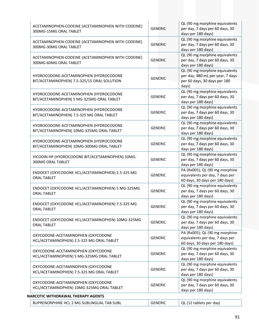| ACETAMINOPHEN-CODEINE (ACETAMINOPHEN WITH CODEINE)<br>300MG-15MG ORAL TABLET          | <b>GENERIC</b> | QL (90 mg morphine equivalents<br>per day, 7 days per 60 days, 30<br>days per 180 days)                     |
|---------------------------------------------------------------------------------------|----------------|-------------------------------------------------------------------------------------------------------------|
| ACETAMINOPHEN-CODEINE (ACETAMINOPHEN WITH CODEINE)<br>300MG-30MG ORAL TABLET          | <b>GENERIC</b> | QL (90 mg morphine equivalents<br>per day, 7 days per 60 days, 30<br>days per 180 days)                     |
| ACETAMINOPHEN-CODEINE (ACETAMINOPHEN WITH CODEINE)<br>300MG-60MG ORAL TABLET          | <b>GENERIC</b> | QL (90 mg morphine equivalents<br>per day, 7 days per 60 days, 30<br>days per 180 days)                     |
| HYDROCODONE-ACETAMINOPHEN (HYDROCODONE<br>BIT/ACETAMINOPHEN) 7.5-325/15 ORAL SOLUTION | <b>GENERIC</b> | QL (90 mg morphine equivalents<br>per day, 480 mL per year, 7 days<br>per 60 days, 30 days per 180<br>days) |
| HYDROCODONE-ACETAMINOPHEN (HYDROCODONE<br>BIT/ACETAMINOPHEN) 5 MG-325MG ORAL TABLET   | <b>GENERIC</b> | QL (90 mg morphine equivalents<br>per day, 7 days per 60 days, 30<br>days per 180 days)                     |
| HYDROCODONE-ACETAMINOPHEN (HYDROCODONE<br>BIT/ACETAMINOPHEN) 7.5-325 MG ORAL TABLET   | <b>GENERIC</b> | QL (90 mg morphine equivalents<br>per day, 7 days per 60 days, 30<br>days per 180 days)                     |
| HYDROCODONE-ACETAMINOPHEN (HYDROCODONE<br>BIT/ACETAMINOPHEN) 10MG-325MG ORAL TABLET   | <b>GENERIC</b> | QL (90 mg morphine equivalents<br>per day, 7 days per 60 days, 30<br>days per 180 days)                     |
| HYDROCODONE-ACETAMINOPHEN (HYDROCODONE<br>BIT/ACETAMINOPHEN) 10MG-300MG ORAL TABLET   | <b>GENERIC</b> | QL (90 mg morphine equivalents<br>per day, 7 days per 60 days, 30<br>days per 180 days)                     |
| VICODIN HP (HYDROCODONE BIT/ACETAMINOPHEN) 10MG-<br>300MG ORAL TABLET                 | <b>GENERIC</b> | QL (90 mg morphine equivalents<br>per day, 7 days per 60 days, 30<br>days per 180 days)                     |
| ENDOCET (OXYCODONE HCL/ACETAMINOPHEN) 2.5-325 MG<br><b>ORAL TABLET</b>                | <b>GENERIC</b> | PA (Rx005); QL (90 mg morphine<br>equivalents per day, 7 days per<br>60 days, 30 days per 180 days)         |
| ENDOCET (OXYCODONE HCL/ACETAMINOPHEN) 5 MG-325MG<br><b>ORAL TABLET</b>                | <b>GENERIC</b> | QL (90 mg morphine equivalents<br>per day, 7 days per 60 days, 30<br>days per 180 days)                     |
| ENDOCET (OXYCODONE HCL/ACETAMINOPHEN) 7.5-325 MG<br><b>ORAL TABLET</b>                | <b>GENERIC</b> | QL (90 mg morphine equivalents<br>per day, 7 days per 60 days, 30<br>days per 180 days)                     |
| ENDOCET (OXYCODONE HCL/ACETAMINOPHEN) 10MG-325MG<br>ORAL TABLET                       | <b>GENERIC</b> | QL (90 mg morphine equivalents<br>per day, 7 days per 60 days, 30<br>days per 180 days)                     |
| OXYCODONE-ACETAMINOPHEN (OXYCODONE<br>HCL/ACETAMINOPHEN) 2.5-325 MG ORAL TABLET       | <b>GENERIC</b> | PA (Rx005); QL (90 mg morphine<br>equivalents per day, 7 days per<br>60 days, 30 days per 180 days)         |
| OXYCODONE-ACETAMINOPHEN (OXYCODONE<br>HCL/ACETAMINOPHEN) 5 MG-325MG ORAL TABLET       | <b>GENERIC</b> | QL (90 mg morphine equivalents<br>per day, 7 days per 60 days, 30<br>days per 180 days)                     |
| OXYCODONE-ACETAMINOPHEN (OXYCODONE<br>HCL/ACETAMINOPHEN) 7.5-325 MG ORAL TABLET       | <b>GENERIC</b> | QL (90 mg morphine equivalents<br>per day, 7 days per 60 days, 30<br>days per 180 days)                     |
| OXYCODONE-ACETAMINOPHEN (OXYCODONE<br>HCL/ACETAMINOPHEN) 10MG-325MG ORAL TABLET       | <b>GENERIC</b> | QL (90 mg morphine equivalents<br>per day, 7 days per 60 days, 30<br>days per 180 days)                     |
| NARCOTIC WITHDRAWAL THERAPY AGENTS                                                    |                |                                                                                                             |
| BUPRENORPHINE HCL 2 MG SUBLINGUAL TAB SUBL                                            | <b>GENERIC</b> | QL (12 tablets per day)                                                                                     |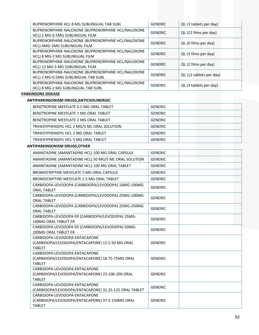| BUPRENORPHINE HCL 8 MG SUBLINGUAL TAB SUBL         | <b>GENERIC</b> | QL (3 tablets per day)  |
|----------------------------------------------------|----------------|-------------------------|
| BUPRENORPHINE-NALOXONE (BUPRENORPHINE HCL/NALOXONE | <b>GENERIC</b> | QL (12 films per day)   |
| HCL) 2 MG-0.5MG SUBLINGUAL FILM                    |                |                         |
| BUPRENORPHINE-NALOXONE (BUPRENORPHINE HCL/NALOXONE | <b>GENERIC</b> |                         |
| HCL) 4MG-1MG SUBLINGUAL FILM                       |                | QL (6 films per day)    |
| BUPRENORPHINE-NALOXONE (BUPRENORPHINE HCL/NALOXONE | <b>GENERIC</b> |                         |
| HCL) 8 MG-2 MG SUBLINGUAL FILM                     |                | QL (3 films per day)    |
| BUPRENORPHINE-NALOXONE (BUPRENORPHINE HCL/NALOXONE | <b>GENERIC</b> | QL (2 films per day)    |
| HCL) 12 MG-3 MG SUBLINGUAL FILM                    |                |                         |
| BUPRENORPHINE-NALOXONE (BUPRENORPHINE HCL/NALOXONE | <b>GENERIC</b> |                         |
| HCL) 2 MG-0.5MG SUBLINGUAL TAB SUBL                |                | QL (12 tablets per day) |
| BUPRENORPHINE-NALOXONE (BUPRENORPHINE HCL/NALOXONE | <b>GENERIC</b> |                         |
| HCL) 8 MG-2 MG SUBLINGUAL TAB SUBL                 |                | QL (3 tablets per day)  |

# **PARKINSONS DISEASE**

### **ANTIPARKINSONISM DRUGS,ANTICHOLINERGIC**

| BENZTROPINE MESYLATE 0.5 MG ORAL TABLET     | GENERIC        |
|---------------------------------------------|----------------|
| BENZTROPINE MESYLATE 1 MG ORAL TABLET       | <b>GENERIC</b> |
| BENZTROPINE MESYLATE 2 MG ORAL TABLET       | <b>GENERIC</b> |
| TRIHEXYPHENIDYL HCL 2 MG/5 ML ORAL SOLUTION | <b>GENERIC</b> |
| TRIHEXYPHENIDYL HCL 2 MG ORAL TABLET        | <b>GENERIC</b> |
| TRIHEXYPHENIDYL HCL 5 MG ORAL TABLET        | <b>GENERIC</b> |

### **ANTIPARKINSONISM DRUGS,OTHER**

| AMANTADINE (AMANTADINE HCL) 100 MG ORAL CAPSULE                                                   | <b>GENERIC</b> |  |
|---------------------------------------------------------------------------------------------------|----------------|--|
| AMANTADINE (AMANTADINE HCL) 50 MG/5 ML ORAL SOLUTION                                              | <b>GENERIC</b> |  |
| AMANTADINE (AMANTADINE HCL) 100 MG ORAL TABLET                                                    | <b>GENERIC</b> |  |
| BROMOCRIPTINE MESYLATE 5 MG ORAL CAPSULE                                                          | <b>GENERIC</b> |  |
| BROMOCRIPTINE MESYLATE 2.5 MG ORAL TABLET                                                         | <b>GENERIC</b> |  |
| CARBIDOPA-LEVODOPA (CARBIDOPA/LEVODOPA) 10MG-100MG<br><b>ORAL TABLET</b>                          | <b>GENERIC</b> |  |
| CARBIDOPA-LEVODOPA (CARBIDOPA/LEVODOPA) 25MG-100MG<br><b>ORAL TABLET</b>                          | <b>GENERIC</b> |  |
| CARBIDOPA-LEVODOPA (CARBIDOPA/LEVODOPA) 25MG-250MG<br><b>ORAL TABLET</b>                          | <b>GENERIC</b> |  |
| CARBIDOPA-LEVODOPA ER (CARBIDOPA/LEVODOPA) 25MG-<br>100MG ORAL TABLET ER                          | <b>GENERIC</b> |  |
| CARBIDOPA-LEVODOPA ER (CARBIDOPA/LEVODOPA) 50MG-<br><b>200MG ORAL TABLET ER</b>                   | <b>GENERIC</b> |  |
| CARBIDOPA-LEVODOPA-ENTACAPONE<br>(CARBIDOPA/LEVODOPA/ENTACAPONE) 12.5-50 MG ORAL<br><b>TABIFT</b> | <b>GENERIC</b> |  |
| CARBIDOPA-LEVODOPA-ENTACAPONE<br>(CARBIDOPA/LEVODOPA/ENTACAPONE) 18.75-75MG ORAL<br><b>TABLET</b> | <b>GENERIC</b> |  |
| CARBIDOPA-LEVODOPA-ENTACAPONE<br>(CARBIDOPA/LEVODOPA/ENTACAPONE) 25-100-200 ORAL<br><b>TABLET</b> | <b>GENERIC</b> |  |
| CARBIDOPA-LEVODOPA-ENTACAPONE<br>(CARBIDOPA/LEVODOPA/ENTACAPONE) 31.25-125 ORAL TABLET            | <b>GENERIC</b> |  |
| CARBIDOPA-LEVODOPA-ENTACAPONE<br>(CARBIDOPA/LEVODOPA/ENTACAPONE) 37.5-150MG ORAL<br><b>TABLET</b> | <b>GENERIC</b> |  |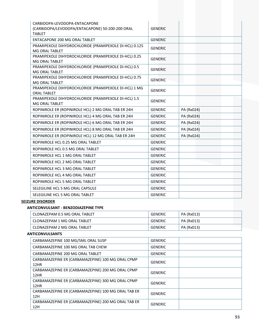| CARBIDOPA-LEVODOPA-ENTACAPONE<br>(CARBIDOPA/LEVODOPA/ENTACAPONE) 50-200-200 ORAL | <b>GENERIC</b>               |
|----------------------------------------------------------------------------------|------------------------------|
| <b>TABLET</b><br>ENTACAPONE 200 MG ORAL TABLET                                   | <b>GENERIC</b>               |
|                                                                                  |                              |
| PRAMIPEXOLE DIHYDROCHLORIDE (PRAMIPEXOLE DI-HCL) 0.125<br>MG ORAL TABLET         | <b>GENERIC</b>               |
| PRAMIPEXOLE DIHYDROCHLORIDE (PRAMIPEXOLE DI-HCL) 0.25<br><b>MG ORAL TABLET</b>   | <b>GENERIC</b>               |
| PRAMIPEXOLE DIHYDROCHLORIDE (PRAMIPEXOLE DI-HCL) 0.5<br>MG ORAL TABLET           | <b>GENERIC</b>               |
| PRAMIPEXOLE DIHYDROCHLORIDE (PRAMIPEXOLE DI-HCL) 0.75<br><b>MG ORAL TABLET</b>   | <b>GENERIC</b>               |
| PRAMIPEXOLE DIHYDROCHLORIDE (PRAMIPEXOLE DI-HCL) 1 MG<br><b>ORAL TABLET</b>      | <b>GENERIC</b>               |
| PRAMIPEXOLE DIHYDROCHLORIDE (PRAMIPEXOLE DI-HCL) 1.5<br>MG ORAL TABLET           | <b>GENERIC</b>               |
| ROPINIROLE ER (ROPINIROLE HCL) 2 MG ORAL TAB ER 24H                              | <b>GENERIC</b><br>PA (Rx024) |
| ROPINIROLE ER (ROPINIROLE HCL) 4 MG ORAL TAB ER 24H                              | <b>GENERIC</b><br>PA (Rx024) |
| ROPINIROLE ER (ROPINIROLE HCL) 6 MG ORAL TAB ER 24H                              | <b>GENERIC</b><br>PA (Rx024) |
| ROPINIROLE ER (ROPINIROLE HCL) 8 MG ORAL TAB ER 24H                              | PA (Rx024)<br><b>GENERIC</b> |
| ROPINIROLE ER (ROPINIROLE HCL) 12 MG ORAL TAB ER 24H                             | <b>GENERIC</b><br>PA (Rx024) |
| ROPINIROLE HCL 0.25 MG ORAL TABLET                                               | <b>GENERIC</b>               |
| ROPINIROLE HCL 0.5 MG ORAL TABLET                                                | <b>GENERIC</b>               |
| ROPINIROLE HCL 1 MG ORAL TABLET                                                  | <b>GENERIC</b>               |
| ROPINIROLE HCL 2 MG ORAL TABLET                                                  | <b>GENERIC</b>               |
| ROPINIROLE HCL 3 MG ORAL TABLET                                                  | <b>GENERIC</b>               |
| ROPINIROLE HCL 4 MG ORAL TABLET                                                  | <b>GENERIC</b>               |
| ROPINIROLE HCL 5 MG ORAL TABLET                                                  | <b>GENERIC</b>               |
| SELEGILINE HCL 5 MG ORAL CAPSULE                                                 | <b>GENERIC</b>               |
| SELEGILINE HCL 5 MG ORAL TABLET                                                  | <b>GENERIC</b>               |

# **SEIZURE DISORDER**

## **ANTICONVULSANT ‐ BENZODIAZEPINE TYPE**

| CLONAZEPAM 0.5 MG ORAL TABLET | <b>GENERIC</b> | PA (Rx013) |
|-------------------------------|----------------|------------|
| CLONAZEPAM 1 MG ORAL TABLET   | GENERIC        | PA (Rx013) |
| CLONAZEPAM 2 MG ORAL TABLET   | <b>GENERIC</b> | PA (Rx013) |

#### **ANTICONVULSANTS**

| CARBAMAZEPINE 100 MG/5ML ORAL SUSP                         | <b>GENERIC</b> |  |
|------------------------------------------------------------|----------------|--|
| CARBAMAZEPINE 100 MG ORAL TAB CHEW                         | <b>GENERIC</b> |  |
| CARBAMAZEPINE 200 MG ORAL TABLET                           | <b>GENERIC</b> |  |
| CARBAMAZEPINE ER (CARBAMAZEPINE) 100 MG ORAL CPMP<br>12HR  | <b>GENERIC</b> |  |
| CARBAMAZEPINE ER (CARBAMAZEPINE) 200 MG ORAL CPMP<br>12HR  | <b>GENERIC</b> |  |
| CARBAMAZEPINE ER (CARBAMAZEPINE) 300 MG ORAL CPMP<br>12HR  | <b>GENERIC</b> |  |
| CARBAMAZEPINE ER (CARBAMAZEPINE) 100 MG ORAL TAB ER<br>12H | <b>GENERIC</b> |  |
| CARBAMAZEPINE ER (CARBAMAZEPINE) 200 MG ORAL TAB ER<br>12H | <b>GENERIC</b> |  |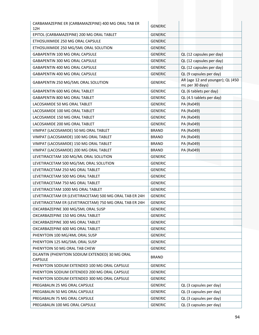| CARBAMAZEPINE ER (CARBAMAZEPINE) 400 MG ORAL TAB ER<br>12H        | <b>GENERIC</b> |                                                     |
|-------------------------------------------------------------------|----------------|-----------------------------------------------------|
| EPITOL (CARBAMAZEPINE) 200 MG ORAL TABLET                         | <b>GENERIC</b> |                                                     |
| ETHOSUXIMIDE 250 MG ORAL CAPSULE                                  | <b>GENERIC</b> |                                                     |
| ETHOSUXIMIDE 250 MG/5ML ORAL SOLUTION                             | <b>GENERIC</b> |                                                     |
| GABAPENTIN 100 MG ORAL CAPSULE                                    | <b>GENERIC</b> | QL (12 capsules per day)                            |
| GABAPENTIN 300 MG ORAL CAPSULE                                    | <b>GENERIC</b> | QL (12 capsules per day)                            |
| GABAPENTIN 400 MG ORAL CAPSULE                                    | <b>GENERIC</b> | QL (12 capsules per day)                            |
| GABAPENTIN 400 MG ORAL CAPSULE                                    | <b>GENERIC</b> | QL (9 capsules per day)                             |
| GABAPENTIN 250 MG/5ML ORAL SOLUTION                               | <b>GENERIC</b> | AR (age 12 and younger); QL (450<br>mL per 30 days) |
| <b>GABAPENTIN 600 MG ORAL TABLET</b>                              | <b>GENERIC</b> | QL (6 tablets per day)                              |
| GABAPENTIN 800 MG ORAL TABLET                                     | <b>GENERIC</b> | QL (4.5 tablets per day)                            |
| LACOSAMIDE 50 MG ORAL TABLET                                      | <b>GENERIC</b> | PA (Rx049)                                          |
| LACOSAMIDE 100 MG ORAL TABLET                                     | <b>GENERIC</b> | PA (Rx049)                                          |
| LACOSAMIDE 150 MG ORAL TABLET                                     | <b>GENERIC</b> | PA (Rx049)                                          |
| LACOSAMIDE 200 MG ORAL TABLET                                     | <b>GENERIC</b> | PA (Rx049)                                          |
| VIMPAT (LACOSAMIDE) 50 MG ORAL TABLET                             | <b>BRAND</b>   | PA (Rx049)                                          |
| VIMPAT (LACOSAMIDE) 100 MG ORAL TABLET                            | <b>BRAND</b>   | PA (Rx049)                                          |
| VIMPAT (LACOSAMIDE) 150 MG ORAL TABLET                            | <b>BRAND</b>   | PA (Rx049)                                          |
| VIMPAT (LACOSAMIDE) 200 MG ORAL TABLET                            | <b>BRAND</b>   | PA (Rx049)                                          |
| LEVETIRACETAM 100 MG/ML ORAL SOLUTION                             | <b>GENERIC</b> |                                                     |
| LEVETIRACETAM 500 MG/5ML ORAL SOLUTION                            | <b>GENERIC</b> |                                                     |
| LEVETIRACETAM 250 MG ORAL TABLET                                  | <b>GENERIC</b> |                                                     |
| LEVETIRACETAM 500 MG ORAL TABLET                                  | <b>GENERIC</b> |                                                     |
| LEVETIRACETAM 750 MG ORAL TABLET                                  | <b>GENERIC</b> |                                                     |
| LEVETIRACETAM 1000 MG ORAL TABLET                                 | <b>GENERIC</b> |                                                     |
| LEVETIRACETAM ER (LEVETIRACETAM) 500 MG ORAL TAB ER 24H           | <b>GENERIC</b> |                                                     |
| LEVETIRACETAM ER (LEVETIRACETAM) 750 MG ORAL TAB ER 24H           | <b>GENERIC</b> |                                                     |
| OXCARBAZEPINE 300 MG/5ML ORAL SUSP                                | <b>GENERIC</b> |                                                     |
| OXCARBAZEPINE 150 MG ORAL TABLET                                  | <b>GENERIC</b> |                                                     |
| OXCARBAZEPINE 300 MG ORAL TABLET                                  | <b>GENERIC</b> |                                                     |
| OXCARBAZEPINE 600 MG ORAL TABLET                                  | <b>GENERIC</b> |                                                     |
| PHENYTOIN 100 MG/4ML ORAL SUSP                                    | <b>GENERIC</b> |                                                     |
| PHENYTOIN 125 MG/5ML ORAL SUSP                                    | <b>GENERIC</b> |                                                     |
| PHENYTOIN 50 MG ORAL TAB CHEW                                     | <b>GENERIC</b> |                                                     |
| DILANTIN (PHENYTOIN SODIUM EXTENDED) 30 MG ORAL<br><b>CAPSULE</b> | <b>BRAND</b>   |                                                     |
| PHENYTOIN SODIUM EXTENDED 100 MG ORAL CAPSULE                     | <b>GENERIC</b> |                                                     |
| PHENYTOIN SODIUM EXTENDED 200 MG ORAL CAPSULE                     | <b>GENERIC</b> |                                                     |
| PHENYTOIN SODIUM EXTENDED 300 MG ORAL CAPSULE                     | <b>GENERIC</b> |                                                     |
| PREGABALIN 25 MG ORAL CAPSULE                                     | <b>GENERIC</b> | QL (3 capsules per day)                             |
| PREGABALIN 50 MG ORAL CAPSULE                                     | <b>GENERIC</b> | QL (3 capsules per day)                             |
| PREGABALIN 75 MG ORAL CAPSULE                                     | <b>GENERIC</b> | QL (3 capsules per day)                             |
| PREGABALIN 100 MG ORAL CAPSULE                                    | <b>GENERIC</b> | QL (3 capsules per day)                             |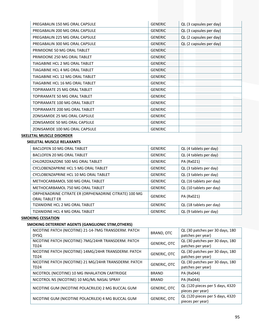| PREGABALIN 150 MG ORAL CAPSULE  | <b>GENERIC</b> | QL (3 capsules per day) |
|---------------------------------|----------------|-------------------------|
| PREGABALIN 200 MG ORAL CAPSULE  | <b>GENERIC</b> | QL (3 capsules per day) |
| PREGABALIN 225 MG ORAL CAPSULE  | <b>GENERIC</b> | QL (2 capsules per day) |
| PREGABALIN 300 MG ORAL CAPSULE  | <b>GENERIC</b> | QL (2 capsules per day) |
| PRIMIDONE 50 MG ORAL TABLET     | <b>GENERIC</b> |                         |
| PRIMIDONE 250 MG ORAL TABLET    | <b>GENERIC</b> |                         |
| TIAGABINE HCL 2 MG ORAL TABLET  | <b>GENERIC</b> |                         |
| TIAGABINE HCL 4 MG ORAL TABLET  | <b>GENERIC</b> |                         |
| TIAGABINE HCL 12 MG ORAL TABLET | <b>GENERIC</b> |                         |
| TIAGABINE HCL 16 MG ORAL TABLET | <b>GENERIC</b> |                         |
| TOPIRAMATE 25 MG ORAL TABLET    | <b>GENERIC</b> |                         |
| TOPIRAMATE 50 MG ORAL TABLET    | <b>GENERIC</b> |                         |
| TOPIRAMATE 100 MG ORAL TABLET   | <b>GENERIC</b> |                         |
| TOPIRAMATE 200 MG ORAL TABLET   | <b>GENERIC</b> |                         |
| ZONISAMIDE 25 MG ORAL CAPSULE   | <b>GENERIC</b> |                         |
| ZONISAMIDE 50 MG ORAL CAPSULE   | <b>GENERIC</b> |                         |
| ZONISAMIDE 100 MG ORAL CAPSULE  | <b>GENERIC</b> |                         |

# **SKELETAL MUSCLE DISORDER**

# **SKELETAL MUSCLE RELAXANTS**

| <b>BACLOFEN 10 MG ORAL TABLET</b>                                              | <b>GENERIC</b> | QL (4 tablets per day)  |
|--------------------------------------------------------------------------------|----------------|-------------------------|
| BACLOFEN 20 MG ORAL TABLET                                                     | <b>GENERIC</b> | QL (4 tablets per day)  |
| CHLORZOXAZONE 500 MG ORAL TABLET                                               | <b>GENERIC</b> | PA (Rx021)              |
| CYCLOBENZAPRINE HCL 5 MG ORAL TABLET                                           | <b>GENERIC</b> | QL (3 tablets per day)  |
| CYCLOBENZAPRINE HCL 10 MG ORAL TABLET                                          | <b>GENERIC</b> | QL (3 tablets per day)  |
| METHOCARBAMOL 500 MG ORAL TABLET                                               | <b>GENERIC</b> | QL (16 tablets per day) |
| METHOCARBAMOL 750 MG ORAL TABLET                                               | <b>GENERIC</b> | QL (10 tablets per day) |
| ORPHENADRINE CITRATE ER (ORPHENADRINE CITRATE) 100 MG<br><b>ORAL TABLET ER</b> | <b>GENERIC</b> | PA (Rx021)              |
| TIZANIDINE HCL 2 MG ORAL TABLET                                                | <b>GENERIC</b> | QL (18 tablets per day) |
| TIZANIDINE HCL 4 MG ORAL TABLET                                                | <b>GENERIC</b> | QL (9 tablets per day)  |

## **SMOKING CESSATION**

# **SMOKING DETERRENT AGENTS (GANGLIONIC STIM,OTHERS)**

| NICOTINE PATCH (NICOTINE) 21-14-7MG TRANSDERM. PATCH<br><b>DYSQ</b>  | BRAND, OTC          | QL (30 patches per 30 days, 180<br>patches per year) |
|----------------------------------------------------------------------|---------------------|------------------------------------------------------|
| NICOTINE PATCH (NICOTINE) 7MG/24HR TRANSDERM. PATCH<br><b>TD24</b>   | <b>GENERIC, OTC</b> | QL (30 patches per 30 days, 180<br>patches per year) |
| NICOTINE PATCH (NICOTINE) 14MG/24HR TRANSDERM. PATCH<br><b>TD24</b>  | <b>GENERIC, OTC</b> | QL (30 patches per 30 days, 180<br>patches per year) |
| NICOTINE PATCH (NICOTINE) 21 MG/24HR TRANSDERM. PATCH<br><b>TD24</b> | <b>GENERIC, OTC</b> | QL (30 patches per 30 days, 180<br>patches per year) |
| NICOTROL (NICOTINE) 10 MG INHALATION CARTRIDGE                       | <b>BRAND</b>        | PA (Rx044)                                           |
| NICOTROL NS (NICOTINE) 10 MG/ML NASAL SPRAY                          | <b>BRAND</b>        | PA (Rx044)                                           |
| NICOTINE GUM (NICOTINE POLACRILEX) 2 MG BUCCAL GUM                   | <b>GENERIC, OTC</b> | QL (120 pieces per 5 days, 4320<br>pieces per year)  |
| NICOTINE GUM (NICOTINE POLACRILEX) 4 MG BUCCAL GUM                   | <b>GENERIC, OTC</b> | QL (120 pieces per 5 days, 4320<br>pieces per year)  |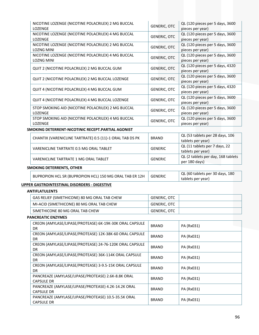| NICOTINE LOZENGE (NICOTINE POLACRILEX) 2 MG BUCCAL<br>LOZENGE           | <b>GENERIC, OTC</b> | QL (120 pieces per 5 days, 3600<br>pieces per year)  |
|-------------------------------------------------------------------------|---------------------|------------------------------------------------------|
| NICOTINE LOZENGE (NICOTINE POLACRILEX) 4 MG BUCCAL<br>LOZENGE           | <b>GENERIC, OTC</b> | QL (120 pieces per 5 days, 3600<br>pieces per year)  |
| NICOTINE LOZENGE (NICOTINE POLACRILEX) 2 MG BUCCAL<br><b>LOZNG MINI</b> | <b>GENERIC, OTC</b> | QL (120 pieces per 5 days, 3600<br>pieces per year)  |
| NICOTINE LOZENGE (NICOTINE POLACRILEX) 4 MG BUCCAL<br><b>LOZNG MINI</b> | <b>GENERIC, OTC</b> | QL (120 pieces per 5 days, 3600<br>pieces per year)  |
| QUIT 2 (NICOTINE POLACRILEX) 2 MG BUCCAL GUM                            | <b>GENERIC, OTC</b> | QL (120 pieces per 5 days, 4320<br>pieces per year)  |
| QUIT 2 (NICOTINE POLACRILEX) 2 MG BUCCAL LOZENGE                        | <b>GENERIC, OTC</b> | QL (120 pieces per 5 days, 3600<br>pieces per year)  |
| QUIT 4 (NICOTINE POLACRILEX) 4 MG BUCCAL GUM                            | <b>GENERIC, OTC</b> | QL (120 pieces per 5 days, 4320<br>pieces per year)  |
| QUIT 4 (NICOTINE POLACRILEX) 4 MG BUCCAL LOZENGE                        | <b>GENERIC, OTC</b> | QL (120 pieces per 5 days, 3600<br>pieces per year)  |
| STOP SMOKING AID (NICOTINE POLACRILEX) 2 MG BUCCAL<br>LOZENGE           | <b>GENERIC, OTC</b> | QL (120 pieces per 5 days, 3600<br>pieces per year)  |
| STOP SMOKING AID (NICOTINE POLACRILEX) 4 MG BUCCAL<br>LOZENGE           | <b>GENERIC, OTC</b> | QL (120 pieces per 5 days, 3600<br>pieces per year)  |
| SMOKING DETERRENT-NICOTINIC RECEPT.PARTIAL AGONIST                      |                     |                                                      |
| CHANTIX (VARENICLINE TARTRATE) 0.5 (11)-1 ORAL TAB DS PK                | <b>BRAND</b>        | QL (53 tablets per 28 days, 106<br>tablets per year) |
| VARENICLINE TARTRATE 0.5 MG ORAL TABLET                                 | <b>GENERIC</b>      | QL (11 tablets per 7 days, 22<br>tablets per year)   |
| VARENICLINE TARTRATE 1 MG ORAL TABLET                                   | <b>GENERIC</b>      | QL (2 tablets per day, 168 tablets<br>per 180 days)  |
| SMOKING DETERRENTS, OTHER                                               |                     |                                                      |
| BUPROPION HCL SR (BUPROPION HCL) 150 MG ORAL TAB ER 12H                 | <b>GENERIC</b>      | QL (60 tablets per 30 days, 180<br>tablets per year) |
| UPPER GASTROINTESTINAL DISORDERS - DIGESTIVE                            |                     |                                                      |
| <b>ANTIFLATULENTS</b>                                                   |                     |                                                      |
| GAS RELIEF (SIMETHICONE) 80 MG ORAL TAB CHEW                            | <b>GENERIC, OTC</b> |                                                      |
| MI-ACID (SIMETHICONE) 80 MG ORAL TAB CHEW                               | <b>GENERIC, OTC</b> |                                                      |
| SIMETHICONE 80 MG ORAL TAB CHEW                                         | GENERIC, OTC        |                                                      |
| <b>PANCREATIC ENZYMES</b>                                               |                     |                                                      |
| CREON (AMYLASE/LIPASE/PROTEASE) 6K-19K-30K ORAL CAPSULE<br><b>DR</b>    | <b>BRAND</b>        | PA (Rx031)                                           |
| CREON (AMYLASE/LIPASE/PROTEASE) 12K-38K-60 ORAL CAPSULE<br>DR           | <b>BRAND</b>        | PA (Rx031)                                           |
| CREON (AMYLASE/LIPASE/PROTEASE) 24-76-120K ORAL CAPSULE<br>DR           | <b>BRAND</b>        | PA (Rx031)                                           |
| CREON (AMYLASE/LIPASE/PROTEASE) 36K-114K ORAL CAPSULE<br>DR             | <b>BRAND</b>        | PA (Rx031)                                           |
| CREON (AMYLASE/LIPASE/PROTEASE) 3-9.5-15K ORAL CAPSULE<br>DR            | <b>BRAND</b>        | PA (Rx031)                                           |
| PANCREAZE (AMYLASE/LIPASE/PROTEASE) 2.6K-8.8K ORAL<br><b>CAPSULE DR</b> | <b>BRAND</b>        | PA (Rx031)                                           |

PANCREAZE (AMYLASE/LIPASE/PROTEASE) 4.2K‐14.2K ORAL CAPSULE DR BRAND PA (Rx031)

PANCREAZE (AMYLASE/LIPASE/PROTEASE) 10.5‐35.5K ORAL CAPSULE DR BRAND PA (Rx031)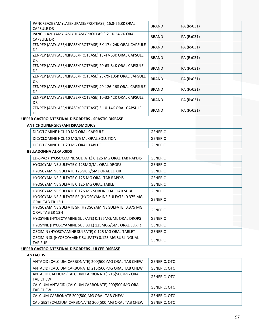| PANCREAZE (AMYLASE/LIPASE/PROTEASE) 16.8-56.8K ORAL<br><b>CAPSULE DR</b> | <b>BRAND</b> | PA (Rx031) |
|--------------------------------------------------------------------------|--------------|------------|
| PANCREAZE (AMYLASE/LIPASE/PROTEASE) 21 K-54.7K ORAL<br><b>CAPSULE DR</b> | <b>BRAND</b> | PA (Rx031) |
| ZENPEP (AMYLASE/LIPASE/PROTEASE) 5K-17K-24K ORAL CAPSULE<br>DR.          | <b>BRAND</b> | PA (Rx031) |
| ZENPEP (AMYLASE/LIPASE/PROTEASE) 15-47-63K ORAL CAPSULE<br>DR.           | <b>BRAND</b> | PA (Rx031) |
| ZENPEP (AMYLASE/LIPASE/PROTEASE) 20-63-84K ORAL CAPSULE<br>DR.           | <b>BRAND</b> | PA (Rx031) |
| ZENPEP (AMYLASE/LIPASE/PROTEASE) 25-79-105K ORAL CAPSULE<br>DR.          | <b>BRAND</b> | PA (Rx031) |
| ZENPEP (AMYLASE/LIPASE/PROTEASE) 40-126-168 ORAL CAPSULE<br>DR.          | <b>BRAND</b> | PA (Rx031) |
| ZENPEP (AMYLASE/LIPASE/PROTEASE) 10-32-42K ORAL CAPSULE<br>DR.           | <b>BRAND</b> | PA (Rx031) |
| ZENPEP (AMYLASE/LIPASE/PROTEASE) 3-10-14K ORAL CAPSULE<br><b>DR</b>      | <b>BRAND</b> | PA (Rx031) |

# **UPPER GASTROINTESTINAL DISORDERS ‐ SPASTIC DISEASE**

# **ANTICHOLINERGICS/ANTISPASMODICS**

| DICYCLOMINE HCL 10 MG ORAL CAPSULE       | GENERIC        |  |
|------------------------------------------|----------------|--|
| DICYCLOMINE HCL 10 MG/5 ML ORAL SOLUTION | <b>GENERIC</b> |  |
| DICYCLOMINE HCL 20 MG ORAL TABLET        | GENERIC        |  |

# **BELLADONNA ALKALOIDS**

| ED-SPAZ (HYOSCYAMINE SULFATE) 0.125 MG ORAL TAB RAPDIS | <b>GENERIC</b> |  |
|--------------------------------------------------------|----------------|--|
| HYOSCYAMINE SULFATE 0.125MG/ML ORAL DROPS              | <b>GENERIC</b> |  |
| HYOSCYAMINE SULFATE 125MCG/5ML ORAL ELIXIR             | <b>GENERIC</b> |  |
| HYOSCYAMINE SULFATE 0.125 MG ORAL TAB RAPDIS           | <b>GENERIC</b> |  |
| HYOSCYAMINE SULFATE 0.125 MG ORAL TABLET               | <b>GENERIC</b> |  |
| HYOSCYAMINE SULFATE 0.125 MG SUBLINGUAL TAB SUBL       | <b>GENERIC</b> |  |
| HYOSCYAMINE SULFATE ER (HYOSCYAMINE SULFATE) 0.375 MG  | <b>GENERIC</b> |  |
| ORAL TAB ER 12H                                        |                |  |
| HYOSCYAMINE SULFATE SR (HYOSCYAMINE SULFATE) 0.375 MG  | <b>GENERIC</b> |  |
| ORAL TAB ER 12H                                        |                |  |
| HYOSYNE (HYOSCYAMINE SULFATE) 0.125MG/ML ORAL DROPS    | <b>GENERIC</b> |  |
| HYOSYNE (HYOSCYAMINE SULFATE) 125MCG/5ML ORAL ELIXIR   | <b>GENERIC</b> |  |
| OSCIMIN (HYOSCYAMINE SULFATE) 0.125 MG ORAL TABLET     | <b>GENERIC</b> |  |
| OSCIMIN SL (HYOSCYAMINE SULFATE) 0.125 MG SUBLINGUAL   | <b>GENERIC</b> |  |
| <b>TAB SUBL</b>                                        |                |  |

# **UPPER GASTROINTESTINAL DISORDERS ‐ ULCER DISEASE**

### **ANTACIDS**

| ANTACID (CALCIUM CARBONATE) 200(500)MG ORAL TAB CHEW                   | <b>GENERIC, OTC</b> |
|------------------------------------------------------------------------|---------------------|
| ANTACID (CALCIUM CARBONATE) 215(500)MG ORAL TAB CHEW                   | <b>GENERIC, OTC</b> |
| ANTACID CALCIUM (CALCIUM CARBONATE) 215(500)MG ORAL<br><b>TAB CHEW</b> | <b>GENERIC, OTC</b> |
| CALCIUM ANTACID (CALCIUM CARBONATE) 200(500)MG ORAL<br><b>TAB CHEW</b> | <b>GENERIC, OTC</b> |
| CALCIUM CARBONATE 200(500)MG ORAL TAB CHEW                             | <b>GENERIC, OTC</b> |
| CAL-GEST (CALCIUM CARBONATE) 200(500)MG ORAL TAB CHEW                  | <b>GENERIC, OTC</b> |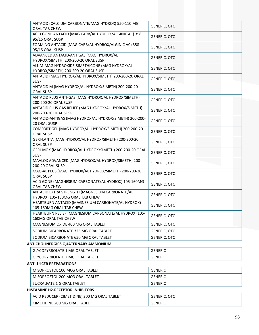| ANTACID (CALCIUM CARBONATE/MAG HYDROX) 550-110 MG                                    | <b>GENERIC, OTC</b> |  |
|--------------------------------------------------------------------------------------|---------------------|--|
| ORAL TAB CHEW<br>ACID GONE ANTACID (MAG CARB/AL HYDROX/ALGINIC AC) 358-              |                     |  |
| 95/15 ORAL SUSP                                                                      | <b>GENERIC, OTC</b> |  |
| FOAMING ANTACID (MAG CARB/AL HYDROX/ALGINIC AC) 358-                                 |                     |  |
| 95/15 ORAL SUSP                                                                      | <b>GENERIC, OTC</b> |  |
| ADVANCED ANTACID-ANTIGAS (MAG HYDROX/AL                                              | <b>GENERIC, OTC</b> |  |
| HYDROX/SIMETH) 200-200-20 ORAL SUSP                                                  |                     |  |
| ALUM-MAG HYDROXIDE-SIMETHICONE (MAG HYDROX/AL<br>HYDROX/SIMETH) 200-200-20 ORAL SUSP | <b>GENERIC, OTC</b> |  |
| ANTACID (MAG HYDROX/AL HYDROX/SIMETH) 200-200-20 ORAL<br><b>SUSP</b>                 | <b>GENERIC, OTC</b> |  |
| ANTACID M (MAG HYDROX/AL HYDROX/SIMETH) 200-200-20<br>ORAL SUSP                      | <b>GENERIC, OTC</b> |  |
| ANTACID PLUS ANTI-GAS (MAG HYDROX/AL HYDROX/SIMETH)<br>200-200-20 ORAL SUSP          | <b>GENERIC, OTC</b> |  |
| ANTACID PLUS GAS RELIEF (MAG HYDROX/AL HYDROX/SIMETH)<br>200-200-20 ORAL SUSP        | <b>GENERIC, OTC</b> |  |
| ANTACID-ANTIGAS (MAG HYDROX/AL HYDROX/SIMETH) 200-200-<br>20 ORAL SUSP               | <b>GENERIC, OTC</b> |  |
| COMFORT GEL (MAG HYDROX/AL HYDROX/SIMETH) 200-200-20<br><b>ORAL SUSP</b>             | <b>GENERIC, OTC</b> |  |
| GERI-LANTA (MAG HYDROX/AL HYDROX/SIMETH) 200-200-20<br>ORAL SUSP                     | <b>GENERIC, OTC</b> |  |
| GERI-MOX (MAG HYDROX/AL HYDROX/SIMETH) 200-200-20 ORAL<br><b>SUSP</b>                | <b>GENERIC, OTC</b> |  |
| MAALOX ADVANCED (MAG HYDROX/AL HYDROX/SIMETH) 200-<br>200-20 ORAL SUSP               | <b>GENERIC, OTC</b> |  |
| MAG-AL PLUS (MAG HYDROX/AL HYDROX/SIMETH) 200-200-20<br>ORAL SUSP                    | <b>GENERIC, OTC</b> |  |
| ACID GONE (MAGNESIUM CARBONATE/AL HYDROX) 105-160MG<br>ORAL TAB CHEW                 | <b>GENERIC, OTC</b> |  |
| ANTACID EXTRA STRENGTH (MAGNESIUM CARBONATE/AL<br>HYDROX) 105-160MG ORAL TAB CHEW    | <b>GENERIC, OTC</b> |  |
| HEARTBURN ANTACID (MAGNESIUM CARBONATE/AL HYDROX)<br>105-160MG ORAL TAB CHEW         | <b>GENERIC, OTC</b> |  |
| HEARTBURN RELIEF (MAGNESIUM CARBONATE/AL HYDROX) 105-<br>160MG ORAL TAB CHEW         | <b>GENERIC, OTC</b> |  |
| MAGNESIUM OXIDE 400 MG ORAL TABLET                                                   | <b>GENERIC, OTC</b> |  |
| SODIUM BICARBONATE 325 MG ORAL TABLET                                                | <b>GENERIC, OTC</b> |  |
| SODIUM BICARBONATE 650 MG ORAL TABLET                                                | <b>GENERIC, OTC</b> |  |
| ANTICHOLINERGICS,QUATERNARY AMMONIUM                                                 |                     |  |
| <b>GLYCOPYRROLATE 1 MG ORAL TABLET</b>                                               | <b>GENERIC</b>      |  |
| <b>GLYCOPYRROLATE 2 MG ORAL TABLET</b>                                               | <b>GENERIC</b>      |  |
| <b>ANTI-ULCER PREPARATIONS</b>                                                       |                     |  |
| MISOPROSTOL 100 MCG ORAL TABLET                                                      | <b>GENERIC</b>      |  |
| MISOPROSTOL 200 MCG ORAL TABLET                                                      |                     |  |
|                                                                                      | <b>GENERIC</b>      |  |
| SUCRALFATE 1 G ORAL TABLET                                                           | <b>GENERIC</b>      |  |

# **HISTAMINE H2‐RECEPTOR INHIBITORS**

| ACID REDUCER (CIMETIDINE) 200 MG ORAL TABLET | <b>OTC</b><br>GENERIC. |  |
|----------------------------------------------|------------------------|--|
| CIMETIDINE 200 MG ORAL<br>TABLET             | <b>GENERIC</b>         |  |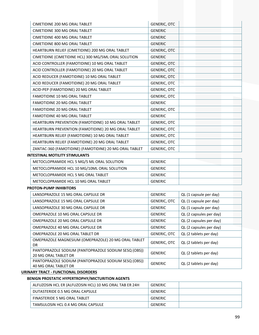| <b>CIMETIDINE 200 MG ORAL TABLET</b>                   | <b>GENERIC, OTC</b> |
|--------------------------------------------------------|---------------------|
| CIMETIDINE 300 MG ORAL TABLET                          | <b>GENERIC</b>      |
| <b>CIMETIDINE 400 MG ORAL TABLET</b>                   | <b>GENERIC</b>      |
| CIMETIDINE 800 MG ORAL TABLET                          | <b>GENERIC</b>      |
| HEARTBURN RELIEF (CIMETIDINE) 200 MG ORAL TABLET       | <b>GENERIC, OTC</b> |
| CIMETIDINE (CIMETIDINE HCL) 300 MG/5ML ORAL SOLUTION   | <b>GENERIC</b>      |
| ACID CONTROLLER (FAMOTIDINE) 10 MG ORAL TABLET         | <b>GENERIC, OTC</b> |
| ACID CONTROLLER (FAMOTIDINE) 20 MG ORAL TABLET         | <b>GENERIC, OTC</b> |
| ACID REDUCER (FAMOTIDINE) 10 MG ORAL TABLET            | <b>GENERIC, OTC</b> |
| ACID REDUCER (FAMOTIDINE) 20 MG ORAL TABLET            | <b>GENERIC, OTC</b> |
| ACID-PEP (FAMOTIDINE) 20 MG ORAL TABLET                | <b>GENERIC, OTC</b> |
| <b>FAMOTIDINE 10 MG ORAL TABLET</b>                    | <b>GENERIC, OTC</b> |
| <b>FAMOTIDINE 20 MG ORAL TABLET</b>                    | <b>GENERIC</b>      |
| <b>FAMOTIDINE 20 MG ORAL TABLET</b>                    | <b>GENERIC, OTC</b> |
| <b>FAMOTIDINE 40 MG ORAL TABLET</b>                    | <b>GENERIC</b>      |
| HEARTBURN PREVENTION (FAMOTIDINE) 10 MG ORAL TABLET    | <b>GENERIC, OTC</b> |
| HEARTBURN PREVENTION (FAMOTIDINE) 20 MG ORAL TABLET    | <b>GENERIC, OTC</b> |
| HEARTBURN RELIEF (FAMOTIDINE) 10 MG ORAL TABLET        | <b>GENERIC, OTC</b> |
| HEARTBURN RELIEF (FAMOTIDINE) 20 MG ORAL TABLET        | <b>GENERIC, OTC</b> |
| ZANTAC-360 (FAMOTIDINE) (FAMOTIDINE) 20 MG ORAL TABLET | <b>GENERIC, OTC</b> |
|                                                        |                     |

#### **INTESTINAL MOTILITY STIMULANTS**

| METOCLOPRAMIDE HCL 5 MG/5 ML ORAL SOLUTION  | GENERIC        |  |
|---------------------------------------------|----------------|--|
| METOCLOPRAMIDE HCL 10 MG/10ML ORAL SOLUTION | GENERIC        |  |
| METOCLOPRAMIDE HCL 5 MG ORAL TABLET         | GENERIC        |  |
| METOCLOPRAMIDE HCL 10 MG ORAL TABLET        | <b>GENERIC</b> |  |

#### **PROTON‐PUMP INHIBITORS**

| <b>GENERIC</b>      | QL (1 capsule per day)  |
|---------------------|-------------------------|
| <b>GENERIC, OTC</b> | QL (1 capsule per day)  |
| <b>GENERIC</b>      | QL (1 capsule per day)  |
| GENERIC             | QL (2 capsules per day) |
| <b>GENERIC</b>      | QL (2 capsules per day) |
| <b>GENERIC</b>      | QL (2 capsules per day) |
| <b>GENERIC, OTC</b> | QL (2 tablets per day)  |
| <b>GENERIC, OTC</b> | QL (2 tablets per day)  |
| <b>GENERIC</b>      | QL (2 tablets per day)  |
| <b>GENERIC</b>      | QL (2 tablets per day)  |
|                     |                         |

### **URINARY TRACT ‐ FUNCTIONAL DISORDERS**

## **BENIGN PROSTATIC HYPERTROPHY/MICTURITION AGENTS**

| ALFUZOSIN HCL ER (ALFUZOSIN HCL) 10 MG ORAL TAB ER 24H | GENERIC |  |
|--------------------------------------------------------|---------|--|
| DUTASTERIDE 0.5 MG ORAL CAPSULE                        | GENERIC |  |
| FINASTERIDE 5 MG ORAL TABLET                           | GENERIC |  |
| TAMSULOSIN HCL 0.4 MG ORAL CAPSULE                     | GENERIC |  |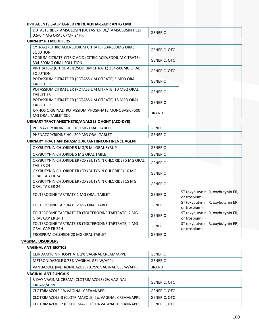## **BPH AGENTS,5‐ALPHA‐RED INH & ALPHA‐1‐ADR ANTG CMB**

| $^{\mathrm{+}}$ 0.5-0.4 MG ORAL CPMP 24HR $^{\mathrm{+}}$<br>URINARY PH MODIFIERS |                |  |  |  |
|-----------------------------------------------------------------------------------|----------------|--|--|--|
| DUTASTERIDE-TAMSULOSIN (DUTASTERIDE/TAMSULOSIN HCL)                               | <b>GENERIC</b> |  |  |  |

| UNIVANI FILIVIODIFILINJ                                                            |                     |
|------------------------------------------------------------------------------------|---------------------|
| CYTRA-2 (CITRIC ACID/SODIUM CITRATE) 334-500MG ORAL<br>SOLUTION                    | <b>GENERIC, OTC</b> |
| SODIUM CITRATE-CITRIC ACID (CITRIC ACID/SODIUM CITRATE)<br>334-500MG ORAL SOLUTION | <b>GENERIC, OTC</b> |
| VIRTRATE-2 (CITRIC ACID/SODIUM CITRATE) 334-500MG ORAL<br>SOLUTION                 | <b>GENERIC, OTC</b> |
| POTASSIUM CITRATE ER (POTASSIUM CITRATE) 5 MEQ ORAL<br><b>TABLET ER</b>            | <b>GENERIC</b>      |
| POTASSIUM CITRATE ER (POTASSIUM CITRATE) 10 MEQ ORAL<br><b>TABLET ER</b>           | <b>GENERIC</b>      |
| POTASSIUM CITRATE ER (POTASSIUM CITRATE) 15 MEQ ORAL<br><b>TABLET ER</b>           | <b>GENERIC</b>      |
| K-PHOS ORIGINAL (POTASSIUM PHOSPHATE, MONOBASIC) 500<br>MG ORAL TABLET SOL         | <b>BRAND</b>        |

# **URINARY TRACT ANESTHETIC/ANALGESIC AGNT (AZO‐DYE)**

| ABLET<br>ገባ MG ORAL<br>DH.<br>100<br>- HCT<br><b>JPYRIDINE</b><br>·NΔ    | - N.F<br>.<br>니시니       |  |
|--------------------------------------------------------------------------|-------------------------|--|
| <b>ABLET</b><br>. 200 MG ۲<br>DH.<br>ORAL<br>OPYRIDINE<br>HC L<br>.cNAZC | :NI<br>.<br>11 L I VI U |  |

# **URINARY TRACT ANTISPASMODIC/ANTIINCONTINENCE AGENT**

| OXYBUTYNIN CHLORIDE 5 MG/5 ML ORAL SYRUP                                    | <b>GENERIC</b> |                                                   |
|-----------------------------------------------------------------------------|----------------|---------------------------------------------------|
| OXYBUTYNIN CHLORIDE 5 MG ORAL TABLET                                        | <b>GENERIC</b> |                                                   |
| OXYBUTYNIN CHLORIDE ER (OXYBUTYNIN CHLORIDE) 5 MG ORAL<br>TAB ER 24         | <b>GENERIC</b> |                                                   |
| OXYBUTYNIN CHLORIDE ER (OXYBUTYNIN CHLORIDE) 10 MG<br>ORAL TAB ER 24        | <b>GENERIC</b> |                                                   |
| OXYBUTYNIN CHLORIDE ER (OXYBUTYNIN CHLORIDE) 15 MG<br><b>ORAL TAB ER 24</b> | <b>GENERIC</b> |                                                   |
| TOLTERODINE TARTRATE 1 MG ORAL TABLET                                       | <b>GENERIC</b> | ST (oxybutynin IR, oxybutynin ER,<br>or trospium) |
| TOLTERODINE TARTRATE 2 MG ORAL TABLET                                       | <b>GENERIC</b> | ST (oxybutynin IR, oxybutynin ER,<br>or trospium) |
| TOLTERODINE TARTRATE ER (TOLTERODINE TARTRATE) 2 MG<br>ORAL CAP ER 24H      | <b>GENERIC</b> | ST (oxybutynin IR, oxybutynin ER,<br>or trospium) |
| TOLTERODINE TARTRATE ER (TOLTERODINE TARTRATE) 4 MG<br>ORAL CAP ER 24H      | <b>GENERIC</b> | ST (oxybutynin IR, oxybutynin ER,<br>or trospium) |
| TROSPIUM CHLORIDE 20 MG ORAL TABLET                                         | <b>GENERIC</b> |                                                   |

## **VAGINAL DISORDERS**

# **VAGINAL ANTIBIOTICS**

| CLINDAMYCIN PHOSPHATE 2% VAGINAL CREAM/APPL        | <b>GENERIC</b> |  |
|----------------------------------------------------|----------------|--|
| METRONIDAZOLE 0.75% VAGINAL GEL W/APPL             | <b>GENERIC</b> |  |
| VANDAZOLE (METRONIDAZOLE) 0.75% VAGINAL GEL W/APPL | <b>BRAND</b>   |  |

#### **VAGINAL ANTIFUNGALS**

| 3-DAY VAGINAL CREAM (CLOTRIMAZOLE) 2% VAGINAL<br>CREAM/APPL | GENERIC, OTC |  |
|-------------------------------------------------------------|--------------|--|
| CLOTRIMAZOLE 1% VAGINAL CREAM/APPL                          | GENERIC. OTC |  |
| CLOTRIMAZOLE-3 (CLOTRIMAZOLE) 2% VAGINAL CREAM/APPL         | GENERIC. OTC |  |
| CLOTRIMAZOLE-7 (CLOTRIMAZOLE) 1% VAGINAL CREAM/APPL         | GENERIC, OTC |  |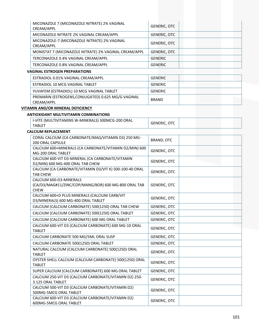| MICONAZOLE 7 (MICONAZOLE NITRATE) 2% VAGINAL<br>CREAM/APPL | <b>GENERIC, OTC</b> |
|------------------------------------------------------------|---------------------|
| MICONAZOLE NITRATE 2% VAGINAL CREAM/APPL                   | <b>GENERIC, OTC</b> |
| MICONAZOLE-7 (MICONAZOLE NITRATE) 2% VAGINAL<br>CREAM/APPL | <b>GENERIC, OTC</b> |
| MONISTAT 7 (MICONAZOLE NITRATE) 2% VAGINAL CREAM/APPL      | <b>GENERIC, OTC</b> |
| TERCONAZOLE 0.4% VAGINAL CREAM/APPL                        | <b>GENERIC</b>      |
| TERCONAZOLE 0.8% VAGINAL CREAM/APPL                        | <b>GENERIC</b>      |
| <b>VAGINAL ESTROGEN PREPARATIONS</b>                       |                     |
| $CCTD A DIOI A QA0I IIA CHIAI CDEARAI ADDI$                | C <sub>DEF</sub>    |

| ESTRADIOL 0.01% VAGINAL CREAM/APPL                                | GENERIC      |  |  |
|-------------------------------------------------------------------|--------------|--|--|
| ESTRADIOL 10 MCG VAGINAL TABLET                                   | GENERIC      |  |  |
| YUVAFEM (ESTRADIOL) 10 MCG VAGINAL TABLET                         | GENERIC      |  |  |
| PREMARIN (ESTROGENS, CONJUGATED) 0.625 MG/G VAGINAL<br>CREAM/APPL | <b>BRAND</b> |  |  |

# **VITAMIN AND/OR MINERAL DEFICIENCY**

### **ANTIOXIDANT MULTIVITAMIN COMBINATIONS**

| ANTIOXIDANT MULTIVITAMIN COMBINATIONS                                                          |                     |  |
|------------------------------------------------------------------------------------------------|---------------------|--|
| I-VITE (MULTIVITAMINS W-MINERALS) 300MCG-200 ORAL<br><b>TABLET</b>                             | <b>GENERIC, OTC</b> |  |
| <b>CALCIUM REPLACEMENT</b>                                                                     |                     |  |
| CORAL CALCIUM (CA CARBONATE/MAG/VITAMIN D3) 250 MG-<br><b>200 ORAL CAPSULE</b>                 | BRAND, OTC          |  |
| CALCIUM 600+MINERALS (CA CARBONATE/VITAMIN D2/MIN) 600<br>MG-200 ORAL TABLET                   | <b>GENERIC, OTC</b> |  |
| CALCIUM 600-VIT D3-MINERAL (CA CARBONATE/VITAMIN<br>D2/MIN) 600 MG-400 ORAL TAB CHEW           | <b>GENERIC, OTC</b> |  |
| CALCIUM (CA CARBONATE/VITAMIN D3/VIT K) 500-100-40 ORAL<br><b>TAB CHEW</b>                     | <b>GENERIC, OTC</b> |  |
| CALCIUM 600-D3-MINERALS<br>(CA/D3/MAG#11/ZINC/COP/MANG/BOR) 600 MG-800 ORAL TAB<br><b>CHEW</b> | GENERIC, OTC        |  |
| CALCIUM 600+D PLUS MINERALS (CALCIUM CARB/VIT<br>D3/MINERALS) 600 MG-400 ORAL TABLET           | <b>GENERIC, OTC</b> |  |
| CALCIUM (CALCIUM CARBONATE) 500(1250) ORAL TAB CHEW                                            | <b>GENERIC, OTC</b> |  |
| CALCIUM (CALCIUM CARBONATE) 500(1250) ORAL TABLET                                              | GENERIC, OTC        |  |
|                                                                                                |                     |  |

| CALCIUM (CALCIUM CARBONATE) 500(1250) ORAL TABLET                           | <b>GENERIC, OTC</b> |  |
|-----------------------------------------------------------------------------|---------------------|--|
| CALCIUM (CALCIUM CARBONATE) 600 MG ORAL TABLET                              | <b>GENERIC, OTC</b> |  |
| CALCIUM 600-VIT D3 (CALCIUM CARBONATE) 600 MG-10 ORAL<br><b>TABLET</b>      | <b>GENERIC, OTC</b> |  |
| CALCIUM CARBONATE 500 MG/5ML ORAL SUSP                                      | <b>GENERIC, OTC</b> |  |
| CALCIUM CARBONATE 500(1250) ORAL TABLET                                     | <b>GENERIC, OTC</b> |  |
| NATURAL CALCIUM (CALCIUM CARBONATE) 500(1250) ORAL<br><b>TABLET</b>         | <b>GENERIC, OTC</b> |  |
| OYSTER SHELL CALCIUM (CALCIUM CARBONATE) 500(1250) ORAL<br><b>TABLET</b>    | <b>GENERIC, OTC</b> |  |
| SUPER CALCIUM (CALCIUM CARBONATE) 600 MG ORAL TABLET                        | <b>GENERIC, OTC</b> |  |
| CALCIUM 250-VIT D3 (CALCIUM CARBONATE/VITAMIN D2) 250-<br>3.125 ORAL TABLET | <b>GENERIC, OTC</b> |  |
| CALCIUM 500-VIT D3 (CALCIUM CARBONATE/VITAMIN D2)<br>500MG-5MCG ORAL TABLET | <b>GENERIC, OTC</b> |  |
| CALCIUM 600-VIT D3 (CALCIUM CARBONATE/VITAMIN D2)<br>600MG-5MCG ORAL TABLET | <b>GENERIC, OTC</b> |  |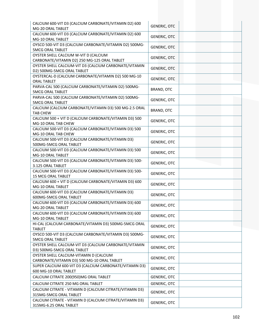| CALCIUM 600-VIT D3 (CALCIUM CARBONATE/VITAMIN D2) 600<br>MG-20 ORAL TABLET             | <b>GENERIC, OTC</b> |  |
|----------------------------------------------------------------------------------------|---------------------|--|
| CALCIUM 600-VIT D3 (CALCIUM CARBONATE/VITAMIN D2) 600<br>MG-10 ORAL TABLET             | <b>GENERIC, OTC</b> |  |
| OYSCO 500-VIT D3 (CALCIUM CARBONATE/VITAMIN D2) 500MG-<br><b>5MCG ORAL TABLET</b>      | <b>GENERIC, OTC</b> |  |
| OYSTER SHELL CALCIUM W-VIT D (CALCIUM<br>CARBONATE/VITAMIN D2) 250 MG-125 ORAL TABLET  | <b>GENERIC, OTC</b> |  |
| OYSTER SHELL CALCIUM-VIT D3 (CALCIUM CARBONATE/VITAMIN                                 | <b>GENERIC, OTC</b> |  |
| D2) 500MG-5MCG ORAL TABLET<br>OYSTERCAL-D (CALCIUM CARBONATE/VITAMIN D2) 500 MG-10     | <b>GENERIC, OTC</b> |  |
| <b>ORAL TABLET</b><br>PARVA-CAL 500 (CALCIUM CARBONATE/VITAMIN D2) 500MG-              | BRAND, OTC          |  |
| <b>5MCG ORAL TABLET</b><br>PARVA-CAL 500 (CALCIUM CARBONATE/VITAMIN D2) 500MG-         | <b>GENERIC, OTC</b> |  |
| <b>5MCG ORAL TABLET</b><br>CALCIUM (CALCIUM CARBONATE/VITAMIN D3) 500 MG-2.5 ORAL      |                     |  |
| <b>TAB CHEW</b><br>CALCIUM 500 + VIT D (CALCIUM CARBONATE/VITAMIN D3) 500              | BRAND, OTC          |  |
| MG-10 ORAL TAB CHEW<br>CALCIUM 500-VIT D3 (CALCIUM CARBONATE/VITAMIN D3) 500           | <b>GENERIC, OTC</b> |  |
| MG-10 ORAL TAB CHEW                                                                    | <b>GENERIC, OTC</b> |  |
| CALCIUM 500-VIT D3 (CALCIUM CARBONATE/VITAMIN D3)<br>500MG-5MCG ORAL TABLET            | <b>GENERIC, OTC</b> |  |
| CALCIUM 500-VIT D3 (CALCIUM CARBONATE/VITAMIN D3) 500<br>MG-10 ORAL TABLET             | <b>GENERIC, OTC</b> |  |
| CALCIUM 500-VIT D3 (CALCIUM CARBONATE/VITAMIN D3) 500-<br>3.125 ORAL TABLET            | <b>GENERIC, OTC</b> |  |
| CALCIUM 500-VIT D3 (CALCIUM CARBONATE/VITAMIN D3) 500-<br>15 MCG ORAL TABLET           | <b>GENERIC, OTC</b> |  |
| CALCIUM 600 + VIT D (CALCIUM CARBONATE/VITAMIN D3) 600<br>MG-10 ORAL TABLET            | <b>GENERIC, OTC</b> |  |
| CALCIUM 600-VIT D3 (CALCIUM CARBONATE/VITAMIN D3)<br>600MG-5MCG ORAL TABLET            | <b>GENERIC, OTC</b> |  |
| CALCIUM 600-VIT D3 (CALCIUM CARBONATE/VITAMIN D3) 600<br>MG-20 ORAL TABLET             | <b>GENERIC, OTC</b> |  |
| CALCIUM 600-VIT D3 (CALCIUM CARBONATE/VITAMIN D3) 600<br>MG-10 ORAL TABLET             | <b>GENERIC, OTC</b> |  |
| HI-CAL (CALCIUM CARBONATE/VITAMIN D3) 500MG-5MCG ORAL<br><b>TABLET</b>                 | <b>GENERIC, OTC</b> |  |
| OYSCO 500-VIT D3 (CALCIUM CARBONATE/VITAMIN D3) 500MG-<br><b>5MCG ORAL TABLET</b>      | GENERIC, OTC        |  |
| OYSTER SHELL CALCIUM-VIT D3 (CALCIUM CARBONATE/VITAMIN<br>D3) 500MG-5MCG ORAL TABLET   | GENERIC, OTC        |  |
| OYSTER SHELL CALCIUM-VITAMIN D (CALCIUM<br>CARBONATE/VITAMIN D3) 500 MG-10 ORAL TABLET | <b>GENERIC, OTC</b> |  |
| SUPER CALCIUM 600-VIT D3 (CALCIUM CARBONATE/VITAMIN D3)<br>600 MG-10 ORAL TABLET       | <b>GENERIC, OTC</b> |  |
| CALCIUM CITRATE 200(950)MG ORAL TABLET                                                 | <b>GENERIC, OTC</b> |  |
| CALCIUM CITRATE 250 MG ORAL TABLET                                                     | <b>GENERIC, OTC</b> |  |
| CALCIUM CITRATE - VITAMIN D (CALCIUM CITRATE/VITAMIN D3)                               | <b>GENERIC, OTC</b> |  |
| 315MG-5MCG ORAL TABLET                                                                 |                     |  |
| CALCIUM CITRATE - VITAMIN D (CALCIUM CITRATE/VITAMIN D3)<br>315MG-6.25 ORAL TABLET     | <b>GENERIC, OTC</b> |  |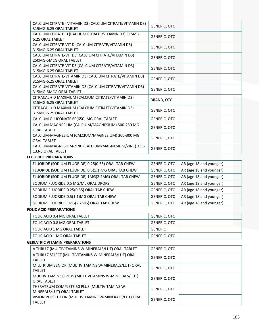| CALCIUM CITRATE - VITAMIN D3 (CALCIUM CITRATE/VITAMIN D3)<br>315MG-6.25 ORAL TABLET | <b>GENERIC, OTC</b> |  |
|-------------------------------------------------------------------------------------|---------------------|--|
| CALCIUM CITRATE-D (CALCIUM CITRATE/VITAMIN D3) 315MG-<br><b>6.25 ORAL TABLET</b>    | <b>GENERIC, OTC</b> |  |
| CALCIUM CITRATE-VIT D (CALCIUM CITRATE/VITAMIN D3)<br>315MG-6.25 ORAL TABLET        | <b>GENERIC, OTC</b> |  |
| CALCIUM CITRATE-VIT D3 (CALCIUM CITRATE/VITAMIN D3)<br>250MG-5MCG ORAL TABLET       | <b>GENERIC, OTC</b> |  |
| CALCIUM CITRATE-VIT D3 (CALCIUM CITRATE/VITAMIN D3)<br>315MG-6.25 ORAL TABLET       | <b>GENERIC, OTC</b> |  |
| CALCIUM CITRATE-VITAMIN D3 (CALCIUM CITRATE/VITAMIN D3)<br>315MG-6.25 ORAL TABLET   | <b>GENERIC, OTC</b> |  |
| CALCIUM CITRATE-VITAMIN D3 (CALCIUM CITRATE/VITAMIN D3)<br>315MG-5MCG ORAL TABLET   | <b>GENERIC, OTC</b> |  |
| CITRACAL + D MAXIMUM (CALCIUM CITRATE/VITAMIN D3)<br>315MG-6.25 ORAL TABLET         | BRAND, OTC          |  |
| CITRACAL + D MAXIMUM (CALCIUM CITRATE/VITAMIN D3)<br>315MG-6.25 ORAL TABLET         | <b>GENERIC, OTC</b> |  |
| CALCIUM GLUCONATE 60(650) MG ORAL TABLET                                            | <b>GENERIC, OTC</b> |  |
| CALCIUM MAGNESIUM (CALCIUM/MAGNESIUM) 500-250 MG<br><b>ORAL TABLET</b>              | <b>GENERIC, OTC</b> |  |
| CALCIUM-MAGNESIUM (CALCIUM/MAGNESIUM) 300-300 MG<br><b>ORAL TABLET</b>              | <b>GENERIC, OTC</b> |  |
| CALCIUM-MAGNESIUM-ZINC (CALCIUM/MAGNESIUM/ZINC) 333-<br>133-5 ORAL TABLET           | <b>GENERIC, OTC</b> |  |

#### **FLUORIDE PREPARATIONS**

| FLUORIDE (SODIUM FLUORIDE) 0.25(0.55) ORAL TAB CHEW | AR (age 18 and younger)<br>GENERIC, OTC        |
|-----------------------------------------------------|------------------------------------------------|
| FLUORIDE (SODIUM FLUORIDE) 0.5(1.1)MG ORAL TAB CHEW | AR (age 18 and younger)<br><b>GENERIC, OTC</b> |
| FLUORIDE (SODIUM FLUORIDE) 1MG(2.2MG) ORAL TAB CHEW | AR (age 18 and younger)<br>GENERIC, OTC        |
| SODIUM FLUORIDE 0.5 MG/ML ORAL DROPS                | AR (age 18 and younger)<br><b>GENERIC, OTC</b> |
| SODIUM FLUORIDE 0.25(0.55) ORAL TAB CHEW            | AR (age 18 and younger)<br><b>GENERIC, OTC</b> |
| SODIUM FLUORIDE 0.5(1.1)MG ORAL TAB CHEW            | AR (age 18 and younger)<br><b>GENERIC, OTC</b> |
| SODIUM FLUORIDE 1MG(2.2MG) ORAL TAB CHEW            | AR (age 18 and younger)<br><b>GENERIC, OTC</b> |
|                                                     |                                                |

## **FOLIC ACID PREPARATIONS**

| FOLIC ACID 0.4 MG ORAL TABLET | GENERIC, OTC |
|-------------------------------|--------------|
| FOLIC ACID 0.8 MG ORAL TABLET | GENERIC, OTC |
| FOLIC ACID 1 MG ORAL TABLET   | GENERIC      |
| FOLIC ACID 1 MG ORAL TABLET   | GENERIC, OTC |

## **GERIATRIC VITAMIN PREPARATIONS**

| A THRU Z (MULTIVITAMINS W-MINERALS/LUT) ORAL TABLET                       | <b>GENERIC, OTC</b> |  |
|---------------------------------------------------------------------------|---------------------|--|
| A THRU Z SELECT (MULTIVITAMINS W-MINERALS/LUT) ORAL<br><b>TABLET</b>      | <b>GENERIC, OTC</b> |  |
| MILLTRIUM SENIOR (MULTIVITAMINS W-MINERALS/LUT) ORAL<br><b>TABLET</b>     | <b>GENERIC, OTC</b> |  |
| MULTIVITAMIN 50 PLUS (MULTIVITAMINS W-MINERALS/LUT)<br><b>ORAL TABLET</b> | <b>GENERIC, OTC</b> |  |
| THERATRUM COMPLETE 50 PLUS (MULTIVITAMINS W-<br>MINERALS/LUT) ORAL TABLET | <b>GENERIC, OTC</b> |  |
| VISION PLUS LUTEIN (MULTIVITAMINS W-MINERALS/LUT) ORAL<br><b>TABLET</b>   | <b>GENERIC, OTC</b> |  |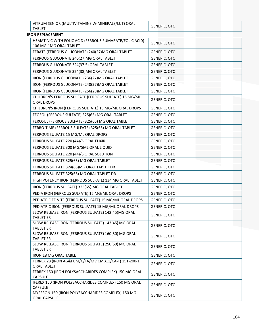VITRUM SENIOR (MULTIVITAMINS W-MINERALS/LUT) ORAL │ GENERIC, OTC │<br>TABLET

| <b>IRON REPLACEMENT</b>                                                           |                     |  |  |
|-----------------------------------------------------------------------------------|---------------------|--|--|
| HEMATINIC WITH FOLIC ACID (FERROUS FUMARATE/FOLIC ACID)<br>106 MG-1MG ORAL TABLET | <b>GENERIC, OTC</b> |  |  |
| FERATE (FERROUS GLUCONATE) 240(27)MG ORAL TABLET                                  | <b>GENERIC, OTC</b> |  |  |
| FERROUS GLUCONATE 240(27)MG ORAL TABLET                                           | <b>GENERIC, OTC</b> |  |  |
| FERROUS GLUCONATE 324(37.5) ORAL TABLET                                           | <b>GENERIC, OTC</b> |  |  |
| FERROUS GLUCONATE 324(38)MG ORAL TABLET                                           | <b>GENERIC, OTC</b> |  |  |
| IRON (FERROUS GLUCONATE) 236(27)MG ORAL TABLET                                    | <b>GENERIC, OTC</b> |  |  |
| IRON (FERROUS GLUCONATE) 240(27)MG ORAL TABLET                                    | <b>GENERIC, OTC</b> |  |  |
| IRON (FERROUS GLUCONATE) 256(28)MG ORAL TABLET                                    | <b>GENERIC, OTC</b> |  |  |
| CHILDREN'S FERROUS SULFATE (FERROUS SULFATE) 15 MG/ML<br><b>ORAL DROPS</b>        | <b>GENERIC, OTC</b> |  |  |
| CHILDREN'S IRON (FERROUS SULFATE) 15 MG/ML ORAL DROPS                             | <b>GENERIC, OTC</b> |  |  |
| FEOSOL (FERROUS SULFATE) 325(65) MG ORAL TABLET                                   | <b>GENERIC, OTC</b> |  |  |
| FEROSUL (FERROUS SULFATE) 325(65) MG ORAL TABLET                                  | <b>GENERIC, OTC</b> |  |  |
| FERRO-TIME (FERROUS SULFATE) 325(65) MG ORAL TABLET                               | <b>GENERIC, OTC</b> |  |  |
| FERROUS SULFATE 15 MG/ML ORAL DROPS                                               | <b>GENERIC, OTC</b> |  |  |
| FERROUS SULFATE 220 (44)/5 ORAL ELIXIR                                            | <b>GENERIC, OTC</b> |  |  |
| FERROUS SULFATE 300 MG/5ML ORAL LIQUID                                            | <b>GENERIC, OTC</b> |  |  |
| FERROUS SULFATE 220 (44)/5 ORAL SOLUTION                                          | <b>GENERIC, OTC</b> |  |  |
| FERROUS SULFATE 325(65) MG ORAL TABLET                                            | <b>GENERIC, OTC</b> |  |  |
| FERROUS SULFATE 324(65)MG ORAL TABLET DR                                          | <b>GENERIC, OTC</b> |  |  |
| FERROUS SULFATE 325(65) MG ORAL TABLET DR                                         | GENERIC, OTC        |  |  |
| HIGH POTENCY IRON (FERROUS SULFATE) 134 MG ORAL TABLET                            | <b>GENERIC, OTC</b> |  |  |
| IRON (FERROUS SULFATE) 325(65) MG ORAL TABLET                                     | <b>GENERIC, OTC</b> |  |  |
| PEDIA IRON (FERROUS SULFATE) 15 MG/ML ORAL DROPS                                  | <b>GENERIC, OTC</b> |  |  |
| PEDIATRIC FE-VITE (FERROUS SULFATE) 15 MG/ML ORAL DROPS                           | <b>GENERIC, OTC</b> |  |  |
| PEDIATRIC IRON (FERROUS SULFATE) 15 MG/ML ORAL DROPS                              | <b>GENERIC, OTC</b> |  |  |
| SLOW RELEASE IRON (FERROUS SULFATE) 142(45)MG ORAL<br><b>TABLET ER</b>            | <b>GENERIC, OTC</b> |  |  |
| SLOW RELEASE IRON (FERROUS SULFATE) 143(45) MG ORAL<br><b>TABLET ER</b>           | <b>GENERIC, OTC</b> |  |  |
| SLOW RELEASE IRON (FERROUS SULFATE) 160(50) MG ORAL<br><b>TABLET ER</b>           | <b>GENERIC, OTC</b> |  |  |
| SLOW RELEASE IRON (FERROUS SULFATE) 250(50) MG ORAL<br><b>TABLET ER</b>           | <b>GENERIC, OTC</b> |  |  |
| IRON 18 MG ORAL TABLET                                                            | <b>GENERIC, OTC</b> |  |  |
| FERREX 28 (IRON AG&FUM/C/FA/MV CMB11/CA-T) 151-200-1<br><b>ORAL TABLET</b>        | <b>GENERIC, OTC</b> |  |  |
| FERREX 150 (IRON POLYSACCHARIDES COMPLEX) 150 MG ORAL<br><b>CAPSULE</b>           | <b>GENERIC, OTC</b> |  |  |
| IFEREX 150 (IRON POLYSACCHARIDES COMPLEX) 150 MG ORAL<br><b>CAPSULE</b>           | <b>GENERIC, OTC</b> |  |  |
| MYFERON 150 (IRON POLYSACCHARIDES COMPLEX) 150 MG<br>ORAL CAPSULE                 | GENERIC, OTC        |  |  |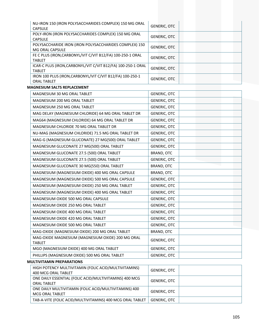| NU-IRON 150 (IRON POLYSACCHARIDES COMPLEX) 150 MG ORAL                          | <b>GENERIC, OTC</b> |
|---------------------------------------------------------------------------------|---------------------|
| <b>CAPSULE</b>                                                                  |                     |
| POLY-IRON (IRON POLYSACCHARIDES COMPLEX) 150 MG ORAL<br><b>CAPSULE</b>          | <b>GENERIC, OTC</b> |
| POLYSACCHARIDE IRON (IRON POLYSACCHARIDES COMPLEX) 150<br>MG ORAL CAPSULE       | <b>GENERIC, OTC</b> |
| FE C PLUS (IRON, CARBONYL/VIT C/VIT B12/FA) 100-250-1 ORAL<br><b>TABLET</b>     | <b>GENERIC, OTC</b> |
| ICAR-C PLUS (IRON, CARBONYL/VIT C/VIT B12/FA) 100-250-1 ORAL<br><b>TABLET</b>   | <b>GENERIC, OTC</b> |
| IRON 100 PLUS (IRON, CARBONYL/VIT C/VIT B12/FA) 100-250-1<br><b>ORAL TABLET</b> | <b>GENERIC, OTC</b> |
| <b>MAGNESIUM SALTS REPLACEMENT</b>                                              |                     |
| MAGNESIUM 30 MG ORAL TABLET                                                     | <b>GENERIC, OTC</b> |
| MAGNESIUM 200 MG ORAL TABLET                                                    | <b>GENERIC, OTC</b> |
| MAGNESIUM 250 MG ORAL TABLET                                                    | <b>GENERIC, OTC</b> |
| MAG DELAY (MAGNESIUM CHLORIDE) 64 MG ORAL TABLET DR                             | <b>GENERIC, OTC</b> |
| MAG64 (MAGNESIUM CHLORIDE) 64 MG ORAL TABLET DR                                 | <b>GENERIC, OTC</b> |
| MAGNESIUM CHLORIDE 70 MG ORAL TABLET DR                                         | <b>GENERIC, OTC</b> |
| NU-MAG (MAGNESIUM CHLORIDE) 71.5 MG ORAL TABLET DR                              | <b>GENERIC, OTC</b> |
| MAG-G (MAGNESIUM GLUCONATE) 27 MG(500) ORAL TABLET                              | <b>GENERIC, OTC</b> |
| MAGNESIUM GLUCONATE 27 MG(500) ORAL TABLET                                      | <b>GENERIC, OTC</b> |
| MAGNESIUM GLUCONATE 27.5 (500) ORAL TABLET                                      | BRAND, OTC          |
| MAGNESIUM GLUCONATE 27.5 (500) ORAL TABLET                                      | GENERIC, OTC        |
| MAGNESIUM GLUCONATE 30 MG(550) ORAL TABLET                                      | BRAND, OTC          |
| MAGNESIUM (MAGNESIUM OXIDE) 400 MG ORAL CAPSULE                                 | BRAND, OTC          |
| MAGNESIUM (MAGNESIUM OXIDE) 500 MG ORAL CAPSULE                                 | <b>GENERIC, OTC</b> |
| MAGNESIUM (MAGNESIUM OXIDE) 250 MG ORAL TABLET                                  | <b>GENERIC, OTC</b> |
| MAGNESIUM (MAGNESIUM OXIDE) 400 MG ORAL TABLET                                  | <b>GENERIC, OTC</b> |
| MAGNESIUM OXIDE 500 MG ORAL CAPSULE                                             | GENERIC, OTC        |
| MAGNESIUM OXIDE 250 MG ORAL TABLET                                              | <b>GENERIC, OTC</b> |
| MAGNESIUM OXIDE 400 MG ORAL TABLET                                              | <b>GENERIC, OTC</b> |
| MAGNESIUM OXIDE 420 MG ORAL TABLET                                              | <b>GENERIC, OTC</b> |
| MAGNESIUM OXIDE 500 MG ORAL TABLET                                              | <b>GENERIC, OTC</b> |
| MAG-OXIDE (MAGNESIUM OXIDE) 200 MG ORAL TABLET                                  | BRAND, OTC          |
| MAG-OXIDE MAGNESIUM (MAGNESIUM OXIDE) 200 MG ORAL<br><b>TABLET</b>              | <b>GENERIC, OTC</b> |
| MGO (MAGNESIUM OXIDE) 400 MG ORAL TABLET                                        | <b>GENERIC, OTC</b> |
| PHILLIPS (MAGNESIUM OXIDE) 500 MG ORAL TABLET                                   | <b>GENERIC, OTC</b> |
| <b>MULTIVITAMIN PREPARATIONS</b>                                                |                     |
| HIGH POTENCY MULTIVITAMIN (FOLIC ACID/MULTIVITAMINS)                            |                     |

| HIGH POTENCY MULTIVITAMIN (FOLIC ACID/MULTIVITAMINS)<br>400 MCG ORAL TABLET  | <b>GENERIC, OTC</b> |  |
|------------------------------------------------------------------------------|---------------------|--|
| ONE DAILY ESSENTIAL (FOLIC ACID/MULTIVITAMINS) 400 MCG<br><b>ORAL TABLET</b> | <b>GENERIC, OTC</b> |  |
| ONE DAILY MULTIVITAMIN (FOLIC ACID/MULTIVITAMINS) 400<br>MCG ORAL TABLET     | <b>GENERIC, OTC</b> |  |
| TAB-A-VITE (FOLIC ACID/MULTIVITAMINS) 400 MCG ORAL TABLET                    | <b>GENERIC, OTC</b> |  |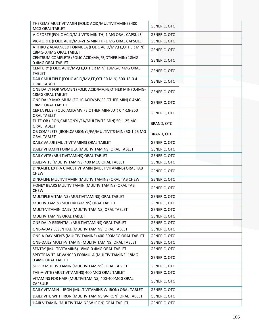| THEREMS MULTIVITAMIN (FOLIC ACID/MULTIVITAMINS) 400<br>MCG ORAL TABLET             | <b>GENERIC, OTC</b> |
|------------------------------------------------------------------------------------|---------------------|
| V-C FORTE (FOLIC ACID/MU-VITS-MIN TH) 1 MG ORAL CAPSULE                            | <b>GENERIC, OTC</b> |
| VIC-FORTE (FOLIC ACID/MU-VITS-MIN TH) 1 MG ORAL CAPSULE                            | <b>GENERIC, OTC</b> |
| A THRU Z ADVANCED FORMULA (FOLIC ACID/MV, FE, OTHER MIN)                           |                     |
| 18MG-0.4MG ORAL TABLET                                                             | <b>GENERIC, OTC</b> |
| CENTRUM COMPLETE (FOLIC ACID/MV, FE, OTHER MIN) 18MG-<br>0.4MG ORAL TABLET         | <b>GENERIC, OTC</b> |
| CENTURY (FOLIC ACID/MV, FE, OTHER MIN) 18MG-0.4MG ORAL<br><b>TABLET</b>            | <b>GENERIC, OTC</b> |
| DAILY MULTIPLE (FOLIC ACID/MV, FE, OTHER MIN) 500-18-0.4<br><b>ORAL TABLET</b>     | <b>GENERIC, OTC</b> |
| ONE DAILY FOR WOMEN (FOLIC ACID/MV,FE,OTHER MIN) 0.4MG-<br><b>18MG ORAL TABLET</b> | <b>GENERIC, OTC</b> |
| ONE DAILY MAXIMUM (FOLIC ACID/MV, FE, OTHER MIN) 0.4MG-<br><b>18MG ORAL TABLET</b> | GENERIC, OTC        |
| CERTA PLUS (FOLIC ACID/MV, FE, OTHER MIN/LUT) 0.4-18-250<br><b>ORAL TABLET</b>     | <b>GENERIC, OTC</b> |
| ELITE-OB (IRON, CARBONYL/FA/MULTIVITS-MIN) 50-1.25 MG<br><b>ORAL TABLET</b>        | BRAND, OTC          |
| OB COMPLETE (IRON, CARBONYL/FA/MULTIVITS-MIN) 50-1.25 MG<br><b>ORAL TABLET</b>     | BRAND, OTC          |
| DAILY VALUE (MULTIVITAMINS) ORAL TABLET                                            | <b>GENERIC, OTC</b> |
| DAILY VITAMIN FORMULA (MULTIVITAMINS) ORAL TABLET                                  | <b>GENERIC, OTC</b> |
| DAILY VITE (MULTIVITAMINS) ORAL TABLET                                             | <b>GENERIC, OTC</b> |
| DAILY-VITE (MULTIVITAMINS) 400 MCG ORAL TABLET                                     | <b>GENERIC, OTC</b> |
| DINO-LIFE EXTRA C MULTIVITAMIN (MULTIVITAMINS) ORAL TAB<br><b>CHEW</b>             | <b>GENERIC, OTC</b> |
| DINO-LIFE MULTIVITAMIN (MULTIVITAMINS) ORAL TAB CHEW                               | <b>GENERIC, OTC</b> |
| HONEY BEARS MULTIVITAMIN (MULTIVITAMINS) ORAL TAB<br><b>CHEW</b>                   | <b>GENERIC, OTC</b> |
| MULTIPLE VITAMINS (MULTIVITAMINS) ORAL TABLET                                      | GENERIC, OTC        |
| MULTIVITAMIN (MULTIVITAMINS) ORAL TABLET                                           | <b>GENERIC, OTC</b> |
| MULTI-VITAMIN DAILY (MULTIVITAMINS) ORAL TABLET                                    | <b>GENERIC, OTC</b> |
| MULTIVITAMINS ORAL TABLET                                                          | <b>GENERIC, OTC</b> |
| ONE DAILY ESSENTIAL (MULTIVITAMINS) ORAL TABLET                                    | <b>GENERIC, OTC</b> |
| ONE-A-DAY ESSENTIAL (MULTIVITAMINS) ORAL TABLET                                    | GENERIC, OTC        |
| ONE-A-DAY MEN'S (MULTIVITAMINS) 400-300MCG ORAL TABLET                             | <b>GENERIC, OTC</b> |
| ONE-DAILY MULTI-VITAMIN (MULTIVITAMINS) ORAL TABLET                                | <b>GENERIC, OTC</b> |
| SENTRY (MULTIVITAMINS) 18MG-0.4MG ORAL TABLET                                      | <b>GENERIC, OTC</b> |
| SPECTRAVITE ADVANCED FORMULA (MULTIVITAMINS) 18MG-<br>0.4MG ORAL TABLET            | <b>GENERIC, OTC</b> |
| SUPER MULTIVITAMIN (MULTIVITAMINS) ORAL TABLET                                     | GENERIC, OTC        |
| TAB-A-VITE (MULTIVITAMINS) 400 MCG ORAL TABLET                                     | <b>GENERIC, OTC</b> |
| VITAMINS FOR HAIR (MULTIVITAMINS) 400-400MCG ORAL<br><b>CAPSULE</b>                | <b>GENERIC, OTC</b> |
| DAILY VITAMIN + IRON (MULTIVITAMINS W-IRON) ORAL TABLET                            | <b>GENERIC, OTC</b> |
| DAILY VITE WITH IRON (MULTIVITAMINS W-IRON) ORAL TABLET                            | <b>GENERIC, OTC</b> |
| HAIR VITAMIN (MULTIVITAMINS W-IRON) ORAL TABLET                                    | <b>GENERIC, OTC</b> |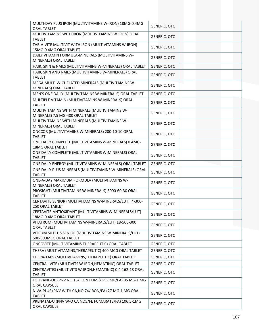| MULTI-DAY PLUS IRON (MULTIVITAMINS W-IRON) 18MG-0.4MG<br><b>ORAL TABLET</b>       | <b>GENERIC, OTC</b> |  |
|-----------------------------------------------------------------------------------|---------------------|--|
| MULTIVITAMINS WITH IRON (MULTIVITAMINS W-IRON) ORAL<br><b>TABLET</b>              | GENERIC, OTC        |  |
| TAB-A-VITE MULTIVIT WITH IRON (MULTIVITAMINS W-IRON)<br>15MG-0.4MG ORAL TABLET    | <b>GENERIC, OTC</b> |  |
| DAILY VITAMIN FORMULA-MINERALS (MULTIVITAMINS W-<br>MINERALS) ORAL TABLET         | <b>GENERIC, OTC</b> |  |
| HAIR, SKIN & NAILS (MULTIVITAMINS W-MINERALS) ORAL TABLET                         | <b>GENERIC, OTC</b> |  |
| HAIR, SKIN AND NAILS (MULTIVITAMINS W-MINERALS) ORAL<br><b>TABLET</b>             | <b>GENERIC, OTC</b> |  |
| MEGA MULTI W-CHELATED MINERALS (MULTIVITAMINS W-<br>MINERALS) ORAL TABLET         | <b>GENERIC, OTC</b> |  |
| MEN'S ONE DAILY (MULTIVITAMINS W-MINERALS) ORAL TABLET                            | <b>GENERIC, OTC</b> |  |
| MULTIPLE VITAMIN (MULTIVITAMINS W-MINERALS) ORAL<br><b>TABLET</b>                 | <b>GENERIC, OTC</b> |  |
| MULTIVITAMINS WITH MINERALS (MULTIVITAMINS W-<br>MINERALS) 7.5 MG-400 ORAL TABLET | GENERIC, OTC        |  |
| MULTIVITAMINS WITH MINERALS (MULTIVITAMINS W-<br>MINERALS) ORAL TABLET            | <b>GENERIC, OTC</b> |  |
| ONCCOR (MULTIVITAMINS W-MINERALS) 200-10-10 ORAL<br><b>TABLET</b>                 | <b>GENERIC, OTC</b> |  |
| ONE DAILY COMPLETE (MULTIVITAMINS W-MINERALS) 0.4MG-<br><b>18MG ORAL TABLET</b>   | <b>GENERIC, OTC</b> |  |
| ONE DAILY COMPLETE (MULTIVITAMINS W-MINERALS) ORAL<br><b>TABLET</b>               | <b>GENERIC, OTC</b> |  |
| ONE DAILY ENERGY (MULTIVITAMINS W-MINERALS) ORAL TABLET                           | GENERIC, OTC        |  |
| ONE DAILY PLUS MINERALS (MULTIVITAMINS W-MINERALS) ORAL<br><b>TABLET</b>          | <b>GENERIC, OTC</b> |  |
| ONE-A-DAY MAXIMUM FORMULA (MULTIVITAMINS W-<br>MINERALS) ORAL TABLET              | <b>GENERIC, OTC</b> |  |
| PROSIGHT (MULTIVITAMINS W-MINERALS) 5000-60-30 ORAL<br><b>TABLET</b>              | <b>GENERIC, OTC</b> |  |
| CERTAVITE SENIOR (MULTIVITAMINS W-MINERALS/LUT) .4-300-<br>250 ORAL TABLET        | <b>GENERIC, OTC</b> |  |
| CERTAVITE-ANTIOXIDANT (MULTIVITAMINS W-MINERALS/LUT)<br>18MG-0.4MG ORAL TABLET    | <b>GENERIC, OTC</b> |  |
| VITATRUM (MULTIVITAMINS W-MINERALS/LUT) 18-500-300<br><b>ORAL TABLET</b>          | <b>GENERIC, OTC</b> |  |
| VITRUM 50 PLUS SENIOR (MULTIVITAMINS W-MINERALS/LUT)<br>500-300MCG ORAL TABLET    | <b>GENERIC, OTC</b> |  |
| ONCOVITE (MULTIVITAMINS, THERAPEUTIC) ORAL TABLET                                 | <b>GENERIC, OTC</b> |  |
| THERA (MULTIVITAMINS, THERAPEUTIC) 400 MCG ORAL TABLET                            | GENERIC, OTC        |  |
| THERA-TABS (MULTIVITAMINS, THERAPEUTIC) ORAL TABLET                               | <b>GENERIC, OTC</b> |  |
| CENTRAL-VITE (MULTIVITS W-IRON, HEMATINIC) ORAL TABLET                            | <b>GENERIC, OTC</b> |  |
| CENTRAVITES (MULTIVITS W-IRON, HEMATINIC) 0.4-162-18 ORAL<br><b>TABLET</b>        | <b>GENERIC, OTC</b> |  |
| FOLIVANE-OB (PNV NO.15/IRON FUM & PS CMP/FA) 85 MG-1 MG<br>ORAL CAPSULE           | <b>GENERIC, OTC</b> |  |
| NIVA-PLUS (PNV WITH CA, NO. 74/IRON/FA) 27 MG-1 MG ORAL<br><b>TABLET</b>          | <b>GENERIC, OTC</b> |  |
| PRENATAL-U (PNV W-O CA NO5/FE FUMARATE/FA) 106.5-1MG<br>ORAL CAPSULE              | <b>GENERIC, OTC</b> |  |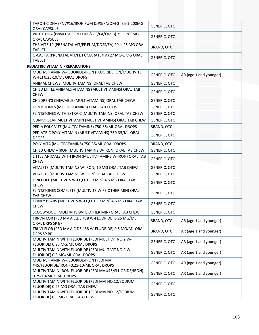| TARON-C DHA (PNV#16/IRON FUM & PS/FA/OM-3) 35-1-200MG<br><b>ORAL CAPSULE</b> | <b>GENERIC, OTC</b> |
|------------------------------------------------------------------------------|---------------------|
| VIRT-C DHA (PNV#16/IRON FUM & PS/FA/OM-3) 35-1-200MG<br><b>ORAL CAPSULE</b>  | <b>GENERIC, OTC</b> |
| THRIVITE 19 (PRENATAL VIT/FE FUM/DOSS/FA) 29-1-25 MG ORAL<br><b>TABLET</b>   | BRAND, OTC          |
| O-CAL FA (PRENATAL VIT/FE FUMARATE/FA) 27 MG-1 MG ORAL<br><b>TABLET</b>      | <b>GENERIC, OTC</b> |

## **PEDIATRIC VITAMIN PREPARATIONS**

| MULTI-VITAMIN W-FLUORIDE-IRON (FLUORIDE ION/MULTIVITS<br>W-FE) 0.25-10/ML ORAL DROPS | <b>GENERIC, OTC</b> | AR (age 1 and younger) |
|--------------------------------------------------------------------------------------|---------------------|------------------------|
| ANIMAL CHEWS (MULTIVITAMINS) ORAL TAB CHEW                                           | <b>GENERIC, OTC</b> |                        |
| CHILD LITTLE ANIMALS VITAMINS (MULTIVITAMINS) ORAL TAB<br><b>CHEW</b>                | <b>GENERIC, OTC</b> |                        |
| CHILDREN'S CHEWABLE (MULTIVITAMINS) ORAL TAB CHEW                                    | <b>GENERIC, OTC</b> |                        |
| FLINTSTONES (MULTIVITAMINS) ORAL TAB CHEW                                            | GENERIC, OTC        |                        |
| FLINTSTONES WITH EXTRA C (MULTIVITAMINS) ORAL TAB CHEW                               | <b>GENERIC, OTC</b> |                        |
| GUMMI BEAR MULTIVITAMIN (MULTIVITAMINS) ORAL TAB CHEW                                | <b>GENERIC, OTC</b> |                        |
| PEDIA POLY-VITE (MULTIVITAMINS) 750-35/ML ORAL DROPS                                 | <b>BRAND, OTC</b>   |                        |
| PEDIATRIC POLY-VITAMIN (MULTIVITAMINS) 750-35/ML ORAL<br><b>DROPS</b>                | <b>GENERIC, OTC</b> |                        |
| POLY-VITA (MULTIVITAMINS) 750-35/ML ORAL DROPS                                       | BRAND, OTC          |                        |
| CHILD CHEW + IRON (MULTIVITAMINS W-IRON) ORAL TAB CHEW                               | <b>GENERIC, OTC</b> |                        |
| LITTLE ANIMALS WITH IRON (MULTIVITAMINS W-IRON) ORAL TAB<br><b>CHEW</b>              | <b>GENERIC, OTC</b> |                        |
| VITALETS (MULTIVITAMINS W-IRON) 10 MG ORAL TAB CHEW                                  | <b>GENERIC, OTC</b> |                        |
| VITALETS (MULTIVITAMINS W-IRON) ORAL TAB CHEW                                        | <b>GENERIC, OTC</b> |                        |
| DINO-LIFE (MULTIVITS W-FE, OTHER MIN) 4.5 MG ORAL TAB<br><b>CHEW</b>                 | <b>GENERIC, OTC</b> |                        |
| FLINTSTONES COMPLETE (MULTIVITS W-FE, OTHER MIN) ORAL<br><b>TAB CHEW</b>             | <b>GENERIC, OTC</b> |                        |
| HONEY BEARS (MULTIVITS W-FE, OTHER MIN) 4.5 MG ORAL TAB<br><b>CHEW</b>               | <b>GENERIC, OTC</b> |                        |
| SCOOBY-DOO (MULTIVITS W-FE, OTHER MIN) ORAL TAB CHEW                                 | <b>GENERIC, OTC</b> |                        |
| TRI-VI-FLOR (PED MV A,C,D3 #38 W-FLUORIDE) 0.25 MG/ML<br>ORAL DRPS SP BP             | BRAND, OTC          | AR (age 1 and younger) |
| TRI-VI-FLOR (PED MV A,C,D3 #38 W-FLUORIDE) 0.5 MG/ML ORAL<br><b>DRPS SP BP</b>       | BRAND, OTC          | AR (age 1 and younger) |
| MULTIVITAMIN WITH FLUORIDE (PEDI MULTIVIT NO.2 W-<br>FLUORIDE) 0.25 MG/ML ORAL DROPS | <b>GENERIC, OTC</b> | AR (age 1 and younger) |
| MULTIVITAMIN WITH FLUORIDE (PEDI MULTIVIT NO.2 W-<br>FLUORIDE) 0.5 MG/ML ORAL DROPS  | <b>GENERIC, OTC</b> | AR (age 1 and younger) |
| MULTI-VITAMIN W-FLUORIDE-IRON (PEDI MV<br>#45/FLUORIDE/IRON) 0.25-10/ML ORAL DROPS   | <b>GENERIC, OTC</b> | AR (age 1 and younger) |
| MULTIVITAMIN-IRON-FLUORIDE (PEDI MV #45/FLUORIDE/IRON)<br>0.25-10/ML ORAL DROPS      | <b>GENERIC, OTC</b> | AR (age 1 and younger) |
| MULTIVITAMIN WITH FLUORIDE (PEDI MVI NO.12/SODIUM<br>FLUORIDE) 0.25 MG ORAL TAB CHEW | <b>GENERIC, OTC</b> |                        |
| MULTIVITAMIN WITH FLUORIDE (PEDI MVI NO.12/SODIUM<br>FLUORIDE) 0.5 MG ORAL TAB CHEW  | <b>GENERIC, OTC</b> |                        |
|                                                                                      |                     |                        |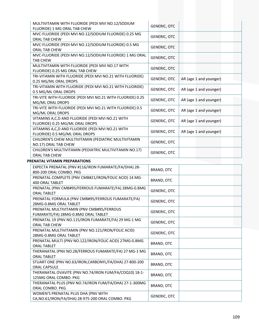| MVC-FLUORIDE (PEDI MVI NO.12/SODIUM FLUORIDE) 0.25 MG<br><b>GENERIC, OTC</b><br>ORAL TAB CHEW<br>MVC-FLUORIDE (PEDI MVI NO.12/SODIUM FLUORIDE) 0.5 MG<br><b>GENERIC, OTC</b><br>ORAL TAB CHEW<br>MVC-FLUORIDE (PEDI MVI NO.12/SODIUM FLUORIDE) 1 MG ORAL<br><b>GENERIC, OTC</b><br><b>TAB CHEW</b><br>MULTIVITAMIN WITH FLUORIDE (PEDI MVI NO.17 WITH<br><b>GENERIC, OTC</b><br>FLUORIDE) 0.25 MG ORAL TAB CHEW<br>TRI-VITAMIN WITH FLUORIDE (PEDI MVI NO.21 WITH FLUORIDE)<br>AR (age 1 and younger)<br><b>GENERIC, OTC</b><br>0.25 MG/ML ORAL DROPS<br>TRI-VITAMIN WITH FLUORIDE (PEDI MVI NO.21 WITH FLUORIDE)<br><b>GENERIC, OTC</b><br>AR (age 1 and younger)<br>0.5 MG/ML ORAL DROPS<br>TRI-VITE WITH FLUORIDE (PEDI MVI NO.21 WITH FLUORIDE) 0.25<br><b>GENERIC, OTC</b><br>AR (age 1 and younger)<br>MG/ML ORAL DROPS<br>TRI-VITE WITH FLUORIDE (PEDI MVI NO.21 WITH FLUORIDE) 0.5<br><b>GENERIC, OTC</b><br>AR (age 1 and younger)<br>MG/ML ORAL DROPS<br>VITAMINS A, C, D AND FLUORIDE (PEDI MVI NO.21 WITH<br><b>GENERIC, OTC</b><br>AR (age 1 and younger)<br>FLUORIDE) 0.25 MG/ML ORAL DROPS<br>VITAMINS A, C, D AND FLUORIDE (PEDI MVI NO.21 WITH<br><b>GENERIC, OTC</b><br>AR (age 1 and younger)<br>FLUORIDE) 0.5 MG/ML ORAL DROPS<br>CHILDREN'S CHEW MULTIVITAMIN (PEDIATRIC MULTIVITAMIN<br><b>GENERIC, OTC</b><br>NO.17) ORAL TAB CHEW<br>CHILDREN'S MULTIVITAMIN (PEDIATRIC MULTIVITAMIN NO.17)<br><b>GENERIC, OTC</b><br>ORAL TAB CHEW<br>EXPECTA PRENATAL (PNV #116/IRON FUMARATE/FA/DHA) 28-<br>BRAND, OTC<br>800-200 ORAL COMBO. PKG<br>PRENATAL COMPLETE (PNV CMB#21/IRON/FOLIC ACID) 14 MG-<br>BRAND, OTC<br>400 ORAL TABLET<br>PRENATAL (PNV CMB#95/FERROUS FUMARATE/FA) 28MG-0.8MG<br><b>GENERIC, OTC</b><br><b>ORAL TABLET</b><br>PRENATAL FORMULA (PNV CMB#95/FERROUS FUMARATE/FA)<br><b>GENERIC, OTC</b><br>28MG-0.8MG ORAL TABLET<br>PRENATAL MULTIVITAMIN (PNV CMB#95/FERROUS<br><b>GENERIC, OTC</b><br>FUMARATE/FA) 28MG-0.8MG ORAL TABLET<br>PRENATAL 19 (PNV NO.115/IRON FUMARATE/FA) 29 MG-1 MG<br><b>GENERIC, OTC</b><br>ORAL TAB CHEW<br>PRENATAL MULTIVITAMIN (PNV NO.121/IRON/FOLIC ACID)<br><b>GENERIC, OTC</b><br>28MG-0.8MG ORAL TABLET<br>PRENATAL MULTI (PNV NO.122/IRON/FOLIC ACID) 27MG-0.8MG<br>BRAND, OTC<br><b>ORAL TABLET</b><br>THERANATAL (PNV NO.28/FERROUS FUMARATE/FA) 27 MG-1 MG<br>BRAND, OTC<br><b>ORAL TABLET</b><br>STUART ONE (PNV NO.63/IRON, CARBONYL/FA/DHA) 27-800-200<br>BRAND, OTC<br>ORAL CAPSULE<br>THERANATAL OVAVITE (PNV NO.74/IRON FUM/FA/COQ10) 18-1-<br>BRAND, OTC<br>125MG ORAL COMBO. PKG<br>THERANATAL PLUS (PNV NO.74/IRON FUM/FA/DHA) 27-1-300MG<br>BRAND, OTC<br>ORAL COMBO. PKG<br>WOMEN'S PRENATAL PLUS DHA (PNV WITH<br>GENERIC, OTC<br>CA, NO.61/IRON/FA/DHA) 28-975-200 ORAL COMBO. PKG | MULTIVITAMIN WITH FLUORIDE (PEDI MVI NO.12/SODIUM | <b>GENERIC, OTC</b> |  |
|---------------------------------------------------------------------------------------------------------------------------------------------------------------------------------------------------------------------------------------------------------------------------------------------------------------------------------------------------------------------------------------------------------------------------------------------------------------------------------------------------------------------------------------------------------------------------------------------------------------------------------------------------------------------------------------------------------------------------------------------------------------------------------------------------------------------------------------------------------------------------------------------------------------------------------------------------------------------------------------------------------------------------------------------------------------------------------------------------------------------------------------------------------------------------------------------------------------------------------------------------------------------------------------------------------------------------------------------------------------------------------------------------------------------------------------------------------------------------------------------------------------------------------------------------------------------------------------------------------------------------------------------------------------------------------------------------------------------------------------------------------------------------------------------------------------------------------------------------------------------------------------------------------------------------------------------------------------------------------------------------------------------------------------------------------------------------------------------------------------------------------------------------------------------------------------------------------------------------------------------------------------------------------------------------------------------------------------------------------------------------------------------------------------------------------------------------------------------------------------------------------------------------------------------------------------------------------------------------------------------------------------------------------------------------------------------------------------------------------------------------------------------------------|---------------------------------------------------|---------------------|--|
|                                                                                                                                                                                                                                                                                                                                                                                                                                                                                                                                                                                                                                                                                                                                                                                                                                                                                                                                                                                                                                                                                                                                                                                                                                                                                                                                                                                                                                                                                                                                                                                                                                                                                                                                                                                                                                                                                                                                                                                                                                                                                                                                                                                                                                                                                                                                                                                                                                                                                                                                                                                                                                                                                                                                                                                 | FLUORIDE) 1 MG ORAL TAB CHEW                      |                     |  |
|                                                                                                                                                                                                                                                                                                                                                                                                                                                                                                                                                                                                                                                                                                                                                                                                                                                                                                                                                                                                                                                                                                                                                                                                                                                                                                                                                                                                                                                                                                                                                                                                                                                                                                                                                                                                                                                                                                                                                                                                                                                                                                                                                                                                                                                                                                                                                                                                                                                                                                                                                                                                                                                                                                                                                                                 |                                                   |                     |  |
|                                                                                                                                                                                                                                                                                                                                                                                                                                                                                                                                                                                                                                                                                                                                                                                                                                                                                                                                                                                                                                                                                                                                                                                                                                                                                                                                                                                                                                                                                                                                                                                                                                                                                                                                                                                                                                                                                                                                                                                                                                                                                                                                                                                                                                                                                                                                                                                                                                                                                                                                                                                                                                                                                                                                                                                 |                                                   |                     |  |
|                                                                                                                                                                                                                                                                                                                                                                                                                                                                                                                                                                                                                                                                                                                                                                                                                                                                                                                                                                                                                                                                                                                                                                                                                                                                                                                                                                                                                                                                                                                                                                                                                                                                                                                                                                                                                                                                                                                                                                                                                                                                                                                                                                                                                                                                                                                                                                                                                                                                                                                                                                                                                                                                                                                                                                                 |                                                   |                     |  |
|                                                                                                                                                                                                                                                                                                                                                                                                                                                                                                                                                                                                                                                                                                                                                                                                                                                                                                                                                                                                                                                                                                                                                                                                                                                                                                                                                                                                                                                                                                                                                                                                                                                                                                                                                                                                                                                                                                                                                                                                                                                                                                                                                                                                                                                                                                                                                                                                                                                                                                                                                                                                                                                                                                                                                                                 |                                                   |                     |  |
|                                                                                                                                                                                                                                                                                                                                                                                                                                                                                                                                                                                                                                                                                                                                                                                                                                                                                                                                                                                                                                                                                                                                                                                                                                                                                                                                                                                                                                                                                                                                                                                                                                                                                                                                                                                                                                                                                                                                                                                                                                                                                                                                                                                                                                                                                                                                                                                                                                                                                                                                                                                                                                                                                                                                                                                 |                                                   |                     |  |
|                                                                                                                                                                                                                                                                                                                                                                                                                                                                                                                                                                                                                                                                                                                                                                                                                                                                                                                                                                                                                                                                                                                                                                                                                                                                                                                                                                                                                                                                                                                                                                                                                                                                                                                                                                                                                                                                                                                                                                                                                                                                                                                                                                                                                                                                                                                                                                                                                                                                                                                                                                                                                                                                                                                                                                                 |                                                   |                     |  |
|                                                                                                                                                                                                                                                                                                                                                                                                                                                                                                                                                                                                                                                                                                                                                                                                                                                                                                                                                                                                                                                                                                                                                                                                                                                                                                                                                                                                                                                                                                                                                                                                                                                                                                                                                                                                                                                                                                                                                                                                                                                                                                                                                                                                                                                                                                                                                                                                                                                                                                                                                                                                                                                                                                                                                                                 |                                                   |                     |  |
|                                                                                                                                                                                                                                                                                                                                                                                                                                                                                                                                                                                                                                                                                                                                                                                                                                                                                                                                                                                                                                                                                                                                                                                                                                                                                                                                                                                                                                                                                                                                                                                                                                                                                                                                                                                                                                                                                                                                                                                                                                                                                                                                                                                                                                                                                                                                                                                                                                                                                                                                                                                                                                                                                                                                                                                 |                                                   |                     |  |
|                                                                                                                                                                                                                                                                                                                                                                                                                                                                                                                                                                                                                                                                                                                                                                                                                                                                                                                                                                                                                                                                                                                                                                                                                                                                                                                                                                                                                                                                                                                                                                                                                                                                                                                                                                                                                                                                                                                                                                                                                                                                                                                                                                                                                                                                                                                                                                                                                                                                                                                                                                                                                                                                                                                                                                                 |                                                   |                     |  |
|                                                                                                                                                                                                                                                                                                                                                                                                                                                                                                                                                                                                                                                                                                                                                                                                                                                                                                                                                                                                                                                                                                                                                                                                                                                                                                                                                                                                                                                                                                                                                                                                                                                                                                                                                                                                                                                                                                                                                                                                                                                                                                                                                                                                                                                                                                                                                                                                                                                                                                                                                                                                                                                                                                                                                                                 |                                                   |                     |  |
|                                                                                                                                                                                                                                                                                                                                                                                                                                                                                                                                                                                                                                                                                                                                                                                                                                                                                                                                                                                                                                                                                                                                                                                                                                                                                                                                                                                                                                                                                                                                                                                                                                                                                                                                                                                                                                                                                                                                                                                                                                                                                                                                                                                                                                                                                                                                                                                                                                                                                                                                                                                                                                                                                                                                                                                 |                                                   |                     |  |
|                                                                                                                                                                                                                                                                                                                                                                                                                                                                                                                                                                                                                                                                                                                                                                                                                                                                                                                                                                                                                                                                                                                                                                                                                                                                                                                                                                                                                                                                                                                                                                                                                                                                                                                                                                                                                                                                                                                                                                                                                                                                                                                                                                                                                                                                                                                                                                                                                                                                                                                                                                                                                                                                                                                                                                                 |                                                   |                     |  |
|                                                                                                                                                                                                                                                                                                                                                                                                                                                                                                                                                                                                                                                                                                                                                                                                                                                                                                                                                                                                                                                                                                                                                                                                                                                                                                                                                                                                                                                                                                                                                                                                                                                                                                                                                                                                                                                                                                                                                                                                                                                                                                                                                                                                                                                                                                                                                                                                                                                                                                                                                                                                                                                                                                                                                                                 |                                                   |                     |  |
|                                                                                                                                                                                                                                                                                                                                                                                                                                                                                                                                                                                                                                                                                                                                                                                                                                                                                                                                                                                                                                                                                                                                                                                                                                                                                                                                                                                                                                                                                                                                                                                                                                                                                                                                                                                                                                                                                                                                                                                                                                                                                                                                                                                                                                                                                                                                                                                                                                                                                                                                                                                                                                                                                                                                                                                 |                                                   |                     |  |
|                                                                                                                                                                                                                                                                                                                                                                                                                                                                                                                                                                                                                                                                                                                                                                                                                                                                                                                                                                                                                                                                                                                                                                                                                                                                                                                                                                                                                                                                                                                                                                                                                                                                                                                                                                                                                                                                                                                                                                                                                                                                                                                                                                                                                                                                                                                                                                                                                                                                                                                                                                                                                                                                                                                                                                                 |                                                   |                     |  |
|                                                                                                                                                                                                                                                                                                                                                                                                                                                                                                                                                                                                                                                                                                                                                                                                                                                                                                                                                                                                                                                                                                                                                                                                                                                                                                                                                                                                                                                                                                                                                                                                                                                                                                                                                                                                                                                                                                                                                                                                                                                                                                                                                                                                                                                                                                                                                                                                                                                                                                                                                                                                                                                                                                                                                                                 |                                                   |                     |  |
|                                                                                                                                                                                                                                                                                                                                                                                                                                                                                                                                                                                                                                                                                                                                                                                                                                                                                                                                                                                                                                                                                                                                                                                                                                                                                                                                                                                                                                                                                                                                                                                                                                                                                                                                                                                                                                                                                                                                                                                                                                                                                                                                                                                                                                                                                                                                                                                                                                                                                                                                                                                                                                                                                                                                                                                 |                                                   |                     |  |
|                                                                                                                                                                                                                                                                                                                                                                                                                                                                                                                                                                                                                                                                                                                                                                                                                                                                                                                                                                                                                                                                                                                                                                                                                                                                                                                                                                                                                                                                                                                                                                                                                                                                                                                                                                                                                                                                                                                                                                                                                                                                                                                                                                                                                                                                                                                                                                                                                                                                                                                                                                                                                                                                                                                                                                                 |                                                   |                     |  |
|                                                                                                                                                                                                                                                                                                                                                                                                                                                                                                                                                                                                                                                                                                                                                                                                                                                                                                                                                                                                                                                                                                                                                                                                                                                                                                                                                                                                                                                                                                                                                                                                                                                                                                                                                                                                                                                                                                                                                                                                                                                                                                                                                                                                                                                                                                                                                                                                                                                                                                                                                                                                                                                                                                                                                                                 | PRENATAL VITAMIN PREPARATIONS                     |                     |  |
|                                                                                                                                                                                                                                                                                                                                                                                                                                                                                                                                                                                                                                                                                                                                                                                                                                                                                                                                                                                                                                                                                                                                                                                                                                                                                                                                                                                                                                                                                                                                                                                                                                                                                                                                                                                                                                                                                                                                                                                                                                                                                                                                                                                                                                                                                                                                                                                                                                                                                                                                                                                                                                                                                                                                                                                 |                                                   |                     |  |
|                                                                                                                                                                                                                                                                                                                                                                                                                                                                                                                                                                                                                                                                                                                                                                                                                                                                                                                                                                                                                                                                                                                                                                                                                                                                                                                                                                                                                                                                                                                                                                                                                                                                                                                                                                                                                                                                                                                                                                                                                                                                                                                                                                                                                                                                                                                                                                                                                                                                                                                                                                                                                                                                                                                                                                                 |                                                   |                     |  |
|                                                                                                                                                                                                                                                                                                                                                                                                                                                                                                                                                                                                                                                                                                                                                                                                                                                                                                                                                                                                                                                                                                                                                                                                                                                                                                                                                                                                                                                                                                                                                                                                                                                                                                                                                                                                                                                                                                                                                                                                                                                                                                                                                                                                                                                                                                                                                                                                                                                                                                                                                                                                                                                                                                                                                                                 |                                                   |                     |  |
|                                                                                                                                                                                                                                                                                                                                                                                                                                                                                                                                                                                                                                                                                                                                                                                                                                                                                                                                                                                                                                                                                                                                                                                                                                                                                                                                                                                                                                                                                                                                                                                                                                                                                                                                                                                                                                                                                                                                                                                                                                                                                                                                                                                                                                                                                                                                                                                                                                                                                                                                                                                                                                                                                                                                                                                 |                                                   |                     |  |
|                                                                                                                                                                                                                                                                                                                                                                                                                                                                                                                                                                                                                                                                                                                                                                                                                                                                                                                                                                                                                                                                                                                                                                                                                                                                                                                                                                                                                                                                                                                                                                                                                                                                                                                                                                                                                                                                                                                                                                                                                                                                                                                                                                                                                                                                                                                                                                                                                                                                                                                                                                                                                                                                                                                                                                                 |                                                   |                     |  |
|                                                                                                                                                                                                                                                                                                                                                                                                                                                                                                                                                                                                                                                                                                                                                                                                                                                                                                                                                                                                                                                                                                                                                                                                                                                                                                                                                                                                                                                                                                                                                                                                                                                                                                                                                                                                                                                                                                                                                                                                                                                                                                                                                                                                                                                                                                                                                                                                                                                                                                                                                                                                                                                                                                                                                                                 |                                                   |                     |  |
|                                                                                                                                                                                                                                                                                                                                                                                                                                                                                                                                                                                                                                                                                                                                                                                                                                                                                                                                                                                                                                                                                                                                                                                                                                                                                                                                                                                                                                                                                                                                                                                                                                                                                                                                                                                                                                                                                                                                                                                                                                                                                                                                                                                                                                                                                                                                                                                                                                                                                                                                                                                                                                                                                                                                                                                 |                                                   |                     |  |
|                                                                                                                                                                                                                                                                                                                                                                                                                                                                                                                                                                                                                                                                                                                                                                                                                                                                                                                                                                                                                                                                                                                                                                                                                                                                                                                                                                                                                                                                                                                                                                                                                                                                                                                                                                                                                                                                                                                                                                                                                                                                                                                                                                                                                                                                                                                                                                                                                                                                                                                                                                                                                                                                                                                                                                                 |                                                   |                     |  |
|                                                                                                                                                                                                                                                                                                                                                                                                                                                                                                                                                                                                                                                                                                                                                                                                                                                                                                                                                                                                                                                                                                                                                                                                                                                                                                                                                                                                                                                                                                                                                                                                                                                                                                                                                                                                                                                                                                                                                                                                                                                                                                                                                                                                                                                                                                                                                                                                                                                                                                                                                                                                                                                                                                                                                                                 |                                                   |                     |  |
|                                                                                                                                                                                                                                                                                                                                                                                                                                                                                                                                                                                                                                                                                                                                                                                                                                                                                                                                                                                                                                                                                                                                                                                                                                                                                                                                                                                                                                                                                                                                                                                                                                                                                                                                                                                                                                                                                                                                                                                                                                                                                                                                                                                                                                                                                                                                                                                                                                                                                                                                                                                                                                                                                                                                                                                 |                                                   |                     |  |
|                                                                                                                                                                                                                                                                                                                                                                                                                                                                                                                                                                                                                                                                                                                                                                                                                                                                                                                                                                                                                                                                                                                                                                                                                                                                                                                                                                                                                                                                                                                                                                                                                                                                                                                                                                                                                                                                                                                                                                                                                                                                                                                                                                                                                                                                                                                                                                                                                                                                                                                                                                                                                                                                                                                                                                                 |                                                   |                     |  |
|                                                                                                                                                                                                                                                                                                                                                                                                                                                                                                                                                                                                                                                                                                                                                                                                                                                                                                                                                                                                                                                                                                                                                                                                                                                                                                                                                                                                                                                                                                                                                                                                                                                                                                                                                                                                                                                                                                                                                                                                                                                                                                                                                                                                                                                                                                                                                                                                                                                                                                                                                                                                                                                                                                                                                                                 |                                                   |                     |  |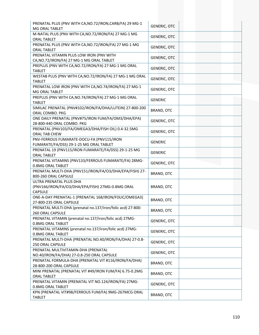| PRENATAL PLUS (PNV WITH CA, NO. 72/IRON, CARB/FA) 29 MG-1<br>MG ORAL TABLET                   | <b>GENERIC, OTC</b> |  |
|-----------------------------------------------------------------------------------------------|---------------------|--|
| M-NATAL PLUS (PNV WITH CA, NO.72/IRON/FA) 27 MG-1 MG<br><b>ORAL TABLET</b>                    | <b>GENERIC, OTC</b> |  |
| PRENATAL PLUS (PNV WITH CA, NO. 72/IRON/FA) 27 MG-1 MG<br><b>ORAL TABLET</b>                  | <b>GENERIC, OTC</b> |  |
| PRENATAL VITAMIN PLUS LOW IRON (PNV WITH<br>CA, NO.72/IRON/FA) 27 MG-1 MG ORAL TABLET         | <b>GENERIC, OTC</b> |  |
| PREPLUS (PNV WITH CA, NO. 72/IRON/FA) 27 MG-1 MG ORAL<br><b>TABLET</b>                        | <b>GENERIC, OTC</b> |  |
| WESTAB PLUS (PNV WITH CA, NO. 72/IRON/FA) 27 MG-1 MG ORAL<br><b>TABLET</b>                    | <b>GENERIC, OTC</b> |  |
| PRENATAL LOW IRON (PNV WITH CA, NO. 74/IRON/FA) 27 MG-1<br>MG ORAL TABLET                     | <b>GENERIC, OTC</b> |  |
| PREPLUS (PNV WITH CA, NO. 74/IRON/FA) 27 MG-1 MG ORAL<br><b>TABLET</b>                        | <b>GENERIC</b>      |  |
| SIMILAC PRENATAL (PNV#102/IRON/FA/DHA/LUTEIN) 27-800-200<br>ORAL COMBO. PKG                   | BRAND, OTC          |  |
| ONE DAILY PRENATAL (PNV#75/IRON FUM/FA/OM3/DHA/EPA)<br>28-800-440 ORAL COMBO. PKG             | <b>GENERIC, OTC</b> |  |
| PRENATAL (PNV103/FA/OMEGA3/DHA/FISH OIL) 0.4-32.5MG<br>ORAL TAB CHEW                          | <b>GENERIC, OTC</b> |  |
| PNV-FERROUS FUMARATE-DOCU-FA (PNV115/IRON<br>FUMARATE/FA/DSS) 29-1-25 MG ORAL TABLET          | <b>GENERIC</b>      |  |
| PRENATAL 19 (PNV115/IRON FUMARATE/FA/DSS) 29-1-25 MG<br><b>ORAL TABLET</b>                    | <b>GENERIC</b>      |  |
| PRENATAL VITAMINS (PNV133/FERROUS FUMARATE/FA) 28MG-<br>0.8MG ORAL TABLET                     | <b>GENERIC, OTC</b> |  |
| PRENATAL MULTI-DHA (PNV151/IRON/FA/O3/DHA/EPA/FISH) 27-<br>800-260 ORAL CAPSULE               | BRAND, OTC          |  |
| ULTRA PRENATAL PLUS DHA<br>(PNV166/IRON/FA/O3/DHA/EPA/FISH) 27MG-0.8MG ORAL<br><b>CAPSULE</b> | BRAND, OTC          |  |
| ONE-A-DAY PRENATAL-1 (PRENATAL 168/IRON/FOLIC/OMEGA3)<br>27-800-235 ORAL CAPSULE              | BRAND, OTC          |  |
| PRENATAL MULTI-DHA (prenatal no.137/iron/folic acd) 27-800-<br>260 ORAL CAPSULE               | BRAND, OTC          |  |
| PRENATAL VITAMIN (prenatal no.137/iron/folic acd) 27MG-<br>0.8MG ORAL TABLET                  | <b>GENERIC, OTC</b> |  |
| PRENATAL VITAMINS (prenatal no.137/iron/folic acd) 27MG-<br>0.8MG ORAL TABLET                 | <b>GENERIC, OTC</b> |  |
| PRENATAL MULTI-DHA (PRENATAL NO.40/IRON/FA/DHA) 27-0.8-<br>250 ORAL CAPSULE                   | GENERIC, OTC        |  |
| PRENATAL MULTIVITAMIN-DHA (PRENATAL<br>NO.40/IRON/FA/DHA) 27-0.8-250 ORAL CAPSULE             | GENERIC, OTC        |  |
| PRENATAL FORMULA-DHA (PRENATAL VIT #116/IRON/FA/DHA)<br>28-800-200 ORAL CAPSULE               | BRAND, OTC          |  |
| MINI PRENATAL (PRENATAL VIT #49/IRON FUM/FA) 6.75-0.2MG<br><b>ORAL TABLET</b>                 | BRAND, OTC          |  |
| PRENATAL VITAMIN (PRENATAL VIT NO.124/IRON/FA) 27MG-<br>0.8MG ORAL TABLET                     | <b>GENERIC, OTC</b> |  |
| KPN (PRENATAL VIT#98/FERROUS FUM/FA) 9MG-267MCG ORAL<br><b>TABLET</b>                         | BRAND, OTC          |  |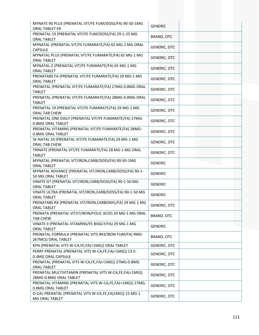| MYNATE 90 PLUS (PRENATAL VIT/FE FUM/DOSS/FA) 90-50-1MG<br>ORAL TABLET ER          | <b>GENERIC</b>      |
|-----------------------------------------------------------------------------------|---------------------|
| PRENATAL 19 (PRENATAL VIT/FE FUM/DOSS/FA) 29-1-25 MG<br><b>ORAL TABLET</b>        | BRAND, OTC          |
| MYNATAL (PRENATAL VIT/FE FUMARATE/FA) 65 MG-1 MG ORAL<br><b>CAPSULE</b>           | <b>GENERIC, OTC</b> |
| MYNATAL PLUS (PRENATAL VIT/FE FUMARATE/FA) 65 MG-1 MG<br><b>ORAL TABLET</b>       | <b>GENERIC, OTC</b> |
| MYNATAL-Z (PRENATAL VIT/FE FUMARATE/FA) 65 MG-1 MG<br><b>ORAL TABLET</b>          | <b>GENERIC, OTC</b> |
| PRENATABS FA (PRENATAL VIT/FE FUMARATE/FA) 29 MG-1 MG<br><b>ORAL TABLET</b>       | <b>GENERIC, OTC</b> |
| PRENATAL (PRENATAL VIT/FE FUMARATE/FA) 27MG-0.8MG ORAL<br><b>TABLET</b>           | <b>GENERIC, OTC</b> |
| PRENATAL (PRENATAL VIT/FE FUMARATE/FA) 28MG-0.8MG ORAL<br><b>TABLET</b>           | <b>GENERIC, OTC</b> |
| PRENATAL 19 (PRENATAL VIT/FE FUMARATE/FA) 29 MG-1 MG<br>ORAL TAB CHEW             | <b>GENERIC, OTC</b> |
| PRENATAL ONE DAILY (PRENATAL VIT/FE FUMARATE/FA) 27MG-<br>0.8MG ORAL TABLET       | <b>GENERIC, OTC</b> |
| PRENATAL VITAMINS (PRENATAL VIT/FE FUMARATE/FA) 28MG-<br>0.8MG ORAL TABLET        | <b>GENERIC, OTC</b> |
| SE-NATAL 19 (PRENATAL VIT/FE FUMARATE/FA) 29 MG-1 MG<br>ORAL TAB CHEW             | <b>GENERIC, OTC</b> |
| TRINATE (PRENATAL VIT/FE FUMARATE/FA) 28 MG-1 MG ORAL<br><b>TABLET</b>            | <b>GENERIC, OTC</b> |
| MYNATAL (PRENATAL VIT/IRON, CARB/DOSS/FA) 90-50-1MG<br><b>ORAL TABLET</b>         | <b>GENERIC</b>      |
| MYNATAL ADVANCE (PRENATAL VIT/IRON, CARB/DOSS/FA) 90-1-<br>50 MG ORAL TABLET      | <b>GENERIC</b>      |
| VINATE GT (PRENATAL VIT/IRON, CARB/DOSS/FA) 90-1-50 MG<br><b>ORAL TABLET</b>      | <b>GENERIC</b>      |
| VINATE ULTRA (PRENATAL VIT/IRON, CARB/DOSS/FA) 90-1-50 MG<br><b>ORAL TABLET</b>   | <b>GENERIC</b>      |
| PRENATABS RX (PRENATAL VIT/IRON, CARBONYL/FA) 29 MG-1 MG<br>ORAL TABLET           | <b>GENERIC, OTC</b> |
| PRENATA (PRENATAL VIT37/IRON/FOLIC ACID) 29 MG-1 MG ORAL<br><b>TAB CHEW</b>       | BRAND, OTC          |
| VINATE II (PRENATAL VITAMINS/FE BISGLY/FA) 29 MG-1 MG<br><b>ORAL TABLET</b>       | <b>GENERIC</b>      |
| PRENATAL FORMULA (PRENATAL VITS #93/IRON FUM/FA) 9MG-<br>267MCG ORAL TABLET       | BRAND, OTC          |
| KPN (PRENATAL VITS W-CA, FE, FA (< 1MG)) ORAL TABLET                              | <b>GENERIC, OTC</b> |
| PERRY PRENATAL (PRENATAL VITS W-CA,FE,FA(<1MG)) 13.5-<br>0.4MG ORAL CAPSULE       | <b>GENERIC, OTC</b> |
| PRENATAL (PRENATAL VITS W-CA,FE,FA(<1MG)) 27MG-0.8MG<br><b>ORAL TABLET</b>        | <b>GENERIC, OTC</b> |
| PRENATAL MULTIVITAMIN (PRENATAL VITS W-CA,FE,FA(<1MG))<br>28MG-0.8MG ORAL TABLET  | <b>GENERIC, OTC</b> |
| PRENATAL VITAMINS (PRENATAL VITS W-CA, FE, FA (< 1MG)) 27MG-<br>0.8MG ORAL TABLET | <b>GENERIC, OTC</b> |
| O-CAL PRENATAL (PRENATAL VITS W-CA,FE,FA(1MG)) 15 MG-1<br>MG ORAL TABLET          | <b>GENERIC, OTC</b> |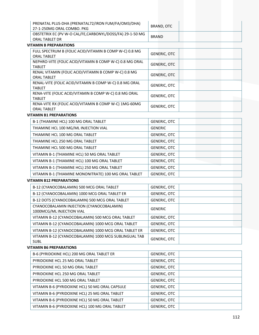| PRENATAL PLUS-DHA (PRENATAL72/IRON FUM/FA/OM3/DHA)<br>27-1-250MG ORAL COMBO. PKG | BRAND. OTC   |
|----------------------------------------------------------------------------------|--------------|
| OBSTETRIX EC (PV W-O CAL/FE, CARBONYL/DOSS/FA) 29-1-50 MG<br>ORAL TABLET DR      | <b>BRAND</b> |

### **VITAMIN B PREPARATIONS**

| FULL SPECTRUM B (FOLIC ACID/VITAMIN B COMP W-C) 0.8 MG<br><b>ORAL TABLET</b> | <b>GENERIC, OTC</b> |
|------------------------------------------------------------------------------|---------------------|
| NEPHRO-VITE (FOLIC ACID/VITAMIN B COMP W-C) 0.8 MG ORAL<br><b>TABLET</b>     | <b>GENERIC, OTC</b> |
| RENAL VITAMIN (FOLIC ACID/VITAMIN B COMP W-C) 0.8 MG<br><b>ORAL TABLET</b>   | <b>GENERIC, OTC</b> |
| RENAL-VITE (FOLIC ACID/VITAMIN B COMP W-C) 0.8 MG ORAL<br><b>TABLET</b>      | <b>GENERIC, OTC</b> |
| RENA-VITE (FOLIC ACID/VITAMIN B COMP W-C) 0.8 MG ORAL<br><b>TABLET</b>       | <b>GENERIC, OTC</b> |
| RENA-VITE RX (FOLIC ACID/VITAMIN B COMP W-C) 1MG-60MG<br><b>ORAL TABLET</b>  | <b>GENERIC, OTC</b> |

#### **VITAMIN B1 PREPARATIONS**

| B-1 (THIAMINE HCL) 100 MG ORAL TABLET                 | <b>GENERIC, OTC</b> |
|-------------------------------------------------------|---------------------|
| THIAMINE HCL 100 MG/ML INJECTION VIAL                 | <b>GENERIC</b>      |
| THIAMINE HCL 100 MG ORAL TABLET                       | <b>GENERIC, OTC</b> |
| THIAMINE HCL 250 MG ORAL TABLET                       | GENERIC, OTC        |
| THIAMINE HCL 500 MG ORAL TABLET                       | <b>GENERIC, OTC</b> |
| VITAMIN B-1 (THIAMINE HCL) 50 MG ORAL TABLET          | GENERIC, OTC        |
| VITAMIN B-1 (THIAMINE HCL) 100 MG ORAL TABLET         | <b>GENERIC, OTC</b> |
| VITAMIN B-1 (THIAMINE HCL) 250 MG ORAL TABLET         | GENERIC, OTC        |
| VITAMIN B-1 (THIAMINE MONONITRATE) 100 MG ORAL TABLET | <b>GENERIC, OTC</b> |

#### **VITAMIN B12 PREPARATIONS**

| B-12 (CYANOCOBALAMIN) 500 MCG ORAL TABLET                              | <b>GENERIC, OTC</b> |
|------------------------------------------------------------------------|---------------------|
| B-12 (CYANOCOBALAMIN) 1000 MCG ORAL TABLET ER                          | GENERIC, OTC        |
| B-12 DOTS (CYANOCOBALAMIN) 500 MCG ORAL TABLET                         | GENERIC, OTC        |
| CYANOCOBALAMIN INJECTION (CYANOCOBALAMIN)<br>1000MCG/ML INJECTION VIAL | GENERIC             |
| VITAMIN B-12 (CYANOCOBALAMIN) 500 MCG ORAL TABLET                      | GENERIC, OTC        |
| VITAMIN B-12 (CYANOCOBALAMIN) 1000 MCG ORAL TABLET                     | <b>GENERIC, OTC</b> |
| VITAMIN B-12 (CYANOCOBALAMIN) 1000 MCG ORAL TABLET ER                  | <b>GENERIC, OTC</b> |
| VITAMIN B-12 (CYANOCOBALAMIN) 1000 MCG SUBLINGUAL TAB<br><b>SUBL</b>   | <b>GENERIC, OTC</b> |

#### **VITAMIN B6 PREPARATIONS**

| B-6 (PYRIDOXINE HCL) 200 MG ORAL TABLET ER      | <b>GENERIC, OTC</b> |
|-------------------------------------------------|---------------------|
| PYRIDOXINE HCL 25 MG ORAL TABLET                | <b>GENERIC, OTC</b> |
| PYRIDOXINE HCL 50 MG ORAL TABLET                | <b>GENERIC, OTC</b> |
| PYRIDOXINE HCL 250 MG ORAL TABLET               | <b>GENERIC, OTC</b> |
| PYRIDOXINE HCL 500 MG ORAL TABLET               | <b>GENERIC, OTC</b> |
| VITAMIN B-6 (PYRIDOXINE HCL) 50 MG ORAL CAPSULE | <b>GENERIC, OTC</b> |
| VITAMIN B-6 (PYRIDOXINE HCL) 25 MG ORAL TABLET  | <b>GENERIC, OTC</b> |
| VITAMIN B-6 (PYRIDOXINE HCL) 50 MG ORAL TABLET  | <b>GENERIC, OTC</b> |
| VITAMIN B-6 (PYRIDOXINE HCL) 100 MG ORAL TABLET | GENERIC, OTC        |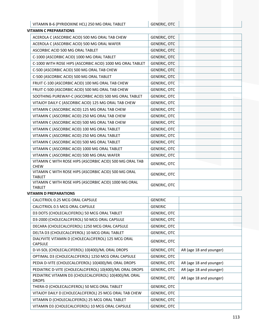| VITAMIN B-6 (PYRIDOXINE HCL) 250 MG ORAL TABLET                         | <b>GENERIC, OTC</b> |
|-------------------------------------------------------------------------|---------------------|
| <b>VITAMIN C PREPARATIONS</b>                                           |                     |
| ACEROLA C (ASCORBIC ACID) 500 MG ORAL TAB CHEW                          | <b>GENERIC, OTC</b> |
| ACEROLA C (ASCORBIC ACID) 500 MG ORAL WAFER                             | <b>GENERIC, OTC</b> |
| ASCORBIC ACID 500 MG ORAL TABLET                                        | <b>GENERIC, OTC</b> |
| C-1000 (ASCORBIC ACID) 1000 MG ORAL TABLET                              | <b>GENERIC, OTC</b> |
| C-1000 WITH ROSE HIPS (ASCORBIC ACID) 1000 MG ORAL TABLET               | <b>GENERIC, OTC</b> |
| C-500 (ASCORBIC ACID) 500 MG ORAL TAB CHEW                              | <b>GENERIC, OTC</b> |
| C-500 (ASCORBIC ACID) 500 MG ORAL TABLET                                | <b>GENERIC, OTC</b> |
| FRUIT C-100 (ASCORBIC ACID) 100 MG ORAL TAB CHEW                        | <b>GENERIC, OTC</b> |
| FRUIT C-500 (ASCORBIC ACID) 500 MG ORAL TAB CHEW                        | <b>GENERIC, OTC</b> |
| SOOTHING PUREWAY-C (ASCORBIC ACID) 500 MG ORAL TABLET                   | <b>GENERIC, OTC</b> |
| VITAJOY DAILY C (ASCORBIC ACID) 125 MG ORAL TAB CHEW                    | <b>GENERIC, OTC</b> |
| VITAMIN C (ASCORBIC ACID) 125 MG ORAL TAB CHEW                          | <b>GENERIC, OTC</b> |
| VITAMIN C (ASCORBIC ACID) 250 MG ORAL TAB CHEW                          | <b>GENERIC, OTC</b> |
| VITAMIN C (ASCORBIC ACID) 500 MG ORAL TAB CHEW                          | <b>GENERIC, OTC</b> |
| VITAMIN C (ASCORBIC ACID) 100 MG ORAL TABLET                            | <b>GENERIC, OTC</b> |
| VITAMIN C (ASCORBIC ACID) 250 MG ORAL TABLET                            | <b>GENERIC, OTC</b> |
| VITAMIN C (ASCORBIC ACID) 500 MG ORAL TABLET                            | <b>GENERIC, OTC</b> |
| VITAMIN C (ASCORBIC ACID) 1000 MG ORAL TABLET                           | <b>GENERIC, OTC</b> |
| VITAMIN C (ASCORBIC ACID) 500 MG ORAL WAFER                             | <b>GENERIC, OTC</b> |
| VITAMIN C WITH ROSE HIPS (ASCORBIC ACID) 500 MG ORAL TAB<br><b>CHEW</b> | <b>GENERIC, OTC</b> |
| VITAMIN C WITH ROSE HIPS (ASCORBIC ACID) 500 MG ORAL<br><b>TABLET</b>   | <b>GENERIC, OTC</b> |
| VITAMIN C WITH ROSE HIPS (ASCORBIC ACID) 1000 MG ORAL<br><b>TABLET</b>  | <b>GENERIC, OTC</b> |

#### **VITAMIN D PREPARATIONS**

| CALCITRIOL 0.25 MCG ORAL CAPSULE                                       | <b>GENERIC</b>      |                         |
|------------------------------------------------------------------------|---------------------|-------------------------|
| CALCITRIOL 0.5 MCG ORAL CAPSULE                                        | <b>GENERIC</b>      |                         |
| D3 DOTS (CHOLECALCIFEROL) 50 MCG ORAL TABLET                           | GENERIC, OTC        |                         |
| D3-2000 (CHOLECALCIFEROL) 50 MCG ORAL CAPSULE                          | <b>GENERIC, OTC</b> |                         |
| DECARA (CHOLECALCIFEROL) 1250 MCG ORAL CAPSULE                         | <b>GENERIC, OTC</b> |                         |
| DELTA D3 (CHOLECALCIFEROL) 10 MCG ORAL TABLET                          | GENERIC, OTC        |                         |
| DIALYVITE VITAMIN D (CHOLECALCIFEROL) 125 MCG ORAL<br><b>CAPSULE</b>   | <b>GENERIC, OTC</b> |                         |
| D-VI-SOL (CHOLECALCIFEROL) 10(400)/ML ORAL DROPS                       | <b>GENERIC, OTC</b> | AR (age 18 and younger) |
| OPTIMAL D3 (CHOLECALCIFEROL) 1250 MCG ORAL CAPSULE                     | GENERIC, OTC        |                         |
| PEDIA D-VITE (CHOLECALCIFEROL) 10(400)/ML ORAL DROPS                   | GENERIC, OTC        | AR (age 18 and younger) |
| PEDIATRIC D-VITE (CHOLECALCIFEROL) 10(400)/ML ORAL DROPS               | <b>GENERIC, OTC</b> | AR (age 18 and younger) |
| PEDIATRIC VITAMIN D3 (CHOLECALCIFEROL) 10(400)/ML ORAL<br><b>DROPS</b> | <b>GENERIC, OTC</b> | AR (age 18 and younger) |
| THERA-D (CHOLECALCIFEROL) 50 MCG ORAL TABLET                           | <b>GENERIC, OTC</b> |                         |
| VITAJOY DAILY D (CHOLECALCIFEROL) 25 MCG ORAL TAB CHEW                 | GENERIC, OTC        |                         |
| VITAMIN D (CHOLECALCIFEROL) 25 MCG ORAL TABLET                         | GENERIC, OTC        |                         |
| VITAMIN D3 (CHOLECALCIFEROL) 10 MCG ORAL CAPSULE                       | GENERIC, OTC        |                         |
|                                                                        |                     |                         |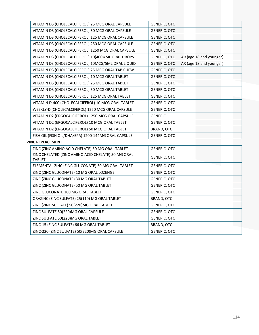| VITAMIN D3 (CHOLECALCIFEROL) 25 MCG ORAL CAPSULE                    | <b>GENERIC, OTC</b> |                         |
|---------------------------------------------------------------------|---------------------|-------------------------|
| VITAMIN D3 (CHOLECALCIFEROL) 50 MCG ORAL CAPSULE                    | <b>GENERIC, OTC</b> |                         |
| VITAMIN D3 (CHOLECALCIFEROL) 125 MCG ORAL CAPSULE                   | <b>GENERIC, OTC</b> |                         |
| VITAMIN D3 (CHOLECALCIFEROL) 250 MCG ORAL CAPSULE                   | <b>GENERIC, OTC</b> |                         |
| VITAMIN D3 (CHOLECALCIFEROL) 1250 MCG ORAL CAPSULE                  | <b>GENERIC, OTC</b> |                         |
| VITAMIN D3 (CHOLECALCIFEROL) 10(400)/ML ORAL DROPS                  | <b>GENERIC, OTC</b> | AR (age 18 and younger) |
| VITAMIN D3 (CHOLECALCIFEROL) 10MCG/5ML ORAL LIQUID                  | <b>GENERIC, OTC</b> | AR (age 18 and younger) |
| VITAMIN D3 (CHOLECALCIFEROL) 25 MCG ORAL TAB CHEW                   | <b>GENERIC, OTC</b> |                         |
| VITAMIN D3 (CHOLECALCIFEROL) 10 MCG ORAL TABLET                     | <b>GENERIC, OTC</b> |                         |
| VITAMIN D3 (CHOLECALCIFEROL) 25 MCG ORAL TABLET                     | <b>GENERIC, OTC</b> |                         |
| VITAMIN D3 (CHOLECALCIFEROL) 50 MCG ORAL TABLET                     | GENERIC, OTC        |                         |
| VITAMIN D3 (CHOLECALCIFEROL) 125 MCG ORAL TABLET                    | <b>GENERIC, OTC</b> |                         |
| VITAMIN D-400 (CHOLECALCIFEROL) 10 MCG ORAL TABLET                  | <b>GENERIC, OTC</b> |                         |
| WEEKLY-D (CHOLECALCIFEROL) 1250 MCG ORAL CAPSULE                    | <b>GENERIC, OTC</b> |                         |
| VITAMIN D2 (ERGOCALCIFEROL) 1250 MCG ORAL CAPSULE                   | <b>GENERIC</b>      |                         |
| VITAMIN D2 (ERGOCALCIFEROL) 10 MCG ORAL TABLET                      | <b>GENERIC, OTC</b> |                         |
| VITAMIN D2 (ERGOCALCIFEROL) 50 MCG ORAL TABLET                      | BRAND, OTC          |                         |
| FISH OIL (FISH OIL/DHA/EPA) 1200-144MG ORAL CAPSULE                 | <b>GENERIC, OTC</b> |                         |
| <b>ZINC REPLACEMENT</b>                                             |                     |                         |
| ZINC (ZINC AMINO ACID CHELATE) 50 MG ORAL TABLET                    | <b>GENERIC, OTC</b> |                         |
| ZINC CHELATED (ZINC AMINO ACID CHELATE) 50 MG ORAL<br><b>TABLET</b> | <b>GENERIC, OTC</b> |                         |
| ELEMENTAL ZINC (ZINC GLUCONATE) 30 MG ORAL TABLET                   | <b>GENERIC, OTC</b> |                         |
| ZINC (ZINC GLUCONATE) 10 MG ORAL LOZENGE                            | <b>GENERIC, OTC</b> |                         |
| ZINC (ZINC GLUCONATE) 30 MG ORAL TABLET                             | <b>GENERIC, OTC</b> |                         |
| ZINC (ZINC GLUCONATE) 50 MG ORAL TABLET                             | GENERIC, OTC        |                         |
| ZINC GLUCONATE 100 MG ORAL TABLET                                   | <b>GENERIC, OTC</b> |                         |
| ORAZINC (ZINC SULFATE) 25(110) MG ORAL TABLET                       | BRAND, OTC          |                         |
| ZINC (ZINC SULFATE) 50(220)MG ORAL TABLET                           | <b>GENERIC, OTC</b> |                         |
| ZINC SULFATE 50(220)MG ORAL CAPSULE                                 | <b>GENERIC, OTC</b> |                         |
| ZINC SULFATE 50(220)MG ORAL TABLET                                  | <b>GENERIC, OTC</b> |                         |
| ZINC-15 (ZINC SULFATE) 66 MG ORAL TABLET                            | BRAND, OTC          |                         |
| ZINC-220 (ZINC SULFATE) 50(220)MG ORAL CAPSULE                      | <b>GENERIC, OTC</b> |                         |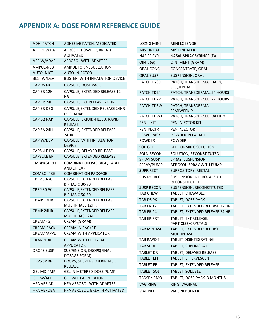# **APPENDIX A: DOSE FORM REFERENCE GUIDE**

| ADH. PATCH        | ADHESIVE PATCH, MEDICATED                               |
|-------------------|---------------------------------------------------------|
| AER POW BA        | AEROSOL POWDER, BREATH<br><b>ACTIVATED</b>              |
| AER W/ADAP        | <b>AEROSOL WITH ADAPTER</b>                             |
| AMPUL-NEB         | AMPUL FOR NEBULIZATION                                  |
| <b>AUTO INJCT</b> | <b>AUTO-INJECTOR</b>                                    |
| <b>BLST W/DEV</b> | BLISTER, WITH INHALATION DEVICE                         |
| <b>CAP DS PK</b>  | CAPSULE, DOSE PACK                                      |
| CAP ER 12H        | CAPSULE, EXTENDED RELEASE 12<br>ΗR                      |
| CAP ER 24H        | CAPSULE, EXT RELEASE 24 HR                              |
| CAP ER DEG        | CAPSULE, EXTENDED-RELEASE 24HR<br><b>DEGRADABLE</b>     |
| CAP LQ RAP        | CAPSULE, LIQUID-FILLED, RAPID<br>RELEASE                |
| CAP SA 24H        | CAPSULE, EXTENDED RELEASE<br>24HR                       |
| CAP W/DEV         | CAPSULE, WITH INHALATION<br><b>DEVICE</b>               |
| <b>CAPSULE DR</b> | CAPSULE, DELAYED RELEASE                                |
| <b>CAPSULE ER</b> | CAPSULE, EXTENDED RELEASE                               |
| <b>CMBPKGDRCP</b> | <b>COMBINATION PACKAGE, TABLET</b><br><b>AND DR CAP</b> |
| COMBO. PKG        | <b>COMBINATION PACKAGE</b>                              |
| CPBP 30-70        | CAPSULE, EXTENDED RELEASE<br>BIPHASIC 30-70             |
| CPBP 50-50        | CAPSULE, EXTENDED RELEASE<br>BIPHASIC 50-50             |
| CPMP 12HR         | CAPSULE, EXTENDED RELEASE<br><b>MULTIPHASE 12HR</b>     |
| <b>CPMP 24HR</b>  | CAPSULE, EXTENDED RELEASE<br>MULTIPHASE 24HR            |
| CREAM (G)         | CREAM (GRAM)                                            |
| <b>CREAM PACK</b> | <b>CREAM IN PACKET</b>                                  |
| CREAM/APPL        | CREAM WITH APPLICATOR                                   |
| CRM/PE APP        | CREAM WITH PERINEAL<br>APPLICATOR                       |
| <b>DROPS SUSP</b> | SUSPENSION, DROPS(FINAL<br>DOSAGE FORM)                 |
| <b>DRPS SP BP</b> | DROPS, SUSPENSION BIPHASIC<br><b>RELEASE</b>            |
| <b>GEL MD PMP</b> | <b>GEL IN METERED-DOSE PUMP</b>                         |
| <b>GEL W/APPL</b> | <b>GEL WITH APPLICATOR</b>                              |
| <b>HFA AER AD</b> | HFA AEROSOL WITH ADAPTER                                |
| HFA AEROBA        | HFA AEROSOL, BREATH ACTIVATED                           |

| <b>LOZNG MINI</b> | <b>MINI LOZENGE</b>                           |
|-------------------|-----------------------------------------------|
| <b>MIST INHAL</b> | <b>MIST INHALER</b>                           |
| <b>NAS SP SYR</b> | NASAL SPRAY SYRINGE (EA)                      |
| OINT. (G)         | <b>OINTMENT (GRAM)</b>                        |
| <b>ORAL CONC</b>  | CONCENTRATE, ORAL                             |
| <b>ORAL SUSP</b>  | <b>SUSPENSION, ORAL</b>                       |
| PATCH DYSQ        | PATCH, TRANSDERMAL DAILY,<br>SEQUENTIAL       |
| PATCH TD24        | PATCH, TRANSDERMAL 24 HOURS                   |
| PATCH TD72        | PATCH, TRANSDERMAL 72 HOURS                   |
| <b>PATCH TDSW</b> | PATCH, TRANSDERMAL<br><b>SEMIWEEKLY</b>       |
| PATCH TDWK        | PATCH, TRANSDERMAL WEEKLY                     |
| PEN IJ KIT        | PEN INJECTOR KIT                              |
| <b>PEN INJCTR</b> | <b>PEN INJECTOR</b>                           |
| <b>POWD PACK</b>  | POWDER IN PACKET                              |
| <b>POWDER</b>     | <b>POWDER</b>                                 |
| SOL-GEL           | <b>GEL-FORMING SOLUTION</b>                   |
| <b>SOLN RECON</b> | SOLUTION, RECONSTITUTED                       |
| <b>SPRAY SUSP</b> | SPRAY, SUSPENSION                             |
| SPRAY/PUMP        | AEROSOL, SPRAY WITH PUMP                      |
| SUPP.RECT         | SUPPOSITORY, RECTAL                           |
| <b>SUS MC REC</b> | SUSPENSION, MICROCAPSULE<br>RECONSTITUTED     |
| <b>SUSP RECON</b> | SUSPENSION, RECONSTITUTED                     |
| <b>TAB CHEW</b>   | TABLET, CHEWABLE                              |
| <b>TAB DS PK</b>  | TABLET, DOSE PACK                             |
| TAB ER 12H        | TABLET, EXTENDED RELEASE 12 HR                |
| TAB ER 24         | TABLET, EXTENDED RELEASE 24 HR                |
| TAB ER PRT        | TABLET, EXT RELEASE,<br>PARTICLES/CRYSTALS    |
| <b>TAB MPHASE</b> | TABLET, EXTENDED RELEASE<br><b>MULTIPHASE</b> |
| <b>TAB RAPDIS</b> | TABLET, DISINTEGRATING                        |
| <b>TAB SUBL</b>   | TABLET, SUBLINGUAL                            |
| <b>TABLET DR</b>  | TABLET, DELAYED RELEASE                       |
| <b>TABLET EFF</b> | TABLET, EFFERVESCENT                          |
| <b>TABLET ER</b>  | TABLET, EXTENDED RELEASE                      |
| <b>TABLET SOL</b> | TABLET, SOLUBLE                               |
| TBDSPK 3MO        | TABLET, DOSE PACK, 3 MONTHS                   |
| <b>VAG RING</b>   | RING, VAGINAL                                 |
| <b>VIAL-NEB</b>   | VIAL, NEBULIZER                               |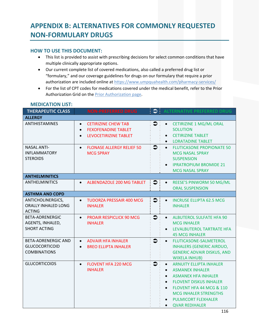# **APPENDIX B: ALTERNATIVES FOR COMMONLY REQUESTED NON‐FORMULARY DRUGS**

### **HOW TO USE THIS DOCUMENT:**

- This list is provided to assist with prescribing decisions for select common conditions that have multiple clinically appropriate options.
- Our current complete list of covered medications, also called a preferred drug list or "formulary," and our coverage guidelines for drugs on our formulary that require a prior authorization are included online at https://www.umpquahealth.com/pharmacy-services/
- For the list of CPT codes for medications covered under the medical benefit, refer to the Prior Authorization Grid on the Prior Authorization page.

| <b>THERAPEUTIC CLASS</b>                                                   | <b>NON-PREFERRED DRUG</b>                                                                                                | $\bullet$<br>S      | <b>ALTERNATIVE PREFERRED DRUG</b>                                                                                                                                                                                                                                                                                        |
|----------------------------------------------------------------------------|--------------------------------------------------------------------------------------------------------------------------|---------------------|--------------------------------------------------------------------------------------------------------------------------------------------------------------------------------------------------------------------------------------------------------------------------------------------------------------------------|
| <b>ALLERGY</b>                                                             |                                                                                                                          |                     |                                                                                                                                                                                                                                                                                                                          |
| ANTIHISTAMINES                                                             | <b>CETIRIZINE CHEW TAB</b><br>$\bullet$<br><b>FEXOFENADINE TABLET</b><br>$\bullet$<br>LEVOCETIRIZINE TABLET<br>$\bullet$ | $\bullet$           | <b>CETIRIZINE 1 MG/ML ORAL</b><br>$\bullet$<br><b>SOLUTION</b><br><b>CETIRIZINE TABLET</b><br>$\bullet$<br><b>LORATADINE TABLET</b><br>$\bullet$                                                                                                                                                                         |
| <b>NASAL ANTI-</b><br><b>INFLAMMATORY</b><br><b>STEROIDS</b>               | <b>FLONASE ALLERGY RELIEF 50</b><br>$\bullet$<br><b>MCG SPRAY</b>                                                        | $\bullet$           | <b>FLUTICASONE PROPIONATE 50</b><br>$\bullet$<br><b>MCG NASAL SPRAY</b><br><b>SUSPENSION</b><br><b>IPRATROPIUM BROMIDE 21</b><br>$\bullet$<br><b>MCG NASAL SPRAY</b>                                                                                                                                                     |
| <b>ANTHELMINITICS</b>                                                      |                                                                                                                          |                     |                                                                                                                                                                                                                                                                                                                          |
| <b>ANTHELMINITICS</b>                                                      | ALBENDAZOLE 200 MG TABLET<br>$\bullet$                                                                                   | $\bullet$           | REESE'S PINWORM 50 MG/ML<br>$\bullet$<br><b>ORAL SUSPENSION</b>                                                                                                                                                                                                                                                          |
| <b>ASTHMA AND COPD</b>                                                     |                                                                                                                          |                     |                                                                                                                                                                                                                                                                                                                          |
| ANTICHOLINERGICS,<br>ORALLY INHALED LONG<br><b>ACTING</b>                  | <b>TUDORZA PRESSAIR 400 MCG</b><br>$\bullet$<br><b>INHALER</b>                                                           | $\bullet$           | <b>INCRUSE ELLIPTA 62.5 MCG</b><br>$\bullet$<br><b>INHALER</b>                                                                                                                                                                                                                                                           |
| <b>BETA-ADRENERGIC</b><br>AGENTS, INHALED,<br><b>SHORT ACTING</b>          | PROAIR RESPICLICK 90 MCG<br>$\bullet$<br><b>INHALER</b>                                                                  | $\bullet$           | <b>ALBUTEROL SULFATE HFA 90</b><br>$\bullet$<br><b>MCG INHALER</b><br>LEVALBUTEROL TARTRATE HFA<br>$\bullet$<br><b>45 MCG INHALER</b>                                                                                                                                                                                    |
| <b>BETA-ADRENERGIC AND</b><br><b>GLUCOCORTICOID</b><br><b>COMBINATIONS</b> | <b>ADVAIR HFA INHALER</b><br>$\bullet$<br><b>BREO ELLIPTA INHALER</b>                                                    | $\ddot{\mathbf{z}}$ | FLUTICASONE-SALMETEROL<br>$\bullet$<br><b>INHALERS (GENERIC AIRDUO,</b><br><b>GENERIC ADVAIR DISKUS, AND</b><br><b>WIXELA INHUB)</b>                                                                                                                                                                                     |
| <b>GLUCORTICOIDS</b>                                                       | <b>FLOVENT HFA 220 MCG</b><br>$\bullet$<br><b>INHALER</b>                                                                | $\bullet$           | <b>ARNUITY ELLIPTA INHALER</b><br>$\bullet$<br><b>ASMANEX INHALER</b><br>$\bullet$<br><b>ASMANEX HFA INHALER</b><br><b>FLOVENT DISKUS INHALER</b><br>$\bullet$<br>FLOVENT HFA 44 MCG & 110<br>$\bullet$<br><b>MCG INHALER STRENGTHS</b><br><b>PULMICORT FLEXHALER</b><br>$\bullet$<br><b>QVAR REDIHALER</b><br>$\bullet$ |

## **MEDICATION LIST:**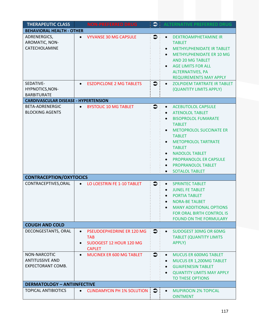| <b>THERAPEUTIC CLASS</b>                                    | <b>NON-PREFERRED DRUG</b>                                                                        |           | <b>ALTERNATIVE PREFERRED DRUG</b>                                                                                                                                                                                                                                                                                                                                                                              |
|-------------------------------------------------------------|--------------------------------------------------------------------------------------------------|-----------|----------------------------------------------------------------------------------------------------------------------------------------------------------------------------------------------------------------------------------------------------------------------------------------------------------------------------------------------------------------------------------------------------------------|
| <b>BEHAVIORAL HEALTH - OTHER</b>                            |                                                                                                  |           |                                                                                                                                                                                                                                                                                                                                                                                                                |
| ADRENERGICS,<br>AROMATIC, NON-<br>CATECHOLAMINE             | <b>VYVANSE 30 MG CAPSULE</b><br>$\bullet$                                                        | $\bullet$ | DEXTROAMPHETAMINE IR<br>$\bullet$<br><b>TABLET</b><br><b>METHYLPHENIDATE IR TABLET</b><br>$\bullet$<br><b>METHYLPHENIDATE ER 10 MG</b><br>$\bullet$<br>AND 20 MG TABLET<br><b>AGE LIMITS FOR ALL</b><br>$\bullet$<br><b>ALTERNATIVES, PA</b><br><b>REQUIREMENTS MAY APPLY</b>                                                                                                                                  |
| SEDATIVE-<br>HYPNOTICS, NON-<br><b>BARBITURATE</b>          | <b>ESZOPICLONE 2 MG TABLETS</b>                                                                  | $\bullet$ | <b>ZOLPIDEM TARTRATE IR TABLET</b><br>$\bullet$<br>(QUANTITY LIMITS APPLY)                                                                                                                                                                                                                                                                                                                                     |
| <b>CARDIVASCULAR DISEASE - HYPERTENSION</b>                 |                                                                                                  |           |                                                                                                                                                                                                                                                                                                                                                                                                                |
| BETA-ADRENERGIC<br><b>BLOCKING AGENTS</b>                   | <b>BYSTOLIC 10 MG TABLET</b><br>$\bullet$                                                        | €         | <b>ACEBUTOLOL CAPSULE</b><br>$\bullet$<br><b>ATENOLOL TABLET</b><br>$\bullet$<br><b>BISOPROLOL FUMARATE</b><br><b>TABLET</b><br><b>METOPROLOL SUCCINATE ER</b><br>$\bullet$<br><b>TABLET</b><br><b>METOPROLOL TARTRATE</b><br>$\bullet$<br><b>TABLET</b><br><b>NADOLOL TABLET</b><br>$\bullet$<br>PROPRANOLOL ER CAPSULE<br>$\bullet$<br>PROPRANOLOL TABLET<br>$\bullet$<br><b>SOTALOL TABLET</b><br>$\bullet$ |
| <b>CONTRACEPTION/OXYTOCICS</b>                              |                                                                                                  |           |                                                                                                                                                                                                                                                                                                                                                                                                                |
| CONTRACEPTIVES, ORAL                                        | LO LOESTRIN FE 1-10 TABLET                                                                       | $\bullet$ | <b>SPRINTEC TABLET</b><br>$\bullet$<br><b>JUNEL FE TABLET</b><br><b>PORTIA TABLET</b><br><b>NORA-BE TALBET</b><br><b>MANY ADDITIONAL OPTIONS</b><br><b>FOR ORAL BIRTH CONTROL IS</b><br><b>FOUND ON THE FORMULARY</b>                                                                                                                                                                                          |
| <b>COUGH AND COLD</b>                                       |                                                                                                  |           |                                                                                                                                                                                                                                                                                                                                                                                                                |
| DECONGESTANTS, ORAL                                         | PSEUDOEPHEDRINE ER 120 MG<br>$\bullet$<br><b>TAB</b><br>SUDOGEST 12 HOUR 120 MG<br><b>CAPLET</b> | $\bullet$ | SUDOGEST 30MG OR 60MG<br>$\bullet$<br><b>TABLET (QUANTITY LIMITS)</b><br>APPLY)                                                                                                                                                                                                                                                                                                                                |
| NON-NARCOTIC<br><b>ANTITUSSIVE AND</b><br>EXPECTORANT COMB. | MUCINEX ER 600 MG TABLET<br>$\bullet$                                                            | $\bullet$ | <b>MUCUS ER 600MG TABLET</b><br>$\bullet$<br>MUCUS ER 1,200MG TABLET<br>$\bullet$<br><b>GUAIFENESIN TABLET</b><br>$\bullet$<br><b>QUANTITY LIMITS MAY APPLY</b><br>$\bullet$<br>TO THESE OPTIONS                                                                                                                                                                                                               |
| <b>DERMATOLOGY - ANTIINFECTIVE</b>                          |                                                                                                  |           |                                                                                                                                                                                                                                                                                                                                                                                                                |
| <b>TOPICAL ANTIBIOTICS</b>                                  | CLINDAMYCIN PH 1% SOLUTION $\Box$<br>$\bullet$                                                   |           | <b>MUPIROCIN 2% TOPICAL</b><br><b>OINTMENT</b>                                                                                                                                                                                                                                                                                                                                                                 |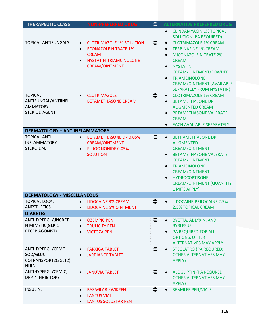| <b>THERAPEUTIC CLASS</b>                                                   | <b>NON-PREFERRED DRUG</b>                                                                                                                      | $\bullet$   | <b>ALTERNATIVE PREFERRED DRUG</b>                                                                                                                                                                                                                                                                                        |
|----------------------------------------------------------------------------|------------------------------------------------------------------------------------------------------------------------------------------------|-------------|--------------------------------------------------------------------------------------------------------------------------------------------------------------------------------------------------------------------------------------------------------------------------------------------------------------------------|
|                                                                            |                                                                                                                                                |             | <b>CLINDAMYACIN 1% TOPICAL</b><br>$\bullet$<br><b>SOLUTION (PA REQUIRED)</b>                                                                                                                                                                                                                                             |
| <b>TOPICAL ANTIFUNGALS</b>                                                 | <b>CLOTRIMAZOLE 1% SOLUTION</b><br>$\bullet$<br><b>ECONAZOLE NITRATE 1%</b><br><b>CREAM</b><br>NYSTATIN-TRIAMCINOLONE<br><b>CREAM/OINTMENT</b> | $\bullet$   | <b>CLOTRIMAZOLE 1% CREAM</b><br>$\bullet$<br><b>TERBINAFINE 1% CREAM</b><br>$\bullet$<br><b>MICONAZOLE NITRATE 2%</b><br>$\bullet$<br><b>CREAM</b><br><b>NYSTATIN</b><br>$\bullet$<br>CREAM/OINTMENT/POWDER<br><b>TRIAMCINOLONE</b><br>$\bullet$<br><b>CREAM/OINTMENT (AVAILABLE</b><br><b>SEPARATELY FROM NYSTATIN)</b> |
| <b>TOPICAL</b><br>ANTIFUNGAL/ANTIINFL<br>AMMATORY,<br><b>STERIOD AGENT</b> | CLOTRIMAZOLE-<br>$\bullet$<br><b>BETAMETHASONE CREAM</b>                                                                                       | $\bullet$   | <b>CLOTRIMAZOLE 1% CREAM</b><br>$\bullet$<br><b>BETAMETHASONE DP</b><br>$\bullet$<br><b>AUGMENTED CREAM</b><br><b>BETAMETHASONE VALERATE</b><br>$\bullet$<br><b>CREAM</b><br><b>EACH AVAILABLE SEPARATELY</b>                                                                                                            |
| <b>DERMATOLOGY - ANTIINFLAMMATORY</b>                                      |                                                                                                                                                |             |                                                                                                                                                                                                                                                                                                                          |
| <b>TOPICAL ANTI-</b><br><b>INFLAMMATORY</b><br><b>STEROIDAL</b>            | <b>BETAMETHASONE DP 0.05%</b><br>$\bullet$<br><b>CREAM/OINTMENT</b><br><b>FLUOCINONIDE 0.05%</b><br>$\bullet$<br><b>SOLUTION</b>               | $\bullet$   | <b>BETHAMETHASONE DP</b><br>$\bullet$<br><b>AUGMENTED</b><br><b>CREAM/OINTMENT</b><br><b>BETAMETHASONE VALERATE</b><br><b>CREAM/OINTMENT</b><br><b>TRIAMCINOLONE</b><br>$\bullet$<br><b>CREAM/OINTMENT</b><br><b>HYDROCORTISONE</b><br>$\bullet$<br><b>CREAM/OINTMENT (QUANTITY</b><br><b>LIMITS APPLY)</b>              |
| <b>DERMATOLOGY - MISCELLANEOUS</b>                                         |                                                                                                                                                |             |                                                                                                                                                                                                                                                                                                                          |
| <b>TOPICAL LOCAL</b><br><b>ANESTHETICS</b>                                 | <b>LIDOCAINE 3% CREAM</b><br>$\bullet$<br><b>LIDOCAINE 5% OINTMENT</b>                                                                         | €           | LIDOCAINE-PRILOCAINE 2.5%-<br><b>2.5% TOPICAL CREAM</b>                                                                                                                                                                                                                                                                  |
| <b>DIABETES</b>                                                            |                                                                                                                                                |             |                                                                                                                                                                                                                                                                                                                          |
| ANTIHYPERGLY, INCRETI<br>N MIMETIC(GLP-1<br>RECEP.AGONIST)                 | <b>OZEMPIC PEN</b><br>$\bullet$<br><b>TRULICITY PEN</b><br><b>VICTOZA PEN</b>                                                                  | €           | BYETTA, ADLYXIN, AND<br>$\bullet$<br><b>RYBLESUS</b><br><b>PA REQUIRED FOR ALL</b><br>$\bullet$<br><b>OPTIONS, OTHER</b><br><b>ALTERNATIVES MAY APPLY</b>                                                                                                                                                                |
| ANTIHYPERGLYCEMC-<br>SOD/GLUC<br>COTRANSPORT2(SGLT2)I<br><b>NHIB</b>       | <b>FARXIGA TABLET</b><br><b>JARDIANCE TABLET</b><br>$\bullet$                                                                                  | $\clubsuit$ | STEGLATRO (PA REQURED;<br>$\bullet$<br><b>OTHER ALTERNATIVES MAY</b><br>APPLY)                                                                                                                                                                                                                                           |
| ANTIHYPERGLYCEMIC,<br><b>DPP-4 INHIBITORS</b>                              | <b>JANUVIA TABLET</b><br>$\bullet$                                                                                                             | $\bullet$   | ALOGLIPTIN (PA REQURED;<br>$\bullet$<br><b>OTHER ALTERNATIVES MAY</b><br>APPLY)                                                                                                                                                                                                                                          |
| <b>INSULINS</b>                                                            | <b>BASAGLAR KWIKPEN</b><br><b>LANTUS VIAL</b><br><b>LANTUS SOLOSTAR PEN</b>                                                                    | $\bullet$   | <b>SEMGLEE PEN/VIALS</b><br>$\bullet$                                                                                                                                                                                                                                                                                    |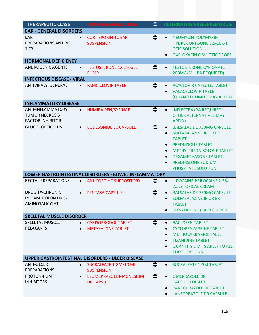| <b>THERAPEUTIC CLASS</b>                                              |                                                             | <b>NON-PREFERRED DRUG</b>                              | $\bullet$           | <b>ALTERNATIVE PREFERRED DRUG</b>                                                                                                                                                                                                                                                                           |
|-----------------------------------------------------------------------|-------------------------------------------------------------|--------------------------------------------------------|---------------------|-------------------------------------------------------------------------------------------------------------------------------------------------------------------------------------------------------------------------------------------------------------------------------------------------------------|
| <b>EAR - GENERAL DISORDERS</b>                                        |                                                             |                                                        |                     |                                                                                                                                                                                                                                                                                                             |
| <b>EAR</b><br>PREPARATIONS, ANTIBIO<br><b>TICS</b>                    | <b>CORTISPORIN-TC EAR</b><br>$\bullet$<br><b>SUSPENSION</b> |                                                        | $\bullet$           | NEOMYCIN-POLYMYXIN-<br>$\bullet$<br><b>HYDROCORTISONE 3.5-10K-1</b><br><b>OTIC SOLUTION</b><br><b>OXFLOXACIN 0.3% OTIC DROPS</b><br>$\bullet$                                                                                                                                                               |
| <b>HORMONAL DEFICIENCY</b>                                            |                                                             |                                                        |                     |                                                                                                                                                                                                                                                                                                             |
| <b>ANDROGENIC AGENTS</b>                                              | $\bullet$<br><b>PUMP</b>                                    | <b>TESTOSTERONE 1.62% GEL</b>                          | $\bullet$           | <b>TESTOSTERONE CYPIONATE</b><br>$\bullet$<br>200MG/ML (PA REQUIRED)                                                                                                                                                                                                                                        |
| <b>INFECTIOUS DISEASE - VIRAL</b>                                     |                                                             |                                                        |                     |                                                                                                                                                                                                                                                                                                             |
| ANTIVIRALS, GENERAL                                                   | $\bullet$                                                   | <b>FAMCICLOVIR TABLET</b>                              | $\clubsuit$         | <b>ACYCLOVIR CAPSULE/TABLET</b><br>$\bullet$<br><b>VALACYCLOVIR TABLET</b><br>(QUANTITY LIMITS MAY APPLY)                                                                                                                                                                                                   |
| <b>INFLAMMATORY DISEASE</b>                                           |                                                             |                                                        |                     |                                                                                                                                                                                                                                                                                                             |
| ANTI-INFLAMMATORY<br><b>TUMOR NECROSIS</b><br><b>FACTOR INHIBITOR</b> | $\bullet$                                                   | <b>HUMIRA PEN/SYRINGE</b>                              | $\bullet$           | <b>INFLECTRA (PA REQUIRED;</b><br>$\bullet$<br><b>OTHER ALTERNATIVES MAY</b><br>APPLY)                                                                                                                                                                                                                      |
| <b>GLUCOCORTICOIDS</b>                                                | $\bullet$                                                   | <b>BUDESONIDE EC CAPSULE</b>                           | $\bullet$           | <b>BALSALAZIDE 750MG CAPSULE</b><br>$\bullet$<br><b>SULFASALAZINE IR OR ER</b><br>$\bullet$<br><b>TABLET</b><br><b>PREDNISONE TABLET</b><br>$\bullet$<br>METHYLPREDNISOLONE TABLET<br>$\bullet$<br><b>DEXAMETHASONE TABLET</b><br>$\bullet$<br><b>PREDNISLONE SODIUM</b><br>$\bullet$<br>PHOSPHATE SOLUTION |
| LOWER GASTROINTESTINAL DISORDERS - BOWEL INFLAMMATORY                 |                                                             |                                                        |                     |                                                                                                                                                                                                                                                                                                             |
| RECTAL PREPARATIONS                                                   | $\bullet$                                                   | <b>ANUCORT-HC SUPPOSITORY</b>                          | $\bullet$           | LIDOCAINE-PRILOCAINE 2.5%-<br>$\bullet$<br><b>2.5% TOPICAL CREAM</b>                                                                                                                                                                                                                                        |
| <b>DRUG TX-CHRONIC</b><br>INFLAM. COLON DX,5-<br>AMINOSALICYLAT       | <b>PENTASA CAPSULE</b><br>$\bullet$                         |                                                        | $\ddot{\mathbf{z}}$ | <b>BALSALAZIDE 750MG CAPSULE</b><br>$\bullet$<br><b>SULFASALAZINE IR OR ER</b><br>$\bullet$<br><b>TABLET</b><br><b>MESALAMINE (PA REQUIRED)</b>                                                                                                                                                             |
| <b>SKELETAL MUSCLE DISORDER</b>                                       |                                                             |                                                        |                     |                                                                                                                                                                                                                                                                                                             |
| <b>SKELETAL MUSCLE</b><br><b>RELAXANTS</b>                            | $\bullet$                                                   | <b>CARISOPRODOL TABLET</b><br><b>METAXALONE TABLET</b> | $\bullet$           | <b>BACLOFEN TABLET</b><br>$\bullet$<br><b>CYCLOBENZAPRINE TABLET</b><br>$\bullet$<br>METHOCARBAMOL TABLET<br>$\bullet$<br><b>TIZANIDINE TABLET</b><br>$\bullet$<br><b>QUANTITY LIMITS APLLY TO ALL</b><br>$\bullet$<br><b>THESE OPTIONS</b>                                                                 |
| <b>UPPER GASTROINTESTINAL DISORDERS - ULCER DISEASE</b>               |                                                             |                                                        |                     |                                                                                                                                                                                                                                                                                                             |
| <b>ANTI-ULCER</b><br><b>PREPARATIONS</b>                              | $\bullet$<br><b>SUSPENSION</b>                              | <b>SUCRALFATE 1 GM/10 ML</b>                           | $\bullet$           | <b>SUCRALFATE 1 GM TABLET</b><br>$\bullet$                                                                                                                                                                                                                                                                  |
| PROTON-PUMP<br><b>INHIBITORS</b>                                      | $\bullet$<br><b>DR CAPSULE</b>                              | <b>ESOMEPRAZOLE MAGNESIUM</b>                          | $\bullet$           | <b>OMEPRAZOLE DR</b><br>$\bullet$<br>CAPSULE/TABLET<br>PANTOPRAZOLE DR TABLET<br>$\bullet$<br>LANSOPRAZOLE DR CAPSULE                                                                                                                                                                                       |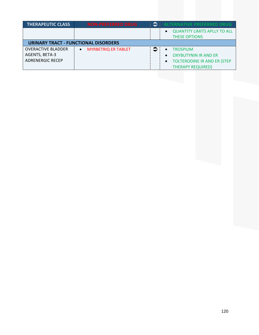| <b>THERAPEUTIC CLASS</b>                    | <b>NON-PREFERRED DRUG</b>  |           | <b>ALTERNATIVE PREFERRED DRUG</b>                           |  |
|---------------------------------------------|----------------------------|-----------|-------------------------------------------------------------|--|
|                                             |                            |           | <b>QUANTITY LIMITS APLLY TO ALL</b><br><b>THESE OPTIONS</b> |  |
| <b>URINARY TRACT - FUNCTIONAL DISORDERS</b> |                            |           |                                                             |  |
| <b>OVERACTIVE BLADDER</b>                   | <b>MYRBETRIQ ER TABLET</b> | $\bullet$ | <b>TROSPIUM</b>                                             |  |
| AGENTS, BETA-3                              |                            |           | <b>OXYBUTYNIN IR AND ER</b>                                 |  |
| <b>ADRENERGIC RECEP</b>                     |                            |           | <b>TOLTERODINE IR AND ER (STEP</b>                          |  |
|                                             |                            |           | <b>THERAPY REQUIRED)</b>                                    |  |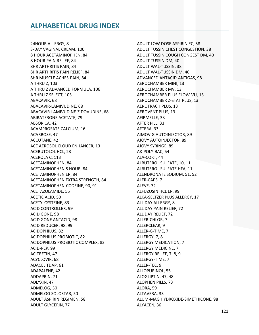24HOUR ALLERGY, 8 3-DAY VAGINAL CREAM, 100 8 HOUR ACETAMINOPHEN, 84 8 HOUR PAIN RELIEF, 84 8HR ARTHRITIS PAIN, 84 8HR ARTHRITIS PAIN RELIEF, 84 8HR MUSCLE ACHES-PAIN, 84 A THRU Z, 103 A THRU Z ADVANCED FORMULA, 106 A THRU Z SELECT, 103 ABACAVIR, 68 ABACAVIR-LAMIVUDINE, 68 ABACAVIR-LAMIVUDINE-ZIDOVUDINE, 68 **ABIRATERONE ACETATE, 79** ABSORICA, 42 ACAMPROSATE CALCIUM, 16 ACARBOSE, 47 ACCUTANE, 42 ACE AEROSOL CLOUD ENHANCER, 13 **ACEBUTOLOL HCL, 23** ACEROLA C, 113 ACETAMINOPHEN, 84 **ACETAMINOPHEN 8 HOUR, 84 ACETAMINOPHEN ER, 84** ACETAMINOPHEN EXTRA STRENGTH, 84 ACETAMINOPHEN-CODEINE, 90, 91 ACETAZOLAMIDE, 55 ACETIC ACID, 50 ACETYLCYSTEINE, 83 **ACID CONTROLLER, 99** ACID GONE, 98 ACID GONE ANTACID, 98 ACID REDUCER, 98, 99 ACIDOPHILUS, 82 **ACIDOPHILUS PROBIOTIC, 82** ACIDOPHILUS PROBIOTIC COMPLEX, 82 ACID-PEP, 99 ACITRETIN, 47 ACYCLOVIR, 68 ADACEL TDAP, 61 ADAPALENE, 42 ADDAPRIN, 71 ADLYXIN, 47 ADMELOG, 50 ADMELOG SOLOSTAR, 50 ADULT ASPIRIN REGIMEN, 58 **ADULT GLYCERIN, 77** 

ADULT LOW DOSE ASPIRIN EC, 58 ADULT TUSSIN CHEST CONGESTION, 38 ADULT TUSSIN COUGH CONGEST DM, 40 **ADULT TUSSIN DM, 40** ADULT WAL-TUSSIN, 38 ADULT WAL-TUSSIN DM, 40 ADVANCED ANTACID-ANTIGAS, 98 **AEROCHAMBER MINI, 13** AEROCHAMBER MV. 13 AEROCHAMBER PLUS FLOW-VU, 13 AEROCHAMBER Z-STAT PLUS, 13 **AEROTRACH PLUS, 13 AEROVENT PLUS, 13** AFIRMELLE, 33 AFTER PILL, 33 AFTERA, 33 AIMOVIG AUTOINJECTOR, 89 AJOVY AUTOINJECTOR, 89 AJOVY SYRINGE, 89 AK-POLY-BAC, 54 ALA-CORT, 44 ALBUTEROL SULFATE, 10, 11 ALBUTEROL SULFATE HFA, 11 ALENDRONATE SODIUM, 51, 52 ALER-CAPS, 7 ALEVE, 72 ALFUZOSIN HCL ER, 99 ALKA-SELTZER PLUS ALLERGY, 17 ALL DAY ALLERGY, 8 ALL DAY PAIN RELIEF, 72 ALL DAY RELIEF, 72 ALLER-CHLOR, 7 ALLERCLEAR, 9 ALLER-G-TIME, 7 ALLERGY, 7, 8 **ALLERGY MEDICATION, 7** ALLERGY MEDICINE, 7 ALLERGY RELIEF, 7, 8, 9 ALLERGY-TIME, 7 ALLER-TEC, 9 ALLOPURINOL, 55 ALOGLIPTIN, 47, 48 **ALOPHEN PILLS, 73** ALORA, 59 ALTAVERA, 33 ALUM-MAG HYDROXIDE-SIMETHICONE, 98 ALYACEN, 36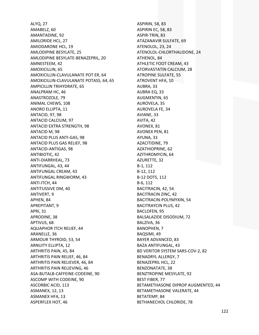ALYQ, 27 AMABELZ, 60 AMANTADINE, 92 AMILORIDE HCL, 27 AMIODARONE HCL, 19 AMLODIPINE BESYLATE, 25 AMLODIPINE BESYLATE‐BENAZEPRIL, 20 AMNESTEEM, 42 AMOXICILLIN, 65 AMOXICILLIN‐CLAVULANATE POT ER, 64 AMOXICILLIN‐CLAVULANATE POTASS, 64, 65 AMPICILLIN TRIHYDRATE, 65 ANALPRAM HC, 46 ANASTROZOLE, 79 ANIMAL CHEWS, 108 ANORO ELLIPTA, 11 ANTACID, 97, 98 ANTACID CALCIUM, 97 ANTACID EXTRA STRENGTH, 98 ANTACID M, 98 ANTACID PLUS ANTI‐GAS, 98 ANTACID PLUS GAS RELIEF, 98 ANTACID‐ANTIGAS, 98 ANTIBIOTIC, 42 ANTI‐DIARRHEAL, 73 ANTIFUNGAL, 43, 44 ANTIFUNGAL CREAM, 43 ANTIFUNGAL RINGWORM, 43 ANTI‐ITCH, 44 ANTITUSSIVE DM, 40 ANTIVERT, 9 APHEN, 84 APREPITANT, 9 APRI, 31 APRODINE, 38 APTIVUS, 68 AQUAPHOR ITCH RELIEF, 44 ARANELLE, 36 ARMOUR THYROID, 53, 54 ARNUITY ELLIPTA, 12 ARTHRITIS PAIN, 45, 84 ARTHRITIS PAIN RELIEF, 46, 84 ARTHRITIS PAIN RELIEVER, 46, 84 ARTHRITIS PAIN RELIEVING, 46 ASA‐BUTALB‐CAFFEINE‐CODEINE, 90 ASCOMP WITH CODEINE, 90 ASCORBIC ACID, 113 ASMANEX, 12, 13 ASMANEX HFA, 13 ASPERFLEX HOT, 46

ASPIRIN, 58, 83 ASPIRIN EC, 58, 83 ASPIR‐TRIN, 83 ATAZANAVIR SULFATE, 69 ATENOLOL, 23, 24 ATENOLOL‐CHLORTHALIDONE, 24 ATHENOL, 84 ATHLETIC FOOT CREAM, 43 ATORVASTATIN CALCIUM, 28 ATROPINE SULFATE, 55 ATROVENT HFA, 10 AUBRA, 33 AUBRA EQ, 33 AUGMENTIN, 65 AUROVELA, 35 AUROVELA FE, 34 AVIANE, 33 AVITA, 42 AVONEX, 81 AVONEX PEN, 81 AYUNA, 33 AZACITIDINE, 79 AZATHIOPRINE, 62 AZITHROMYCIN, 64 AZURETTE, 32 B‐1, 112 B‐12, 112 B‐12 DOTS, 112 B‐6, 112 BACITRACIN, 42, 54 BACITRACIN ZINC, 42 BACITRACIN‐POLYMYXIN, 54 BACITRAYCIN PLUS, 42 BACLOFEN, 95 BALSALAZIDE DISODIUM, 72 BALZIVA, 36 BANOPHEN, 7 BAQSIMI, 49 BAYER ADVANCED, 83 BAZA ANTIFUNGAL, 43 BD VERITOR SYSTEM SARS‐COV‐2, 82 BENADRYL ALLERGY, 7 BENAZEPRIL HCL, 22 BENZONATATE, 38 BENZTROPINE MESYLATE, 92 BEST FIBER, 77 BETAMETHASONE DIPROP AUGMENTED, 44 BETAMETHASONE VALERATE, 44 BETATEMP, 84 BETHANECHOL CHLORIDE, 78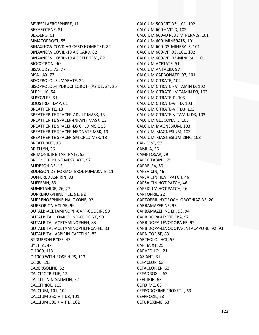**BEVESPI AEROSPHERE, 11** BEXAROTENE, 81 BEXSERO, 61 **BIMATOPROST, 55** BINAXNOW COVD AG CARD HOME TST, 82 BINAXNOW COVID-19 AG CARD, 82 BINAXNOW COVID-19 AG SELF TEST, 82 **BIOCOTRON, 40** BISACODYL, 73, 77 BISA-LAX, 73 **BISOPROLOL FUMARATE, 24** BISOPROLOL-HYDROCHLOROTHIAZIDE, 24, 25 BLEPH-10, 54 BLISOVI FE, 34 **BOOSTRIX TDAP, 61 BREATHERITE, 13** BREATHERITE SPACER-ADULT MASK, 13 **BREATHERITE SPACER-INFANT MASK, 13** BREATHERITE SPACER-LG CHLD MSK, 13 BREATHERITE SPACER-NEONATE MSK, 13 BREATHERITE SPACER-SM CHLD MSK, 13 **BREATHRITE, 13** BRIELLYN, 36 **BRIMONIDINE TARTRATE, 55 BROMOCRIPTINE MESYLATE, 92** BUDESONIDE, 12 BUDESONIDE-FORMOTEROL FUMARATE, 11 **BUFFERED ASPIRIN, 83 BUFFERIN, 83** BUMETANIDE, 26, 27 **BUPRENORPHINE HCL, 91, 92** BUPRENORPHINE-NALOXONE, 92 **BUPROPION HCL SR, 96** BUTALB-ACETAMINOPH-CAFF-CODEIN, 90 BUTALBITAL COMPOUND-CODEINE, 90 BUTALBITAL-ACETAMINOPHEN, 83 BUTALBITAL-ACETAMINOPHEN-CAFFE, 83 BUTALBITAL-ASPIRIN-CAFFEINE, 83 **BYDUREON BCISE, 47** BYETTA, 47 C-1000, 113 C-1000 WITH ROSE HIPS, 113 C-500, 113 CABERGOLINE, 52 **CALCIPOTRIENE, 47** CALCITONIN-SALMON, 52 CALCITRIOL, 113 CALCIUM, 101, 102 CALCIUM 250-VIT D3, 101 CALCIUM 500 + VIT D, 102

CALCIUM 500-VIT D3, 101, 102 CALCIUM 600 + VIT D, 102 CALCIUM 600+D PLUS MINERALS, 101 CALCIUM 600+MINERALS, 101 CALCIUM 600-D3-MINERALS, 101 CALCIUM 600-VIT D3, 101, 102 CALCIUM 600-VIT D3-MINERAL, 101 CALCIUM ACETATE, 51 CALCIUM ANTACID, 97 CALCIUM CARBONATE, 97, 101 CALCIUM CITRATE, 102 CALCIUM CITRATE - VITAMIN D, 102 CALCIUM CITRATE - VITAMIN D3, 103 CALCIUM CITRATE-D, 103 CALCIUM CITRATE-VIT D, 103 CALCIUM CITRATE-VIT D3, 103 CALCIUM CITRATE-VITAMIN D3, 103 CALCIUM GLUCONATE, 103 CALCIUM MAGNESIUM, 103 CALCIUM-MAGNESIUM, 103 CALCIUM-MAGNESIUM-ZINC, 103 CAL-GEST, 97 CAMILA, 35 CAMPTOSAR, 79 CAPECITABINE, 79 CAPRELSA, 80 CAPSAICIN, 46 CAPSAICIN HEAT PATCH, 46 **CAPSAICIN HOT PATCH, 46** CAPSICUM HOT PATCH, 46 **CAPTOPRIL, 22** CAPTOPRIL-HYDROCHLOROTHIAZIDE, 20 CARBAMAZEPINE, 93 CARBAMAZEPINE ER, 93, 94 CARBIDOPA-LEVODOPA, 92 CARBIDOPA-LEVODOPA ER, 92 CARBIDOPA-LEVODOPA-ENTACAPONE, 92, 93 CARNITOR SF, 83 CARTEOLOL HCL, 55 CARTIA XT, 25 CARVEDILOL, 21 CAZIANT. 31 CEFACLOR, 63 CEFACLOR ER, 63 CEFADROXIL, 63 CEFDINIR, 63 CEFIXIME, 63 CEFPODOXIME PROXETIL, 63 CEFPROZIL, 63 CEFUROXIME, 63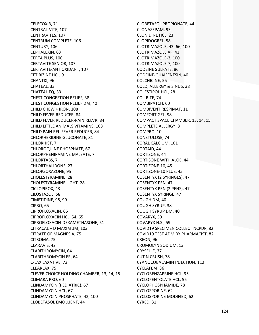CELECOXIB, 71 CENTRAL‐VITE, 107 CENTRAVITES, 107 CENTRUM COMPLETE, 106 CENTURY, 106 CEPHALEXIN, 63 CERTA PLUS, 106 CERTAVITE SENIOR, 107 CERTAVITE‐ANTIOXIDANT, 107 CETIRIZINE HCL, 9 CHANTIX, 96 CHATEAL, 33 CHATEAL EQ, 33 CHEST CONGESTION RELIEF, 38 CHEST CONGESTION RELIEF DM, 40 CHILD CHEW + IRON, 108 CHILD FEVER REDUCER, 84 CHILD FEVER REDUCER‐PAIN RELVR, 84 CHILD LITTLE ANIMALS VITAMINS, 108 CHILD PAIN REL‐FEVER REDUCER, 84 CHLORHEXIDINE GLUCONATE, 81 CHLORHIST, 7 CHLOROQUINE PHOSPHATE, 67 CHLORPHENIRAMINE MALEATE, 7 CHLORTABS, 7 CHLORTHALIDONE, 27 CHLORZOXAZONE, 95 CHOLESTYRAMINE, 28 CHOLESTYRAMINE LIGHT, 28 CICLOPIROX, 43 CILOSTAZOL, 58 CIMETIDINE, 98, 99 CIPRO, 65 CIPROFLOXACIN, 65 CIPROFLOXACIN HCL, 54, 65 CIPROFLOXACIN‐DEXAMETHASONE, 51 CITRACAL + D MAXIMUM, 103 CITRATE OF MAGNESIA, 75 CITROMA, 75 CLARAVIS, 42 CLARITHROMYCIN, 64 CLARITHROMYCIN ER, 64 C‐LAX LAXATIVE, 73 CLEARLAX, 75 CLEVER CHOICE HOLDING CHAMBER, 13, 14, 15 CLIMARA PRO, 60 CLINDAMYCIN (PEDIATRIC), 67 CLINDAMYCIN HCL, 67 CLINDAMYCIN PHOSPHATE, 42, 100 CLOBETASOL EMOLLIENT, 44

CLOBETASOL PROPIONATE, 44 CLONAZEPAM, 93 CLONIDINE HCL, 23 CLOPIDOGREL, 58 CLOTRIMAZOLE, 43, 66, 100 CLOTRIMAZOLE AF, 43 CLOTRIMAZOLE‐3, 100 CLOTRIMAZOLE‐7, 100 CODEINE SULFATE, 86 CODEINE‐GUAIFENESIN, 40 COLCHICINE, 55 COLD, ALLERGY & SINUS, 38 COLESTIPOL HCL, 28 COL‐RITE, 74 COMBIPATCH, 60 COMBIVENT RESPIMAT, 11 COMFORT GEL, 98 COMPACT SPACE CHAMBER, 13, 14, 15 COMPLETE ALLERGY, 8 COMPRO, 10 CONSTULOSE, 74 CORAL CALCIUM, 101 CORTAID, 44 CORTISONE, 44 CORTISONE WITH ALOE, 44 CORTIZONE‐10, 45 CORTIZONE‐10 PLUS, 45 COSENTYX (2 SYRINGES), 47 COSENTYX PEN, 47 COSENTYX PEN (2 PENS), 47 COSENTYX SYRINGE, 47 COUGH DM, 40 COUGH SYRUP, 38 COUGH SYRUP DM, 40 COVARYX, 59 COVARYX H.S., 59 COVID19 SPECIMEN COLLECT NCPDP, 82 COVID19 TEST ADM BY PHARMACIST, 82 CREON, 96 CROMOLYN SODIUM, 13 CRYSELLE, 37 CUT N CRUSH, 78 CYANOCOBALAMIN INJECTION, 112 CYCLAFEM, 36 CYCLOBENZAPRINE HCL, 95 CYCLOPENTOLATE HCL, 55 CYCLOPHOSPHAMIDE, 78 CYCLOSPORINE, 62 CYCLOSPORINE MODIFIED, 62 CYRED, 31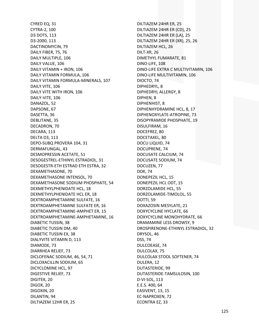CYRED EQ, 31 CYTRA‐2, 100 D3 DOTS, 113 D3‐2000, 113 DACTINOMYCIN, 79 DAILY FIBER, 75, 76 DAILY MULTIPLE, 106 DAILY VALUE, 106 DAILY VITAMIN + IRON, 106 DAILY VITAMIN FORMULA, 106 DAILY VITAMIN FORMULA‐MINERALS, 107 DAILY VITE, 106 DAILY VITE WITH IRON, 106 DAILY‐VITE, 106 DANAZOL, 52 DAPSONE, 67 DASETTA, 36 DEBLITANE, 35 DECADRON, 70 DECARA, 113 DELTA D3, 113 DEPO‐SUBQ PROVERA 104, 31 DERMAFUNGAL, 43 DESMOPRESSIN ACETATE, 51 DESOGESTREL‐ETHINYL ESTRADIOL, 31 DESOGESTR‐ETH ESTRAD ETH ESTRA, 32 DEXAMETHASONE, 70 DEXAMETHASONE INTENSOL, 70 DEXAMETHASONE SODIUM PHOSPHATE, 54 DEXMETHYLPHENIDATE HCL, 18 DEXMETHYLPHENIDATE HCL ER, 18 DEXTROAMPHETAMINE SULFATE, 16 DEXTROAMPHETAMINE SULFATE ER, 16 DEXTROAMPHETAMINE‐AMPHET ER, 15 DEXTROAMPHETAMINE‐AMPHETAMINE, 16 DIABETIC TUSSIN, 38 DIABETIC TUSSIN DM, 40 DIABETIC TUSSIN EX, 38 DIALYVITE VITAMIN D, 113 DIAMODE, 73 DIARRHEA RELIEF, 73 DICLOFENAC SODIUM, 46, 54, 71 DICLOXACILLIN SODIUM, 65 DICYCLOMINE HCL, 97 DIGESTIVE RELIEF, 73 DIGITEK, 20 DIGOX, 20 DIGOXIN, 20 DILANTIN, 94 DILTIAZEM 12HR ER, 25

DILTIAZEM 24HR ER, 25 DILTIAZEM 24HR ER (CD), 25 DILTIAZEM 24HR ER (LA), 25 DILTIAZEM 24HR ER (XR), 25, 26 DILTIAZEM HCL, 26 DILT‐XR, 26 DIMETHYL FUMARATE, 81 DINO‐LIFE, 108 DINO‐LIFE EXTRA C MULTIVITAMIN, 106 DINO‐LIFE MULTIVITAMIN, 106 DIOCTO, 74 DIPHEDRYL, 8 DIPHEDRYL ALLERGY, 8 DIPHEN, 8 DIPHENHIST, 8 DIPHENHYDRAMINE HCL, 8, 17 DIPHENOXYLATE‐ATROPINE, 73 DISOPYRAMIDE PHOSPHATE, 19 DISULFIRAM, 16 DOCEFREZ, 80 DOCETAXEL, 80 DOCU LIQUID, 74 DOCUPRENE, 74 DOCUSATE CALCIUM, 74 DOCUSATE SODIUM, 74 DOCUZEN, 77 DOK, 74 DONEPEZIL HCL, 15 DONEPEZIL HCL ODT, 15 DORZOLAMIDE HCL, 55 DORZOLAMIDE‐TIMOLOL, 55 DOTTI, 59 DOXAZOSIN MESYLATE, 21 DOXYCYCLINE HYCLATE, 66 DOXYCYCLINE MONOHYDRATE, 66 DRAMAMINE LESS DROWSY, 9 DROSPIRENONE‐ETHINYL ESTRADIOL, 32 DRYSOL, 46 DSS, 74 DULCOEASE, 74 DULCOLAX, 75 DULCOLAX STOOL SOFTENER, 74 DULERA, 12 DUTASTERIDE, 99 DUTASTERIDE‐TAMSULOSIN, 100 D‐VI‐SOL, 113 E.E.S. 400, 64 EASIVENT, 13, 15 EC‐NAPROXEN, 72 ECONTRA EZ, 33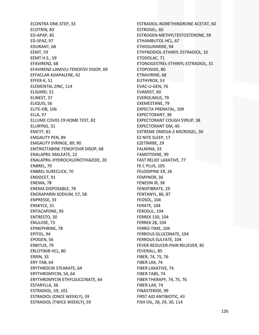ECONTRA ONE‐STEP, 33 ECOTRIN, 83 ED‐APAP, 85 ED‐SPAZ, 97 EDURANT, 68 EEMT, 59 EEMT H.S., 59 EFAVIRENZ, 68 EFAVIRENZ‐LAMIVU‐TENOFOV DISOP, 69 EFFACLAR ADAPALENE, 42 EFFER‐K, 51 ELEMENTAL ZINC, 114 ELIGARD, 51 ELINEST, 37 ELIQUIS, 56 ELITE‐OB, 106 ELLA, 37 ELLUME COVID‐19 HOME TEST, 82 ELURYNG, 31 EMCYT, 81 EMGALITY PEN, 89 EMGALITY SYRINGE, 89, 90 EMTRICITABINE‐TENOFOVIR DISOP, 68 ENALAPRIL MALEATE, 22 ENALAPRIL‐HYDROCHLOROTHIAZIDE, 20 ENBREL, 70 ENBREL SURECLICK, 70 ENDOCET, 91 ENEMA, 78 ENEMA DISPOSABLE, 78 ENOXAPARIN SODIUM, 57, 58 ENPRESSE, 33 ENSKYCE, 31 ENTACAPONE, 93 ENTRESTO, 30 ENULOSE, 73 EPINEPHRINE, 78 EPITOL, 94 EPOGEN, 56 ERBITUX, 79 ERLOTINIB HCL, 80 ERRIN, 35 ERY‐TAB, 64 ERYTHROCIN STEARATE, 64 ERYTHROMYCIN, 54, 64 ERYTHROMYCIN ETHYLSUCCINATE, 64 ESTARYLLA, 36 ESTRADIOL, 59, 101 ESTRADIOL (ONCE WEEKLY), 59 ESTRADIOL (TWICE WEEKLY), 59

ESTRADIOL‐NORETHINDRONE ACETAT, 60 ESTROGEL, 60 ESTROGEN‐METHYLTESTOSTERONE, 59 ETHAMBUTOL HCL, 67 ETHOSUXIMIDE, 94 ETHYNODIOL‐ETHINYL ESTRADIOL, 32 ETODOLAC, 71 ETONOGESTREL‐ETHINYL ESTRADIOL, 31 ETOPOSIDE, 80 ETRAVIRINE, 68 EUTHYROX, 53 EVAC‐U‐GEN, 76 EVAMIST, 60 EVEROLIMUS, 79 EXEMESTANE, 79 EXPECTA PRENATAL, 109 EXPECTORANT, 38 EXPECTORANT COUGH SYRUP, 38 EXPECTORANT DM, 40 EXTREME OMEGA‐3 MICROGEL, 30 EZ NITE SLEEP, 17 EZETIMIBE, 29 FALMINA, 33 FAMOTIDINE, 99 FAST RELIEF LAXATIVE, 77 FE C PLUS, 105 FELODIPINE ER, 26 FEMYNOR, 36 FENESIN IR, 38 FENOFIBRATE, 29 FENTANYL, 86, 87 FEOSOL, 104 FERATE, 104 FEROSUL, 104 FERREX 150, 104 FERREX 28, 104 FERRO‐TIME, 104 FERROUS GLUCONATE, 104 FERROUS SULFATE, 104 FEVER REDUCER‐PAIN RELIEVER, 85 FEVERALL, 85 FIBER, 74, 75, 76 FIBER LAX, 74 FIBER LAXATIVE, 74 FIBER TABS, 74 FIBER THERAPY, 74, 75, 76 FIBER‐LAX, 74 FINASTERIDE, 99 FIRST AID ANTIBIOTIC, 43 FISH OIL, 28, 29, 30, 114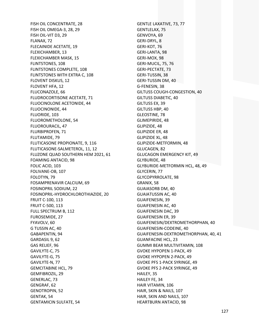FISH OIL CONCENTRATE, 28 FISH OIL OMEGA‐3, 28, 29 FISH OIL‐VIT D3, 29 FLANAX, 72 FLECAINIDE ACETATE, 19 FLEXICHAMBER, 13 FLEXICHAMBER MASK, 15 FLINTSTONES, 108 FLINTSTONES COMPLETE, 108 FLINTSTONES WITH EXTRA C, 108 FLOVENT DISKUS, 12 FLOVENT HFA, 12 FLUCONAZOLE, 66 FLUDROCORTISONE ACETATE, 71 FLUOCINOLONE ACETONIDE, 44 FLUOCINONIDE, 44 FLUORIDE, 103 FLUOROMETHOLONE, 54 FLUOROURACIL, 47 FLURBIPROFEN, 71 FLUTAMIDE, 79 FLUTICASONE PROPIONATE, 9, 116 FLUTICASONE‐SALMETEROL, 11, 12 FLUZONE QUAD SOUTHERN HEM 2021, 61 FOAMING ANTACID, 98 FOLIC ACID, 103 FOLIVANE‐OB, 107 FOLOTYN, 79 FOSAMPRENAVIR CALCIUM, 69 FOSINOPRIL SODIUM, 22 FOSINOPRIL‐HYDROCHLOROTHIAZIDE, 20 FRUIT C‐100, 113 FRUIT C‐500, 113 FULL SPECTRUM B, 112 FUROSEMIDE, 27 FYAVOLV, 60 G TUSSIN AC, 40 GABAPENTIN, 94 GARDASIL 9, 62 GAS RELIEF, 96 GAVILYTE‐C, 75 GAVILYTE‐G, 75 GAVILYTE‐N, 77 GEMCITABINE HCL, 79 GEMFIBROZIL, 29 GENERLAC, 73 GENGRAF, 62 GENOTROPIN, 52 GENTAK, 54 GENTAMICIN SULFATE, 54

GENTLE LAXATIVE, 73, 77 GENTLELAX, 75 GENVOYA, 69 GERI‐DRYL, 8 GERI‐KOT, 76 GERI‐LANTA, 98 GERI‐MOX, 98 GERI‐MUCIL, 75, 76 GERI‐PECTATE, 73 GERI‐TUSSIN, 38 GERI‐TUSSIN DM, 40 G‐FENESIN, 38 GILTUSS COUGH‐CONGESTION, 40 GILTUSS DIABETIC, 40 GILTUSS EX, 39 GILTUSS HBP, 40 GLEOSTINE, 78 GLIMEPIRIDE, 48 GLIPIZIDE, 48 GLIPIZIDE ER, 48 GLIPIZIDE XL, 48 GLIPIZIDE‐METFORMIN, 48 GLUCAGEN, 82 GLUCAGON EMERGENCY KIT, 49 GLYBURIDE, 48 GLYBURIDE‐METFORMIN HCL, 48, 49 GLYCERIN, 77 GLYCOPYRROLATE, 98 GRANIX, 58 GUAIASORB DM, 40 GUAIATUSSIN AC, 40 GUAIFENESIN, 39 GUAIFENESIN AC, 40 GUAIFENESIN DAC, 39 GUAIFENESIN ER, 39 GUAIFENESIN/DEXTROMETHORPHAN, 40 GUAIFENESIN‐CODEINE, 40 GUAIFENESIN‐DEXTROMETHORPHAN, 40, 41 GUANFACINE HCL, 23 GUMMI BEAR MULTIVITAMIN, 108 GVOKE HYPOPEN 1‐PACK, 49 GVOKE HYPOPEN 2‐PACK, 49 GVOKE PFS 1‐PACK SYRINGE, 49 GVOKE PFS 2‐PACK SYRINGE, 49 HAILEY, 35 HAILEY FE, 34 HAIR VITAMIN, 106 HAIR, SKIN & NAILS, 107 HAIR, SKIN AND NAILS, 107 HEARTBURN ANTACID, 98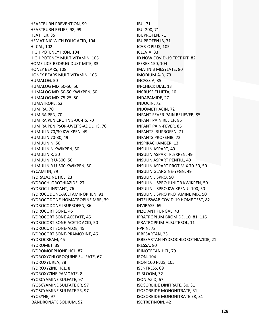HEARTBURN PREVENTION, 99 HEARTBURN RELIEF, 98, 99 HEATHER, 35 HEMATINIC WITH FOLIC ACID, 104 HI‐CAL, 102 HIGH POTENCY IRON, 104 HIGH POTENCY MULTIVITAMIN, 105 HOME LICE‐BEDBUG‐DUST MITE, 83 HONEY BEARS, 108 HONEY BEARS MULTIVITAMIN, 106 HUMALOG, 50 HUMALOG MIX 50‐50, 50 HUMALOG MIX 50‐50 KWIKPEN, 50 HUMALOG MIX 75‐25, 50 HUMATROPE, 52 HUMIRA, 70 HUMIRA PEN, 70 HUMIRA PEN CROHN'S‐UC‐HS, 70 HUMIRA PEN PSOR‐UVEITS‐ADOL HS, 70 HUMULIN 70/30 KWIKPEN, 49 HUMULIN 70‐30, 49 HUMULIN N, 50 HUMULIN N KWIKPEN, 50 HUMULIN R, 50 HUMULIN R U‐500, 50 HUMULIN R U‐500 KWIKPEN, 50 HYCAMTIN, 79 HYDRALAZINE HCL, 23 HYDROCHLOROTHIAZIDE, 27 HYDROCIL INSTANT, 76 HYDROCODONE‐ACETAMINOPHEN, 91 HYDROCODONE‐HOMATROPINE MBR, 39 HYDROCODONE‐IBUPROFEN, 86 HYDROCORTISONE, 45 HYDROCORTISONE ACETATE, 45 HYDROCORTISONE‐ACETIC ACID, 50 HYDROCORTISONE‐ALOE, 45 HYDROCORTISONE‐PRAMOXINE, 46 HYDROCREAM, 45 HYDROMET, 39 HYDROMORPHONE HCL, 87 HYDROXYCHLOROQUINE SULFATE, 67 HYDROXYUREA, 78 HYDROXYZINE HCL, 8 HYDROXYZINE PAMOATE, 8 HYOSCYAMINE SULFATE, 97 HYOSCYAMINE SULFATE ER, 97 HYOSCYAMINE SULFATE SR, 97 HYOSYNE, 97 IBANDRONATE SODIUM, 52

IBU, 71 IBU‐200, 71 IBUPROFEN, 71 IBUPROFEN IB, 71 ICAR‐C PLUS, 105 ICLEVIA, 33 ID NOW COVID‐19 TEST KIT, 82 IFEREX 150, 104 IMATINIB MESYLATE, 80 IMODIUM A‐D, 73 INCASSIA, 35 IN‐CHECK DIAL, 13 INCRUSE ELLIPTA, 10 INDAPAMIDE, 27 INDOCIN, 72 INDOMETHACIN, 72 INFANT FEVER‐PAIN RELIEVER, 85 INFANT PAIN RELIEF, 85 INFANT PAIN‐FEVER, 85 INFANTS IBUPROFEN, 71 INFANTS PROFENIB, 72 INSPIRACHAMBER, 13 INSULIN ASPART, 49 INSULIN ASPART FLEXPEN, 49 INSULIN ASPART PENFILL, 49 INSULIN ASPART PROT MIX 70‐30, 50 INSULIN GLARGINE‐YFGN, 49 INSULIN LISPRO, 50 INSULIN LISPRO JUNIOR KWIKPEN, 50 INSULIN LISPRO KWIKPEN U‐100, 50 INSULIN LISPRO PROTAMINE MIX, 50 INTELISWAB COVID‐19 HOME TEST, 82 INVIRASE, 69 INZO ANTIFUNGAL, 43 IPRATROPIUM BROMIDE, 10, 81, 116 IPRATROPIUM‐ALBUTEROL, 11 I‐PRIN, 72 IRBESARTAN, 23 IRBESARTAN‐HYDROCHLOROTHIAZIDE, 21 IRESSA, 80 IRINOTECAN HCL, 79 IRON, 104 IRON 100 PLUS, 105 ISENTRESS, 69 ISIBLOOM, 32 ISONIAZID, 67 ISOSORBIDE DINITRATE, 30, 31 ISOSORBIDE MONONITRATE, 31 ISOSORBIDE MONONITRATE ER, 31 ISOTRETINOIN, 42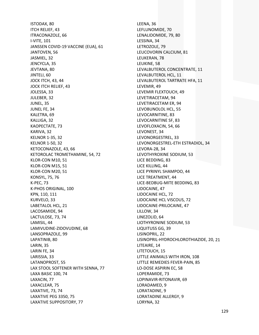ISTODAX, 80 ITCH RELIEF, 43 ITRACONAZOLE, 66 I‐VITE, 101 JANSSEN COVID‐19 VACCINE (EUA), 61 JANTOVEN, 56 JASMIEL, 32 JENCYCLA, 35 JEVTANA, 80 JINTELI, 60 JOCK ITCH, 43, 44 JOCK ITCH RELIEF, 43 JOLESSA, 33 JULEBER, 32 JUNEL, 35 JUNEL FE, 34 KALETRA, 69 KALLIGA, 32 KAOPECTATE, 73 KARIVA, 32 KELNOR 1‐35, 32 KELNOR 1‐50, 32 KETOCONAZOLE, 43, 66 KETOROLAC TROMETHAMINE, 54, 72 KLOR‐CON M10, 51 KLOR‐CON M15, 51 KLOR‐CON M20, 51 KONSYL, 75, 76 K‐PEC, 73 K‐PHOS ORIGINAL, 100 KPN, 110, 111 KURVELO, 33 LABETALOL HCL, 21 LACOSAMIDE, 94 LACTULOSE, 73, 74 LAMISIL, 44 LAMIVUDINE‐ZIDOVUDINE, 68 LANSOPRAZOLE, 99 LAPATINIB, 80 LARIN, 35 LARIN FE, 34 LARISSIA, 33 LATANOPROST, 55 LAX STOOL SOFTENER WITH SENNA, 77 LAXA BASIC 100, 74 LAXACIN, 77 LAXACLEAR, 75 LAXATIVE, 73, 74 LAXATIVE PEG 3350, 75 LAXATIVE SUPPOSITORY, 77

LEENA, 36 LEFLUNOMIDE, 70 LENALIDOMIDE, 79, 80 LESSINA, 34 LETROZOLE, 79 LEUCOVORIN CALCIUM, 81 LEUKERAN, 78 LEUKINE, 58 LEVALBUTEROL CONCENTRATE, 11 LEVALBUTEROL HCL, 11 LEVALBUTEROL TARTRATE HFA, 11 LEVEMIR, 49 LEVEMIR FLEXTOUCH, 49 LEVETIRACETAM, 94 LEVETIRACETAM ER, 94 LEVOBUNOLOL HCL, 55 LEVOCARNITINE, 83 LEVOCARNITINE SF, 83 LEVOFLOXACIN, 54, 66 LEVONEST, 34 LEVONORGESTREL, 33 LEVONORGESTREL‐ETH ESTRADIOL, 34 LEVORA‐28, 34 LEVOTHYROXINE SODIUM, 53 LICE BEDDING, 83 LICE KILLING, 44 LICE PYRINYL SHAMPOO, 44 LICE TREATMENT, 44 LICE‐BEDBUG‐MITE BEDDING, 83 LIDOCAINE, 47 LIDOCAINE HCL, 72 LIDOCAINE HCL VISCOUS, 72 LIDOCAINE‐PRILOCAINE, 47 LILLOW, 34 LINEZOLID, 64 LIOTHYRONINE SODIUM, 53 LIQUITUSS GG, 39 LISINOPRIL, 22 LISINOPRIL‐HYDROCHLOROTHIAZIDE, 20, 21 LITEAIRE, 14 LITETOUCH, 15 LITTLE ANIMALS WITH IRON, 108 LITTLE REMEDIES FEVER‐PAIN, 85 LO‐DOSE ASPIRIN EC, 58 LOPERAMIDE, 73 LOPINAVIR‐RITONAVIR, 69 LORADAMED, 9 LORATADINE, 9 LORATADINE ALLERGY, 9 LORYNA, 32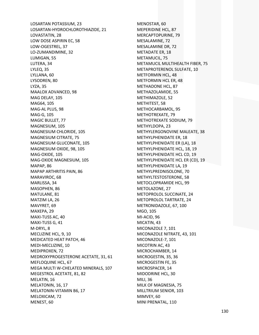LOSARTAN POTASSIUM, 23 LOSARTAN‐HYDROCHLOROTHIAZIDE, 21 LOVASTATIN, 28 LOW DOSE ASPIRIN EC, 58 LOW‐OGESTREL, 37 LO‐ZUMANDIMINE, 32 LUMIGAN, 55 LUTERA, 34 LYLEQ, 35 LYLLANA, 60 LYSODREN, 80 LYZA, 35 MAALOX ADVANCED, 98 MAG DELAY, 105 MAG64, 105 MAG‐AL PLUS, 98 MAG‐G, 105 MAGIC BULLET, 77 MAGNESIUM, 105 MAGNESIUM CHLORIDE, 105 MAGNESIUM CITRATE, 75 MAGNESIUM GLUCONATE, 105 MAGNESIUM OXIDE, 98, 105 MAG‐OXIDE, 105 MAG‐OXIDE MAGNESIUM, 105 MAPAP, 86 MAPAP ARTHRITIS PAIN, 86 MARAVIROC, 68 MARLISSA, 34 MASOPHEN, 86 MATULANE, 81 MATZIM LA, 26 MAVYRET, 69 MAXEPA, 29 MAXI‐TUSS AC, 40 MAXI‐TUSS G, 41 M‐DRYL, 8 MECLIZINE HCL, 9, 10 MEDICATED HEAT PATCH, 46 MEDI‐MECLIZINE, 10 MEDIPROXEN, 72 MEDROXYPROGESTERONE ACETATE, 31, 61 MEFLOQUINE HCL, 67 MEGA MULTI W‐CHELATED MINERALS, 107 MEGESTROL ACETATE, 81, 82 MELATIN, 16 MELATONIN, 16, 17 MELATONIN‐VITAMIN B6, 17 MELOXICAM, 72 MENEST, 60

MENOSTAR, 60 MEPERIDINE HCL, 87 MERCAPTOPURINE, 79 MESALAMINE, 72 MESALAMINE DR, 72 METADATE ER, 18 METAMUCIL, 75 METAMUCIL MULTIHEALTH FIBER, 75 METAPROTERENOL SULFATE, 10 METFORMIN HCL, 48 METFORMIN HCL ER, 48 METHADONE HCL, 87 METHAZOLAMIDE, 55 METHIMAZOLE, 52 METHITEST, 58 METHOCARBAMOL, 95 METHOTREXATE, 79 METHOTREXATE SODIUM, 79 METHYLDOPA, 23 METHYLERGONOVINE MALEATE, 38 METHYLPHENIDATE ER, 18 METHYLPHENIDATE ER (LA), 18 METHYLPHENIDATE HCL, 18, 19 METHYLPHENIDATE HCL CD, 19 METHYLPHENIDATE HCL ER (CD), 19 METHYLPHENIDATE LA, 19 METHYLPREDNISOLONE, 70 METHYLTESTOSTERONE, 58 METOCLOPRAMIDE HCL, 99 METOLAZONE, 27 METOPROLOL SUCCINATE, 24 METOPROLOL TARTRATE, 24 METRONIDAZOLE, 67, 100 MGO, 105 MI‐ACID, 96 MICATIN, 43 MICONAZOLE 7, 101 MICONAZOLE NITRATE, 43, 101 MICONAZOLE‐7, 101 MICOTRIN AC, 43 MICROCHAMBER, 14 MICROGESTIN, 35, 36 MICROGESTIN FE, 35 MICROSPACER, 14 MIDODRINE HCL, 30 MILI, 36 MILK OF MAGNESIA, 75 MILLTRIUM SENIOR, 103 MIMVEY, 60 MINI PRENATAL, 110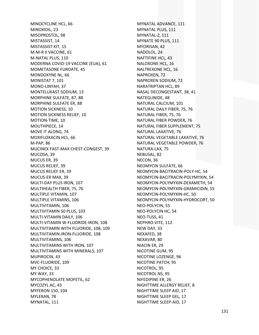MINOCYCLINE HCL, 66 MINOXIDIL, 23 MISOPROSTOL, 98 MISTASSIST, 14 MISTASSIST KIT, 15 M‐M‐R II VACCINE, 61 M‐NATAL PLUS, 110 MODERNA COVID‐19 VACCINE (EUA), 61 MOMETASONE FUROATE, 45 MONDOXYNE NL, 66 MONISTAT 7, 101 MONO‐LINYAH, 37 MONTELUKAST SODIUM, 13 MORPHINE SULFATE, 87, 88 MORPHINE SULFATE ER, 88 MOTION SICKNESS, 10 MOTION SICKNESS RELIEF, 10 MOTION‐TIME, 10 MOUTHPIECE, 14 MOVE IT ALONG, 74 MOXIFLOXACIN HCL, 66 M‐PAP, 86 MUCINEX FAST‐MAX CHEST‐CONGEST, 39 MUCOSA, 39 MUCUS ER, 39 MUCUS RELIEF, 39 MUCUS RELIEF ER, 39 MUCUS‐ER MAX, 39 MULTI‐DAY PLUS IRON, 107 MULTIHEALTH FIBER, 75, 76 MULTIPLE VITAMIN, 107 MULTIPLE VITAMINS, 106 MULTIVITAMIN, 106 MULTIVITAMIN 50 PLUS, 103 MULTI‐VITAMIN DAILY, 106 MULTI‐VITAMIN W‐FLUORIDE‐IRON, 108 MULTIVITAMIN WITH FLUORIDE, 108, 109 MULTIVITAMIN‐IRON‐FLUORIDE, 108 MULTIVITAMINS, 106 MULTIVITAMINS WITH IRON, 107 MULTIVITAMINS WITH MINERALS, 107 MUPIROCIN, 43 MVC‐FLUORIDE, 109 MY CHOICE, 33 MY WAY, 33 MYCOPHENOLATE MOFETIL, 62 MYCOZYL AC, 43 MYFERON 150, 104 MYLERAN, 78 MYNATAL, 111

MYNATAL ADVANCE, 111 MYNATAL PLUS, 111 MYNATAL‐Z, 111 MYNATE 90 PLUS, 111 MYORISAN, 42 NADOLOL, 24 NAFTIFINE HCL, 43 NALOXONE HCL, 16 NALTREXONE HCL, 16 NAPROXEN, 72 NAPROXEN SODIUM, 72 NARATRIPTAN HCL, 89 NASAL DECONGESTANT, 38, 41 NATEGLINIDE, 48 NATURAL CALCIUM, 101 NATURAL DAILY FIBER, 75, 76 NATURAL FIBER, 75, 76 NATURAL FIBER POWDER, 76 NATURAL FIBER SUPPLEMENT, 75 NATURAL LAXATIVE, 76 NATURAL VEGETABLE LAXATIVE, 76 NATURAL VEGETABLE POWDER, 76 NATURA‐LAX, 75 NEBUSAL, 82 NECON, 36 NEOMYCIN SULFATE, 66 NEOMYCIN‐BACITRACIN‐POLY‐HC, 54 NEOMYCIN‐BACITRACIN‐POLYMYXIN, 54 NEOMYCIN‐POLYMYXIN‐DEXAMETH, 54 NEOMYCIN‐POLYMYXIN‐GRAMICIDIN, 55 NEOMYCIN‐POLYMYXIN‐HC, 50 NEOMYCIN‐POLYMYXIN‐HYDROCORT, 50 NEO‐POLYCIN, 55 NEO‐POLYCIN HC, 54 NEO‐TUSS, 41 NEPHRO‐VITE, 112 NEW DAY, 33 NEXAFED, 38 NEXAVAR, 80 NIACIN ER, 29 NICOTINE GUM, 95 NICOTINE LOZENGE, 96 NICOTINE PATCH, 95 NICOTROL, 95 NICOTROL NS, 95 NIFEDIPINE ER, 26 NIGHTTIME ALLERGY RELIEF, 8 NIGHTTIME SLEEP AID, 17 NIGHTTIME SLEEP GEL, 17 NIGHTTIME SLEEP‐AID, 17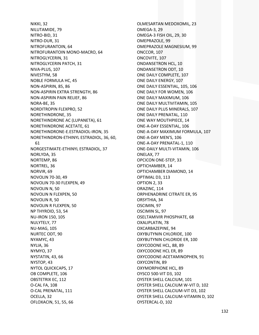**NIKKI. 32** NILUTAMIDE, 79 NITRO-BID, 31 NITRO-DUR, 31 NITROFURANTOIN, 64 NITROFURANTOIN MONO-MACRO, 64 NITROGLYCERIN, 31 NITROGLYCERIN PATCH, 31 NIVA-PLUS, 107 NIVESTYM, 58 **NOBLE FORMULA HC, 45** NON-ASPIRIN, 85, 86 NON-ASPIRIN EXTRA STRENGTH, 86 NON-ASPIRIN PAIN RELIEF, 86 NORA-BE, 35 NORDITROPIN FLEXPRO, 52 NORETHINDRONE, 35 NORETHINDRONE AC (LUPANETA), 61 NORETHINDRONE ACETATE, 61 NORETHINDRONE-E.ESTRADIOL-IRON. 35 NORETHINDRON-ETHINYL ESTRADIOL, 36, 60, 61 NORGESTIMATE-ETHINYL ESTRADIOL, 37 NORLYDA, 35 NORTEMP, 86 NORTREL, 36 NORVIR, 69 **NOVOLIN 70-30, 49** NOVOLIN 70-30 FLEXPEN, 49 NOVOLIN N, 50 NOVOLIN N FLEXPEN, 50 NOVOLIN R, 50 NOVOLIN R FLEXPEN, 50 NP THYROID, 53, 54 **NU-IRON 150, 105** NULYTELY, 77 **NU-MAG, 105** NURTEC ODT, 90 NYAMYC, 43 NYLIA, 36 NYMYO, 37 NYSTATIN, 43, 66 NYSTOP, 43 **NYTOL QUICKCAPS, 17** OB COMPLETE, 106 OBSTETRIX EC, 112 O-CAL FA, 108 O-CAL PRENATAL, 111 OCELLA, 32 OFLOXACIN, 51, 55, 66

OLMESARTAN MEDOXOMIL, 23 OMEGA-3, 29 OMEGA-3 FISH OIL, 29, 30 OMEPRAZOLE, 99 OMEPRAZOLE MAGNESIUM, 99 ONCCOR, 107 ONCOVITE, 107 **ONDANSETRON HCL. 10 ONDANSETRON ODT. 10** ONE DAILY COMPLETE, 107 ONE DAILY ENERGY, 107 ONE DAILY ESSENTIAL, 105, 106 ONE DAILY FOR WOMEN, 106 ONE DAILY MAXIMUM, 106 ONE DAILY MULTIVITAMIN, 105 ONE DAILY PLUS MINERALS, 107 ONE DAILY PRENATAL, 110 ONE WAY MOUTHPIECE, 14 ONE-A-DAY ESSENTIAL, 106 ONE-A-DAY MAXIMUM FORMULA, 107 ONE-A-DAY MEN'S, 106 ONE-A-DAY PRENATAL-1, 110 **ONE-DAILY MULTI-VITAMIN, 106** ONELAX, 77 **OPCICON ONE-STEP, 33** OPTICHAMBER, 14 OPTICHAMBER DIAMOND, 14 OPTIMAL D3, 113 OPTION 2, 33 ORAZINC, 114 **ORPHENADRINE CITRATE ER, 95** ORSYTHIA, 34 OSCIMIN, 97 OSCIMIN SL, 97 OSELTAMIVIR PHOSPHATE, 68 OXALIPLATIN, 78 OXCARBAZEPINE, 94 OXYBUTYNIN CHLORIDE, 100 OXYBUTYNIN CHLORIDE ER, 100 OXYCODONE HCL, 88, 89 OXYCODONE HCL ER, 89 OXYCODONE-ACETAMINOPHEN, 91 OXYCONTIN, 89 OXYMORPHONE HCL. 89 OYSCO 500-VIT D3, 102 OYSTER SHELL CALCIUM, 101 OYSTER SHELL CALCIUM W-VIT D, 102 OYSTER SHELL CALCIUM-VIT D3, 102 OYSTER SHELL CALCIUM-VITAMIN D, 102 OYSTERCAL-D, 102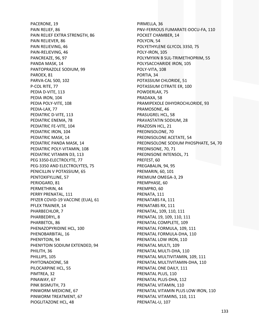PACERONE, 19 PAIN RELIEF, 86 PAIN RELIEF EXTRA STRENGTH, 86 PAIN RELIEVER, 86 PAIN RELIEVING, 46 PAIN‐RELIEVING, 46 PANCREAZE, 96, 97 PANDA MASK, 14 PANTOPRAZOLE SODIUM, 99 PAROEX, 81 PARVA‐CAL 500, 102 P‐COL RITE, 77 PEDIA D‐VITE, 113 PEDIA IRON, 104 PEDIA POLY‐VITE, 108 PEDIA‐LAX, 77 PEDIATRIC D‐VITE, 113 PEDIATRIC ENEMA, 78 PEDIATRIC FE‐VITE, 104 PEDIATRIC IRON, 104 PEDIATRIC MASK, 14 PEDIATRIC PANDA MASK, 14 PEDIATRIC POLY‐VITAMIN, 108 PEDIATRIC VITAMIN D3, 113 PEG 3350‐ELECTROLYTE, 77 PEG‐3350 AND ELECTROLYTES, 75 PENICILLIN V POTASSIUM, 65 PENTOXIFYLLINE, 57 PERIOGARD, 81 PERMETHRIN, 44 PERRY PRENATAL, 111 PFIZER COVID‐19 VACCINE (EUA), 61 PFLEX TRAINER, 14 PHARBECHLOR, 7 PHARBEDRYL, 8 PHARBETOL, 86 PHENAZOPYRIDINE HCL, 100 PHENOBARBITAL, 16 PHENYTOIN, 94 PHENYTOIN SODIUM EXTENDED, 94 PHILITH, 36 PHILLIPS, 105 PHYTONADIONE, 58 PILOCARPINE HCL, 55 PIMTREA, 32 PINAWAY, 67 PINK BISMUTH, 73 PINWORM MEDICINE, 67 PINWORM TREATMENT, 67 PIOGLITAZONE HCL, 48

PIRMELLA, 36 PNV‐FERROUS FUMARATE‐DOCU‐FA, 110 POCKET CHAMBER, 14 POLYCIN, 54 POLYETHYLENE GLYCOL 3350, 75 POLY‐IRON, 105 POLYMYXIN B SUL‐TRIMETHOPRIM, 55 POLYSACCHARIDE IRON, 105 POLY‐VITA, 108 PORTIA, 34 POTASSIUM CHLORIDE, 51 POTASSIUM CITRATE ER, 100 POWDERLAX, 75 PRADAXA, 58 PRAMIPEXOLE DIHYDROCHLORIDE, 93 PRAMOSONE, 46 PRASUGREL HCL, 58 PRAVASTATIN SODIUM, 28 PRAZOSIN HCL, 21 PREDNISOLONE, 70 PREDNISOLONE ACETATE, 54 PREDNISOLONE SODIUM PHOSPHATE, 54, 70 PREDNISONE, 70, 71 PREDNISONE INTENSOL, 71 PREFEST, 60 PREGABALIN, 94, 95 PREMARIN, 60, 101 PREMIUM OMEGA‐3, 29 PREMPHASE, 60 PREMPRO, 60 PRENATA, 111 PRENATABS FA, 111 PRENATABS RX, 111 PRENATAL, 109, 110, 111 PRENATAL 19, 109, 110, 111 PRENATAL COMPLETE, 109 PRENATAL FORMULA, 109, 111 PRENATAL FORMULA‐DHA, 110 PRENATAL LOW IRON, 110 PRENATAL MULTI, 109 PRENATAL MULTI‐DHA, 110 PRENATAL MULTIVITAMIN, 109, 111 PRENATAL MULTIVITAMIN‐DHA, 110 PRENATAL ONE DAILY, 111 PRENATAL PLUS, 110 PRENATAL PLUS‐DHA, 112 PRENATAL VITAMIN, 110 PRENATAL VITAMIN PLUS LOW IRON, 110 PRENATAL VITAMINS, 110, 111 PRENATAL‐U, 107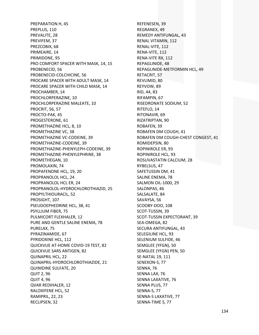PREPARATION H, 45 PREPLUS, 110 PREVALITE, 28 PREVIFEM, 37 PREZCOBIX, 68 PRIMEAIRE, 14 PRIMIDONE, 95 PRO COMFORT SPACER WITH MASK, 14, 15 PROBENECID, 56 PROBENECID‐COLCHICINE, 56 PROCARE SPACER WITH ADULT MASK, 14 PROCARE SPACER WITH CHILD MASK, 14 PROCHAMBER, 14 PROCHLORPERAZINE, 10 PROCHLORPERAZINE MALEATE, 10 PROCRIT, 56, 57 PROCTO‐PAK, 45 PROGESTERONE, 61 PROMETHAZINE HCL, 8, 10 PROMETHAZINE VC, 38 PROMETHAZINE VC‐CODEINE, 39 PROMETHAZINE‐CODEINE, 39 PROMETHAZINE‐PHENYLEPH‐CODEINE, 39 PROMETHAZINE‐PHENYLEPHRINE, 38 PROMETHEGAN, 10 PROMOLAXIN, 74 PROPAFENONE HCL, 19, 20 PROPRANOLOL HCL, 24 PROPRANOLOL HCL ER, 24 PROPRANOLOL‐HYDROCHLOROTHIAZID, 25 PROPYLTHIOURACIL, 52 PROSIGHT, 107 PSEUDOEPHEDRINE HCL, 38, 41 PSYLLIUM FIBER, 75 PULMICORT FLEXHALER, 12 PURE AND GENTLE SALINE ENEMA, 78 PURELAX, 75 PYRAZINAMIDE, 67 PYRIDOXINE HCL, 112 QUICKVUE AT‐HOME COVID‐19 TEST, 82 QUICKVUE SARS ANTIGEN, 82 QUINAPRIL HCL, 22 QUINAPRIL‐HYDROCHLOROTHIAZIDE, 21 QUINIDINE SULFATE, 20 QUIT 2, 96 QUIT 4, 96 QVAR REDIHALER, 12 RALOXIFENE HCL, 52 RAMIPRIL, 22, 23 RECLIPSEN, 32

REFENESEN, 39 REGRANEX, 49 REMEDY ANTIFUNGAL, 43 RENAL VITAMIN, 112 RENAL‐VITE, 112 RENA‐VITE, 112 RENA‐VITE RX, 112 REPAGLINIDE, 48 REPAGLINIDE‐METFORMIN HCL, 49 RETACRIT, 57 REVLIMID, 80 REYVOW, 89 RID, 44, 83 RIFAMPIN, 67 RISEDRONATE SODIUM, 52 RITEFLO, 14 RITONAVIR, 69 RIZATRIPTAN, 90 ROBAFEN, 39 ROBAFEN DM COUGH, 41 ROBAFEN DM COUGH‐CHEST CONGEST, 41 ROMIDEPSIN, 80 ROPINIROLE ER, 93 ROPINIROLE HCL, 93 ROSUVASTATIN CALCIUM, 28 RYBELSUS, 47 SAFETUSSIN DM, 41 SALINE ENEMA, 78 SALMON OIL‐1000, 29 SALONPAS, 46 SALSALATE, 84 SAVAYSA, 56 SCOOBY‐DOO, 108 SCOT‐TUSSIN, 39 SCOT‐TUSSIN EXPECTORANT, 39 SEA‐OMEGA, 82 SECURA ANTIFUNGAL, 43 SELEGILINE HCL, 93 SELENIUM SULFIDE, 46 SEMGLEE (YFGN), 50 SEMGLEE (YFGN) PEN, 50 SE‐NATAL 19, 111 SENEXON‐S, 77 SENNA, 76 SENNA LAX, 76 SENNA LAXATIVE, 76 SENNA PLUS, 77 SENNA‐S, 77 SENNA‐S LAXATIVE, 77 SENNA‐TIME S, 77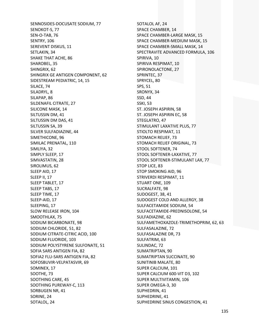SENNOSIDES-DOCUSATE SODIUM, 77 SENOKOT-S, 77 SEN-O-TAB, 76 SENTRY, 106 SEREVENT DISKUS, 11 SETLAKIN, 34 **SHAKE THAT ACHE, 86** SHAROBEL, 35 SHINGRIX, 62 SHINGRIX GE ANTIGEN COMPONENT, 62 SIDESTREAM PEDIATRIC, 14, 15 SILACE, 74 SILADRYL, 8 SILAPAP, 86 SILDENAFIL CITRATE, 27 SILICONE MASK, 14 SILTUSSIN DM, 41 SILTUSSIN DM DAS, 41 SILTUSSIN SA, 39 SILVER SULFADIAZINE, 44 SIMETHICONE, 96 SIMILAC PRENATAL, 110 SIMLIYA, 32 SIMPLY SLEEP, 17 SIMVASTATIN, 28 SIROLIMUS, 62 SLEEP AID, 17 SLEEP II, 17 **SLEEP TABLET, 17** SLEEP TABS, 17 SLEEP TIME, 17 SLEEP-AID, 17 SLEEPING. 17 SLOW RELEASE IRON, 104 SMOOTHLAX, 75 SODIUM BICARBONATE, 98 SODIUM CHLORIDE, 51, 82 SODIUM CITRATE-CITRIC ACID, 100 SODIUM FLUORIDE, 103 SODIUM POLYSTYRENE SULFONATE, 51 SOFIA SARS ANTIGEN FIA, 82 SOFIA2 FLU-SARS ANTIGEN FIA, 82 SOFOSBUVIR-VELPATASVIR, 69 SOMINEX, 17 SOOTHE, 73 SOOTHING CARE, 45 SOOTHING PUREWAY-C, 113 SORBUGEN NR, 41 SORINE, 24 SOTALOL, 24

SOTALOL AF, 24 **SPACE CHAMBER, 14** SPACE CHAMBER-LARGE MASK, 15 SPACE CHAMBER-MEDIUM MASK, 15 SPACE CHAMBER-SMALL MASK, 14 SPECTRAVITE ADVANCED FORMULA, 106 SPIRIVA, 10 SPIRIVA RESPIMAT. 10 SPIRONOLACTONE, 27 SPRINTEC, 37 SPRYCEL, 80 SPS, 51 SRONYX, 34 SSD, 44 **SSKI, 53** ST. JOSEPH ASPIRIN, 58 ST. JOSEPH ASPIRIN EC, 58 STEGLATRO, 47 STIMULANT LAXATIVE PLUS, 77 STIOLTO RESPIMAT. 11 STOMACH RELIEF, 73 STOMACH RELIEF ORIGINAL, 73 STOOL SOFTENER, 74 STOOL SOFTENER-LAXATIVE, 77 STOOL SOFTENER-STIMULANT LAX, 77 STOP LICE, 83 **STOP SMOKING AID, 96** STRIVERDI RESPIMAT, 11 **STUART ONE, 109** SUCRALFATE, 98 **SUDOGEST, 38, 41** SUDOGEST COLD AND ALLERGY, 38 SULFACETAMIDE SODIUM, 54 SULFACETAMIDE-PREDNISOLONE, 54 SULFADIAZINE, 62 SULFAMETHOXAZOLE-TRIMETHOPRIM, 62, 63 SULFASALAZINE, 72 SULFASALAZINE DR, 73 SULFATRIM, 63 SULINDAC, 72 SUMATRIPTAN, 90 SUMATRIPTAN SUCCINATE, 90 **SUNITINIB MALATE, 80 SUPER CALCIUM. 101** SUPER CALCIUM 600-VIT D3, 102 SUPER MULTIVITAMIN, 106 SUPER OMEGA-3, 30 SUPHEDRIN, 41 SUPHEDRINE, 41 SUPHEDRINE SINUS CONGESTION, 41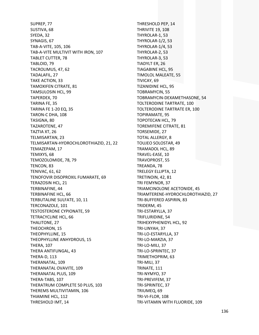SUPREP, 77 SUSTIVA, 68 SYEDA, 32 SYNAGIS, 67 TAB‐A‐VITE, 105, 106 TAB‐A‐VITE MULTIVIT WITH IRON, 107 TABLET CUTTER, 78 TABLOID, 79 TACROLIMUS, 47, 62 TADALAFIL, 27 TAKE ACTION, 33 TAMOXIFEN CITRATE, 81 TAMSULOSIN HCL, 99 TAPERDEX, 70 TARINA FE, 35 TARINA FE 1‐20 EQ, 35 TARON‐C DHA, 108 TASIGNA, 80 TAZAROTENE, 47 TAZTIA XT, 26 TELMISARTAN, 23 TELMISARTAN‐HYDROCHLOROTHIAZID, 21, 22 TEMAZEPAM, 17 TEMIXYS, 68 TEMOZOLOMIDE, 78, 79 TENCON, 83 TENIVAC, 61, 62 TENOFOVIR DISOPROXIL FUMARATE, 69 TERAZOSIN HCL, 21 TERBINAFINE, 44 TERBINAFINE HCL, 66 TERBUTALINE SULFATE, 10, 11 TERCONAZOLE, 101 TESTOSTERONE CYPIONATE, 59 TETRACYCLINE HCL, 66 THALITONE, 27 THEOCHRON, 15 THEOPHYLLINE, 15 THEOPHYLLINE ANHYDROUS, 15 THERA, 107 THERA ANTIFUNGAL, 43 THERA‐D, 113 THERANATAL, 109 THERANATAL OVAVITE, 109 THERANATAL PLUS, 109 THERA‐TABS, 107 THERATRUM COMPLETE 50 PLUS, 103 THEREMS MULTIVITAMIN, 106 THIAMINE HCL, 112 THRESHOLD IMT, 14

THRESHOLD PEP, 14 THRIVITE 19, 108 THYROLAR‐1, 53 THYROLAR‐1/2, 53 THYROLAR‐1/4, 53 THYROLAR‐2, 53 THYROLAR‐3, 53 TIADYLT ER, 26 TIAGABINE HCL, 95 TIMOLOL MALEATE, 55 TIVICAY, 69 TIZANIDINE HCL, 95 TOBRAMYCIN, 55 TOBRAMYCIN‐DEXAMETHASONE, 54 TOLTERODINE TARTRATE, 100 TOLTERODINE TARTRATE ER, 100 TOPIRAMATE, 95 TOPOTECAN HCL, 79 TOREMIFENE CITRATE, 81 TORSEMIDE, 27 TOTAL ALLERGY, 8 TOUJEO SOLOSTAR, 49 TRAMADOL HCL, 89 TRAVEL‐EASE, 10 TRAVOPROST, 55 TREANDA, 78 TRELEGY ELLIPTA, 12 TRETINOIN, 42, 81 TRI FEMYNOR, 37 TRIAMCINOLONE ACETONIDE, 45 TRIAMTERENE‐HYDROCHLOROTHIAZID, 27 TRI‐BUFFERED ASPIRIN, 83 TRIDERM, 45 TRI‐ESTARYLLA, 37 TRIFLURIDINE, 54 TRIHEXYPHENIDYL HCL, 92 TRI‐LINYAH, 37 TRI‐LO‐ESTARYLLA, 37 TRI‐LO‐MARZIA, 37 TRI‐LO‐MILI, 37 TRI‐LO‐SPRINTEC, 37 TRIMETHOPRIM, 63 TRI‐MILI, 37 TRINATE, 111 TRI‐NYMYO, 37 TRI‐PREVIFEM, 37 TRI‐SPRINTEC, 37 TRIUMEQ, 69 TRI‐VI‐FLOR, 108 TRI‐VITAMIN WITH FLUORIDE, 109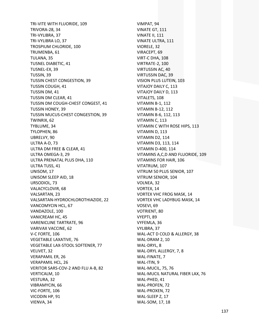TRI-VITE WITH FLUORIDE, 109 **TRIVORA-28, 34** TRI-VYLIBRA, 37 TRI-VYLIBRA LO, 37 TROSPIUM CHLORIDE, 100 TRUMENBA, 61 TULANA, 35 **TUSNEL DIABETIC, 41** TUSNEL-EX. 39 TUSSIN, 39 TUSSIN CHEST CONGESTION, 39 **TUSSIN COUGH, 41** TUSSIN DM, 41 TUSSIN DM CLEAR, 41 TUSSIN DM COUGH-CHEST CONGEST, 41 **TUSSIN HONEY, 39** TUSSIN MUCUS-CHEST CONGESTION, 39 TWINRIX, 62 TYBLUME, 34 TYLOPHEN, 86 UBRELVY, 90 ULTRA A-D. 73 ULTRA DM FREE & CLEAR, 41 ULTRA OMEGA-3, 29 ULTRA PRENATAL PLUS DHA, 110 ULTRA TUSS, 41 UNISOM, 17 UNISOM SLEEP AID, 18 URSODIOL, 73 VALACYCLOVIR, 68 **VALSARTAN, 23** VALSARTAN-HYDROCHLOROTHIAZIDE, 22 VANCOMYCIN HCL. 67 VANDAZOLE, 100 **VANICREAM HC, 45 VARENICLINE TARTRATE, 96** VARIVAX VACCINE, 62 V-C FORTE, 106 **VEGETABLE LAXATIVE, 76** VEGETABLE LAX-STOOL SOFTENER, 77 VELIVET, 32 **VERAPAMIL ER. 26 VERAPAMIL HCL, 26** VERITOR SARS-COV-2 AND FLU A-B, 82 VERTICALM, 10 VESTURA, 32 VIBRAMYCIN, 66 VIC-FORTE, 106 VICODIN HP, 91 VIENVA, 34

VIMPAT, 94 VINATE GT, 111 VINATE II, 111 VINATE ULTRA, 111 VIORELE, 32 VIRACEPT, 69 VIRT-C DHA, 108 VIRTRATE-2, 100 VIRTUSSIN AC, 40 **VIRTUSSIN DAC, 39** VISION PLUS LUTEIN, 103 VITAJOY DAILY C, 113 VITAJOY DAILY D, 113 VITALETS, 108 VITAMIN B-1, 112 **VITAMIN B-12, 112** VITAMIN B-6, 112, 113 VITAMIN C, 113 VITAMIN C WITH ROSE HIPS, 113 VITAMIN D. 113 VITAMIN D2, 114 VITAMIN D3, 113, 114 VITAMIN D-400, 114 VITAMINS A, C, D AND FLUORIDE, 109 VITAMINS FOR HAIR, 106 VITATRUM, 107 VITRUM 50 PLUS SENIOR, 107 VITRUM SENIOR, 104 VOLNEA, 32 VORTEX, 14 **VORTEX VHC FROG MASK, 14** VORTEX VHC LADYBUG MASK, 14 VOSEVI, 69 VOTRIENT, 80 VYEPTI, 89 VYFEMLA, 36 VYLIBRA, 37 WAL-ACT D COLD & ALLERGY, 38 WAL-DRAM 2, 10 WAL-DRYL, 8 WAL-DRYL ALLERGY, 7, 8 WAL-FINATE, 7 WAL-ITIN, 9 **WAL-MUCIL, 75, 76** WAL-MUCIL NATURAL FIBER LAX, 76 WAL-PHED, 41 WAL-PROFEN, 72 WAL-PROXEN, 72 WAL-SLEEP Z, 17 WAL-SOM, 17, 18